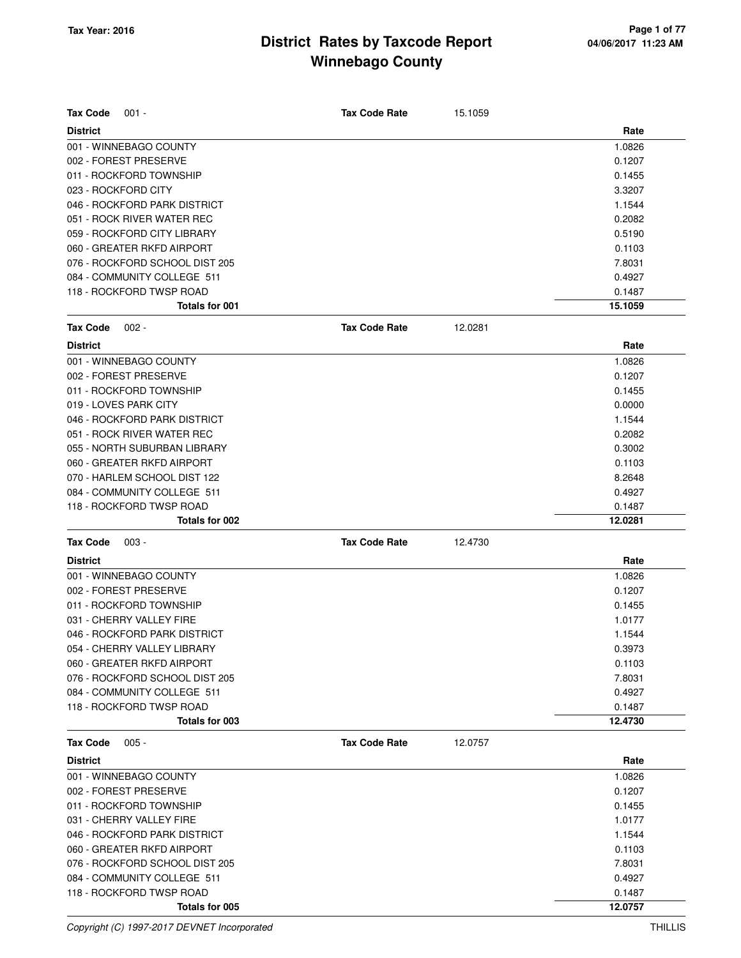| <b>Tax Code</b><br>$001 -$                 | <b>Tax Code Rate</b> | 15.1059 |                   |
|--------------------------------------------|----------------------|---------|-------------------|
| <b>District</b>                            |                      |         | Rate              |
| 001 - WINNEBAGO COUNTY                     |                      |         | 1.0826            |
| 002 - FOREST PRESERVE                      |                      |         | 0.1207            |
| 011 - ROCKFORD TOWNSHIP                    |                      |         | 0.1455            |
| 023 - ROCKFORD CITY                        |                      |         | 3.3207            |
| 046 - ROCKFORD PARK DISTRICT               |                      |         | 1.1544            |
| 051 - ROCK RIVER WATER REC                 |                      |         | 0.2082            |
| 059 - ROCKFORD CITY LIBRARY                |                      |         | 0.5190            |
| 060 - GREATER RKFD AIRPORT                 |                      |         | 0.1103            |
| 076 - ROCKFORD SCHOOL DIST 205             |                      |         | 7.8031            |
| 084 - COMMUNITY COLLEGE 511                |                      |         | 0.4927            |
| 118 - ROCKFORD TWSP ROAD                   |                      |         | 0.1487            |
| <b>Totals for 001</b>                      |                      |         | 15.1059           |
| <b>Tax Code</b><br>$002 -$                 | <b>Tax Code Rate</b> | 12.0281 |                   |
| <b>District</b>                            |                      |         | Rate              |
| 001 - WINNEBAGO COUNTY                     |                      |         | 1.0826            |
| 002 - FOREST PRESERVE                      |                      |         | 0.1207            |
| 011 - ROCKFORD TOWNSHIP                    |                      |         | 0.1455            |
| 019 - LOVES PARK CITY                      |                      |         | 0.0000            |
| 046 - ROCKFORD PARK DISTRICT               |                      |         | 1.1544            |
| 051 - ROCK RIVER WATER REC                 |                      |         | 0.2082            |
| 055 - NORTH SUBURBAN LIBRARY               |                      |         | 0.3002            |
| 060 - GREATER RKFD AIRPORT                 |                      |         | 0.1103            |
| 070 - HARLEM SCHOOL DIST 122               |                      |         | 8.2648            |
| 084 - COMMUNITY COLLEGE 511                |                      |         | 0.4927            |
| 118 - ROCKFORD TWSP ROAD                   |                      |         | 0.1487            |
| Totals for 002                             |                      |         | 12.0281           |
| <b>Tax Code</b><br>$003 -$                 | <b>Tax Code Rate</b> | 12.4730 |                   |
| <b>District</b>                            |                      |         | Rate              |
| 001 - WINNEBAGO COUNTY                     |                      |         | 1.0826            |
| 002 - FOREST PRESERVE                      |                      |         | 0.1207            |
| 011 - ROCKFORD TOWNSHIP                    |                      |         | 0.1455            |
| 031 - CHERRY VALLEY FIRE                   |                      |         | 1.0177            |
| 046 - ROCKFORD PARK DISTRICT               |                      |         | 1.1544            |
| 054 - CHERRY VALLEY LIBRARY                |                      |         | 0.3973            |
| 060 - GREATER RKFD AIRPORT                 |                      |         | 0.1103            |
| 076 - ROCKFORD SCHOOL DIST 205             |                      |         | 7.8031            |
| 084 - COMMUNITY COLLEGE 511                |                      |         | 0.4927            |
| 118 - ROCKFORD TWSP ROAD                   |                      |         | 0.1487            |
| Totals for 003                             |                      |         | 12.4730           |
| $005 -$<br><b>Tax Code</b>                 | <b>Tax Code Rate</b> | 12.0757 |                   |
| <b>District</b>                            |                      |         | Rate              |
| 001 - WINNEBAGO COUNTY                     |                      |         | 1.0826            |
| 002 - FOREST PRESERVE                      |                      |         | 0.1207            |
| 011 - ROCKFORD TOWNSHIP                    |                      |         | 0.1455            |
| 031 - CHERRY VALLEY FIRE                   |                      |         | 1.0177            |
| 046 - ROCKFORD PARK DISTRICT               |                      |         | 1.1544            |
|                                            |                      |         |                   |
| 060 - GREATER RKFD AIRPORT                 |                      |         | 0.1103            |
| 076 - ROCKFORD SCHOOL DIST 205             |                      |         | 7.8031            |
| 084 - COMMUNITY COLLEGE 511                |                      |         | 0.4927            |
| 118 - ROCKFORD TWSP ROAD<br>Totals for 005 |                      |         | 0.1487<br>12.0757 |
|                                            |                      |         |                   |

Copyright (C) 1997-2017 DEVNET Incorporated THILLIS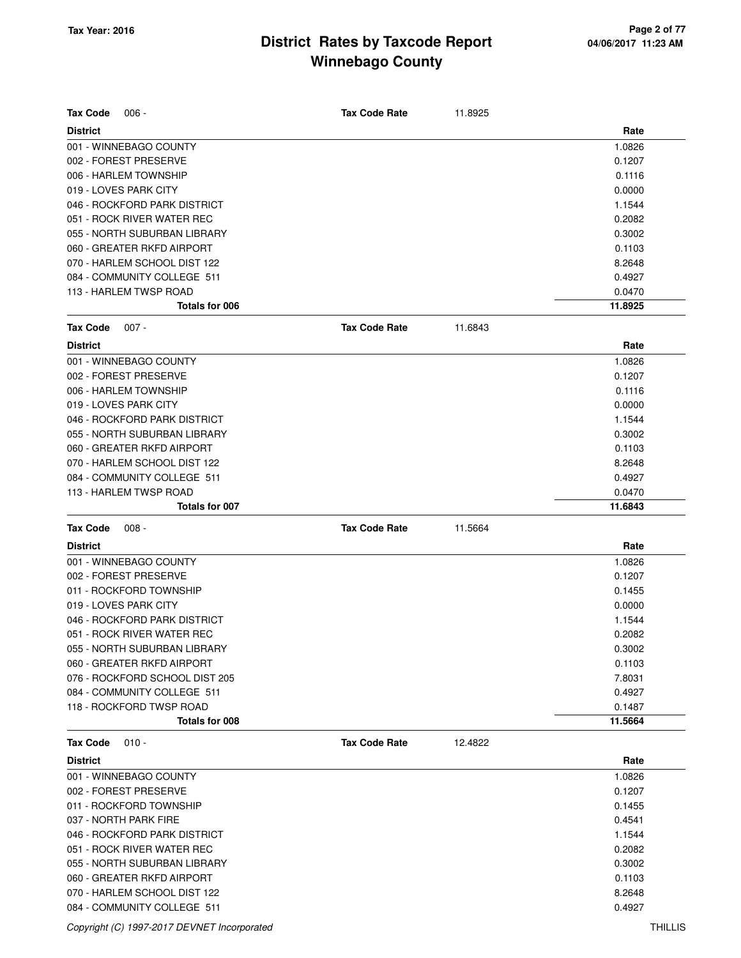| Tax Code<br>$006 -$                                         | <b>Tax Code Rate</b> | 11.8925 |                   |
|-------------------------------------------------------------|----------------------|---------|-------------------|
| <b>District</b>                                             |                      |         | Rate              |
| 001 - WINNEBAGO COUNTY                                      |                      |         | 1.0826            |
| 002 - FOREST PRESERVE                                       |                      |         | 0.1207            |
| 006 - HARLEM TOWNSHIP                                       |                      |         | 0.1116            |
| 019 - LOVES PARK CITY                                       |                      |         | 0.0000            |
| 046 - ROCKFORD PARK DISTRICT<br>051 - ROCK RIVER WATER REC  |                      |         | 1.1544            |
| 055 - NORTH SUBURBAN LIBRARY                                |                      |         | 0.2082<br>0.3002  |
| 060 - GREATER RKFD AIRPORT                                  |                      |         | 0.1103            |
|                                                             |                      |         |                   |
| 070 - HARLEM SCHOOL DIST 122<br>084 - COMMUNITY COLLEGE 511 |                      |         | 8.2648            |
| 113 - HARLEM TWSP ROAD                                      |                      |         | 0.4927<br>0.0470  |
| Totals for 006                                              |                      |         | 11.8925           |
| Tax Code<br>$007 -$                                         | <b>Tax Code Rate</b> | 11.6843 |                   |
|                                                             |                      |         |                   |
| <b>District</b>                                             |                      |         | Rate              |
| 001 - WINNEBAGO COUNTY                                      |                      |         | 1.0826            |
| 002 - FOREST PRESERVE<br>006 - HARLEM TOWNSHIP              |                      |         | 0.1207            |
|                                                             |                      |         | 0.1116            |
| 019 - LOVES PARK CITY                                       |                      |         | 0.0000            |
| 046 - ROCKFORD PARK DISTRICT                                |                      |         | 1.1544            |
| 055 - NORTH SUBURBAN LIBRARY                                |                      |         | 0.3002            |
| 060 - GREATER RKFD AIRPORT                                  |                      |         | 0.1103            |
| 070 - HARLEM SCHOOL DIST 122                                |                      |         | 8.2648            |
| 084 - COMMUNITY COLLEGE 511                                 |                      |         | 0.4927            |
| 113 - HARLEM TWSP ROAD<br>Totals for 007                    |                      |         | 0.0470<br>11.6843 |
|                                                             |                      |         |                   |
| Tax Code<br>$008 -$                                         | <b>Tax Code Rate</b> | 11.5664 |                   |
| <b>District</b>                                             |                      |         | Rate              |
| 001 - WINNEBAGO COUNTY                                      |                      |         | 1.0826            |
| 002 - FOREST PRESERVE                                       |                      |         | 0.1207            |
| 011 - ROCKFORD TOWNSHIP                                     |                      |         | 0.1455            |
| 019 - LOVES PARK CITY                                       |                      |         | 0.0000            |
| 046 - ROCKFORD PARK DISTRICT                                |                      |         | 1.1544            |
| 051 - ROCK RIVER WATER REC                                  |                      |         | 0.2082            |
| 055 - NORTH SUBURBAN LIBRARY                                |                      |         | 0.3002            |
| 060 - GREATER RKFD AIRPORT                                  |                      |         | 0.1103            |
| 076 - ROCKFORD SCHOOL DIST 205                              |                      |         | 7.8031            |
| 084 - COMMUNITY COLLEGE 511                                 |                      |         | 0.4927            |
| 118 - ROCKFORD TWSP ROAD                                    |                      |         | 0.1487            |
| Totals for 008                                              |                      |         | 11.5664           |
| <b>Tax Code</b><br>$010 -$                                  | <b>Tax Code Rate</b> | 12.4822 |                   |
| <b>District</b>                                             |                      |         | Rate              |
| 001 - WINNEBAGO COUNTY                                      |                      |         | 1.0826            |
| 002 - FOREST PRESERVE                                       |                      |         | 0.1207            |
| 011 - ROCKFORD TOWNSHIP                                     |                      |         | 0.1455            |
| 037 - NORTH PARK FIRE                                       |                      |         | 0.4541            |
| 046 - ROCKFORD PARK DISTRICT                                |                      |         | 1.1544            |
| 051 - ROCK RIVER WATER REC                                  |                      |         | 0.2082            |
| 055 - NORTH SUBURBAN LIBRARY                                |                      |         | 0.3002            |
| 060 - GREATER RKFD AIRPORT                                  |                      |         |                   |
|                                                             |                      |         | 0.1103            |

084 - COMMUNITY COLLEGE 511 **0.4927**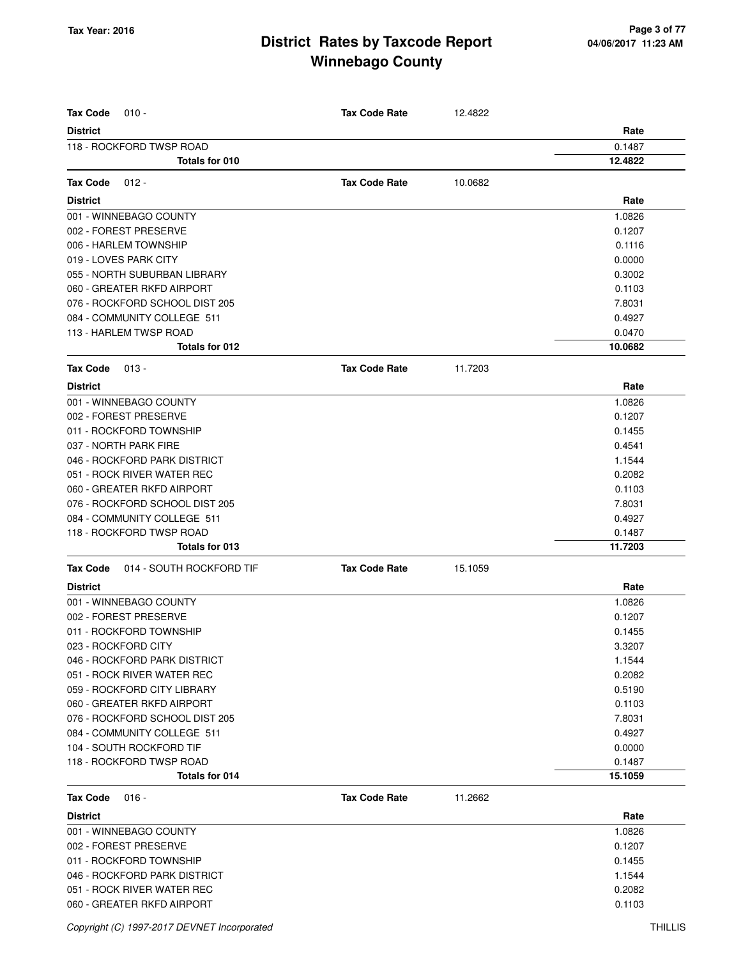| <b>Tax Code</b><br>$010 -$                  | <b>Tax Code Rate</b> | 12.4822 |         |
|---------------------------------------------|----------------------|---------|---------|
| <b>District</b>                             |                      |         | Rate    |
| 118 - ROCKFORD TWSP ROAD                    |                      |         | 0.1487  |
| Totals for 010                              |                      |         | 12.4822 |
|                                             |                      |         |         |
| <b>Tax Code</b><br>$012 -$                  | <b>Tax Code Rate</b> | 10.0682 |         |
| <b>District</b>                             |                      |         | Rate    |
| 001 - WINNEBAGO COUNTY                      |                      |         | 1.0826  |
| 002 - FOREST PRESERVE                       |                      |         | 0.1207  |
| 006 - HARLEM TOWNSHIP                       |                      |         | 0.1116  |
| 019 - LOVES PARK CITY                       |                      |         | 0.0000  |
| 055 - NORTH SUBURBAN LIBRARY                |                      |         | 0.3002  |
| 060 - GREATER RKFD AIRPORT                  |                      |         | 0.1103  |
| 076 - ROCKFORD SCHOOL DIST 205              |                      |         | 7.8031  |
| 084 - COMMUNITY COLLEGE 511                 |                      |         | 0.4927  |
| 113 - HARLEM TWSP ROAD                      |                      |         | 0.0470  |
| Totals for 012                              |                      |         | 10.0682 |
| <b>Tax Code</b><br>$013 -$                  | <b>Tax Code Rate</b> | 11.7203 |         |
| <b>District</b>                             |                      |         | Rate    |
| 001 - WINNEBAGO COUNTY                      |                      |         | 1.0826  |
| 002 - FOREST PRESERVE                       |                      |         | 0.1207  |
| 011 - ROCKFORD TOWNSHIP                     |                      |         | 0.1455  |
| 037 - NORTH PARK FIRE                       |                      |         | 0.4541  |
| 046 - ROCKFORD PARK DISTRICT                |                      |         | 1.1544  |
| 051 - ROCK RIVER WATER REC                  |                      |         | 0.2082  |
| 060 - GREATER RKFD AIRPORT                  |                      |         | 0.1103  |
| 076 - ROCKFORD SCHOOL DIST 205              |                      |         | 7.8031  |
| 084 - COMMUNITY COLLEGE 511                 |                      |         | 0.4927  |
| 118 - ROCKFORD TWSP ROAD                    |                      |         | 0.1487  |
| Totals for 013                              |                      |         | 11.7203 |
| <b>Tax Code</b><br>014 - SOUTH ROCKFORD TIF | <b>Tax Code Rate</b> | 15.1059 |         |
| <b>District</b>                             |                      |         | Rate    |
| 001 - WINNEBAGO COUNTY                      |                      |         | 1.0826  |
| 002 - FOREST PRESERVE                       |                      |         | 0.1207  |
| 011 - ROCKFORD TOWNSHIP                     |                      |         | 0.1455  |
| 023 - ROCKFORD CITY                         |                      |         | 3.3207  |
| 046 - ROCKFORD PARK DISTRICT                |                      |         | 1.1544  |
| 051 - ROCK RIVER WATER REC                  |                      |         | 0.2082  |
| 059 - ROCKFORD CITY LIBRARY                 |                      |         | 0.5190  |
| 060 - GREATER RKFD AIRPORT                  |                      |         | 0.1103  |
| 076 - ROCKFORD SCHOOL DIST 205              |                      |         | 7.8031  |
| 084 - COMMUNITY COLLEGE 511                 |                      |         | 0.4927  |
| 104 - SOUTH ROCKFORD TIF                    |                      |         | 0.0000  |
| 118 - ROCKFORD TWSP ROAD                    |                      |         | 0.1487  |
| Totals for 014                              |                      |         | 15.1059 |
| <b>Tax Code</b><br>$016 -$                  | <b>Tax Code Rate</b> | 11.2662 |         |
| <b>District</b>                             |                      |         | Rate    |
| 001 - WINNEBAGO COUNTY                      |                      |         | 1.0826  |
| 002 - FOREST PRESERVE                       |                      |         | 0.1207  |
| 011 - ROCKFORD TOWNSHIP                     |                      |         | 0.1455  |
| 046 - ROCKFORD PARK DISTRICT                |                      |         | 1.1544  |
| 051 - ROCK RIVER WATER REC                  |                      |         | 0.2082  |
| 060 - GREATER RKFD AIRPORT                  |                      |         | 0.1103  |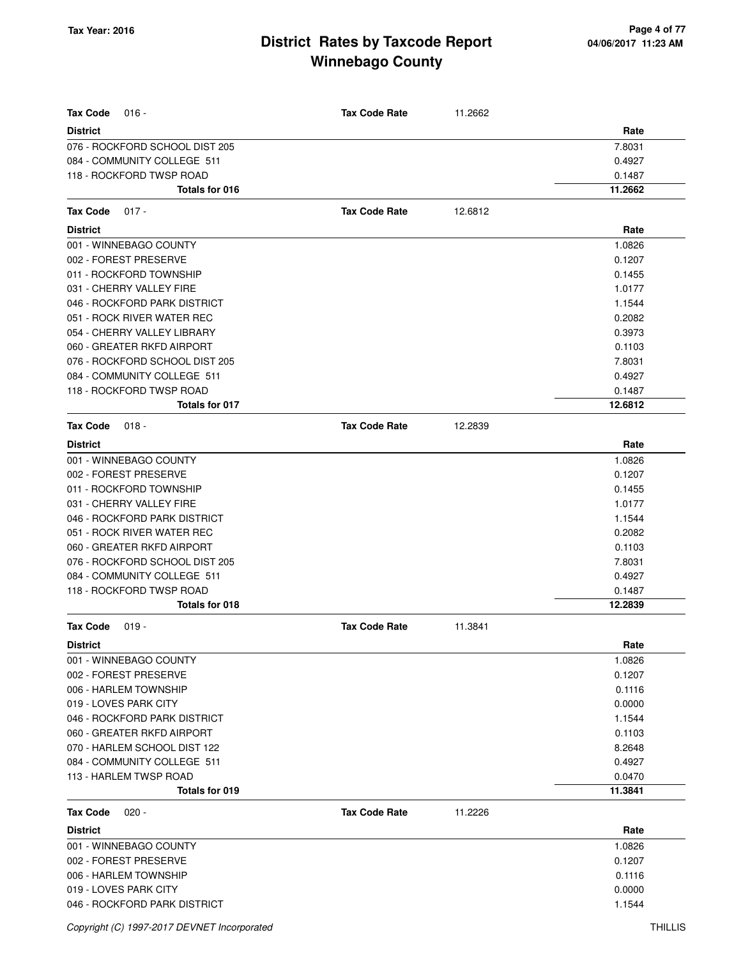| <b>Tax Code</b><br>$016 -$     | <b>Tax Code Rate</b> | 11.2662 |         |
|--------------------------------|----------------------|---------|---------|
| <b>District</b>                |                      |         | Rate    |
| 076 - ROCKFORD SCHOOL DIST 205 |                      |         | 7.8031  |
| 084 - COMMUNITY COLLEGE 511    |                      |         | 0.4927  |
| 118 - ROCKFORD TWSP ROAD       |                      |         | 0.1487  |
| Totals for 016                 |                      |         | 11.2662 |
| <b>Tax Code</b><br>$017 -$     | <b>Tax Code Rate</b> | 12.6812 |         |
| <b>District</b>                |                      |         | Rate    |
| 001 - WINNEBAGO COUNTY         |                      |         | 1.0826  |
| 002 - FOREST PRESERVE          |                      |         | 0.1207  |
| 011 - ROCKFORD TOWNSHIP        |                      |         | 0.1455  |
| 031 - CHERRY VALLEY FIRE       |                      |         | 1.0177  |
| 046 - ROCKFORD PARK DISTRICT   |                      |         | 1.1544  |
| 051 - ROCK RIVER WATER REC     |                      |         | 0.2082  |
| 054 - CHERRY VALLEY LIBRARY    |                      |         | 0.3973  |
| 060 - GREATER RKFD AIRPORT     |                      |         | 0.1103  |
| 076 - ROCKFORD SCHOOL DIST 205 |                      |         | 7.8031  |
| 084 - COMMUNITY COLLEGE 511    |                      |         | 0.4927  |
| 118 - ROCKFORD TWSP ROAD       |                      |         | 0.1487  |
| <b>Totals for 017</b>          |                      |         | 12.6812 |
| <b>Tax Code</b><br>$018 -$     | <b>Tax Code Rate</b> | 12.2839 |         |
| <b>District</b>                |                      |         | Rate    |
| 001 - WINNEBAGO COUNTY         |                      |         | 1.0826  |
| 002 - FOREST PRESERVE          |                      |         | 0.1207  |
| 011 - ROCKFORD TOWNSHIP        |                      |         | 0.1455  |
| 031 - CHERRY VALLEY FIRE       |                      |         | 1.0177  |
| 046 - ROCKFORD PARK DISTRICT   |                      |         | 1.1544  |
| 051 - ROCK RIVER WATER REC     |                      |         | 0.2082  |
| 060 - GREATER RKFD AIRPORT     |                      |         | 0.1103  |
| 076 - ROCKFORD SCHOOL DIST 205 |                      |         | 7.8031  |
| 084 - COMMUNITY COLLEGE 511    |                      |         | 0.4927  |
| 118 - ROCKFORD TWSP ROAD       |                      |         | 0.1487  |
| <b>Totals for 018</b>          |                      |         | 12.2839 |
| Tax Code<br>$019 -$            | <b>Tax Code Rate</b> | 11.3841 |         |
| District                       |                      |         | Rate    |
| 001 - WINNEBAGO COUNTY         |                      |         | 1.0826  |
| 002 - FOREST PRESERVE          |                      |         | 0.1207  |
| 006 - HARLEM TOWNSHIP          |                      |         | 0.1116  |
| 019 - LOVES PARK CITY          |                      |         | 0.0000  |
| 046 - ROCKFORD PARK DISTRICT   |                      |         | 1.1544  |
| 060 - GREATER RKFD AIRPORT     |                      |         | 0.1103  |
| 070 - HARLEM SCHOOL DIST 122   |                      |         | 8.2648  |
| 084 - COMMUNITY COLLEGE 511    |                      |         | 0.4927  |
| 113 - HARLEM TWSP ROAD         |                      |         | 0.0470  |
| Totals for 019                 |                      |         | 11.3841 |
| <b>Tax Code</b><br>$020 -$     | <b>Tax Code Rate</b> | 11.2226 |         |
| <b>District</b>                |                      |         | Rate    |
| 001 - WINNEBAGO COUNTY         |                      |         | 1.0826  |
| 002 - FOREST PRESERVE          |                      |         | 0.1207  |
| 006 - HARLEM TOWNSHIP          |                      |         | 0.1116  |
| 019 - LOVES PARK CITY          |                      |         | 0.0000  |
| 046 - ROCKFORD PARK DISTRICT   |                      |         | 1.1544  |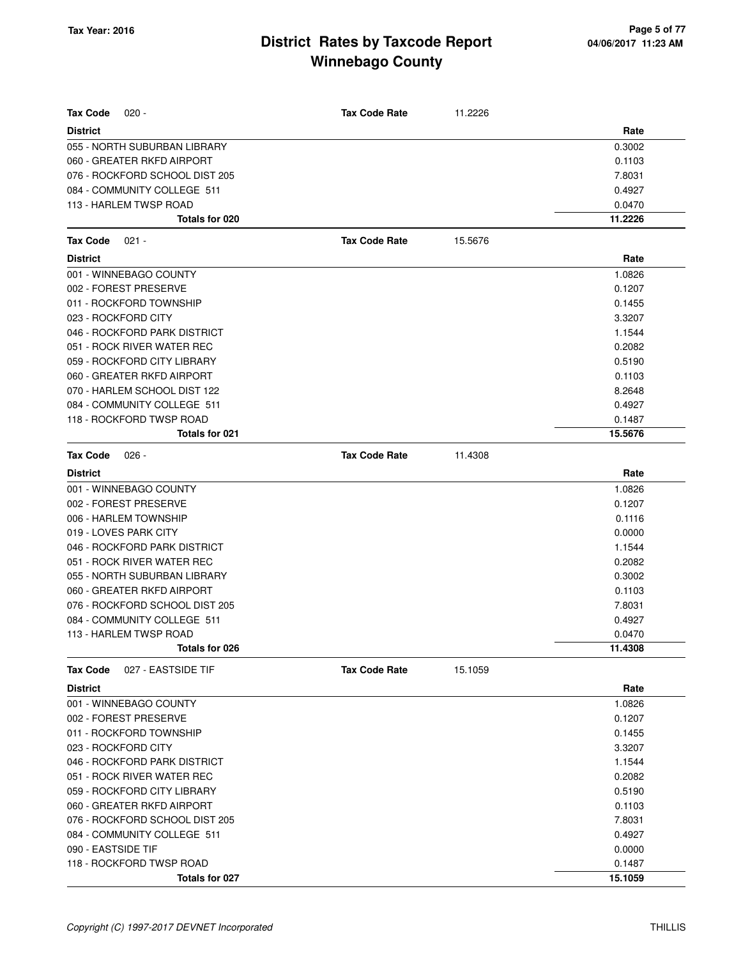| <b>Tax Code</b><br>$020 -$            | <b>Tax Code Rate</b> | 11.2226 |         |
|---------------------------------------|----------------------|---------|---------|
| <b>District</b>                       |                      |         | Rate    |
| 055 - NORTH SUBURBAN LIBRARY          |                      |         | 0.3002  |
| 060 - GREATER RKFD AIRPORT            |                      |         | 0.1103  |
| 076 - ROCKFORD SCHOOL DIST 205        |                      |         | 7.8031  |
| 084 - COMMUNITY COLLEGE 511           |                      |         | 0.4927  |
| 113 - HARLEM TWSP ROAD                |                      |         | 0.0470  |
| Totals for 020                        |                      |         | 11.2226 |
| <b>Tax Code</b><br>$021 -$            | <b>Tax Code Rate</b> | 15.5676 |         |
| <b>District</b>                       |                      |         | Rate    |
| 001 - WINNEBAGO COUNTY                |                      |         | 1.0826  |
| 002 - FOREST PRESERVE                 |                      |         | 0.1207  |
| 011 - ROCKFORD TOWNSHIP               |                      |         | 0.1455  |
| 023 - ROCKFORD CITY                   |                      |         | 3.3207  |
| 046 - ROCKFORD PARK DISTRICT          |                      |         | 1.1544  |
| 051 - ROCK RIVER WATER REC            |                      |         | 0.2082  |
| 059 - ROCKFORD CITY LIBRARY           |                      |         | 0.5190  |
| 060 - GREATER RKFD AIRPORT            |                      |         | 0.1103  |
| 070 - HARLEM SCHOOL DIST 122          |                      |         | 8.2648  |
| 084 - COMMUNITY COLLEGE 511           |                      |         | 0.4927  |
| 118 - ROCKFORD TWSP ROAD              |                      |         | 0.1487  |
| Totals for 021                        |                      |         | 15.5676 |
| <b>Tax Code</b><br>$026 -$            | <b>Tax Code Rate</b> | 11.4308 |         |
| <b>District</b>                       |                      |         | Rate    |
| 001 - WINNEBAGO COUNTY                |                      |         | 1.0826  |
| 002 - FOREST PRESERVE                 |                      |         | 0.1207  |
| 006 - HARLEM TOWNSHIP                 |                      |         | 0.1116  |
| 019 - LOVES PARK CITY                 |                      |         | 0.0000  |
| 046 - ROCKFORD PARK DISTRICT          |                      |         | 1.1544  |
| 051 - ROCK RIVER WATER REC            |                      |         | 0.2082  |
| 055 - NORTH SUBURBAN LIBRARY          |                      |         | 0.3002  |
| 060 - GREATER RKFD AIRPORT            |                      |         | 0.1103  |
| 076 - ROCKFORD SCHOOL DIST 205        |                      |         | 7.8031  |
| 084 - COMMUNITY COLLEGE 511           |                      |         | 0.4927  |
| 113 - HARLEM TWSP ROAD                |                      |         | 0.0470  |
| Totals for 026                        |                      |         | 11.4308 |
| 027 - EASTSIDE TIF<br><b>Tax Code</b> | <b>Tax Code Rate</b> | 15.1059 |         |
| <b>District</b>                       |                      |         | Rate    |
| 001 - WINNEBAGO COUNTY                |                      |         | 1.0826  |
| 002 - FOREST PRESERVE                 |                      |         | 0.1207  |
| 011 - ROCKFORD TOWNSHIP               |                      |         | 0.1455  |
| 023 - ROCKFORD CITY                   |                      |         | 3.3207  |
| 046 - ROCKFORD PARK DISTRICT          |                      |         | 1.1544  |
| 051 - ROCK RIVER WATER REC            |                      |         | 0.2082  |
| 059 - ROCKFORD CITY LIBRARY           |                      |         | 0.5190  |
| 060 - GREATER RKFD AIRPORT            |                      |         | 0.1103  |
| 076 - ROCKFORD SCHOOL DIST 205        |                      |         | 7.8031  |
| 084 - COMMUNITY COLLEGE 511           |                      |         | 0.4927  |
| 090 - EASTSIDE TIF                    |                      |         | 0.0000  |
| 118 - ROCKFORD TWSP ROAD              |                      |         | 0.1487  |
| Totals for 027                        |                      |         | 15.1059 |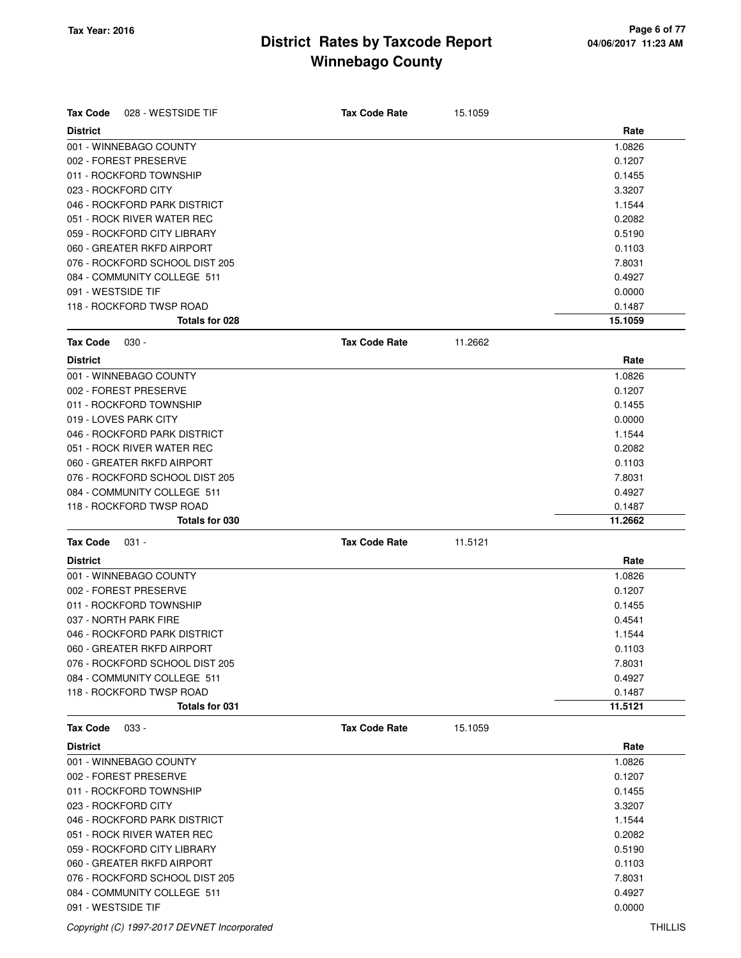| <b>Tax Code</b><br>028 - WESTSIDE TIF | <b>Tax Code Rate</b> | 15.1059 |         |
|---------------------------------------|----------------------|---------|---------|
| <b>District</b>                       |                      |         | Rate    |
| 001 - WINNEBAGO COUNTY                |                      |         | 1.0826  |
| 002 - FOREST PRESERVE                 |                      |         | 0.1207  |
| 011 - ROCKFORD TOWNSHIP               |                      |         | 0.1455  |
| 023 - ROCKFORD CITY                   |                      |         | 3.3207  |
| 046 - ROCKFORD PARK DISTRICT          |                      |         | 1.1544  |
| 051 - ROCK RIVER WATER REC            |                      |         | 0.2082  |
| 059 - ROCKFORD CITY LIBRARY           |                      |         | 0.5190  |
| 060 - GREATER RKFD AIRPORT            |                      |         | 0.1103  |
| 076 - ROCKFORD SCHOOL DIST 205        |                      |         | 7.8031  |
| 084 - COMMUNITY COLLEGE 511           |                      |         | 0.4927  |
| 091 - WESTSIDE TIF                    |                      |         | 0.0000  |
| 118 - ROCKFORD TWSP ROAD              |                      |         | 0.1487  |
| Totals for 028                        |                      |         | 15.1059 |
| <b>Tax Code</b><br>$030 -$            | <b>Tax Code Rate</b> | 11.2662 |         |
| <b>District</b>                       |                      |         | Rate    |
| 001 - WINNEBAGO COUNTY                |                      |         | 1.0826  |
| 002 - FOREST PRESERVE                 |                      |         | 0.1207  |
| 011 - ROCKFORD TOWNSHIP               |                      |         | 0.1455  |
| 019 - LOVES PARK CITY                 |                      |         | 0.0000  |
| 046 - ROCKFORD PARK DISTRICT          |                      |         | 1.1544  |
| 051 - ROCK RIVER WATER REC            |                      |         | 0.2082  |
| 060 - GREATER RKFD AIRPORT            |                      |         | 0.1103  |
| 076 - ROCKFORD SCHOOL DIST 205        |                      |         | 7.8031  |
| 084 - COMMUNITY COLLEGE 511           |                      |         | 0.4927  |
| 118 - ROCKFORD TWSP ROAD              |                      |         | 0.1487  |
| Totals for 030                        |                      |         | 11.2662 |
|                                       |                      |         |         |
| <b>Tax Code</b><br>$031 -$            | <b>Tax Code Rate</b> | 11.5121 |         |
| <b>District</b>                       |                      |         | Rate    |
| 001 - WINNEBAGO COUNTY                |                      |         | 1.0826  |
| 002 - FOREST PRESERVE                 |                      |         | 0.1207  |
| 011 - ROCKFORD TOWNSHIP               |                      |         | 0.1455  |
| 037 - NORTH PARK FIRE                 |                      |         | 0.4541  |
| 046 - ROCKFORD PARK DISTRICT          |                      |         | 1.1544  |
| 060 - GREATER RKFD AIRPORT            |                      |         | 0.1103  |
| 076 - ROCKFORD SCHOOL DIST 205        |                      |         | 7.8031  |
| 084 - COMMUNITY COLLEGE 511           |                      |         | 0.4927  |
| 118 - ROCKFORD TWSP ROAD              |                      |         | 0.1487  |
| Totals for 031                        |                      |         | 11.5121 |
| <b>Tax Code</b><br>$033 -$            | <b>Tax Code Rate</b> | 15.1059 |         |
| <b>District</b>                       |                      |         | Rate    |
| 001 - WINNEBAGO COUNTY                |                      |         | 1.0826  |
| 002 - FOREST PRESERVE                 |                      |         | 0.1207  |
| 011 - ROCKFORD TOWNSHIP               |                      |         | 0.1455  |
| 023 - ROCKFORD CITY                   |                      |         | 3.3207  |
| 046 - ROCKFORD PARK DISTRICT          |                      |         | 1.1544  |
| 051 - ROCK RIVER WATER REC            |                      |         | 0.2082  |
| 059 - ROCKFORD CITY LIBRARY           |                      |         | 0.5190  |
| 060 - GREATER RKFD AIRPORT            |                      |         | 0.1103  |
| 076 - ROCKFORD SCHOOL DIST 205        |                      |         | 7.8031  |
| 084 - COMMUNITY COLLEGE 511           |                      |         | 0.4927  |
| 091 - WESTSIDE TIF                    |                      |         | 0.0000  |
|                                       |                      |         |         |

Copyright (C) 1997-2017 DEVNET Incorporated THILLIS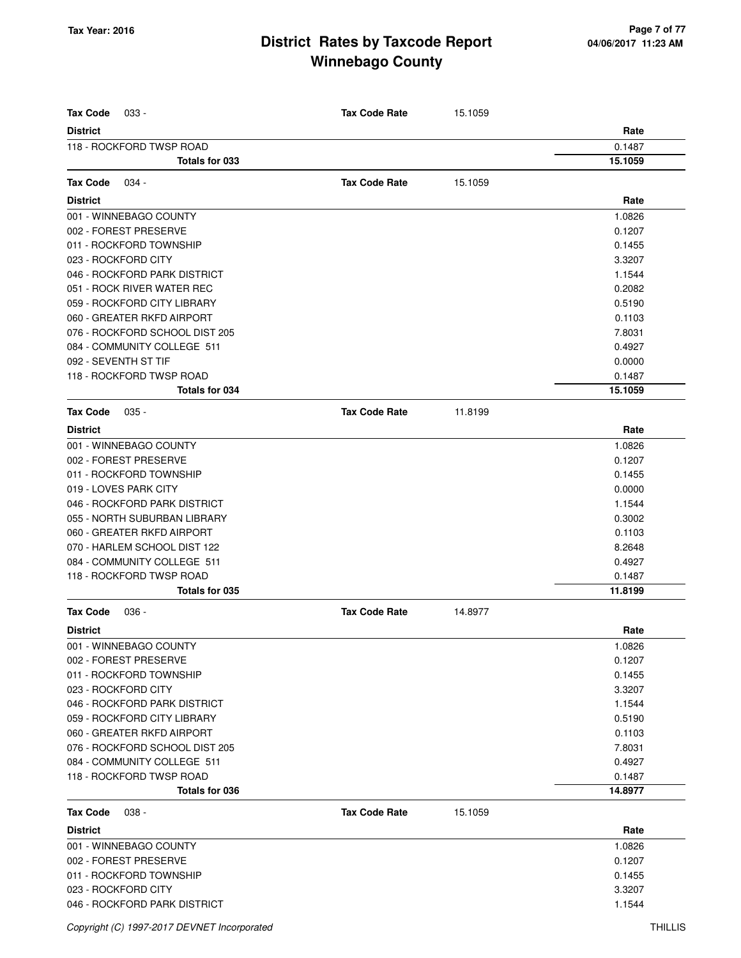| <b>Tax Code</b><br>033 -       | <b>Tax Code Rate</b> | 15.1059 |                   |
|--------------------------------|----------------------|---------|-------------------|
| <b>District</b>                |                      |         | Rate              |
| 118 - ROCKFORD TWSP ROAD       |                      |         | 0.1487            |
| Totals for 033                 |                      |         | 15.1059           |
| <b>Tax Code</b><br>034 -       | <b>Tax Code Rate</b> | 15.1059 |                   |
| <b>District</b>                |                      |         | Rate              |
| 001 - WINNEBAGO COUNTY         |                      |         | 1.0826            |
| 002 - FOREST PRESERVE          |                      |         | 0.1207            |
| 011 - ROCKFORD TOWNSHIP        |                      |         | 0.1455            |
| 023 - ROCKFORD CITY            |                      |         | 3.3207            |
| 046 - ROCKFORD PARK DISTRICT   |                      |         | 1.1544            |
| 051 - ROCK RIVER WATER REC     |                      |         | 0.2082            |
| 059 - ROCKFORD CITY LIBRARY    |                      |         | 0.5190            |
| 060 - GREATER RKFD AIRPORT     |                      |         | 0.1103            |
| 076 - ROCKFORD SCHOOL DIST 205 |                      |         | 7.8031            |
| 084 - COMMUNITY COLLEGE 511    |                      |         | 0.4927            |
| 092 - SEVENTH ST TIF           |                      |         | 0.0000            |
| 118 - ROCKFORD TWSP ROAD       |                      |         |                   |
| Totals for 034                 |                      |         | 0.1487<br>15.1059 |
|                                |                      |         |                   |
| <b>Tax Code</b><br>$035 -$     | <b>Tax Code Rate</b> | 11.8199 |                   |
| <b>District</b>                |                      |         | Rate              |
| 001 - WINNEBAGO COUNTY         |                      |         | 1.0826            |
| 002 - FOREST PRESERVE          |                      |         | 0.1207            |
| 011 - ROCKFORD TOWNSHIP        |                      |         | 0.1455            |
| 019 - LOVES PARK CITY          |                      |         | 0.0000            |
| 046 - ROCKFORD PARK DISTRICT   |                      |         | 1.1544            |
| 055 - NORTH SUBURBAN LIBRARY   |                      |         | 0.3002            |
| 060 - GREATER RKFD AIRPORT     |                      |         | 0.1103            |
| 070 - HARLEM SCHOOL DIST 122   |                      |         | 8.2648            |
| 084 - COMMUNITY COLLEGE 511    |                      |         | 0.4927            |
| 118 - ROCKFORD TWSP ROAD       |                      |         | 0.1487            |
| Totals for 035                 |                      |         | 11.8199           |
| <b>Tax Code</b><br>$036 -$     | <b>Tax Code Rate</b> | 14.8977 |                   |
| <b>District</b>                |                      |         | Rate              |
| 001 - WINNEBAGO COUNTY         |                      |         | 1.0826            |
| 002 - FOREST PRESERVE          |                      |         | 0.1207            |
| 011 - ROCKFORD TOWNSHIP        |                      |         | 0.1455            |
| 023 - ROCKFORD CITY            |                      |         | 3.3207            |
| 046 - ROCKFORD PARK DISTRICT   |                      |         | 1.1544            |
| 059 - ROCKFORD CITY LIBRARY    |                      |         | 0.5190            |
| 060 - GREATER RKFD AIRPORT     |                      |         | 0.1103            |
| 076 - ROCKFORD SCHOOL DIST 205 |                      |         | 7.8031            |
| 084 - COMMUNITY COLLEGE 511    |                      |         | 0.4927            |
| 118 - ROCKFORD TWSP ROAD       |                      |         | 0.1487            |
| Totals for 036                 |                      |         | 14.8977           |
| <b>Tax Code</b><br>$038 -$     | <b>Tax Code Rate</b> | 15.1059 |                   |
| <b>District</b>                |                      |         | Rate              |
| 001 - WINNEBAGO COUNTY         |                      |         | 1.0826            |
| 002 - FOREST PRESERVE          |                      |         | 0.1207            |
| 011 - ROCKFORD TOWNSHIP        |                      |         | 0.1455            |
| 023 - ROCKFORD CITY            |                      |         | 3.3207            |
| 046 - ROCKFORD PARK DISTRICT   |                      |         | 1.1544            |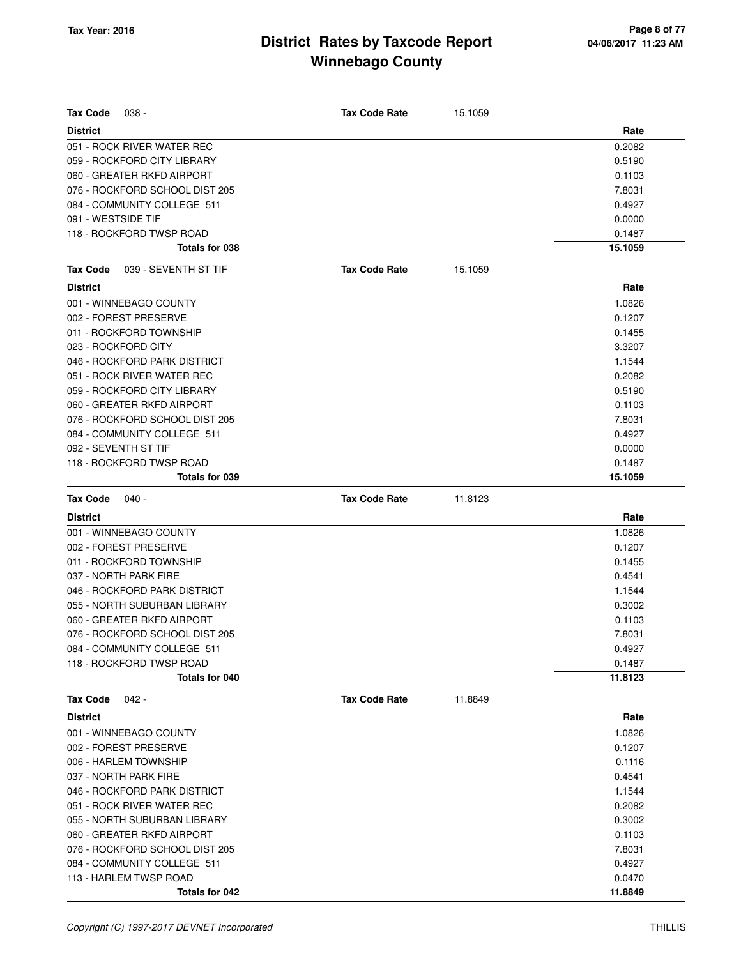| <b>Tax Code</b>    | $038 -$                        | <b>Tax Code Rate</b> | 15.1059 |         |
|--------------------|--------------------------------|----------------------|---------|---------|
| <b>District</b>    |                                |                      |         | Rate    |
|                    | 051 - ROCK RIVER WATER REC     |                      |         | 0.2082  |
|                    | 059 - ROCKFORD CITY LIBRARY    |                      |         | 0.5190  |
|                    | 060 - GREATER RKFD AIRPORT     |                      |         | 0.1103  |
|                    | 076 - ROCKFORD SCHOOL DIST 205 |                      |         | 7.8031  |
|                    | 084 - COMMUNITY COLLEGE 511    |                      |         | 0.4927  |
| 091 - WESTSIDE TIF |                                |                      |         | 0.0000  |
|                    | 118 - ROCKFORD TWSP ROAD       |                      |         | 0.1487  |
|                    | Totals for 038                 |                      |         | 15.1059 |
| <b>Tax Code</b>    | 039 - SEVENTH ST TIF           | <b>Tax Code Rate</b> | 15.1059 |         |
| <b>District</b>    |                                |                      |         | Rate    |
|                    | 001 - WINNEBAGO COUNTY         |                      |         | 1.0826  |
|                    | 002 - FOREST PRESERVE          |                      |         | 0.1207  |
|                    | 011 - ROCKFORD TOWNSHIP        |                      |         | 0.1455  |
|                    | 023 - ROCKFORD CITY            |                      |         | 3.3207  |
|                    | 046 - ROCKFORD PARK DISTRICT   |                      |         | 1.1544  |
|                    | 051 - ROCK RIVER WATER REC     |                      |         | 0.2082  |
|                    | 059 - ROCKFORD CITY LIBRARY    |                      |         | 0.5190  |
|                    | 060 - GREATER RKFD AIRPORT     |                      |         | 0.1103  |
|                    | 076 - ROCKFORD SCHOOL DIST 205 |                      |         | 7.8031  |
|                    | 084 - COMMUNITY COLLEGE 511    |                      |         | 0.4927  |
|                    | 092 - SEVENTH ST TIF           |                      |         | 0.0000  |
|                    | 118 - ROCKFORD TWSP ROAD       |                      |         | 0.1487  |
|                    | Totals for 039                 |                      |         | 15.1059 |
| <b>Tax Code</b>    | 040 -                          | <b>Tax Code Rate</b> | 11.8123 |         |
| <b>District</b>    |                                |                      |         | Rate    |
|                    | 001 - WINNEBAGO COUNTY         |                      |         | 1.0826  |
|                    | 002 - FOREST PRESERVE          |                      |         | 0.1207  |
|                    | 011 - ROCKFORD TOWNSHIP        |                      |         | 0.1455  |
|                    | 037 - NORTH PARK FIRE          |                      |         | 0.4541  |
|                    | 046 - ROCKFORD PARK DISTRICT   |                      |         | 1.1544  |
|                    | 055 - NORTH SUBURBAN LIBRARY   |                      |         | 0.3002  |
|                    | 060 - GREATER RKFD AIRPORT     |                      |         | 0.1103  |
|                    | 076 - ROCKFORD SCHOOL DIST 205 |                      |         | 7.8031  |
|                    | 084 - COMMUNITY COLLEGE 511    |                      |         | 0.4927  |
|                    | 118 - ROCKFORD TWSP ROAD       |                      |         | 0.1487  |
|                    | Totals for 040                 |                      |         | 11.8123 |
| <b>Tax Code</b>    | $042 -$                        | <b>Tax Code Rate</b> | 11.8849 |         |
| <b>District</b>    |                                |                      |         | Rate    |
|                    | 001 - WINNEBAGO COUNTY         |                      |         | 1.0826  |
|                    | 002 - FOREST PRESERVE          |                      |         | 0.1207  |
|                    | 006 - HARLEM TOWNSHIP          |                      |         | 0.1116  |
|                    | 037 - NORTH PARK FIRE          |                      |         | 0.4541  |
|                    | 046 - ROCKFORD PARK DISTRICT   |                      |         | 1.1544  |
|                    | 051 - ROCK RIVER WATER REC     |                      |         | 0.2082  |
|                    | 055 - NORTH SUBURBAN LIBRARY   |                      |         | 0.3002  |
|                    | 060 - GREATER RKFD AIRPORT     |                      |         | 0.1103  |
|                    | 076 - ROCKFORD SCHOOL DIST 205 |                      |         | 7.8031  |
|                    | 084 - COMMUNITY COLLEGE 511    |                      |         | 0.4927  |
|                    | 113 - HARLEM TWSP ROAD         |                      |         | 0.0470  |
|                    | Totals for 042                 |                      |         | 11.8849 |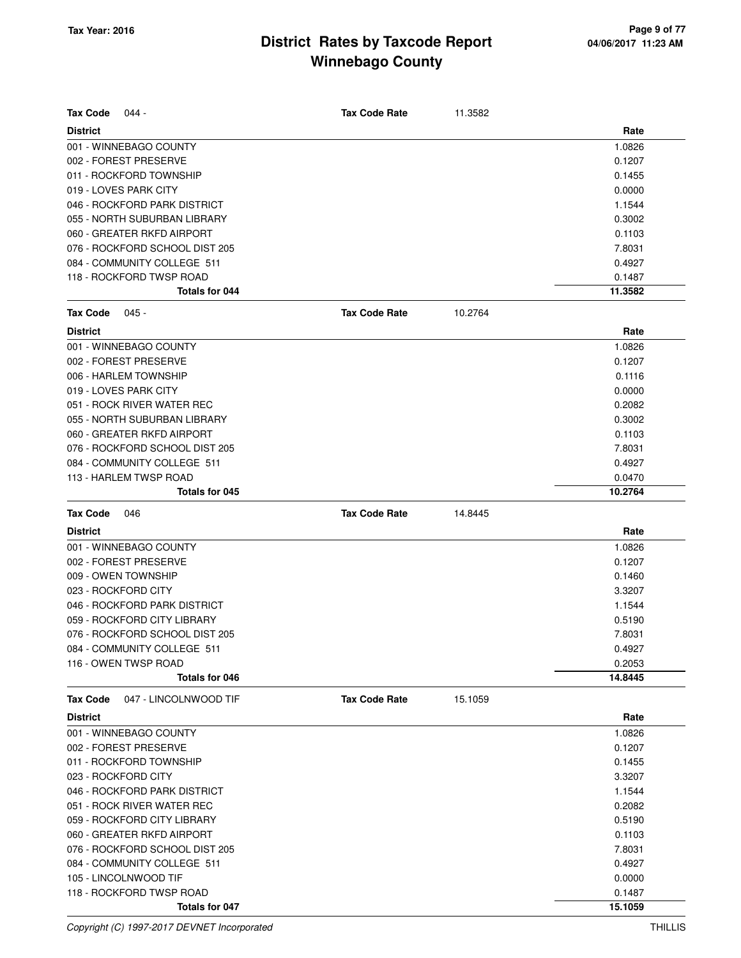| <b>Tax Code</b>     | $044 -$                                           | <b>Tax Code Rate</b> | 11.3582 |                   |
|---------------------|---------------------------------------------------|----------------------|---------|-------------------|
| <b>District</b>     |                                                   |                      |         | Rate              |
|                     | 001 - WINNEBAGO COUNTY                            |                      |         | 1.0826            |
|                     | 002 - FOREST PRESERVE                             |                      |         | 0.1207            |
|                     | 011 - ROCKFORD TOWNSHIP                           |                      |         | 0.1455            |
|                     | 019 - LOVES PARK CITY                             |                      |         | 0.0000            |
|                     | 046 - ROCKFORD PARK DISTRICT                      |                      |         | 1.1544            |
|                     | 055 - NORTH SUBURBAN LIBRARY                      |                      |         | 0.3002            |
|                     | 060 - GREATER RKFD AIRPORT                        |                      |         | 0.1103            |
|                     | 076 - ROCKFORD SCHOOL DIST 205                    |                      |         | 7.8031            |
|                     | 084 - COMMUNITY COLLEGE 511                       |                      |         | 0.4927            |
|                     | 118 - ROCKFORD TWSP ROAD                          |                      |         | 0.1487            |
|                     | Totals for 044                                    |                      |         | 11.3582           |
| <b>Tax Code</b>     | $045 -$                                           | <b>Tax Code Rate</b> | 10.2764 |                   |
| <b>District</b>     |                                                   |                      |         | Rate              |
|                     | 001 - WINNEBAGO COUNTY                            |                      |         | 1.0826            |
|                     | 002 - FOREST PRESERVE                             |                      |         | 0.1207            |
|                     | 006 - HARLEM TOWNSHIP                             |                      |         | 0.1116            |
|                     | 019 - LOVES PARK CITY                             |                      |         | 0.0000            |
|                     | 051 - ROCK RIVER WATER REC                        |                      |         | 0.2082            |
|                     | 055 - NORTH SUBURBAN LIBRARY                      |                      |         | 0.3002            |
|                     | 060 - GREATER RKFD AIRPORT                        |                      |         | 0.1103            |
|                     | 076 - ROCKFORD SCHOOL DIST 205                    |                      |         | 7.8031            |
|                     | 084 - COMMUNITY COLLEGE 511                       |                      |         | 0.4927            |
|                     | 113 - HARLEM TWSP ROAD                            |                      |         | 0.0470            |
|                     | Totals for 045                                    |                      |         | 10.2764           |
| <b>Tax Code</b>     | 046                                               | <b>Tax Code Rate</b> | 14.8445 |                   |
| <b>District</b>     |                                                   |                      |         | Rate              |
|                     |                                                   |                      |         |                   |
|                     |                                                   |                      |         |                   |
|                     | 001 - WINNEBAGO COUNTY                            |                      |         | 1.0826            |
|                     | 002 - FOREST PRESERVE                             |                      |         | 0.1207            |
|                     | 009 - OWEN TOWNSHIP                               |                      |         | 0.1460            |
| 023 - ROCKFORD CITY |                                                   |                      |         | 3.3207            |
|                     | 046 - ROCKFORD PARK DISTRICT                      |                      |         | 1.1544            |
|                     | 059 - ROCKFORD CITY LIBRARY                       |                      |         | 0.5190            |
|                     | 076 - ROCKFORD SCHOOL DIST 205                    |                      |         | 7.8031            |
|                     | 084 - COMMUNITY COLLEGE 511                       |                      |         | 0.4927            |
|                     | 116 - OWEN TWSP ROAD<br>Totals for 046            |                      |         | 0.2053<br>14.8445 |
|                     |                                                   | <b>Tax Code Rate</b> |         |                   |
| <b>Tax Code</b>     | 047 - LINCOLNWOOD TIF                             |                      | 15.1059 |                   |
| <b>District</b>     |                                                   |                      |         | Rate              |
|                     | 001 - WINNEBAGO COUNTY                            |                      |         | 1.0826            |
|                     | 002 - FOREST PRESERVE                             |                      |         | 0.1207            |
|                     | 011 - ROCKFORD TOWNSHIP                           |                      |         | 0.1455            |
| 023 - ROCKFORD CITY |                                                   |                      |         | 3.3207            |
|                     | 046 - ROCKFORD PARK DISTRICT                      |                      |         | 1.1544            |
|                     | 051 - ROCK RIVER WATER REC                        |                      |         | 0.2082            |
|                     | 059 - ROCKFORD CITY LIBRARY                       |                      |         | 0.5190            |
|                     | 060 - GREATER RKFD AIRPORT                        |                      |         | 0.1103            |
|                     | 076 - ROCKFORD SCHOOL DIST 205                    |                      |         | 7.8031            |
|                     | 084 - COMMUNITY COLLEGE 511                       |                      |         | 0.4927            |
|                     | 105 - LINCOLNWOOD TIF<br>118 - ROCKFORD TWSP ROAD |                      |         | 0.0000<br>0.1487  |

Copyright (C) 1997-2017 DEVNET Incorporated THILLIS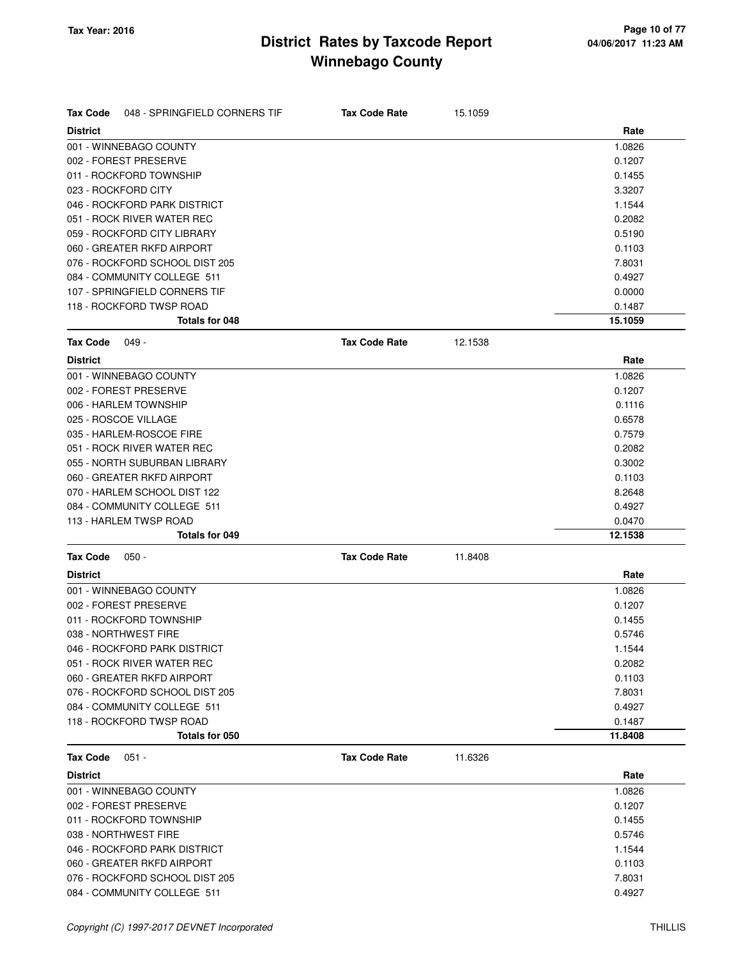| <b>Tax Code</b><br>048 - SPRINGFIELD CORNERS TIF | <b>Tax Code Rate</b> | 15.1059 |         |
|--------------------------------------------------|----------------------|---------|---------|
| <b>District</b>                                  |                      |         | Rate    |
| 001 - WINNEBAGO COUNTY                           |                      |         | 1.0826  |
| 002 - FOREST PRESERVE                            |                      |         | 0.1207  |
| 011 - ROCKFORD TOWNSHIP                          |                      |         | 0.1455  |
| 023 - ROCKFORD CITY                              |                      |         | 3.3207  |
| 046 - ROCKFORD PARK DISTRICT                     |                      |         | 1.1544  |
| 051 - ROCK RIVER WATER REC                       |                      |         | 0.2082  |
| 059 - ROCKFORD CITY LIBRARY                      |                      |         | 0.5190  |
| 060 - GREATER RKFD AIRPORT                       |                      |         | 0.1103  |
| 076 - ROCKFORD SCHOOL DIST 205                   |                      |         | 7.8031  |
| 084 - COMMUNITY COLLEGE 511                      |                      |         | 0.4927  |
| 107 - SPRINGFIELD CORNERS TIF                    |                      |         | 0.0000  |
| 118 - ROCKFORD TWSP ROAD                         |                      |         | 0.1487  |
| Totals for 048                                   |                      |         | 15.1059 |
| <b>Tax Code</b><br>049 -                         | <b>Tax Code Rate</b> | 12.1538 |         |
| <b>District</b>                                  |                      |         | Rate    |
| 001 - WINNEBAGO COUNTY                           |                      |         | 1.0826  |
| 002 - FOREST PRESERVE                            |                      |         | 0.1207  |
| 006 - HARLEM TOWNSHIP                            |                      |         | 0.1116  |
| 025 - ROSCOE VILLAGE                             |                      |         | 0.6578  |
| 035 - HARLEM-ROSCOE FIRE                         |                      |         | 0.7579  |
| 051 - ROCK RIVER WATER REC                       |                      |         | 0.2082  |
| 055 - NORTH SUBURBAN LIBRARY                     |                      |         | 0.3002  |
| 060 - GREATER RKFD AIRPORT                       |                      |         | 0.1103  |
| 070 - HARLEM SCHOOL DIST 122                     |                      |         | 8.2648  |
| 084 - COMMUNITY COLLEGE 511                      |                      |         | 0.4927  |
| 113 - HARLEM TWSP ROAD                           |                      |         | 0.0470  |
| Totals for 049                                   |                      |         | 12.1538 |
| <b>Tax Code</b><br>$050 -$                       | <b>Tax Code Rate</b> | 11.8408 |         |
| <b>District</b>                                  |                      |         | Rate    |
| 001 - WINNEBAGO COUNTY                           |                      |         | 1.0826  |
| 002 - FOREST PRESERVE                            |                      |         | 0.1207  |
| 011 - ROCKFORD TOWNSHIP                          |                      |         | 0.1455  |
| 038 - NORTHWEST FIRE                             |                      |         | 0.5746  |
| 046 - ROCKFORD PARK DISTRICT                     |                      |         | 1.1544  |
| 051 - ROCK RIVER WATER REC                       |                      |         | 0.2082  |
| 060 - GREATER RKFD AIRPORT                       |                      |         | 0.1103  |
| 076 - ROCKFORD SCHOOL DIST 205                   |                      |         | 7.8031  |
| 084 - COMMUNITY COLLEGE 511                      |                      |         | 0.4927  |
| 118 - ROCKFORD TWSP ROAD                         |                      |         | 0.1487  |
| Totals for 050                                   |                      |         | 11.8408 |
| $051 -$<br><b>Tax Code</b>                       | <b>Tax Code Rate</b> | 11.6326 |         |
| <b>District</b>                                  |                      |         | Rate    |
| 001 - WINNEBAGO COUNTY                           |                      |         | 1.0826  |
| 002 - FOREST PRESERVE                            |                      |         | 0.1207  |
| 011 - ROCKFORD TOWNSHIP                          |                      |         | 0.1455  |
| 038 - NORTHWEST FIRE                             |                      |         | 0.5746  |
| 046 - ROCKFORD PARK DISTRICT                     |                      |         | 1.1544  |
| 060 - GREATER RKFD AIRPORT                       |                      |         | 0.1103  |
| 076 - ROCKFORD SCHOOL DIST 205                   |                      |         | 7.8031  |
| 084 - COMMUNITY COLLEGE 511                      |                      |         | 0.4927  |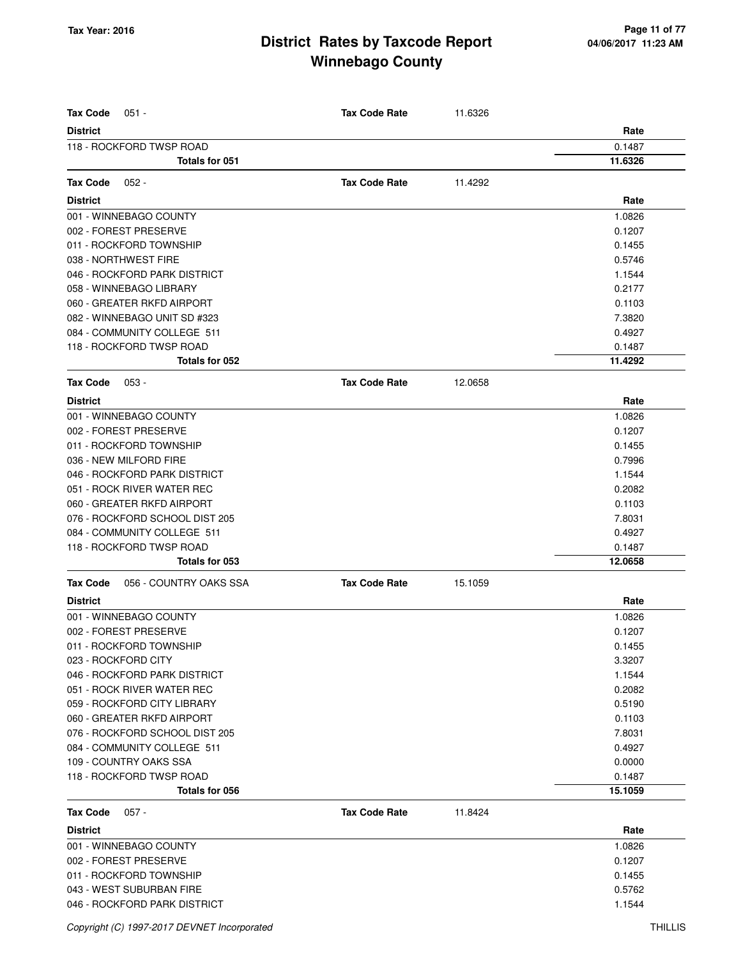| <b>Tax Code</b><br>$051 -$                 | <b>Tax Code Rate</b> | 11.6326 |                   |
|--------------------------------------------|----------------------|---------|-------------------|
| <b>District</b>                            |                      |         | Rate              |
| 118 - ROCKFORD TWSP ROAD<br>Totals for 051 |                      |         | 0.1487<br>11.6326 |
|                                            |                      |         |                   |
| <b>Tax Code</b><br>$052 -$                 | <b>Tax Code Rate</b> | 11.4292 |                   |
| <b>District</b>                            |                      |         | Rate              |
| 001 - WINNEBAGO COUNTY                     |                      |         | 1.0826            |
| 002 - FOREST PRESERVE                      |                      |         | 0.1207            |
| 011 - ROCKFORD TOWNSHIP                    |                      |         | 0.1455            |
| 038 - NORTHWEST FIRE                       |                      |         | 0.5746            |
| 046 - ROCKFORD PARK DISTRICT               |                      |         | 1.1544            |
| 058 - WINNEBAGO LIBRARY                    |                      |         | 0.2177            |
| 060 - GREATER RKFD AIRPORT                 |                      |         | 0.1103            |
| 082 - WINNEBAGO UNIT SD #323               |                      |         | 7.3820            |
| 084 - COMMUNITY COLLEGE 511                |                      |         | 0.4927            |
| 118 - ROCKFORD TWSP ROAD                   |                      |         | 0.1487            |
| Totals for 052                             |                      |         | 11.4292           |
| <b>Tax Code</b><br>$053 -$                 | <b>Tax Code Rate</b> | 12.0658 |                   |
| <b>District</b>                            |                      |         | Rate              |
| 001 - WINNEBAGO COUNTY                     |                      |         | 1.0826            |
| 002 - FOREST PRESERVE                      |                      |         | 0.1207            |
| 011 - ROCKFORD TOWNSHIP                    |                      |         | 0.1455            |
| 036 - NEW MILFORD FIRE                     |                      |         | 0.7996            |
| 046 - ROCKFORD PARK DISTRICT               |                      |         | 1.1544            |
| 051 - ROCK RIVER WATER REC                 |                      |         | 0.2082            |
| 060 - GREATER RKFD AIRPORT                 |                      |         | 0.1103            |
| 076 - ROCKFORD SCHOOL DIST 205             |                      |         | 7.8031            |
| 084 - COMMUNITY COLLEGE 511                |                      |         | 0.4927            |
| 118 - ROCKFORD TWSP ROAD                   |                      |         | 0.1487            |
| Totals for 053                             |                      |         | 12.0658           |
| 056 - COUNTRY OAKS SSA<br><b>Tax Code</b>  | <b>Tax Code Rate</b> | 15.1059 |                   |
| <b>District</b>                            |                      |         | Rate              |
| 001 - WINNEBAGO COUNTY                     |                      |         | 1.0826            |
| 002 - FOREST PRESERVE                      |                      |         | 0.1207            |
| 011 - ROCKFORD TOWNSHIP                    |                      |         | 0.1455            |
| 023 - ROCKFORD CITY                        |                      |         | 3.3207            |
| 046 - ROCKFORD PARK DISTRICT               |                      |         | 1.1544            |
| 051 - ROCK RIVER WATER REC                 |                      |         | 0.2082            |
| 059 - ROCKFORD CITY LIBRARY                |                      |         | 0.5190            |
| 060 - GREATER RKFD AIRPORT                 |                      |         | 0.1103            |
| 076 - ROCKFORD SCHOOL DIST 205             |                      |         | 7.8031            |
| 084 - COMMUNITY COLLEGE 511                |                      |         | 0.4927            |
| 109 - COUNTRY OAKS SSA                     |                      |         | 0.0000            |
| 118 - ROCKFORD TWSP ROAD                   |                      |         | 0.1487            |
| Totals for 056                             |                      |         | 15.1059           |
| <b>Tax Code</b><br>$057 -$                 | <b>Tax Code Rate</b> | 11.8424 |                   |
| <b>District</b>                            |                      |         | Rate              |
| 001 - WINNEBAGO COUNTY                     |                      |         | 1.0826            |
| 002 - FOREST PRESERVE                      |                      |         | 0.1207            |
| 011 - ROCKFORD TOWNSHIP                    |                      |         | 0.1455            |
| 043 - WEST SUBURBAN FIRE                   |                      |         | 0.5762            |
| 046 - ROCKFORD PARK DISTRICT               |                      |         | 1.1544            |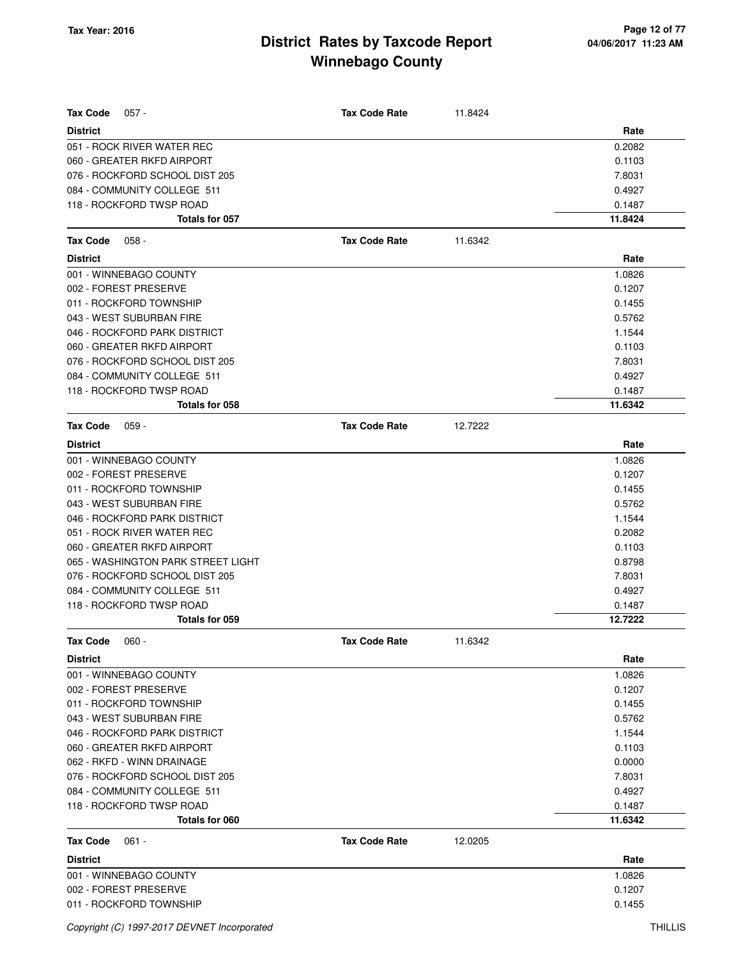| <b>Tax Code</b><br>$057 -$         | <b>Tax Code Rate</b> | 11.8424 |         |
|------------------------------------|----------------------|---------|---------|
| <b>District</b>                    |                      |         | Rate    |
| 051 - ROCK RIVER WATER REC         |                      |         | 0.2082  |
| 060 - GREATER RKFD AIRPORT         |                      |         | 0.1103  |
| 076 - ROCKFORD SCHOOL DIST 205     |                      |         | 7.8031  |
| 084 - COMMUNITY COLLEGE 511        |                      |         | 0.4927  |
| 118 - ROCKFORD TWSP ROAD           |                      |         | 0.1487  |
| Totals for 057                     |                      |         | 11.8424 |
| <b>Tax Code</b><br>$058 -$         | <b>Tax Code Rate</b> | 11.6342 |         |
| <b>District</b>                    |                      |         | Rate    |
| 001 - WINNEBAGO COUNTY             |                      |         | 1.0826  |
| 002 - FOREST PRESERVE              |                      |         | 0.1207  |
| 011 - ROCKFORD TOWNSHIP            |                      |         | 0.1455  |
| 043 - WEST SUBURBAN FIRE           |                      |         | 0.5762  |
| 046 - ROCKFORD PARK DISTRICT       |                      |         | 1.1544  |
| 060 - GREATER RKFD AIRPORT         |                      |         | 0.1103  |
| 076 - ROCKFORD SCHOOL DIST 205     |                      |         | 7.8031  |
| 084 - COMMUNITY COLLEGE 511        |                      |         | 0.4927  |
| 118 - ROCKFORD TWSP ROAD           |                      |         | 0.1487  |
| Totals for 058                     |                      |         | 11.6342 |
| <b>Tax Code</b><br>$059 -$         | <b>Tax Code Rate</b> | 12.7222 |         |
| <b>District</b>                    |                      |         | Rate    |
| 001 - WINNEBAGO COUNTY             |                      |         | 1.0826  |
| 002 - FOREST PRESERVE              |                      |         | 0.1207  |
| 011 - ROCKFORD TOWNSHIP            |                      |         | 0.1455  |
| 043 - WEST SUBURBAN FIRE           |                      |         | 0.5762  |
| 046 - ROCKFORD PARK DISTRICT       |                      |         | 1.1544  |
| 051 - ROCK RIVER WATER REC         |                      |         | 0.2082  |
| 060 - GREATER RKFD AIRPORT         |                      |         | 0.1103  |
| 065 - WASHINGTON PARK STREET LIGHT |                      |         | 0.8798  |
| 076 - ROCKFORD SCHOOL DIST 205     |                      |         | 7.8031  |
| 084 - COMMUNITY COLLEGE 511        |                      |         | 0.4927  |
| 118 - ROCKFORD TWSP ROAD           |                      |         | 0.1487  |
| Totals for 059                     |                      |         | 12.7222 |
| Tax Code<br>$060 -$                | <b>Tax Code Rate</b> | 11.6342 |         |
| <b>District</b>                    |                      |         | Rate    |
| 001 - WINNEBAGO COUNTY             |                      |         | 1.0826  |
| 002 - FOREST PRESERVE              |                      |         | 0.1207  |
| 011 - ROCKFORD TOWNSHIP            |                      |         | 0.1455  |
| 043 - WEST SUBURBAN FIRE           |                      |         | 0.5762  |
| 046 - ROCKFORD PARK DISTRICT       |                      |         | 1.1544  |
| 060 - GREATER RKFD AIRPORT         |                      |         | 0.1103  |
| 062 - RKFD - WINN DRAINAGE         |                      |         | 0.0000  |
| 076 - ROCKFORD SCHOOL DIST 205     |                      |         | 7.8031  |
| 084 - COMMUNITY COLLEGE 511        |                      |         | 0.4927  |
| 118 - ROCKFORD TWSP ROAD           |                      |         | 0.1487  |
| Totals for 060                     |                      |         | 11.6342 |
| <b>Tax Code</b><br>$061 -$         | <b>Tax Code Rate</b> | 12.0205 |         |
| <b>District</b>                    |                      |         | Rate    |
| 001 - WINNEBAGO COUNTY             |                      |         | 1.0826  |
| 002 - FOREST PRESERVE              |                      |         | 0.1207  |
| 011 - ROCKFORD TOWNSHIP            |                      |         | 0.1455  |
|                                    |                      |         |         |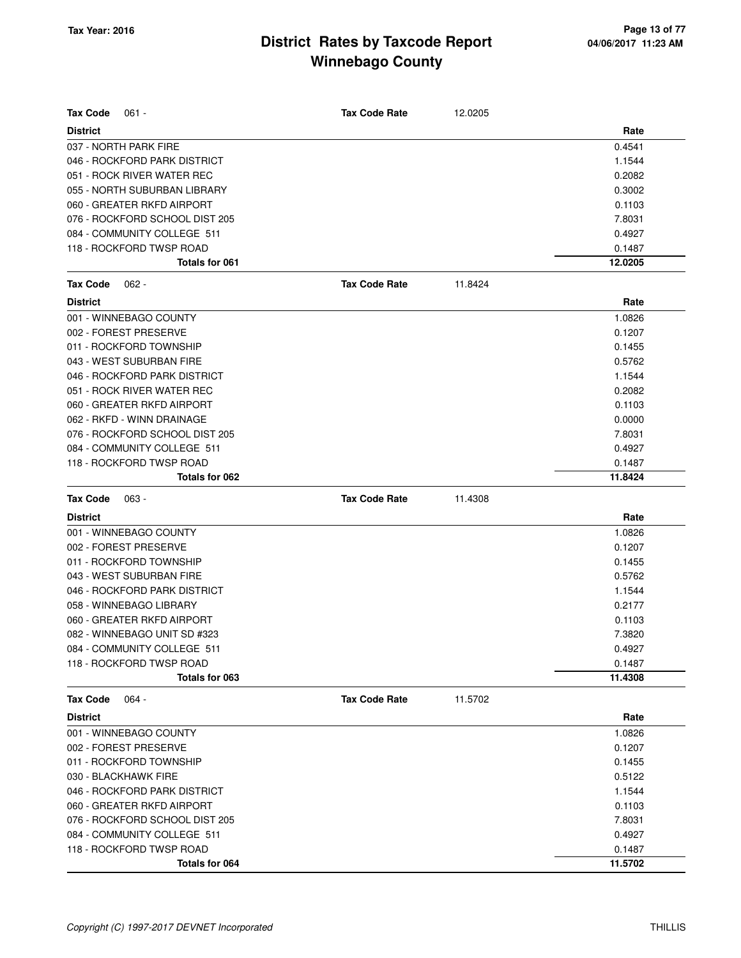| Tax Code<br>$061 -$            | <b>Tax Code Rate</b> | 12.0205 |         |
|--------------------------------|----------------------|---------|---------|
| <b>District</b>                |                      |         | Rate    |
| 037 - NORTH PARK FIRE          |                      |         | 0.4541  |
| 046 - ROCKFORD PARK DISTRICT   |                      |         | 1.1544  |
| 051 - ROCK RIVER WATER REC     |                      |         | 0.2082  |
| 055 - NORTH SUBURBAN LIBRARY   |                      |         | 0.3002  |
| 060 - GREATER RKFD AIRPORT     |                      |         | 0.1103  |
| 076 - ROCKFORD SCHOOL DIST 205 |                      |         | 7.8031  |
| 084 - COMMUNITY COLLEGE 511    |                      |         | 0.4927  |
| 118 - ROCKFORD TWSP ROAD       |                      |         | 0.1487  |
| <b>Totals for 061</b>          |                      |         | 12.0205 |
| <b>Tax Code</b><br>$062 -$     | <b>Tax Code Rate</b> | 11.8424 |         |
| <b>District</b>                |                      |         | Rate    |
| 001 - WINNEBAGO COUNTY         |                      |         | 1.0826  |
| 002 - FOREST PRESERVE          |                      |         | 0.1207  |
| 011 - ROCKFORD TOWNSHIP        |                      |         | 0.1455  |
| 043 - WEST SUBURBAN FIRE       |                      |         | 0.5762  |
| 046 - ROCKFORD PARK DISTRICT   |                      |         | 1.1544  |
| 051 - ROCK RIVER WATER REC     |                      |         | 0.2082  |
| 060 - GREATER RKFD AIRPORT     |                      |         | 0.1103  |
| 062 - RKFD - WINN DRAINAGE     |                      |         | 0.0000  |
| 076 - ROCKFORD SCHOOL DIST 205 |                      |         | 7.8031  |
| 084 - COMMUNITY COLLEGE 511    |                      |         | 0.4927  |
| 118 - ROCKFORD TWSP ROAD       |                      |         | 0.1487  |
| Totals for 062                 |                      |         | 11.8424 |
|                                |                      |         |         |
| <b>Tax Code</b><br>063 -       | <b>Tax Code Rate</b> | 11.4308 |         |
| <b>District</b>                |                      |         | Rate    |
| 001 - WINNEBAGO COUNTY         |                      |         | 1.0826  |
| 002 - FOREST PRESERVE          |                      |         | 0.1207  |
| 011 - ROCKFORD TOWNSHIP        |                      |         | 0.1455  |
| 043 - WEST SUBURBAN FIRE       |                      |         | 0.5762  |
| 046 - ROCKFORD PARK DISTRICT   |                      |         | 1.1544  |
| 058 - WINNEBAGO LIBRARY        |                      |         | 0.2177  |
| 060 - GREATER RKFD AIRPORT     |                      |         | 0.1103  |
| 082 - WINNEBAGO UNIT SD #323   |                      |         | 7.3820  |
| 084 - COMMUNITY COLLEGE 511    |                      |         | 0.4927  |
| 118 - ROCKFORD TWSP ROAD       |                      |         | 0.1487  |
| Totals for 063                 |                      |         | 11.4308 |
| $064 -$<br><b>Tax Code</b>     | <b>Tax Code Rate</b> | 11.5702 |         |
| <b>District</b>                |                      |         | Rate    |
| 001 - WINNEBAGO COUNTY         |                      |         | 1.0826  |
| 002 - FOREST PRESERVE          |                      |         | 0.1207  |
| 011 - ROCKFORD TOWNSHIP        |                      |         | 0.1455  |
| 030 - BLACKHAWK FIRE           |                      |         | 0.5122  |
| 046 - ROCKFORD PARK DISTRICT   |                      |         | 1.1544  |
| 060 - GREATER RKFD AIRPORT     |                      |         | 0.1103  |
| 076 - ROCKFORD SCHOOL DIST 205 |                      |         | 7.8031  |
| 084 - COMMUNITY COLLEGE 511    |                      |         | 0.4927  |
| 118 - ROCKFORD TWSP ROAD       |                      |         | 0.1487  |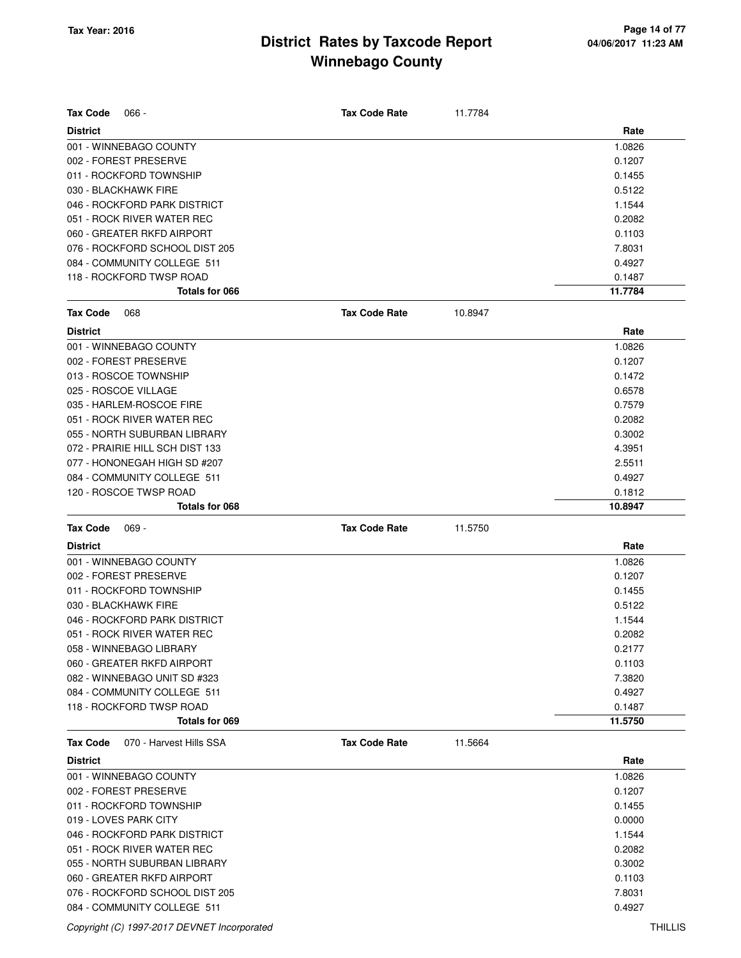| <b>Tax Code</b><br>$066 -$                 | <b>Tax Code Rate</b> | 11.7784 |         |
|--------------------------------------------|----------------------|---------|---------|
| <b>District</b>                            |                      |         | Rate    |
| 001 - WINNEBAGO COUNTY                     |                      |         | 1.0826  |
| 002 - FOREST PRESERVE                      |                      |         | 0.1207  |
| 011 - ROCKFORD TOWNSHIP                    |                      |         | 0.1455  |
| 030 - BLACKHAWK FIRE                       |                      |         | 0.5122  |
| 046 - ROCKFORD PARK DISTRICT               |                      |         | 1.1544  |
| 051 - ROCK RIVER WATER REC                 |                      |         | 0.2082  |
| 060 - GREATER RKFD AIRPORT                 |                      |         | 0.1103  |
| 076 - ROCKFORD SCHOOL DIST 205             |                      |         | 7.8031  |
| 084 - COMMUNITY COLLEGE 511                |                      |         | 0.4927  |
| 118 - ROCKFORD TWSP ROAD                   |                      |         | 0.1487  |
| Totals for 066                             |                      |         | 11.7784 |
| <b>Tax Code</b><br>068                     | <b>Tax Code Rate</b> | 10.8947 |         |
| <b>District</b>                            |                      |         | Rate    |
| 001 - WINNEBAGO COUNTY                     |                      |         | 1.0826  |
| 002 - FOREST PRESERVE                      |                      |         | 0.1207  |
| 013 - ROSCOE TOWNSHIP                      |                      |         | 0.1472  |
| 025 - ROSCOE VILLAGE                       |                      |         | 0.6578  |
| 035 - HARLEM-ROSCOE FIRE                   |                      |         | 0.7579  |
| 051 - ROCK RIVER WATER REC                 |                      |         | 0.2082  |
| 055 - NORTH SUBURBAN LIBRARY               |                      |         | 0.3002  |
| 072 - PRAIRIE HILL SCH DIST 133            |                      |         | 4.3951  |
| 077 - HONONEGAH HIGH SD #207               |                      |         | 2.5511  |
| 084 - COMMUNITY COLLEGE 511                |                      |         | 0.4927  |
| 120 - ROSCOE TWSP ROAD                     |                      |         | 0.1812  |
| Totals for 068                             |                      |         | 10.8947 |
|                                            |                      |         |         |
| <b>Tax Code</b><br>$069 -$                 | <b>Tax Code Rate</b> | 11.5750 |         |
| <b>District</b>                            |                      |         | Rate    |
| 001 - WINNEBAGO COUNTY                     |                      |         | 1.0826  |
| 002 - FOREST PRESERVE                      |                      |         | 0.1207  |
| 011 - ROCKFORD TOWNSHIP                    |                      |         | 0.1455  |
| 030 - BLACKHAWK FIRE                       |                      |         | 0.5122  |
| 046 - ROCKFORD PARK DISTRICT               |                      |         | 1.1544  |
| 051 - ROCK RIVER WATER REC                 |                      |         | 0.2082  |
| 058 - WINNEBAGO LIBRARY                    |                      |         | 0.2177  |
| 060 - GREATER RKFD AIRPORT                 |                      |         | 0.1103  |
| 082 - WINNEBAGO UNIT SD #323               |                      |         | 7.3820  |
| 084 - COMMUNITY COLLEGE 511                |                      |         | 0.4927  |
| 118 - ROCKFORD TWSP ROAD                   |                      |         | 0.1487  |
| Totals for 069                             |                      |         | 11.5750 |
| 070 - Harvest Hills SSA<br><b>Tax Code</b> | <b>Tax Code Rate</b> | 11.5664 |         |
| <b>District</b>                            |                      |         | Rate    |
| 001 - WINNEBAGO COUNTY                     |                      |         | 1.0826  |
| 002 - FOREST PRESERVE                      |                      |         | 0.1207  |
| 011 - ROCKFORD TOWNSHIP                    |                      |         | 0.1455  |
| 019 - LOVES PARK CITY                      |                      |         | 0.0000  |
| 046 - ROCKFORD PARK DISTRICT               |                      |         | 1.1544  |
| 051 - ROCK RIVER WATER REC                 |                      |         | 0.2082  |
| 055 - NORTH SUBURBAN LIBRARY               |                      |         | 0.3002  |
| 060 - GREATER RKFD AIRPORT                 |                      |         | 0.1103  |
| 076 - ROCKFORD SCHOOL DIST 205             |                      |         | 7.8031  |

Copyright (C) 1997-2017 DEVNET Incorporated THILLIS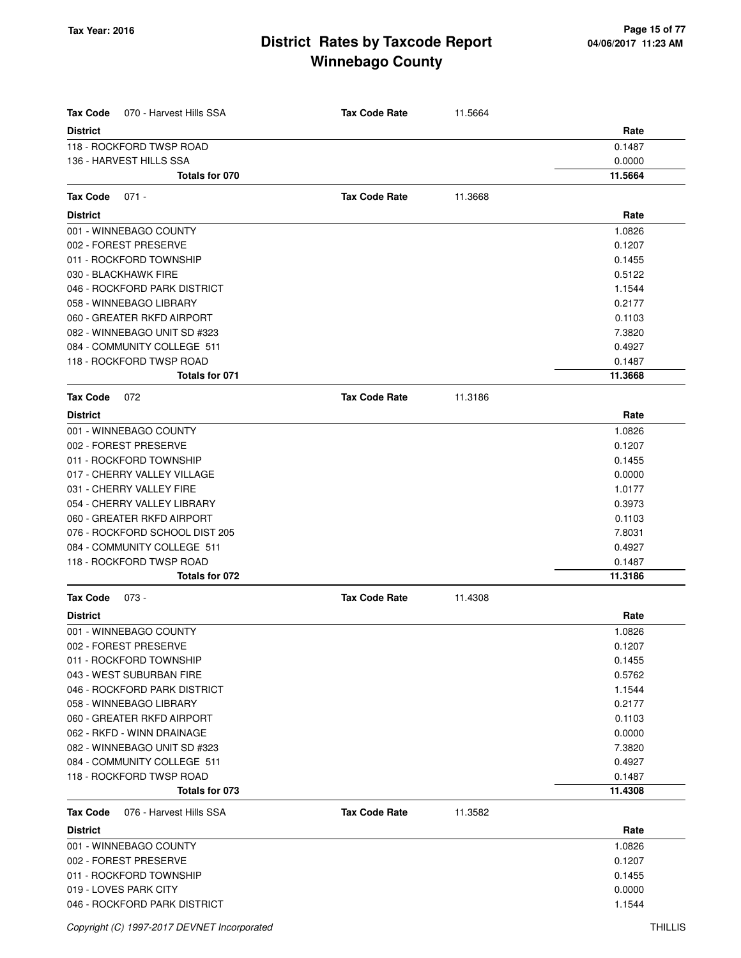| <b>Tax Code</b><br>070 - Harvest Hills SSA | <b>Tax Code Rate</b> | 11.5664 |         |
|--------------------------------------------|----------------------|---------|---------|
| <b>District</b>                            |                      |         | Rate    |
| 118 - ROCKFORD TWSP ROAD                   |                      |         | 0.1487  |
| 136 - HARVEST HILLS SSA                    |                      |         | 0.0000  |
| Totals for 070                             |                      |         | 11.5664 |
| <b>Tax Code</b><br>$071 -$                 | <b>Tax Code Rate</b> | 11.3668 |         |
| <b>District</b>                            |                      |         | Rate    |
| 001 - WINNEBAGO COUNTY                     |                      |         | 1.0826  |
| 002 - FOREST PRESERVE                      |                      |         | 0.1207  |
| 011 - ROCKFORD TOWNSHIP                    |                      |         | 0.1455  |
| 030 - BLACKHAWK FIRE                       |                      |         | 0.5122  |
| 046 - ROCKFORD PARK DISTRICT               |                      |         | 1.1544  |
| 058 - WINNEBAGO LIBRARY                    |                      |         | 0.2177  |
| 060 - GREATER RKFD AIRPORT                 |                      |         | 0.1103  |
| 082 - WINNEBAGO UNIT SD #323               |                      |         | 7.3820  |
| 084 - COMMUNITY COLLEGE 511                |                      |         | 0.4927  |
| 118 - ROCKFORD TWSP ROAD                   |                      |         | 0.1487  |
| Totals for 071                             |                      |         | 11.3668 |
| Tax Code<br>072                            | <b>Tax Code Rate</b> | 11.3186 |         |
| <b>District</b>                            |                      |         | Rate    |
| 001 - WINNEBAGO COUNTY                     |                      |         | 1.0826  |
| 002 - FOREST PRESERVE                      |                      |         | 0.1207  |
| 011 - ROCKFORD TOWNSHIP                    |                      |         | 0.1455  |
| 017 - CHERRY VALLEY VILLAGE                |                      |         | 0.0000  |
| 031 - CHERRY VALLEY FIRE                   |                      |         | 1.0177  |
| 054 - CHERRY VALLEY LIBRARY                |                      |         | 0.3973  |
| 060 - GREATER RKFD AIRPORT                 |                      |         | 0.1103  |
| 076 - ROCKFORD SCHOOL DIST 205             |                      |         | 7.8031  |
| 084 - COMMUNITY COLLEGE 511                |                      |         | 0.4927  |
| 118 - ROCKFORD TWSP ROAD                   |                      |         | 0.1487  |
| Totals for 072                             |                      |         | 11.3186 |
| <b>Tax Code</b><br>073 -                   | <b>Tax Code Rate</b> | 11.4308 |         |
| <b>District</b>                            |                      |         | Rate    |
| 001 - WINNEBAGO COUNTY                     |                      |         | 1.0826  |
| 002 - FOREST PRESERVE                      |                      |         | 0.1207  |
| 011 - ROCKFORD TOWNSHIP                    |                      |         | 0.1455  |
| 043 - WEST SUBURBAN FIRE                   |                      |         | 0.5762  |
| 046 - ROCKFORD PARK DISTRICT               |                      |         | 1.1544  |
| 058 - WINNEBAGO LIBRARY                    |                      |         | 0.2177  |
| 060 - GREATER RKFD AIRPORT                 |                      |         | 0.1103  |
| 062 - RKFD - WINN DRAINAGE                 |                      |         | 0.0000  |
| 082 - WINNEBAGO UNIT SD #323               |                      |         | 7.3820  |
| 084 - COMMUNITY COLLEGE 511                |                      |         | 0.4927  |
| 118 - ROCKFORD TWSP ROAD                   |                      |         | 0.1487  |
| Totals for 073                             |                      |         | 11.4308 |
| 076 - Harvest Hills SSA<br>Tax Code        | <b>Tax Code Rate</b> | 11.3582 |         |
| <b>District</b>                            |                      |         | Rate    |
| 001 - WINNEBAGO COUNTY                     |                      |         | 1.0826  |
| 002 - FOREST PRESERVE                      |                      |         | 0.1207  |
| 011 - ROCKFORD TOWNSHIP                    |                      |         | 0.1455  |
| 019 - LOVES PARK CITY                      |                      |         | 0.0000  |
| 046 - ROCKFORD PARK DISTRICT               |                      |         | 1.1544  |
|                                            |                      |         |         |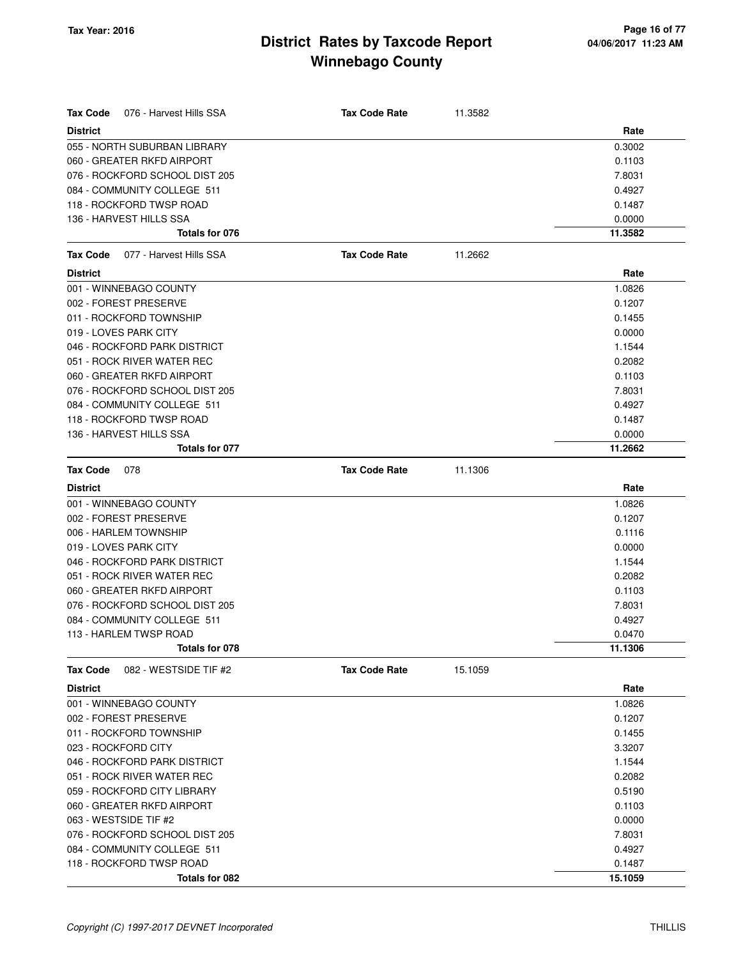| Tax Code<br>076 - Harvest Hills SSA      | <b>Tax Code Rate</b> | 11.3582 |         |
|------------------------------------------|----------------------|---------|---------|
| <b>District</b>                          |                      |         | Rate    |
| 055 - NORTH SUBURBAN LIBRARY             |                      |         | 0.3002  |
| 060 - GREATER RKFD AIRPORT               |                      |         | 0.1103  |
| 076 - ROCKFORD SCHOOL DIST 205           |                      |         | 7.8031  |
| 084 - COMMUNITY COLLEGE 511              |                      |         | 0.4927  |
| 118 - ROCKFORD TWSP ROAD                 |                      |         | 0.1487  |
| 136 - HARVEST HILLS SSA                  |                      |         | 0.0000  |
| Totals for 076                           |                      |         | 11.3582 |
| 077 - Harvest Hills SSA<br>Tax Code      | <b>Tax Code Rate</b> | 11.2662 |         |
| <b>District</b>                          |                      |         | Rate    |
| 001 - WINNEBAGO COUNTY                   |                      |         | 1.0826  |
| 002 - FOREST PRESERVE                    |                      |         | 0.1207  |
| 011 - ROCKFORD TOWNSHIP                  |                      |         | 0.1455  |
| 019 - LOVES PARK CITY                    |                      |         | 0.0000  |
| 046 - ROCKFORD PARK DISTRICT             |                      |         | 1.1544  |
| 051 - ROCK RIVER WATER REC               |                      |         | 0.2082  |
| 060 - GREATER RKFD AIRPORT               |                      |         | 0.1103  |
| 076 - ROCKFORD SCHOOL DIST 205           |                      |         | 7.8031  |
| 084 - COMMUNITY COLLEGE 511              |                      |         | 0.4927  |
| 118 - ROCKFORD TWSP ROAD                 |                      |         | 0.1487  |
| 136 - HARVEST HILLS SSA                  |                      |         | 0.0000  |
| Totals for 077                           |                      |         | 11.2662 |
| <b>Tax Code</b><br>078                   | <b>Tax Code Rate</b> | 11.1306 |         |
| <b>District</b>                          |                      |         | Rate    |
| 001 - WINNEBAGO COUNTY                   |                      |         | 1.0826  |
| 002 - FOREST PRESERVE                    |                      |         | 0.1207  |
| 006 - HARLEM TOWNSHIP                    |                      |         | 0.1116  |
| 019 - LOVES PARK CITY                    |                      |         | 0.0000  |
| 046 - ROCKFORD PARK DISTRICT             |                      |         | 1.1544  |
| 051 - ROCK RIVER WATER REC               |                      |         | 0.2082  |
| 060 - GREATER RKFD AIRPORT               |                      |         | 0.1103  |
| 076 - ROCKFORD SCHOOL DIST 205           |                      |         | 7.8031  |
| 084 - COMMUNITY COLLEGE 511              |                      |         | 0.4927  |
| 113 - HARLEM TWSP ROAD                   |                      |         | 0.0470  |
| Totals for 078                           |                      |         | 11.1306 |
| <b>Tax Code</b><br>082 - WESTSIDE TIF #2 | <b>Tax Code Rate</b> | 15.1059 |         |
| <b>District</b>                          |                      |         | Rate    |
| 001 - WINNEBAGO COUNTY                   |                      |         | 1.0826  |
| 002 - FOREST PRESERVE                    |                      |         | 0.1207  |
| 011 - ROCKFORD TOWNSHIP                  |                      |         | 0.1455  |
| 023 - ROCKFORD CITY                      |                      |         | 3.3207  |
| 046 - ROCKFORD PARK DISTRICT             |                      |         | 1.1544  |
| 051 - ROCK RIVER WATER REC               |                      |         | 0.2082  |
| 059 - ROCKFORD CITY LIBRARY              |                      |         | 0.5190  |
| 060 - GREATER RKFD AIRPORT               |                      |         | 0.1103  |
| 063 - WESTSIDE TIF #2                    |                      |         | 0.0000  |
| 076 - ROCKFORD SCHOOL DIST 205           |                      |         | 7.8031  |
| 084 - COMMUNITY COLLEGE 511              |                      |         | 0.4927  |
| 118 - ROCKFORD TWSP ROAD                 |                      |         | 0.1487  |
| Totals for 082                           |                      |         | 15.1059 |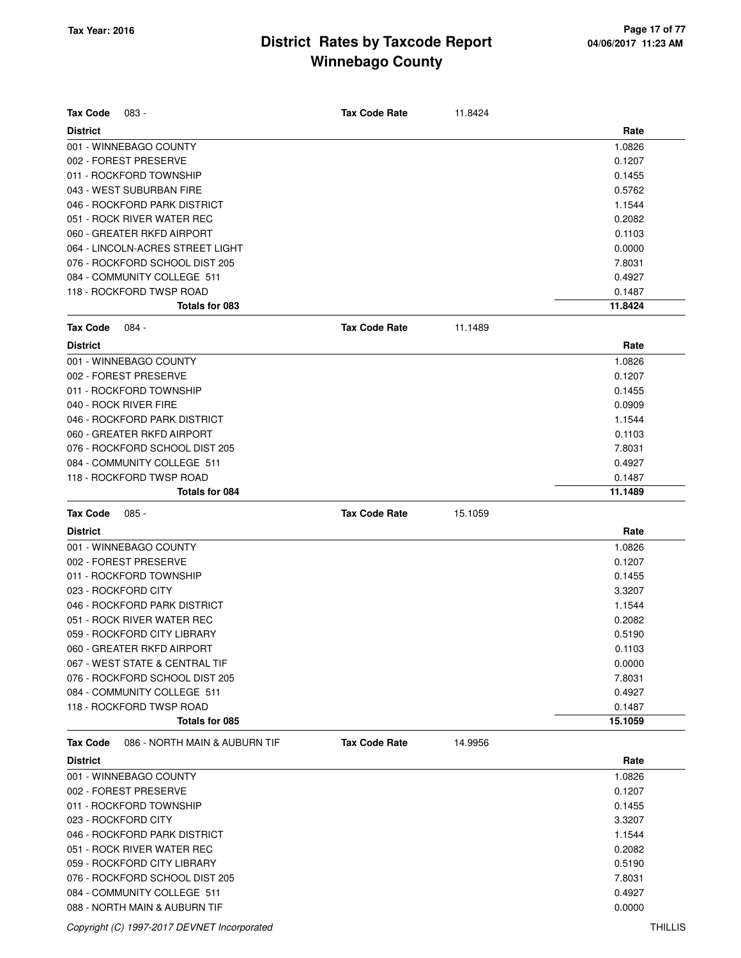| <b>Tax Code</b><br>083 -                            | <b>Tax Code Rate</b> | 11.8424 |                  |
|-----------------------------------------------------|----------------------|---------|------------------|
| <b>District</b>                                     |                      |         | Rate             |
| 001 - WINNEBAGO COUNTY                              |                      |         | 1.0826           |
| 002 - FOREST PRESERVE                               |                      |         | 0.1207           |
| 011 - ROCKFORD TOWNSHIP<br>043 - WEST SUBURBAN FIRE |                      |         | 0.1455           |
| 046 - ROCKFORD PARK DISTRICT                        |                      |         | 0.5762<br>1.1544 |
| 051 - ROCK RIVER WATER REC                          |                      |         | 0.2082           |
| 060 - GREATER RKFD AIRPORT                          |                      |         | 0.1103           |
| 064 - LINCOLN-ACRES STREET LIGHT                    |                      |         | 0.0000           |
| 076 - ROCKFORD SCHOOL DIST 205                      |                      |         | 7.8031           |
| 084 - COMMUNITY COLLEGE 511                         |                      |         | 0.4927           |
| 118 - ROCKFORD TWSP ROAD                            |                      |         | 0.1487           |
| Totals for 083                                      |                      |         | 11.8424          |
| <b>Tax Code</b><br>084 -                            | <b>Tax Code Rate</b> | 11.1489 |                  |
| <b>District</b>                                     |                      |         | Rate             |
| 001 - WINNEBAGO COUNTY                              |                      |         | 1.0826           |
| 002 - FOREST PRESERVE                               |                      |         | 0.1207           |
| 011 - ROCKFORD TOWNSHIP                             |                      |         | 0.1455           |
| 040 - ROCK RIVER FIRE                               |                      |         | 0.0909           |
| 046 - ROCKFORD PARK DISTRICT                        |                      |         | 1.1544           |
| 060 - GREATER RKFD AIRPORT                          |                      |         | 0.1103           |
| 076 - ROCKFORD SCHOOL DIST 205                      |                      |         | 7.8031           |
| 084 - COMMUNITY COLLEGE 511                         |                      |         | 0.4927           |
| 118 - ROCKFORD TWSP ROAD                            |                      |         | 0.1487           |
| Totals for 084                                      |                      |         | 11.1489          |
|                                                     |                      |         |                  |
| <b>Tax Code</b><br>$085 -$                          | <b>Tax Code Rate</b> | 15.1059 |                  |
| <b>District</b>                                     |                      |         | Rate             |
| 001 - WINNEBAGO COUNTY                              |                      |         | 1.0826           |
| 002 - FOREST PRESERVE                               |                      |         | 0.1207           |
| 011 - ROCKFORD TOWNSHIP                             |                      |         | 0.1455           |
| 023 - ROCKFORD CITY                                 |                      |         | 3.3207           |
| 046 - ROCKFORD PARK DISTRICT                        |                      |         | 1.1544           |
| 051 - ROCK RIVER WATER REC                          |                      |         | 0.2082           |
| 059 - ROCKFORD CITY LIBRARY                         |                      |         | 0.5190           |
| 060 - GREATER RKFD AIRPORT                          |                      |         | 0.1103           |
| 067 - WEST STATE & CENTRAL TIF                      |                      |         | 0.0000           |
| 076 - ROCKFORD SCHOOL DIST 205                      |                      |         | 7.8031           |
| 084 - COMMUNITY COLLEGE 511                         |                      |         | 0.4927           |
| 118 - ROCKFORD TWSP ROAD                            |                      |         | 0.1487           |
| Totals for 085                                      |                      |         | 15.1059          |
| <b>Tax Code</b><br>086 - NORTH MAIN & AUBURN TIF    | <b>Tax Code Rate</b> | 14.9956 |                  |
| <b>District</b>                                     |                      |         | Rate             |
| 001 - WINNEBAGO COUNTY                              |                      |         | 1.0826           |
| 002 - FOREST PRESERVE                               |                      |         | 0.1207           |
| 011 - ROCKFORD TOWNSHIP                             |                      |         | 0.1455           |
| 023 - ROCKFORD CITY                                 |                      |         | 3.3207           |
| 046 - ROCKFORD PARK DISTRICT                        |                      |         | 1.1544           |
| 051 - ROCK RIVER WATER REC                          |                      |         | 0.2082           |
| 059 - ROCKFORD CITY LIBRARY                         |                      |         | 0.5190           |
| 076 - ROCKFORD SCHOOL DIST 205                      |                      |         | 7.8031           |
| 084 - COMMUNITY COLLEGE 511                         |                      |         | 0.4927           |

088 - NORTH MAIN & AUBURN TIF 0.0000

Copyright (C) 1997-2017 DEVNET Incorporated THILLIS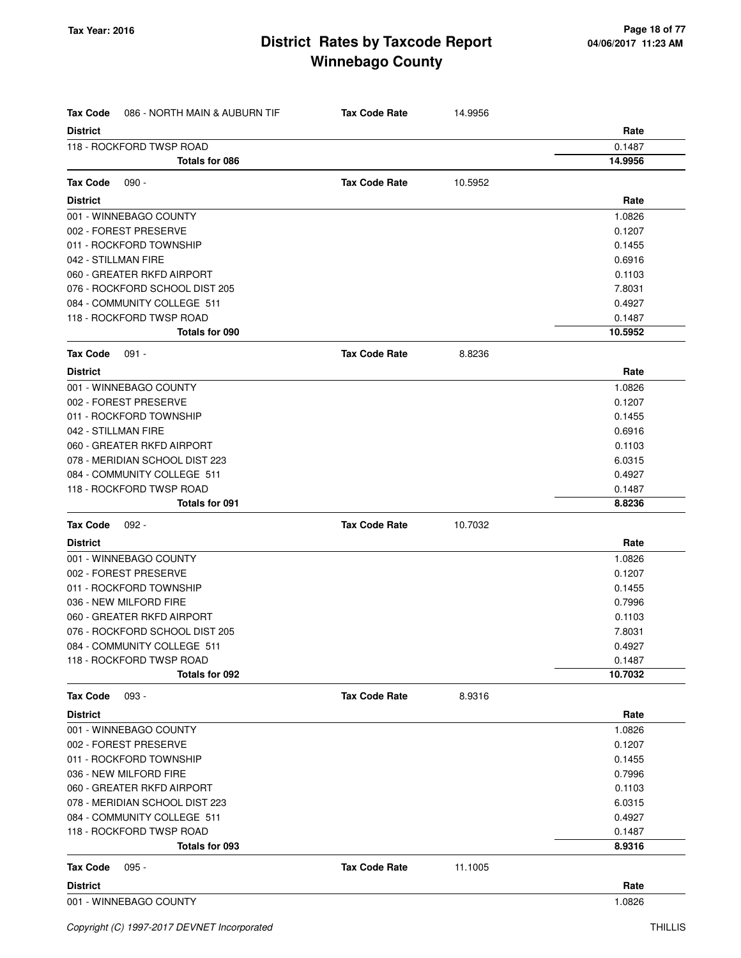| <b>Tax Code</b> | 086 - NORTH MAIN & AUBURN TIF  | <b>Tax Code Rate</b> | 14.9956 |         |
|-----------------|--------------------------------|----------------------|---------|---------|
| <b>District</b> |                                |                      |         | Rate    |
|                 | 118 - ROCKFORD TWSP ROAD       |                      |         | 0.1487  |
|                 | Totals for 086                 |                      |         | 14.9956 |
| Tax Code        | $090 -$                        | <b>Tax Code Rate</b> | 10.5952 |         |
| <b>District</b> |                                |                      |         | Rate    |
|                 | 001 - WINNEBAGO COUNTY         |                      |         | 1.0826  |
|                 | 002 - FOREST PRESERVE          |                      |         | 0.1207  |
|                 | 011 - ROCKFORD TOWNSHIP        |                      |         | 0.1455  |
|                 | 042 - STILLMAN FIRE            |                      |         | 0.6916  |
|                 | 060 - GREATER RKFD AIRPORT     |                      |         | 0.1103  |
|                 | 076 - ROCKFORD SCHOOL DIST 205 |                      |         | 7.8031  |
|                 | 084 - COMMUNITY COLLEGE 511    |                      |         | 0.4927  |
|                 | 118 - ROCKFORD TWSP ROAD       |                      |         | 0.1487  |
|                 | Totals for 090                 |                      |         | 10.5952 |
| Tax Code        | $091 -$                        | <b>Tax Code Rate</b> | 8.8236  |         |
| <b>District</b> |                                |                      |         | Rate    |
|                 | 001 - WINNEBAGO COUNTY         |                      |         | 1.0826  |
|                 | 002 - FOREST PRESERVE          |                      |         | 0.1207  |
|                 | 011 - ROCKFORD TOWNSHIP        |                      |         | 0.1455  |
|                 | 042 - STILLMAN FIRE            |                      |         | 0.6916  |
|                 | 060 - GREATER RKFD AIRPORT     |                      |         | 0.1103  |
|                 | 078 - MERIDIAN SCHOOL DIST 223 |                      |         | 6.0315  |
|                 | 084 - COMMUNITY COLLEGE 511    |                      |         | 0.4927  |
|                 | 118 - ROCKFORD TWSP ROAD       |                      |         | 0.1487  |
|                 | <b>Totals for 091</b>          |                      |         | 8.8236  |
| <b>Tax Code</b> | $092 -$                        | <b>Tax Code Rate</b> | 10.7032 |         |
| <b>District</b> |                                |                      |         | Rate    |
|                 | 001 - WINNEBAGO COUNTY         |                      |         | 1.0826  |
|                 | 002 - FOREST PRESERVE          |                      |         | 0.1207  |
|                 | 011 - ROCKFORD TOWNSHIP        |                      |         | 0.1455  |
|                 | 036 - NEW MILFORD FIRE         |                      |         | 0.7996  |
|                 | 060 - GREATER RKFD AIRPORT     |                      |         | 0.1103  |
|                 | 076 - ROCKFORD SCHOOL DIST 205 |                      |         | 7.8031  |
|                 | 084 - COMMUNITY COLLEGE 511    |                      |         | 0.4927  |
|                 | 118 - ROCKFORD TWSP ROAD       |                      |         | 0.1487  |
|                 | Totals for 092                 |                      |         | 10.7032 |
| Tax Code        | 093 -                          | <b>Tax Code Rate</b> | 8.9316  |         |
| <b>District</b> |                                |                      |         | Rate    |
|                 | 001 - WINNEBAGO COUNTY         |                      |         | 1.0826  |
|                 | 002 - FOREST PRESERVE          |                      |         | 0.1207  |
|                 | 011 - ROCKFORD TOWNSHIP        |                      |         | 0.1455  |
|                 | 036 - NEW MILFORD FIRE         |                      |         | 0.7996  |
|                 | 060 - GREATER RKFD AIRPORT     |                      |         | 0.1103  |
|                 | 078 - MERIDIAN SCHOOL DIST 223 |                      |         | 6.0315  |
|                 | 084 - COMMUNITY COLLEGE 511    |                      |         | 0.4927  |
|                 | 118 - ROCKFORD TWSP ROAD       |                      |         | 0.1487  |
|                 | Totals for 093                 |                      |         | 8.9316  |
| Tax Code        | $095 -$                        | <b>Tax Code Rate</b> | 11.1005 |         |
| <b>District</b> |                                |                      |         | Rate    |
|                 | 001 - WINNEBAGO COUNTY         |                      |         | 1.0826  |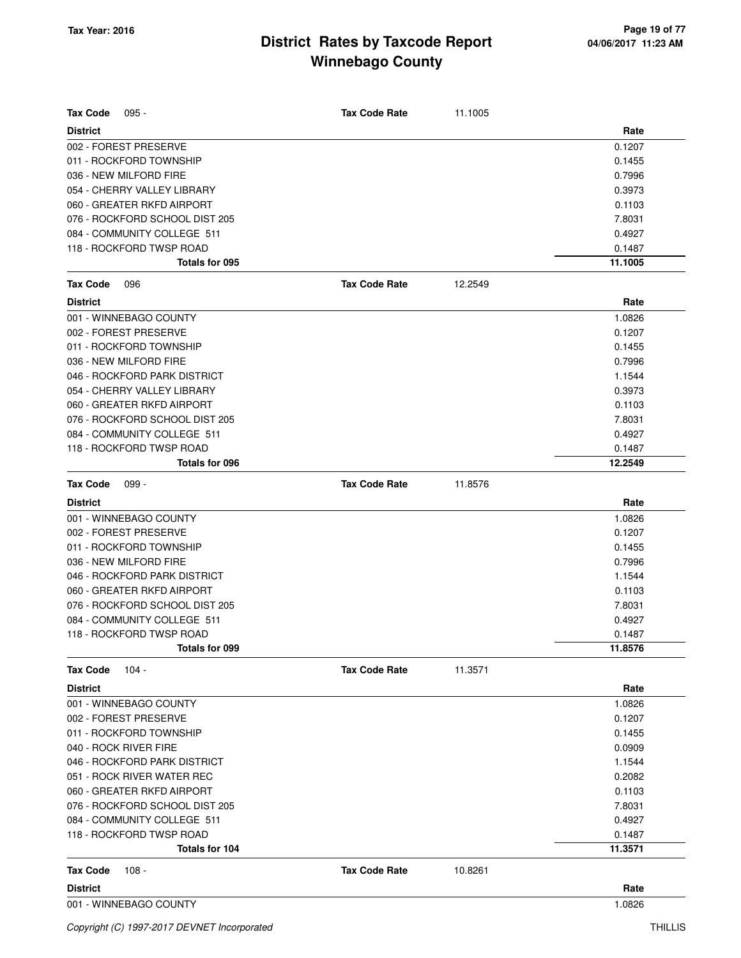| <b>Tax Code</b><br>$095 -$     | <b>Tax Code Rate</b> | 11.1005 |         |
|--------------------------------|----------------------|---------|---------|
| <b>District</b>                |                      |         | Rate    |
| 002 - FOREST PRESERVE          |                      |         | 0.1207  |
| 011 - ROCKFORD TOWNSHIP        |                      |         | 0.1455  |
| 036 - NEW MILFORD FIRE         |                      |         | 0.7996  |
| 054 - CHERRY VALLEY LIBRARY    |                      |         | 0.3973  |
| 060 - GREATER RKFD AIRPORT     |                      |         | 0.1103  |
| 076 - ROCKFORD SCHOOL DIST 205 |                      |         | 7.8031  |
| 084 - COMMUNITY COLLEGE 511    |                      |         | 0.4927  |
| 118 - ROCKFORD TWSP ROAD       |                      |         | 0.1487  |
| Totals for 095                 |                      |         | 11.1005 |
| <b>Tax Code</b><br>096         | <b>Tax Code Rate</b> | 12.2549 |         |
| <b>District</b>                |                      |         | Rate    |
| 001 - WINNEBAGO COUNTY         |                      |         | 1.0826  |
| 002 - FOREST PRESERVE          |                      |         | 0.1207  |
| 011 - ROCKFORD TOWNSHIP        |                      |         | 0.1455  |
| 036 - NEW MILFORD FIRE         |                      |         | 0.7996  |
| 046 - ROCKFORD PARK DISTRICT   |                      |         | 1.1544  |
| 054 - CHERRY VALLEY LIBRARY    |                      |         | 0.3973  |
| 060 - GREATER RKFD AIRPORT     |                      |         | 0.1103  |
| 076 - ROCKFORD SCHOOL DIST 205 |                      |         | 7.8031  |
| 084 - COMMUNITY COLLEGE 511    |                      |         | 0.4927  |
| 118 - ROCKFORD TWSP ROAD       |                      |         | 0.1487  |
| Totals for 096                 |                      |         | 12.2549 |
| <b>Tax Code</b><br>$099 -$     | <b>Tax Code Rate</b> | 11.8576 |         |
| <b>District</b>                |                      |         | Rate    |
| 001 - WINNEBAGO COUNTY         |                      |         | 1.0826  |
| 002 - FOREST PRESERVE          |                      |         | 0.1207  |
| 011 - ROCKFORD TOWNSHIP        |                      |         | 0.1455  |
| 036 - NEW MILFORD FIRE         |                      |         | 0.7996  |
| 046 - ROCKFORD PARK DISTRICT   |                      |         | 1.1544  |
| 060 - GREATER RKFD AIRPORT     |                      |         | 0.1103  |
| 076 - ROCKFORD SCHOOL DIST 205 |                      |         | 7.8031  |
| 084 - COMMUNITY COLLEGE 511    |                      |         | 0.4927  |
| 118 - ROCKFORD TWSP ROAD       |                      |         | 0.1487  |
| Totals for 099                 |                      |         | 11.8576 |
| $104 -$<br><b>Tax Code</b>     | <b>Tax Code Rate</b> | 11.3571 |         |
| <b>District</b>                |                      |         | Rate    |
| 001 - WINNEBAGO COUNTY         |                      |         | 1.0826  |
| 002 - FOREST PRESERVE          |                      |         | 0.1207  |
| 011 - ROCKFORD TOWNSHIP        |                      |         | 0.1455  |
| 040 - ROCK RIVER FIRE          |                      |         | 0.0909  |
| 046 - ROCKFORD PARK DISTRICT   |                      |         | 1.1544  |
| 051 - ROCK RIVER WATER REC     |                      |         | 0.2082  |
| 060 - GREATER RKFD AIRPORT     |                      |         | 0.1103  |
| 076 - ROCKFORD SCHOOL DIST 205 |                      |         | 7.8031  |
| 084 - COMMUNITY COLLEGE 511    |                      |         | 0.4927  |
| 118 - ROCKFORD TWSP ROAD       |                      |         | 0.1487  |
| Totals for 104                 |                      |         | 11.3571 |
| <b>Tax Code</b><br>108 -       | <b>Tax Code Rate</b> | 10.8261 |         |
| <b>District</b>                |                      |         | Rate    |
| 001 - WINNEBAGO COUNTY         |                      |         | 1.0826  |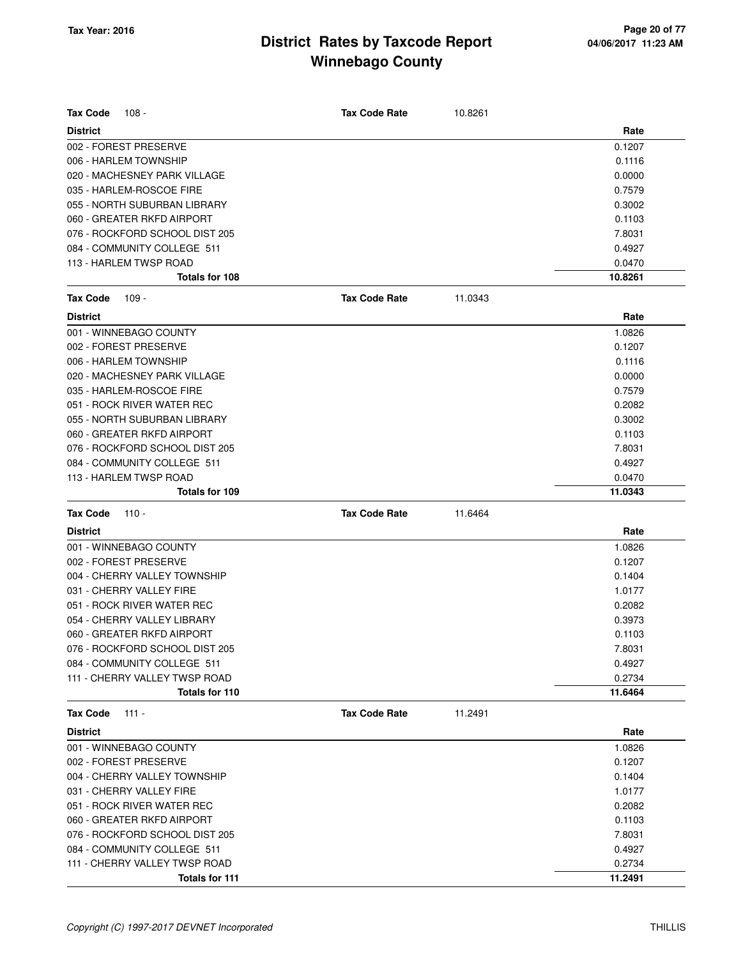| <b>Tax Code</b><br>$108 -$     | <b>Tax Code Rate</b> | 10.8261 |         |
|--------------------------------|----------------------|---------|---------|
| <b>District</b>                |                      |         | Rate    |
| 002 - FOREST PRESERVE          |                      |         | 0.1207  |
| 006 - HARLEM TOWNSHIP          |                      |         | 0.1116  |
| 020 - MACHESNEY PARK VILLAGE   |                      |         | 0.0000  |
| 035 - HARLEM-ROSCOE FIRE       |                      |         | 0.7579  |
| 055 - NORTH SUBURBAN LIBRARY   |                      |         | 0.3002  |
| 060 - GREATER RKFD AIRPORT     |                      |         | 0.1103  |
| 076 - ROCKFORD SCHOOL DIST 205 |                      |         | 7.8031  |
| 084 - COMMUNITY COLLEGE 511    |                      |         | 0.4927  |
| 113 - HARLEM TWSP ROAD         |                      |         | 0.0470  |
| Totals for 108                 |                      |         | 10.8261 |
| <b>Tax Code</b><br>109 -       | <b>Tax Code Rate</b> | 11.0343 |         |
| <b>District</b>                |                      |         | Rate    |
| 001 - WINNEBAGO COUNTY         |                      |         | 1.0826  |
| 002 - FOREST PRESERVE          |                      |         | 0.1207  |
| 006 - HARLEM TOWNSHIP          |                      |         | 0.1116  |
| 020 - MACHESNEY PARK VILLAGE   |                      |         | 0.0000  |
| 035 - HARLEM-ROSCOE FIRE       |                      |         | 0.7579  |
| 051 - ROCK RIVER WATER REC     |                      |         | 0.2082  |
| 055 - NORTH SUBURBAN LIBRARY   |                      |         | 0.3002  |
| 060 - GREATER RKFD AIRPORT     |                      |         | 0.1103  |
| 076 - ROCKFORD SCHOOL DIST 205 |                      |         | 7.8031  |
| 084 - COMMUNITY COLLEGE 511    |                      |         | 0.4927  |
| 113 - HARLEM TWSP ROAD         |                      |         | 0.0470  |
| Totals for 109                 |                      |         | 11.0343 |
| <b>Tax Code</b><br>$110 -$     | <b>Tax Code Rate</b> | 11.6464 |         |
| <b>District</b>                |                      |         | Rate    |
| 001 - WINNEBAGO COUNTY         |                      |         | 1.0826  |
| 002 - FOREST PRESERVE          |                      |         | 0.1207  |
| 004 - CHERRY VALLEY TOWNSHIP   |                      |         | 0.1404  |
| 031 - CHERRY VALLEY FIRE       |                      |         | 1.0177  |
| 051 - ROCK RIVER WATER REC     |                      |         | 0.2082  |
| 054 - CHERRY VALLEY LIBRARY    |                      |         | 0.3973  |
| 060 - GREATER RKFD AIRPORT     |                      |         | 0.1103  |
| 076 - ROCKFORD SCHOOL DIST 205 |                      |         | 7.8031  |
| 084 - COMMUNITY COLLEGE 511    |                      |         | 0.4927  |
| 111 - CHERRY VALLEY TWSP ROAD  |                      |         | 0.2734  |
| Totals for 110                 |                      |         | 11.6464 |
| $111 -$<br><b>Tax Code</b>     | <b>Tax Code Rate</b> | 11.2491 |         |
| <b>District</b>                |                      |         | Rate    |
| 001 - WINNEBAGO COUNTY         |                      |         | 1.0826  |
| 002 - FOREST PRESERVE          |                      |         | 0.1207  |
| 004 - CHERRY VALLEY TOWNSHIP   |                      |         | 0.1404  |
| 031 - CHERRY VALLEY FIRE       |                      |         | 1.0177  |
| 051 - ROCK RIVER WATER REC     |                      |         | 0.2082  |
| 060 - GREATER RKFD AIRPORT     |                      |         | 0.1103  |
| 076 - ROCKFORD SCHOOL DIST 205 |                      |         | 7.8031  |
| 084 - COMMUNITY COLLEGE 511    |                      |         | 0.4927  |
| 111 - CHERRY VALLEY TWSP ROAD  |                      |         | 0.2734  |
| Totals for 111                 |                      |         | 11.2491 |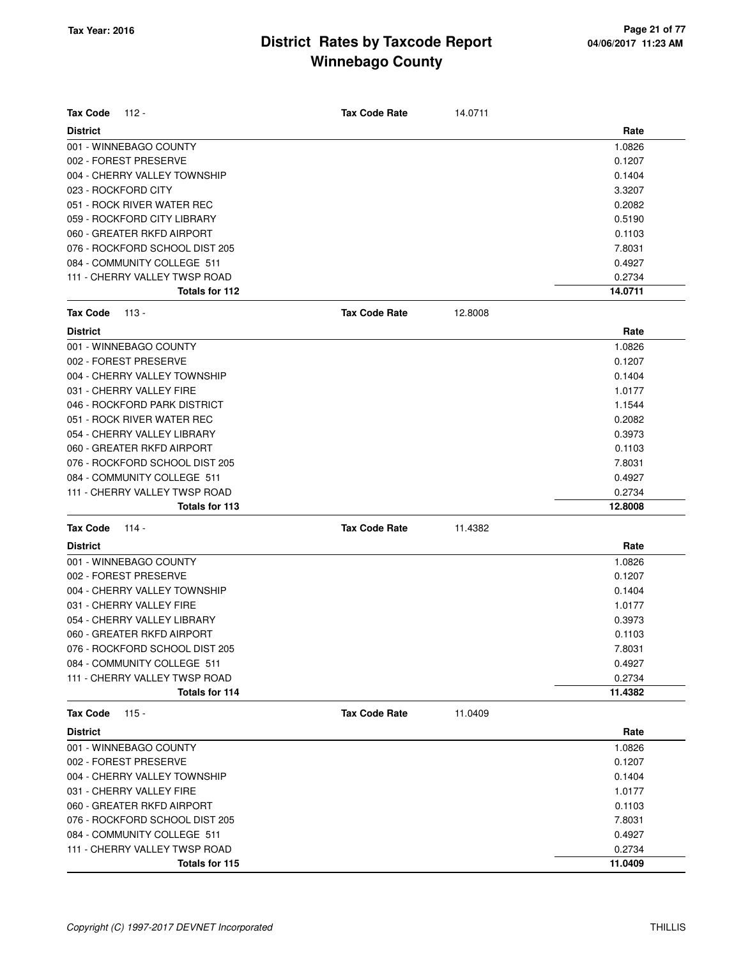| <b>Tax Code</b>     | 112 -                          | <b>Tax Code Rate</b> | 14.0711 |         |
|---------------------|--------------------------------|----------------------|---------|---------|
| <b>District</b>     |                                |                      |         | Rate    |
|                     | 001 - WINNEBAGO COUNTY         |                      |         | 1.0826  |
|                     | 002 - FOREST PRESERVE          |                      |         | 0.1207  |
|                     | 004 - CHERRY VALLEY TOWNSHIP   |                      |         | 0.1404  |
| 023 - ROCKFORD CITY |                                |                      |         | 3.3207  |
|                     | 051 - ROCK RIVER WATER REC     |                      |         | 0.2082  |
|                     | 059 - ROCKFORD CITY LIBRARY    |                      |         | 0.5190  |
|                     | 060 - GREATER RKFD AIRPORT     |                      |         | 0.1103  |
|                     | 076 - ROCKFORD SCHOOL DIST 205 |                      |         | 7.8031  |
|                     | 084 - COMMUNITY COLLEGE 511    |                      |         | 0.4927  |
|                     | 111 - CHERRY VALLEY TWSP ROAD  |                      |         | 0.2734  |
|                     | Totals for 112                 |                      |         | 14.0711 |
| <b>Tax Code</b>     | 113 -                          | <b>Tax Code Rate</b> | 12.8008 |         |
| <b>District</b>     |                                |                      |         | Rate    |
|                     | 001 - WINNEBAGO COUNTY         |                      |         | 1.0826  |
|                     | 002 - FOREST PRESERVE          |                      |         | 0.1207  |
|                     | 004 - CHERRY VALLEY TOWNSHIP   |                      |         | 0.1404  |
|                     | 031 - CHERRY VALLEY FIRE       |                      |         | 1.0177  |
|                     | 046 - ROCKFORD PARK DISTRICT   |                      |         | 1.1544  |
|                     | 051 - ROCK RIVER WATER REC     |                      |         | 0.2082  |
|                     | 054 - CHERRY VALLEY LIBRARY    |                      |         | 0.3973  |
|                     | 060 - GREATER RKFD AIRPORT     |                      |         | 0.1103  |
|                     | 076 - ROCKFORD SCHOOL DIST 205 |                      |         | 7.8031  |
|                     | 084 - COMMUNITY COLLEGE 511    |                      |         | 0.4927  |
|                     | 111 - CHERRY VALLEY TWSP ROAD  |                      |         | 0.2734  |
|                     | Totals for 113                 |                      |         | 12.8008 |
| <b>Tax Code</b>     | 114 -                          | <b>Tax Code Rate</b> | 11.4382 |         |
| <b>District</b>     |                                |                      |         | Rate    |
|                     | 001 - WINNEBAGO COUNTY         |                      |         | 1.0826  |
|                     | 002 - FOREST PRESERVE          |                      |         | 0.1207  |
|                     | 004 - CHERRY VALLEY TOWNSHIP   |                      |         | 0.1404  |
|                     | 031 - CHERRY VALLEY FIRE       |                      |         | 1.0177  |
|                     | 054 - CHERRY VALLEY LIBRARY    |                      |         | 0.3973  |
|                     | 060 - GREATER RKFD AIRPORT     |                      |         | 0.1103  |
|                     | 076 - ROCKFORD SCHOOL DIST 205 |                      |         | 7.8031  |
|                     | 084 - COMMUNITY COLLEGE 511    |                      |         | 0.4927  |
|                     | 111 - CHERRY VALLEY TWSP ROAD  |                      |         | 0.2734  |
|                     | Totals for 114                 |                      |         | 11.4382 |
| <b>Tax Code</b>     | $115 -$                        | <b>Tax Code Rate</b> | 11.0409 |         |
| <b>District</b>     |                                |                      |         | Rate    |
|                     | 001 - WINNEBAGO COUNTY         |                      |         | 1.0826  |
|                     | 002 - FOREST PRESERVE          |                      |         | 0.1207  |
|                     | 004 - CHERRY VALLEY TOWNSHIP   |                      |         | 0.1404  |
|                     | 031 - CHERRY VALLEY FIRE       |                      |         | 1.0177  |
|                     | 060 - GREATER RKFD AIRPORT     |                      |         | 0.1103  |
|                     | 076 - ROCKFORD SCHOOL DIST 205 |                      |         | 7.8031  |
|                     | 084 - COMMUNITY COLLEGE 511    |                      |         | 0.4927  |
|                     | 111 - CHERRY VALLEY TWSP ROAD  |                      |         | 0.2734  |
|                     | Totals for 115                 |                      |         | 11.0409 |
|                     |                                |                      |         |         |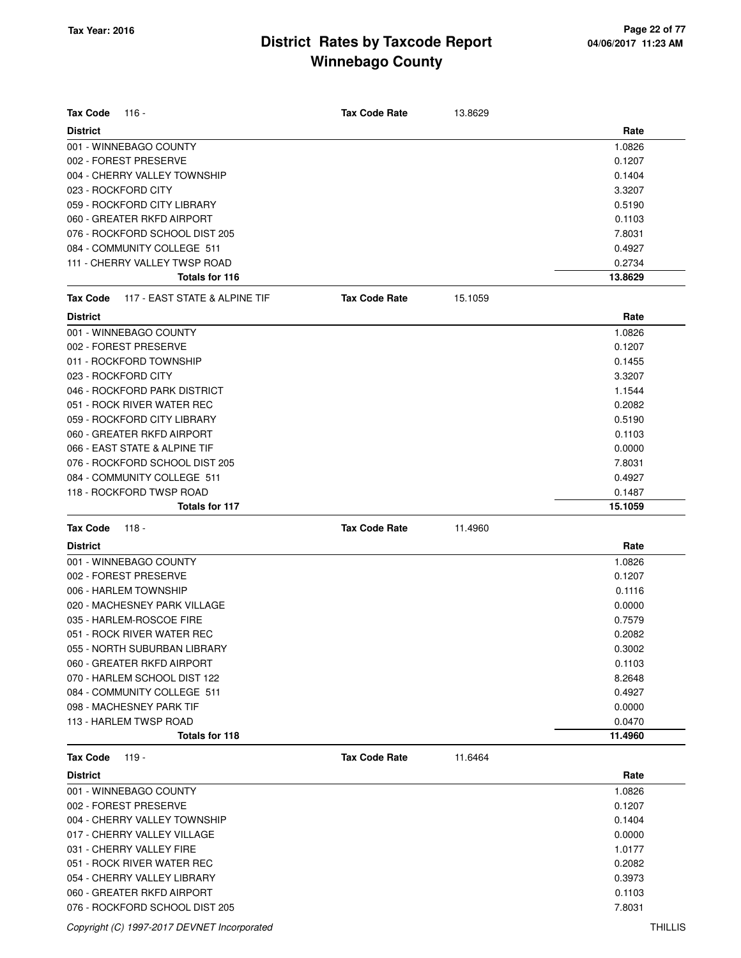| <b>Tax Code</b><br>- 116                         | <b>Tax Code Rate</b> | 13.8629 |         |
|--------------------------------------------------|----------------------|---------|---------|
| <b>District</b>                                  |                      |         | Rate    |
| 001 - WINNEBAGO COUNTY                           |                      |         | 1.0826  |
| 002 - FOREST PRESERVE                            |                      |         | 0.1207  |
| 004 - CHERRY VALLEY TOWNSHIP                     |                      |         | 0.1404  |
| 023 - ROCKFORD CITY                              |                      |         | 3.3207  |
| 059 - ROCKFORD CITY LIBRARY                      |                      |         | 0.5190  |
| 060 - GREATER RKFD AIRPORT                       |                      |         | 0.1103  |
| 076 - ROCKFORD SCHOOL DIST 205                   |                      |         | 7.8031  |
| 084 - COMMUNITY COLLEGE 511                      |                      |         | 0.4927  |
| 111 - CHERRY VALLEY TWSP ROAD                    |                      |         | 0.2734  |
| Totals for 116                                   |                      |         | 13.8629 |
| 117 - EAST STATE & ALPINE TIF<br><b>Tax Code</b> | <b>Tax Code Rate</b> | 15.1059 |         |
| <b>District</b>                                  |                      |         | Rate    |
| 001 - WINNEBAGO COUNTY                           |                      |         | 1.0826  |
| 002 - FOREST PRESERVE                            |                      |         | 0.1207  |
| 011 - ROCKFORD TOWNSHIP                          |                      |         | 0.1455  |
| 023 - ROCKFORD CITY                              |                      |         | 3.3207  |
| 046 - ROCKFORD PARK DISTRICT                     |                      |         | 1.1544  |
| 051 - ROCK RIVER WATER REC                       |                      |         | 0.2082  |
| 059 - ROCKFORD CITY LIBRARY                      |                      |         | 0.5190  |
| 060 - GREATER RKFD AIRPORT                       |                      |         | 0.1103  |
| 066 - EAST STATE & ALPINE TIF                    |                      |         | 0.0000  |
| 076 - ROCKFORD SCHOOL DIST 205                   |                      |         | 7.8031  |
| 084 - COMMUNITY COLLEGE 511                      |                      |         | 0.4927  |
| 118 - ROCKFORD TWSP ROAD                         |                      |         | 0.1487  |
| Totals for 117                                   |                      |         | 15.1059 |
| <b>Tax Code</b><br>118 -                         | <b>Tax Code Rate</b> | 11.4960 |         |
| <b>District</b>                                  |                      |         | Rate    |
| 001 - WINNEBAGO COUNTY                           |                      |         | 1.0826  |
| 002 - FOREST PRESERVE                            |                      |         | 0.1207  |
| 006 - HARLEM TOWNSHIP                            |                      |         | 0.1116  |
| 020 - MACHESNEY PARK VILLAGE                     |                      |         | 0.0000  |
| 035 - HARLEM-ROSCOE FIRE                         |                      |         | 0.7579  |
| 051 - ROCK RIVER WATER REC                       |                      |         | 0.2082  |
| 055 - NORTH SUBURBAN LIBRARY                     |                      |         | 0.3002  |
| 060 - GREATER RKFD AIRPORT                       |                      |         | 0.1103  |
| 070 - HARLEM SCHOOL DIST 122                     |                      |         | 8.2648  |
| 084 - COMMUNITY COLLEGE 511                      |                      |         | 0.4927  |
| 098 - MACHESNEY PARK TIF                         |                      |         | 0.0000  |
| 113 - HARLEM TWSP ROAD                           |                      |         | 0.0470  |
| Totals for 118                                   |                      |         | 11.4960 |
| <b>Tax Code</b><br>119 -                         | <b>Tax Code Rate</b> | 11.6464 |         |
| <b>District</b>                                  |                      |         | Rate    |
| 001 - WINNEBAGO COUNTY                           |                      |         | 1.0826  |
| 002 - FOREST PRESERVE                            |                      |         | 0.1207  |
| 004 - CHERRY VALLEY TOWNSHIP                     |                      |         | 0.1404  |
| 017 - CHERRY VALLEY VILLAGE                      |                      |         | 0.0000  |
| 031 - CHERRY VALLEY FIRE                         |                      |         | 1.0177  |
| 051 - ROCK RIVER WATER REC                       |                      |         | 0.2082  |
| 054 - CHERRY VALLEY LIBRARY                      |                      |         | 0.3973  |
| 060 - GREATER RKFD AIRPORT                       |                      |         | 0.1103  |
| 076 - ROCKFORD SCHOOL DIST 205                   |                      |         | 7.8031  |

Copyright (C) 1997-2017 DEVNET Incorporated THILLIS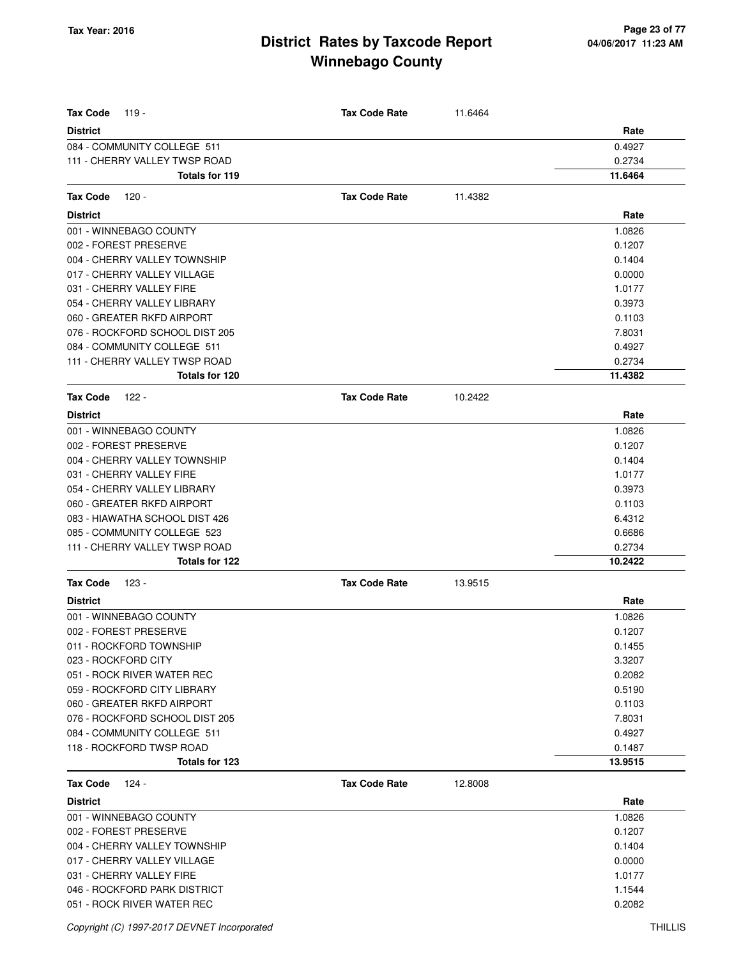| <b>Tax Code</b><br>119 -       | <b>Tax Code Rate</b> | 11.6464 |         |
|--------------------------------|----------------------|---------|---------|
| <b>District</b>                |                      |         | Rate    |
| 084 - COMMUNITY COLLEGE 511    |                      |         | 0.4927  |
| 111 - CHERRY VALLEY TWSP ROAD  |                      |         | 0.2734  |
| Totals for 119                 |                      |         | 11.6464 |
|                                |                      |         |         |
| <b>Tax Code</b><br>120 -       | <b>Tax Code Rate</b> | 11.4382 |         |
| <b>District</b>                |                      |         | Rate    |
| 001 - WINNEBAGO COUNTY         |                      |         | 1.0826  |
| 002 - FOREST PRESERVE          |                      |         | 0.1207  |
| 004 - CHERRY VALLEY TOWNSHIP   |                      |         | 0.1404  |
| 017 - CHERRY VALLEY VILLAGE    |                      |         | 0.0000  |
| 031 - CHERRY VALLEY FIRE       |                      |         | 1.0177  |
| 054 - CHERRY VALLEY LIBRARY    |                      |         | 0.3973  |
| 060 - GREATER RKFD AIRPORT     |                      |         | 0.1103  |
| 076 - ROCKFORD SCHOOL DIST 205 |                      |         | 7.8031  |
| 084 - COMMUNITY COLLEGE 511    |                      |         | 0.4927  |
| 111 - CHERRY VALLEY TWSP ROAD  |                      |         | 0.2734  |
| Totals for 120                 |                      |         | 11.4382 |
| <b>Tax Code</b><br>122 -       | <b>Tax Code Rate</b> | 10.2422 |         |
| <b>District</b>                |                      |         | Rate    |
| 001 - WINNEBAGO COUNTY         |                      |         | 1.0826  |
| 002 - FOREST PRESERVE          |                      |         | 0.1207  |
| 004 - CHERRY VALLEY TOWNSHIP   |                      |         | 0.1404  |
| 031 - CHERRY VALLEY FIRE       |                      |         | 1.0177  |
| 054 - CHERRY VALLEY LIBRARY    |                      |         | 0.3973  |
| 060 - GREATER RKFD AIRPORT     |                      |         | 0.1103  |
| 083 - HIAWATHA SCHOOL DIST 426 |                      |         | 6.4312  |
| 085 - COMMUNITY COLLEGE 523    |                      |         | 0.6686  |
| 111 - CHERRY VALLEY TWSP ROAD  |                      |         | 0.2734  |
| Totals for 122                 |                      |         | 10.2422 |
| <b>Tax Code</b><br>123 -       | <b>Tax Code Rate</b> | 13.9515 |         |
| <b>District</b>                |                      |         | Rate    |
| 001 - WINNEBAGO COUNTY         |                      |         | 1.0826  |
| 002 - FOREST PRESERVE          |                      |         | 0.1207  |
| 011 - ROCKFORD TOWNSHIP        |                      |         | 0.1455  |
| 023 - ROCKFORD CITY            |                      |         | 3.3207  |
| 051 - ROCK RIVER WATER REC     |                      |         | 0.2082  |
| 059 - ROCKFORD CITY LIBRARY    |                      |         | 0.5190  |
| 060 - GREATER RKFD AIRPORT     |                      |         | 0.1103  |
| 076 - ROCKFORD SCHOOL DIST 205 |                      |         | 7.8031  |
| 084 - COMMUNITY COLLEGE 511    |                      |         | 0.4927  |
| 118 - ROCKFORD TWSP ROAD       |                      |         | 0.1487  |
| Totals for 123                 |                      |         | 13.9515 |
| <b>Tax Code</b><br>124 -       | <b>Tax Code Rate</b> | 12.8008 |         |
| <b>District</b>                |                      |         | Rate    |
| 001 - WINNEBAGO COUNTY         |                      |         | 1.0826  |
| 002 - FOREST PRESERVE          |                      |         | 0.1207  |
| 004 - CHERRY VALLEY TOWNSHIP   |                      |         | 0.1404  |
| 017 - CHERRY VALLEY VILLAGE    |                      |         | 0.0000  |
| 031 - CHERRY VALLEY FIRE       |                      |         | 1.0177  |
| 046 - ROCKFORD PARK DISTRICT   |                      |         | 1.1544  |
| 051 - ROCK RIVER WATER REC     |                      |         | 0.2082  |
|                                |                      |         |         |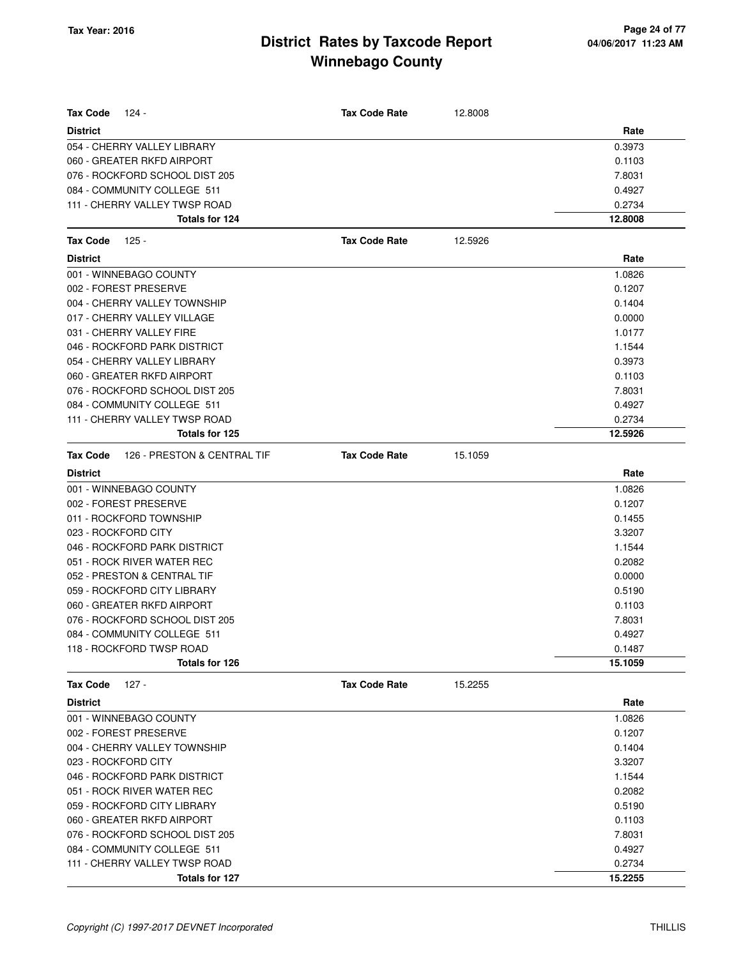| Tax Code<br>124 -                       | <b>Tax Code Rate</b> | 12,8008 |         |
|-----------------------------------------|----------------------|---------|---------|
| <b>District</b>                         |                      |         | Rate    |
| 054 - CHERRY VALLEY LIBRARY             |                      |         | 0.3973  |
| 060 - GREATER RKFD AIRPORT              |                      |         | 0.1103  |
| 076 - ROCKFORD SCHOOL DIST 205          |                      |         | 7.8031  |
| 084 - COMMUNITY COLLEGE 511             |                      |         | 0.4927  |
| 111 - CHERRY VALLEY TWSP ROAD           |                      |         | 0.2734  |
| Totals for 124                          |                      |         | 12.8008 |
| 125 -<br>Tax Code                       | <b>Tax Code Rate</b> | 12.5926 |         |
| <b>District</b>                         |                      |         | Rate    |
| 001 - WINNEBAGO COUNTY                  |                      |         | 1.0826  |
| 002 - FOREST PRESERVE                   |                      |         | 0.1207  |
| 004 - CHERRY VALLEY TOWNSHIP            |                      |         | 0.1404  |
| 017 - CHERRY VALLEY VILLAGE             |                      |         | 0.0000  |
| 031 - CHERRY VALLEY FIRE                |                      |         | 1.0177  |
| 046 - ROCKFORD PARK DISTRICT            |                      |         | 1.1544  |
| 054 - CHERRY VALLEY LIBRARY             |                      |         | 0.3973  |
| 060 - GREATER RKFD AIRPORT              |                      |         | 0.1103  |
| 076 - ROCKFORD SCHOOL DIST 205          |                      |         | 7.8031  |
| 084 - COMMUNITY COLLEGE 511             |                      |         | 0.4927  |
| 111 - CHERRY VALLEY TWSP ROAD           |                      |         | 0.2734  |
| Totals for 125                          |                      |         | 12.5926 |
| 126 - PRESTON & CENTRAL TIF<br>Tax Code | <b>Tax Code Rate</b> | 15.1059 |         |
| <b>District</b>                         |                      |         | Rate    |
| 001 - WINNEBAGO COUNTY                  |                      |         | 1.0826  |
| 002 - FOREST PRESERVE                   |                      |         | 0.1207  |
| 011 - ROCKFORD TOWNSHIP                 |                      |         | 0.1455  |
| 023 - ROCKFORD CITY                     |                      |         | 3.3207  |
| 046 - ROCKFORD PARK DISTRICT            |                      |         | 1.1544  |
| 051 - ROCK RIVER WATER REC              |                      |         | 0.2082  |
| 052 - PRESTON & CENTRAL TIF             |                      |         | 0.0000  |
| 059 - ROCKFORD CITY LIBRARY             |                      |         | 0.5190  |
| 060 - GREATER RKFD AIRPORT              |                      |         | 0.1103  |
| 076 - ROCKFORD SCHOOL DIST 205          |                      |         | 7.8031  |
| 084 - COMMUNITY COLLEGE 511             |                      |         | 0.4927  |
| 118 - ROCKFORD TWSP ROAD                |                      |         | 0.1487  |
| Totals for 126                          |                      |         | 15.1059 |
| $127 -$<br>Tax Code                     | <b>Tax Code Rate</b> | 15.2255 |         |
| <b>District</b>                         |                      |         | Rate    |
| 001 - WINNEBAGO COUNTY                  |                      |         | 1.0826  |
| 002 - FOREST PRESERVE                   |                      |         | 0.1207  |
| 004 - CHERRY VALLEY TOWNSHIP            |                      |         | 0.1404  |
| 023 - ROCKFORD CITY                     |                      |         | 3.3207  |
| 046 - ROCKFORD PARK DISTRICT            |                      |         | 1.1544  |
| 051 - ROCK RIVER WATER REC              |                      |         | 0.2082  |
| 059 - ROCKFORD CITY LIBRARY             |                      |         | 0.5190  |
| 060 - GREATER RKFD AIRPORT              |                      |         | 0.1103  |
| 076 - ROCKFORD SCHOOL DIST 205          |                      |         | 7.8031  |
| 084 - COMMUNITY COLLEGE 511             |                      |         | 0.4927  |
| 111 - CHERRY VALLEY TWSP ROAD           |                      |         | 0.2734  |
| Totals for 127                          |                      |         | 15.2255 |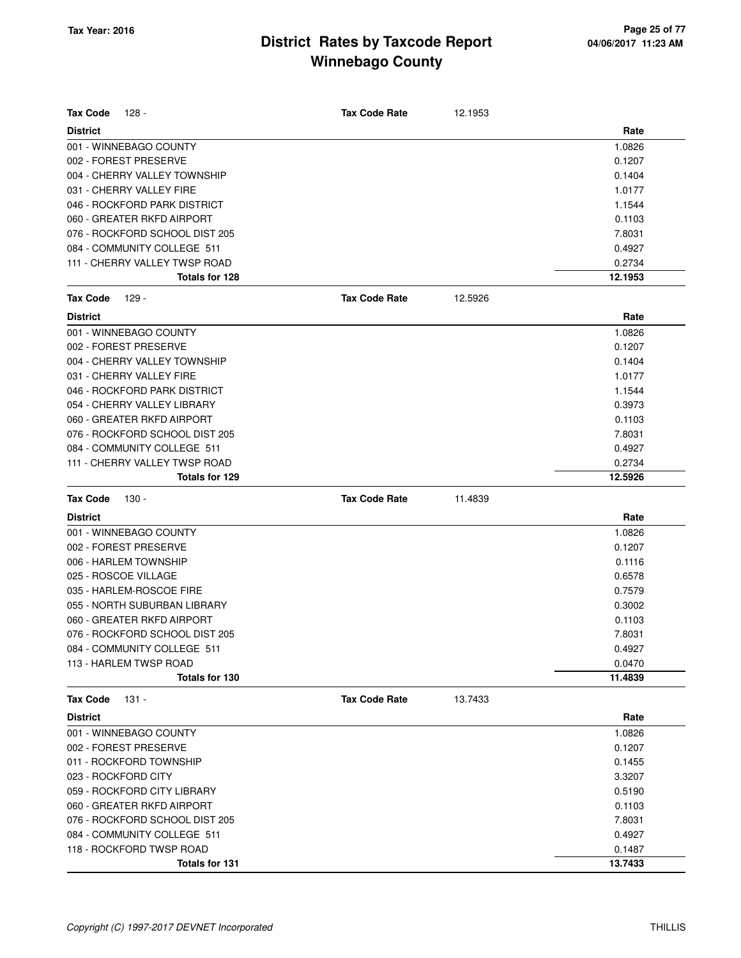| $128 -$<br><b>Tax Code</b>                              | <b>Tax Code Rate</b> | 12.1953 |                  |
|---------------------------------------------------------|----------------------|---------|------------------|
| <b>District</b>                                         |                      |         | Rate             |
| 001 - WINNEBAGO COUNTY                                  |                      |         | 1.0826           |
| 002 - FOREST PRESERVE                                   |                      |         | 0.1207           |
| 004 - CHERRY VALLEY TOWNSHIP                            |                      |         | 0.1404           |
| 031 - CHERRY VALLEY FIRE                                |                      |         | 1.0177           |
| 046 - ROCKFORD PARK DISTRICT                            |                      |         | 1.1544           |
| 060 - GREATER RKFD AIRPORT                              |                      |         | 0.1103           |
| 076 - ROCKFORD SCHOOL DIST 205                          |                      |         | 7.8031           |
| 084 - COMMUNITY COLLEGE 511                             |                      |         | 0.4927           |
| 111 - CHERRY VALLEY TWSP ROAD                           |                      |         | 0.2734           |
| <b>Totals for 128</b>                                   |                      |         | 12.1953          |
| <b>Tax Code</b><br>$129 -$                              | <b>Tax Code Rate</b> | 12.5926 |                  |
| <b>District</b>                                         |                      |         | Rate             |
| 001 - WINNEBAGO COUNTY                                  |                      |         | 1.0826           |
| 002 - FOREST PRESERVE                                   |                      |         | 0.1207           |
| 004 - CHERRY VALLEY TOWNSHIP                            |                      |         | 0.1404           |
| 031 - CHERRY VALLEY FIRE                                |                      |         | 1.0177           |
| 046 - ROCKFORD PARK DISTRICT                            |                      |         | 1.1544           |
| 054 - CHERRY VALLEY LIBRARY                             |                      |         | 0.3973           |
| 060 - GREATER RKFD AIRPORT                              |                      |         | 0.1103           |
| 076 - ROCKFORD SCHOOL DIST 205                          |                      |         | 7.8031           |
| 084 - COMMUNITY COLLEGE 511                             |                      |         | 0.4927           |
| 111 - CHERRY VALLEY TWSP ROAD                           |                      |         | 0.2734           |
| Totals for 129                                          |                      |         | 12.5926          |
| <b>Tax Code</b><br>130 -                                | <b>Tax Code Rate</b> | 11.4839 |                  |
| <b>District</b>                                         |                      |         | Rate             |
| 001 - WINNEBAGO COUNTY                                  |                      |         | 1.0826           |
| 002 - FOREST PRESERVE                                   |                      |         | 0.1207           |
| 006 - HARLEM TOWNSHIP                                   |                      |         | 0.1116           |
| 025 - ROSCOE VILLAGE                                    |                      |         | 0.6578           |
| 035 - HARLEM-ROSCOE FIRE                                |                      |         | 0.7579           |
| 055 - NORTH SUBURBAN LIBRARY                            |                      |         | 0.3002           |
| 060 - GREATER RKFD AIRPORT                              |                      |         | 0.1103           |
| 076 - ROCKFORD SCHOOL DIST 205                          |                      |         | 7.8031           |
| 084 - COMMUNITY COLLEGE 511                             |                      |         | 0.4927           |
| 113 - HARLEM TWSP ROAD                                  |                      |         | 0.0470           |
| Totals for 130                                          |                      |         | 11.4839          |
| <b>Tax Code</b><br>131 -                                | <b>Tax Code Rate</b> | 13.7433 |                  |
| <b>District</b>                                         |                      |         | Rate             |
| 001 - WINNEBAGO COUNTY                                  |                      |         | 1.0826           |
| 002 - FOREST PRESERVE                                   |                      |         | 0.1207           |
| 011 - ROCKFORD TOWNSHIP                                 |                      |         | 0.1455           |
|                                                         |                      |         |                  |
|                                                         |                      |         |                  |
| 023 - ROCKFORD CITY                                     |                      |         | 3.3207           |
| 059 - ROCKFORD CITY LIBRARY                             |                      |         | 0.5190           |
| 060 - GREATER RKFD AIRPORT                              |                      |         | 0.1103           |
| 076 - ROCKFORD SCHOOL DIST 205                          |                      |         | 7.8031           |
| 084 - COMMUNITY COLLEGE 511<br>118 - ROCKFORD TWSP ROAD |                      |         | 0.4927<br>0.1487 |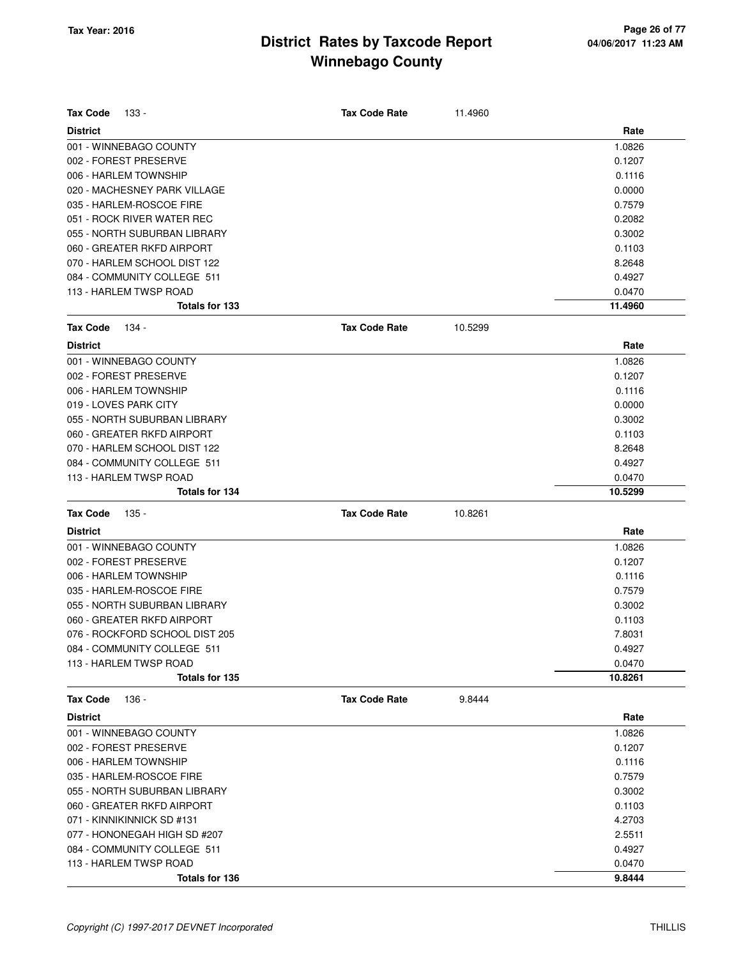| <b>Tax Code</b> | 133 -                          | <b>Tax Code Rate</b> | 11.4960 |         |
|-----------------|--------------------------------|----------------------|---------|---------|
| <b>District</b> |                                |                      |         | Rate    |
|                 | 001 - WINNEBAGO COUNTY         |                      |         | 1.0826  |
|                 | 002 - FOREST PRESERVE          |                      |         | 0.1207  |
|                 | 006 - HARLEM TOWNSHIP          |                      |         | 0.1116  |
|                 | 020 - MACHESNEY PARK VILLAGE   |                      |         | 0.0000  |
|                 | 035 - HARLEM-ROSCOE FIRE       |                      |         | 0.7579  |
|                 | 051 - ROCK RIVER WATER REC     |                      |         | 0.2082  |
|                 | 055 - NORTH SUBURBAN LIBRARY   |                      |         | 0.3002  |
|                 | 060 - GREATER RKFD AIRPORT     |                      |         | 0.1103  |
|                 | 070 - HARLEM SCHOOL DIST 122   |                      |         | 8.2648  |
|                 | 084 - COMMUNITY COLLEGE 511    |                      |         | 0.4927  |
|                 | 113 - HARLEM TWSP ROAD         |                      |         | 0.0470  |
|                 | <b>Totals for 133</b>          |                      |         | 11.4960 |
| <b>Tax Code</b> | 134 -                          | <b>Tax Code Rate</b> | 10.5299 |         |
| <b>District</b> |                                |                      |         | Rate    |
|                 | 001 - WINNEBAGO COUNTY         |                      |         | 1.0826  |
|                 | 002 - FOREST PRESERVE          |                      |         | 0.1207  |
|                 | 006 - HARLEM TOWNSHIP          |                      |         | 0.1116  |
|                 | 019 - LOVES PARK CITY          |                      |         | 0.0000  |
|                 | 055 - NORTH SUBURBAN LIBRARY   |                      |         | 0.3002  |
|                 | 060 - GREATER RKFD AIRPORT     |                      |         | 0.1103  |
|                 | 070 - HARLEM SCHOOL DIST 122   |                      |         | 8.2648  |
|                 | 084 - COMMUNITY COLLEGE 511    |                      |         | 0.4927  |
|                 | 113 - HARLEM TWSP ROAD         |                      |         | 0.0470  |
|                 | <b>Totals for 134</b>          |                      |         | 10.5299 |
| <b>Tax Code</b> | $135 -$                        | <b>Tax Code Rate</b> | 10.8261 |         |
| <b>District</b> |                                |                      |         | Rate    |
|                 | 001 - WINNEBAGO COUNTY         |                      |         | 1.0826  |
|                 | 002 - FOREST PRESERVE          |                      |         | 0.1207  |
|                 | 006 - HARLEM TOWNSHIP          |                      |         | 0.1116  |
|                 | 035 - HARLEM-ROSCOE FIRE       |                      |         | 0.7579  |
|                 | 055 - NORTH SUBURBAN LIBRARY   |                      |         | 0.3002  |
|                 | 060 - GREATER RKFD AIRPORT     |                      |         | 0.1103  |
|                 | 076 - ROCKFORD SCHOOL DIST 205 |                      |         | 7.8031  |
|                 | 084 - COMMUNITY COLLEGE 511    |                      |         | 0.4927  |
|                 | 113 - HARLEM TWSP ROAD         |                      |         | 0.0470  |
|                 | Totals for 135                 |                      |         | 10.8261 |
| <b>Tax Code</b> | 136 -                          | <b>Tax Code Rate</b> | 9.8444  |         |
| <b>District</b> |                                |                      |         | Rate    |
|                 | 001 - WINNEBAGO COUNTY         |                      |         | 1.0826  |
|                 | 002 - FOREST PRESERVE          |                      |         | 0.1207  |
|                 | 006 - HARLEM TOWNSHIP          |                      |         | 0.1116  |
|                 | 035 - HARLEM-ROSCOE FIRE       |                      |         | 0.7579  |
|                 | 055 - NORTH SUBURBAN LIBRARY   |                      |         | 0.3002  |
|                 |                                |                      |         |         |
|                 | 060 - GREATER RKFD AIRPORT     |                      |         | 0.1103  |
|                 | 071 - KINNIKINNICK SD #131     |                      |         | 4.2703  |
|                 | 077 - HONONEGAH HIGH SD #207   |                      |         | 2.5511  |
|                 | 084 - COMMUNITY COLLEGE 511    |                      |         | 0.4927  |
|                 | 113 - HARLEM TWSP ROAD         |                      |         | 0.0470  |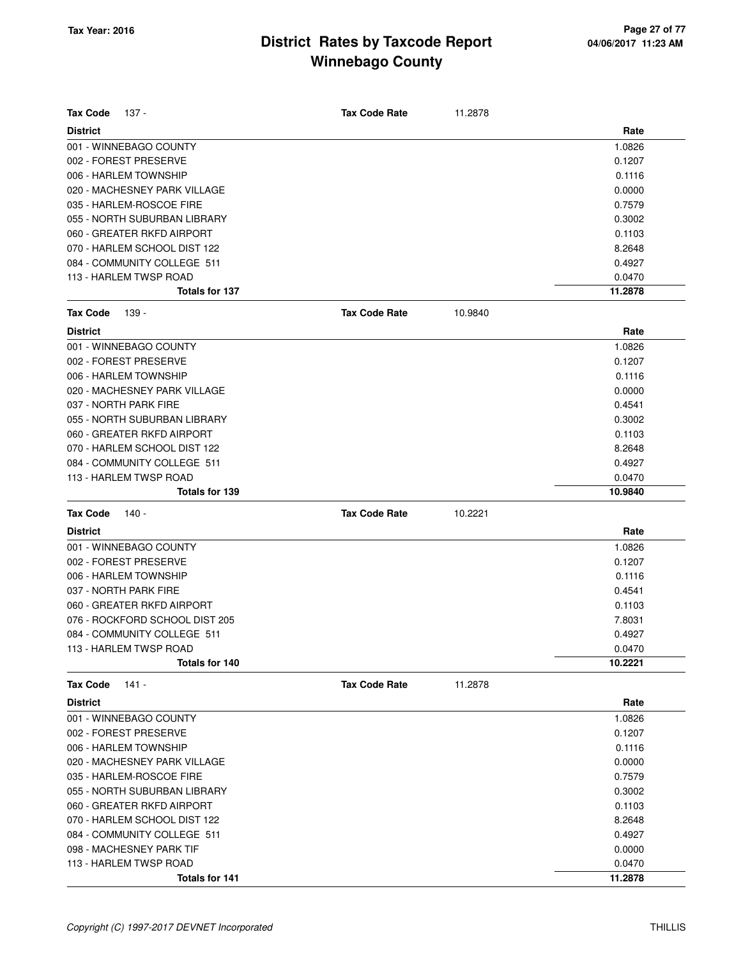| <b>Tax Code</b> | 137 -                          | <b>Tax Code Rate</b> | 11.2878 |         |
|-----------------|--------------------------------|----------------------|---------|---------|
| <b>District</b> |                                |                      |         | Rate    |
|                 | 001 - WINNEBAGO COUNTY         |                      |         | 1.0826  |
|                 | 002 - FOREST PRESERVE          |                      |         | 0.1207  |
|                 | 006 - HARLEM TOWNSHIP          |                      |         | 0.1116  |
|                 | 020 - MACHESNEY PARK VILLAGE   |                      |         | 0.0000  |
|                 | 035 - HARLEM-ROSCOE FIRE       |                      |         | 0.7579  |
|                 | 055 - NORTH SUBURBAN LIBRARY   |                      |         | 0.3002  |
|                 | 060 - GREATER RKFD AIRPORT     |                      |         | 0.1103  |
|                 | 070 - HARLEM SCHOOL DIST 122   |                      |         | 8.2648  |
|                 | 084 - COMMUNITY COLLEGE 511    |                      |         | 0.4927  |
|                 | 113 - HARLEM TWSP ROAD         |                      |         | 0.0470  |
|                 | <b>Totals for 137</b>          |                      |         | 11.2878 |
| <b>Tax Code</b> | 139 -                          | <b>Tax Code Rate</b> | 10.9840 |         |
| <b>District</b> |                                |                      |         | Rate    |
|                 | 001 - WINNEBAGO COUNTY         |                      |         | 1.0826  |
|                 | 002 - FOREST PRESERVE          |                      |         | 0.1207  |
|                 | 006 - HARLEM TOWNSHIP          |                      |         | 0.1116  |
|                 | 020 - MACHESNEY PARK VILLAGE   |                      |         | 0.0000  |
|                 | 037 - NORTH PARK FIRE          |                      |         | 0.4541  |
|                 | 055 - NORTH SUBURBAN LIBRARY   |                      |         | 0.3002  |
|                 | 060 - GREATER RKFD AIRPORT     |                      |         | 0.1103  |
|                 | 070 - HARLEM SCHOOL DIST 122   |                      |         | 8.2648  |
|                 | 084 - COMMUNITY COLLEGE 511    |                      |         | 0.4927  |
|                 | 113 - HARLEM TWSP ROAD         |                      |         | 0.0470  |
|                 | Totals for 139                 |                      |         | 10.9840 |
| <b>Tax Code</b> | 140 -                          | <b>Tax Code Rate</b> | 10.2221 |         |
| <b>District</b> |                                |                      |         | Rate    |
|                 | 001 - WINNEBAGO COUNTY         |                      |         | 1.0826  |
|                 | 002 - FOREST PRESERVE          |                      |         | 0.1207  |
|                 | 006 - HARLEM TOWNSHIP          |                      |         | 0.1116  |
|                 | 037 - NORTH PARK FIRE          |                      |         | 0.4541  |
|                 | 060 - GREATER RKFD AIRPORT     |                      |         | 0.1103  |
|                 | 076 - ROCKFORD SCHOOL DIST 205 |                      |         | 7.8031  |
|                 | 084 - COMMUNITY COLLEGE 511    |                      |         | 0.4927  |
|                 | 113 - HARLEM TWSP ROAD         |                      |         | 0.0470  |
|                 | Totals for 140                 |                      |         | 10.2221 |
| <b>Tax Code</b> | 141 -                          | <b>Tax Code Rate</b> | 11.2878 |         |
| <b>District</b> |                                |                      |         | Rate    |
|                 | 001 - WINNEBAGO COUNTY         |                      |         | 1.0826  |
|                 | 002 - FOREST PRESERVE          |                      |         | 0.1207  |
|                 | 006 - HARLEM TOWNSHIP          |                      |         | 0.1116  |
|                 | 020 - MACHESNEY PARK VILLAGE   |                      |         | 0.0000  |
|                 | 035 - HARLEM-ROSCOE FIRE       |                      |         | 0.7579  |
|                 | 055 - NORTH SUBURBAN LIBRARY   |                      |         | 0.3002  |
|                 | 060 - GREATER RKFD AIRPORT     |                      |         | 0.1103  |
|                 | 070 - HARLEM SCHOOL DIST 122   |                      |         | 8.2648  |
|                 | 084 - COMMUNITY COLLEGE 511    |                      |         | 0.4927  |
|                 | 098 - MACHESNEY PARK TIF       |                      |         | 0.0000  |
|                 | 113 - HARLEM TWSP ROAD         |                      |         | 0.0470  |
|                 |                                |                      |         |         |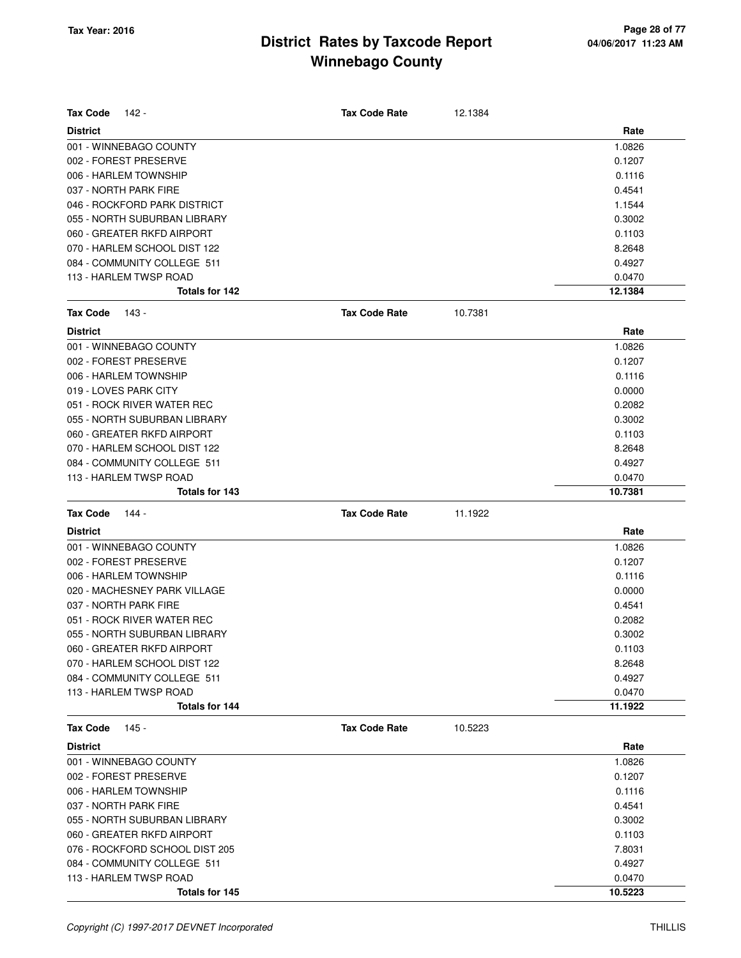| <b>Tax Code</b>       | 142 -                                                 | <b>Tax Code Rate</b> | 12.1384 |                  |
|-----------------------|-------------------------------------------------------|----------------------|---------|------------------|
| <b>District</b>       |                                                       |                      |         | Rate             |
|                       | 001 - WINNEBAGO COUNTY                                |                      |         | 1.0826           |
| 002 - FOREST PRESERVE |                                                       |                      |         | 0.1207           |
| 006 - HARLEM TOWNSHIP |                                                       |                      |         | 0.1116           |
| 037 - NORTH PARK FIRE |                                                       |                      |         | 0.4541           |
|                       | 046 - ROCKFORD PARK DISTRICT                          |                      |         | 1.1544           |
|                       | 055 - NORTH SUBURBAN LIBRARY                          |                      |         | 0.3002           |
|                       | 060 - GREATER RKFD AIRPORT                            |                      |         | 0.1103           |
|                       | 070 - HARLEM SCHOOL DIST 122                          |                      |         | 8.2648           |
|                       | 084 - COMMUNITY COLLEGE 511                           |                      |         | 0.4927           |
|                       | 113 - HARLEM TWSP ROAD                                |                      |         | 0.0470           |
|                       | Totals for 142                                        |                      |         | 12.1384          |
| <b>Tax Code</b>       | 143 -                                                 | <b>Tax Code Rate</b> | 10.7381 |                  |
| <b>District</b>       |                                                       |                      |         | Rate             |
|                       | 001 - WINNEBAGO COUNTY                                |                      |         | 1.0826           |
| 002 - FOREST PRESERVE |                                                       |                      |         | 0.1207           |
| 006 - HARLEM TOWNSHIP |                                                       |                      |         | 0.1116           |
| 019 - LOVES PARK CITY |                                                       |                      |         | 0.0000           |
|                       | 051 - ROCK RIVER WATER REC                            |                      |         | 0.2082           |
|                       | 055 - NORTH SUBURBAN LIBRARY                          |                      |         | 0.3002           |
|                       | 060 - GREATER RKFD AIRPORT                            |                      |         | 0.1103           |
|                       | 070 - HARLEM SCHOOL DIST 122                          |                      |         | 8.2648           |
|                       | 084 - COMMUNITY COLLEGE 511                           |                      |         | 0.4927           |
|                       | 113 - HARLEM TWSP ROAD                                |                      |         | 0.0470           |
|                       | Totals for 143                                        |                      |         | 10.7381          |
|                       |                                                       |                      |         |                  |
| <b>Tax Code</b>       | 144 -                                                 | <b>Tax Code Rate</b> | 11.1922 |                  |
| <b>District</b>       |                                                       |                      |         | Rate             |
|                       | 001 - WINNEBAGO COUNTY                                |                      |         | 1.0826           |
| 002 - FOREST PRESERVE |                                                       |                      |         | 0.1207           |
| 006 - HARLEM TOWNSHIP |                                                       |                      |         | 0.1116           |
|                       | 020 - MACHESNEY PARK VILLAGE                          |                      |         | 0.0000           |
| 037 - NORTH PARK FIRE |                                                       |                      |         | 0.4541           |
|                       | 051 - ROCK RIVER WATER REC                            |                      |         | 0.2082           |
|                       | 055 - NORTH SUBURBAN LIBRARY                          |                      |         | 0.3002           |
|                       | 060 - GREATER RKFD AIRPORT                            |                      |         | 0.1103           |
|                       | 070 - HARLEM SCHOOL DIST 122                          |                      |         | 8.2648           |
|                       | 084 - COMMUNITY COLLEGE 511                           |                      |         | 0.4927           |
|                       | 113 - HARLEM TWSP ROAD                                |                      |         | 0.0470           |
|                       | Totals for 144                                        |                      |         | 11.1922          |
| <b>Tax Code</b>       | $145 -$                                               | <b>Tax Code Rate</b> | 10.5223 |                  |
| <b>District</b>       |                                                       |                      |         | Rate             |
|                       | 001 - WINNEBAGO COUNTY                                |                      |         | 1.0826           |
| 002 - FOREST PRESERVE |                                                       |                      |         | 0.1207           |
| 006 - HARLEM TOWNSHIP |                                                       |                      |         | 0.1116           |
| 037 - NORTH PARK FIRE |                                                       |                      |         | 0.4541           |
|                       | 055 - NORTH SUBURBAN LIBRARY                          |                      |         | 0.3002           |
|                       | 060 - GREATER RKFD AIRPORT                            |                      |         | 0.1103           |
|                       | 076 - ROCKFORD SCHOOL DIST 205                        |                      |         | 7.8031           |
|                       | 084 - COMMUNITY COLLEGE 511<br>113 - HARLEM TWSP ROAD |                      |         | 0.4927<br>0.0470 |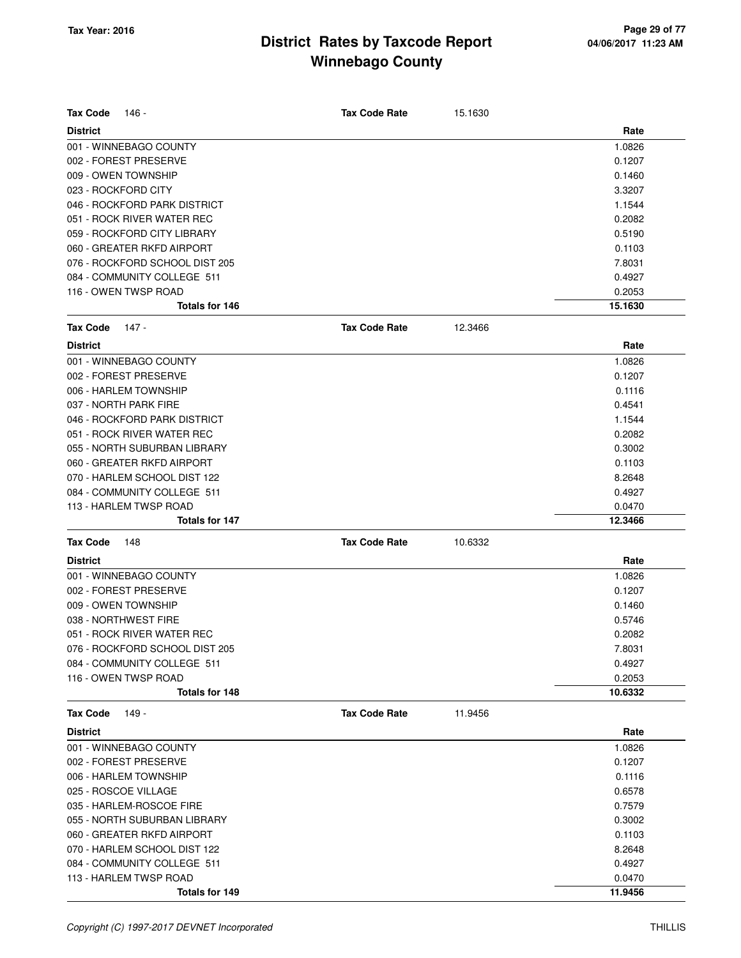| <b>Tax Code</b><br>146 -       |                | <b>Tax Code Rate</b> | 15.1630 |         |
|--------------------------------|----------------|----------------------|---------|---------|
| <b>District</b>                |                |                      |         | Rate    |
| 001 - WINNEBAGO COUNTY         |                |                      |         | 1.0826  |
| 002 - FOREST PRESERVE          |                |                      |         | 0.1207  |
| 009 - OWEN TOWNSHIP            |                |                      |         | 0.1460  |
| 023 - ROCKFORD CITY            |                |                      |         | 3.3207  |
| 046 - ROCKFORD PARK DISTRICT   |                |                      |         | 1.1544  |
| 051 - ROCK RIVER WATER REC     |                |                      |         | 0.2082  |
| 059 - ROCKFORD CITY LIBRARY    |                |                      |         | 0.5190  |
| 060 - GREATER RKFD AIRPORT     |                |                      |         | 0.1103  |
| 076 - ROCKFORD SCHOOL DIST 205 |                |                      |         | 7.8031  |
| 084 - COMMUNITY COLLEGE 511    |                |                      |         | 0.4927  |
| 116 - OWEN TWSP ROAD           |                |                      |         | 0.2053  |
|                                | Totals for 146 |                      |         | 15.1630 |
| <b>Tax Code</b><br>147 -       |                | <b>Tax Code Rate</b> | 12.3466 |         |
| <b>District</b>                |                |                      |         | Rate    |
| 001 - WINNEBAGO COUNTY         |                |                      |         | 1.0826  |
| 002 - FOREST PRESERVE          |                |                      |         | 0.1207  |
| 006 - HARLEM TOWNSHIP          |                |                      |         | 0.1116  |
| 037 - NORTH PARK FIRE          |                |                      |         | 0.4541  |
| 046 - ROCKFORD PARK DISTRICT   |                |                      |         | 1.1544  |
| 051 - ROCK RIVER WATER REC     |                |                      |         | 0.2082  |
| 055 - NORTH SUBURBAN LIBRARY   |                |                      |         | 0.3002  |
| 060 - GREATER RKFD AIRPORT     |                |                      |         | 0.1103  |
| 070 - HARLEM SCHOOL DIST 122   |                |                      |         | 8.2648  |
| 084 - COMMUNITY COLLEGE 511    |                |                      |         | 0.4927  |
| 113 - HARLEM TWSP ROAD         |                |                      |         | 0.0470  |
|                                | Totals for 147 |                      |         | 12.3466 |
| <b>Tax Code</b><br>148         |                | <b>Tax Code Rate</b> | 10.6332 |         |
| <b>District</b>                |                |                      |         | Rate    |
| 001 - WINNEBAGO COUNTY         |                |                      |         | 1.0826  |
| 002 - FOREST PRESERVE          |                |                      |         | 0.1207  |
| 009 - OWEN TOWNSHIP            |                |                      |         | 0.1460  |
| 038 - NORTHWEST FIRE           |                |                      |         | 0.5746  |
| 051 - ROCK RIVER WATER REC     |                |                      |         | 0.2082  |
| 076 - ROCKFORD SCHOOL DIST 205 |                |                      |         | 7.8031  |
| 084 - COMMUNITY COLLEGE 511    |                |                      |         | 0.4927  |
| 116 - OWEN TWSP ROAD           |                |                      |         | 0.2053  |
|                                | Totals for 148 |                      |         | 10.6332 |
| <b>Tax Code</b><br>149 -       |                | <b>Tax Code Rate</b> | 11.9456 |         |
| <b>District</b>                |                |                      |         | Rate    |
| 001 - WINNEBAGO COUNTY         |                |                      |         | 1.0826  |
| 002 - FOREST PRESERVE          |                |                      |         | 0.1207  |
| 006 - HARLEM TOWNSHIP          |                |                      |         | 0.1116  |
| 025 - ROSCOE VILLAGE           |                |                      |         | 0.6578  |
| 035 - HARLEM-ROSCOE FIRE       |                |                      |         | 0.7579  |
| 055 - NORTH SUBURBAN LIBRARY   |                |                      |         | 0.3002  |
| 060 - GREATER RKFD AIRPORT     |                |                      |         | 0.1103  |
| 070 - HARLEM SCHOOL DIST 122   |                |                      |         | 8.2648  |
| 084 - COMMUNITY COLLEGE 511    |                |                      |         | 0.4927  |
| 113 - HARLEM TWSP ROAD         |                |                      |         | 0.0470  |
|                                | Totals for 149 |                      |         | 11.9456 |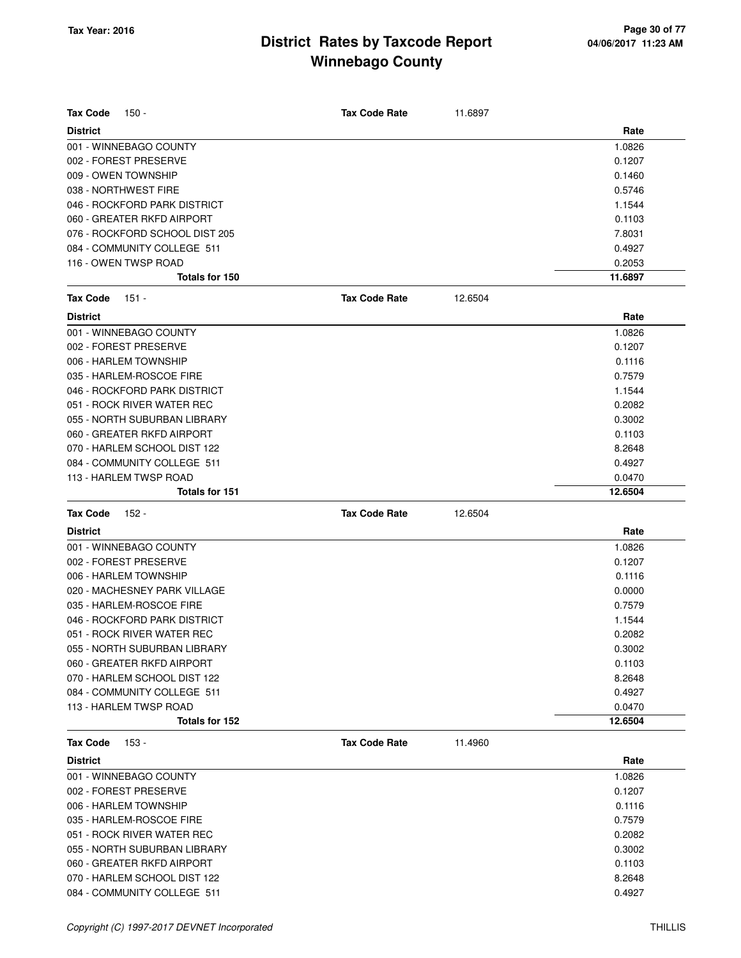| <b>Tax Code</b><br>$150 -$     | <b>Tax Code Rate</b> | 11.6897 |         |
|--------------------------------|----------------------|---------|---------|
| <b>District</b>                |                      |         | Rate    |
| 001 - WINNEBAGO COUNTY         |                      |         | 1.0826  |
| 002 - FOREST PRESERVE          |                      |         | 0.1207  |
| 009 - OWEN TOWNSHIP            |                      |         | 0.1460  |
| 038 - NORTHWEST FIRE           |                      |         | 0.5746  |
| 046 - ROCKFORD PARK DISTRICT   |                      |         | 1.1544  |
| 060 - GREATER RKFD AIRPORT     |                      |         | 0.1103  |
| 076 - ROCKFORD SCHOOL DIST 205 |                      |         | 7.8031  |
| 084 - COMMUNITY COLLEGE 511    |                      |         | 0.4927  |
| 116 - OWEN TWSP ROAD           |                      |         | 0.2053  |
| Totals for 150                 |                      |         | 11.6897 |
| <b>Tax Code</b><br>$151 -$     | <b>Tax Code Rate</b> | 12.6504 |         |
| <b>District</b>                |                      |         | Rate    |
| 001 - WINNEBAGO COUNTY         |                      |         | 1.0826  |
| 002 - FOREST PRESERVE          |                      |         | 0.1207  |
| 006 - HARLEM TOWNSHIP          |                      |         | 0.1116  |
| 035 - HARLEM-ROSCOE FIRE       |                      |         | 0.7579  |
| 046 - ROCKFORD PARK DISTRICT   |                      |         | 1.1544  |
| 051 - ROCK RIVER WATER REC     |                      |         | 0.2082  |
| 055 - NORTH SUBURBAN LIBRARY   |                      |         | 0.3002  |
| 060 - GREATER RKFD AIRPORT     |                      |         | 0.1103  |
| 070 - HARLEM SCHOOL DIST 122   |                      |         | 8.2648  |
| 084 - COMMUNITY COLLEGE 511    |                      |         | 0.4927  |
| 113 - HARLEM TWSP ROAD         |                      |         | 0.0470  |
| Totals for 151                 |                      |         | 12.6504 |
| <b>Tax Code</b><br>152 -       | <b>Tax Code Rate</b> | 12.6504 |         |
| <b>District</b>                |                      |         | Rate    |
| 001 - WINNEBAGO COUNTY         |                      |         | 1.0826  |
| 002 - FOREST PRESERVE          |                      |         | 0.1207  |
| 006 - HARLEM TOWNSHIP          |                      |         | 0.1116  |
| 020 - MACHESNEY PARK VILLAGE   |                      |         | 0.0000  |
| 035 - HARLEM-ROSCOE FIRE       |                      |         | 0.7579  |
| 046 - ROCKFORD PARK DISTRICT   |                      |         | 1.1544  |
| 051 - ROCK RIVER WATER REC     |                      |         | 0.2082  |
| 055 - NORTH SUBURBAN LIBRARY   |                      |         | 0.3002  |
| 060 - GREATER RKFD AIRPORT     |                      |         | 0.1103  |
| 070 - HARLEM SCHOOL DIST 122   |                      |         | 8.2648  |
| 084 - COMMUNITY COLLEGE 511    |                      |         | 0.4927  |
| 113 - HARLEM TWSP ROAD         |                      |         | 0.0470  |
| Totals for 152                 |                      |         | 12.6504 |
| $153 -$<br><b>Tax Code</b>     | <b>Tax Code Rate</b> | 11.4960 |         |
| <b>District</b>                |                      |         | Rate    |
| 001 - WINNEBAGO COUNTY         |                      |         | 1.0826  |
| 002 - FOREST PRESERVE          |                      |         | 0.1207  |
| 006 - HARLEM TOWNSHIP          |                      |         | 0.1116  |
| 035 - HARLEM-ROSCOE FIRE       |                      |         | 0.7579  |
| 051 - ROCK RIVER WATER REC     |                      |         | 0.2082  |
| 055 - NORTH SUBURBAN LIBRARY   |                      |         | 0.3002  |
| 060 - GREATER RKFD AIRPORT     |                      |         | 0.1103  |
| 070 - HARLEM SCHOOL DIST 122   |                      |         | 8.2648  |

084 - COMMUNITY COLLEGE 511 0.4927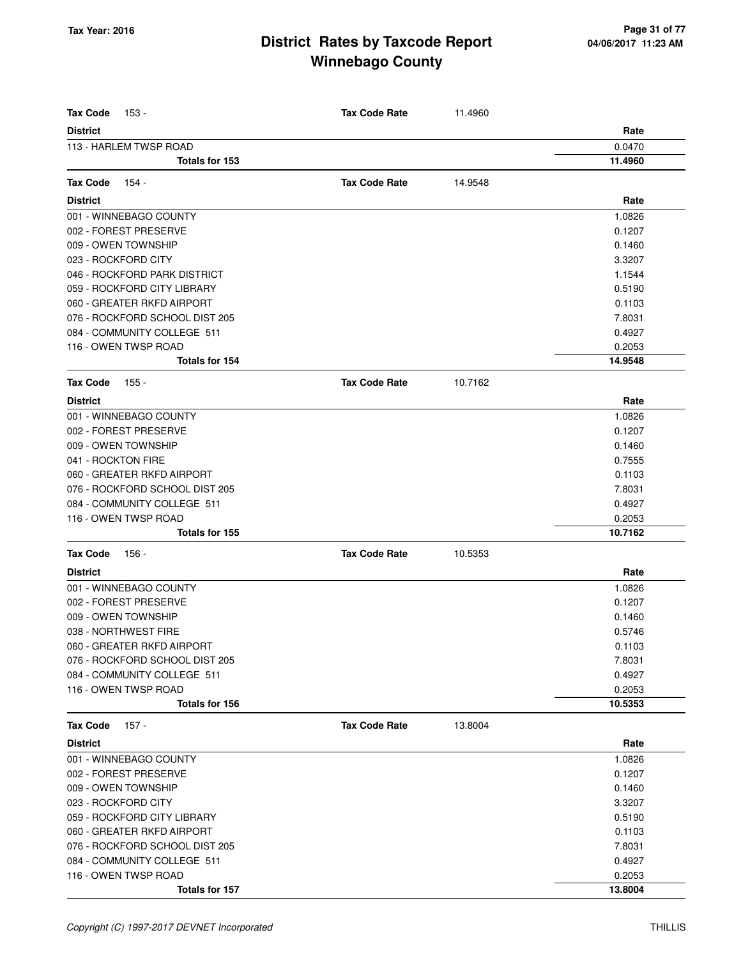| <b>Tax Code</b><br>153 -       | <b>Tax Code Rate</b> | 11.4960 |         |
|--------------------------------|----------------------|---------|---------|
| <b>District</b>                |                      |         | Rate    |
| 113 - HARLEM TWSP ROAD         |                      |         | 0.0470  |
| Totals for 153                 |                      |         | 11.4960 |
| <b>Tax Code</b><br>154 -       | <b>Tax Code Rate</b> | 14.9548 |         |
| <b>District</b>                |                      |         | Rate    |
| 001 - WINNEBAGO COUNTY         |                      |         | 1.0826  |
| 002 - FOREST PRESERVE          |                      |         | 0.1207  |
| 009 - OWEN TOWNSHIP            |                      |         | 0.1460  |
| 023 - ROCKFORD CITY            |                      |         | 3.3207  |
| 046 - ROCKFORD PARK DISTRICT   |                      |         | 1.1544  |
| 059 - ROCKFORD CITY LIBRARY    |                      |         | 0.5190  |
| 060 - GREATER RKFD AIRPORT     |                      |         | 0.1103  |
| 076 - ROCKFORD SCHOOL DIST 205 |                      |         | 7.8031  |
| 084 - COMMUNITY COLLEGE 511    |                      |         | 0.4927  |
| 116 - OWEN TWSP ROAD           |                      |         | 0.2053  |
| Totals for 154                 |                      |         | 14.9548 |
| <b>Tax Code</b><br>155 -       | <b>Tax Code Rate</b> | 10.7162 |         |
| <b>District</b>                |                      |         | Rate    |
| 001 - WINNEBAGO COUNTY         |                      |         | 1.0826  |
| 002 - FOREST PRESERVE          |                      |         | 0.1207  |
| 009 - OWEN TOWNSHIP            |                      |         | 0.1460  |
| 041 - ROCKTON FIRE             |                      |         | 0.7555  |
| 060 - GREATER RKFD AIRPORT     |                      |         | 0.1103  |
| 076 - ROCKFORD SCHOOL DIST 205 |                      |         | 7.8031  |
| 084 - COMMUNITY COLLEGE 511    |                      |         | 0.4927  |
| 116 - OWEN TWSP ROAD           |                      |         | 0.2053  |
| Totals for 155                 |                      |         | 10.7162 |
| <b>Tax Code</b><br>156 -       | <b>Tax Code Rate</b> | 10.5353 |         |
| <b>District</b>                |                      |         | Rate    |
| 001 - WINNEBAGO COUNTY         |                      |         | 1.0826  |
| 002 - FOREST PRESERVE          |                      |         | 0.1207  |
| 009 - OWEN TOWNSHIP            |                      |         | 0.1460  |
| 038 - NORTHWEST FIRE           |                      |         | 0.5746  |
| 060 - GREATER RKFD AIRPORT     |                      |         | 0.1103  |
| 076 - ROCKFORD SCHOOL DIST 205 |                      |         | 7.8031  |
| 084 - COMMUNITY COLLEGE 511    |                      |         | 0.4927  |
| 116 - OWEN TWSP ROAD           |                      |         | 0.2053  |
| Totals for 156                 |                      |         | 10.5353 |
| $157 -$<br><b>Tax Code</b>     | <b>Tax Code Rate</b> | 13.8004 |         |
| <b>District</b>                |                      |         | Rate    |
| 001 - WINNEBAGO COUNTY         |                      |         | 1.0826  |
| 002 - FOREST PRESERVE          |                      |         | 0.1207  |
| 009 - OWEN TOWNSHIP            |                      |         | 0.1460  |
| 023 - ROCKFORD CITY            |                      |         | 3.3207  |
| 059 - ROCKFORD CITY LIBRARY    |                      |         | 0.5190  |
| 060 - GREATER RKFD AIRPORT     |                      |         | 0.1103  |
| 076 - ROCKFORD SCHOOL DIST 205 |                      |         | 7.8031  |
| 084 - COMMUNITY COLLEGE 511    |                      |         | 0.4927  |
| 116 - OWEN TWSP ROAD           |                      |         | 0.2053  |
| Totals for 157                 |                      |         | 13.8004 |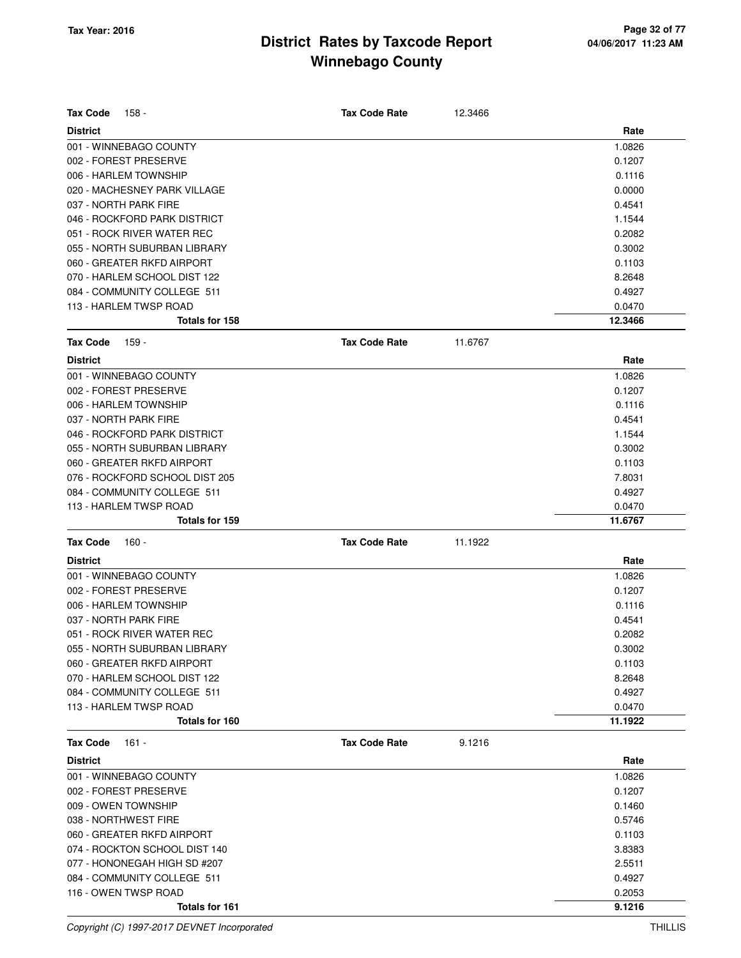| <b>Tax Code</b><br>158 -       | <b>Tax Code Rate</b> | 12.3466 |         |
|--------------------------------|----------------------|---------|---------|
| <b>District</b>                |                      |         | Rate    |
| 001 - WINNEBAGO COUNTY         |                      |         | 1.0826  |
| 002 - FOREST PRESERVE          |                      |         | 0.1207  |
| 006 - HARLEM TOWNSHIP          |                      |         | 0.1116  |
| 020 - MACHESNEY PARK VILLAGE   |                      |         | 0.0000  |
| 037 - NORTH PARK FIRE          |                      |         | 0.4541  |
| 046 - ROCKFORD PARK DISTRICT   |                      |         | 1.1544  |
| 051 - ROCK RIVER WATER REC     |                      |         | 0.2082  |
| 055 - NORTH SUBURBAN LIBRARY   |                      |         | 0.3002  |
| 060 - GREATER RKFD AIRPORT     |                      |         | 0.1103  |
| 070 - HARLEM SCHOOL DIST 122   |                      |         | 8.2648  |
| 084 - COMMUNITY COLLEGE 511    |                      |         | 0.4927  |
| 113 - HARLEM TWSP ROAD         |                      |         | 0.0470  |
| Totals for 158                 |                      |         | 12.3466 |
| <b>Tax Code</b><br>159 -       | <b>Tax Code Rate</b> | 11.6767 |         |
| <b>District</b>                |                      |         | Rate    |
| 001 - WINNEBAGO COUNTY         |                      |         | 1.0826  |
| 002 - FOREST PRESERVE          |                      |         | 0.1207  |
| 006 - HARLEM TOWNSHIP          |                      |         | 0.1116  |
| 037 - NORTH PARK FIRE          |                      |         | 0.4541  |
| 046 - ROCKFORD PARK DISTRICT   |                      |         | 1.1544  |
| 055 - NORTH SUBURBAN LIBRARY   |                      |         | 0.3002  |
| 060 - GREATER RKFD AIRPORT     |                      |         | 0.1103  |
| 076 - ROCKFORD SCHOOL DIST 205 |                      |         | 7.8031  |
| 084 - COMMUNITY COLLEGE 511    |                      |         | 0.4927  |
| 113 - HARLEM TWSP ROAD         |                      |         | 0.0470  |
| Totals for 159                 |                      |         | 11.6767 |
| <b>Tax Code</b><br>160 -       | <b>Tax Code Rate</b> | 11.1922 |         |
| <b>District</b>                |                      |         | Rate    |
| 001 - WINNEBAGO COUNTY         |                      |         | 1.0826  |
| 002 - FOREST PRESERVE          |                      |         | 0.1207  |
| 006 - HARLEM TOWNSHIP          |                      |         | 0.1116  |
| 037 - NORTH PARK FIRE          |                      |         | 0.4541  |
| 051 - ROCK RIVER WATER REC     |                      |         | 0.2082  |
| 055 - NORTH SUBURBAN LIBRARY   |                      |         | 0.3002  |
| 060 - GREATER RKFD AIRPORT     |                      |         | 0.1103  |
| 070 - HARLEM SCHOOL DIST 122   |                      |         | 8.2648  |
| 084 - COMMUNITY COLLEGE 511    |                      |         | 0.4927  |
| 113 - HARLEM TWSP ROAD         |                      |         | 0.0470  |
| Totals for 160                 |                      |         | 11.1922 |
| Tax Code<br>161 -              | <b>Tax Code Rate</b> | 9.1216  |         |
| <b>District</b>                |                      |         | Rate    |
| 001 - WINNEBAGO COUNTY         |                      |         | 1.0826  |
| 002 - FOREST PRESERVE          |                      |         | 0.1207  |
| 009 - OWEN TOWNSHIP            |                      |         | 0.1460  |
| 038 - NORTHWEST FIRE           |                      |         | 0.5746  |
| 060 - GREATER RKFD AIRPORT     |                      |         | 0.1103  |
| 074 - ROCKTON SCHOOL DIST 140  |                      |         | 3.8383  |
| 077 - HONONEGAH HIGH SD #207   |                      |         | 2.5511  |
| 084 - COMMUNITY COLLEGE 511    |                      |         | 0.4927  |
| 116 - OWEN TWSP ROAD           |                      |         | 0.2053  |
| Totals for 161                 |                      |         | 9.1216  |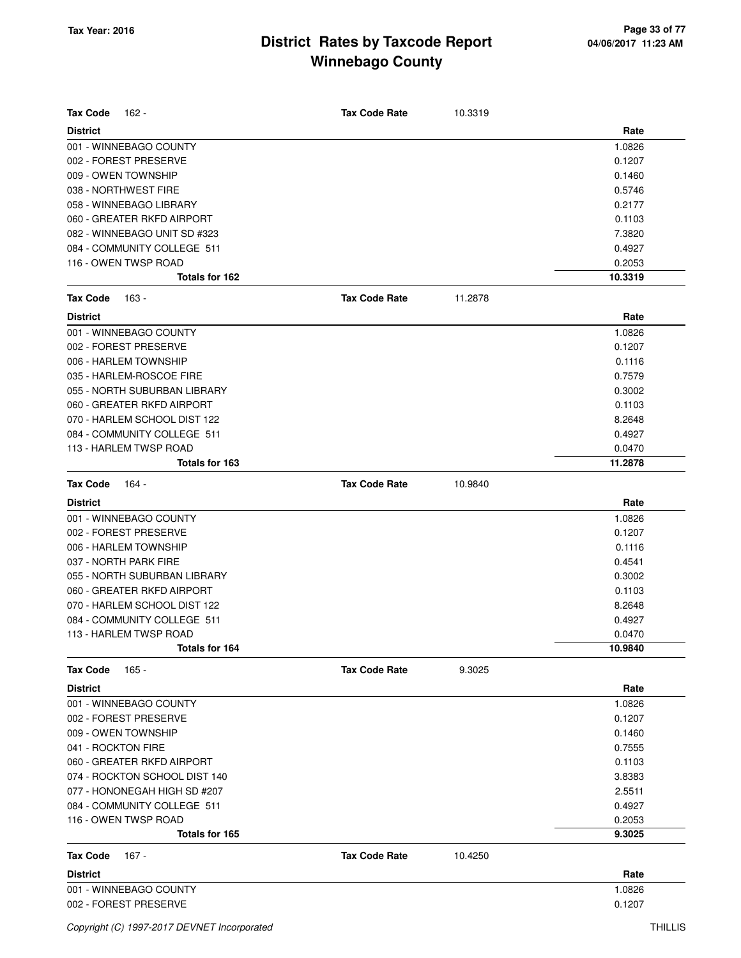| <b>Tax Code</b><br>162 -      | <b>Tax Code Rate</b> | 10.3319 |         |
|-------------------------------|----------------------|---------|---------|
| <b>District</b>               |                      |         | Rate    |
| 001 - WINNEBAGO COUNTY        |                      |         | 1.0826  |
| 002 - FOREST PRESERVE         |                      |         | 0.1207  |
| 009 - OWEN TOWNSHIP           |                      |         | 0.1460  |
| 038 - NORTHWEST FIRE          |                      |         | 0.5746  |
| 058 - WINNEBAGO LIBRARY       |                      |         | 0.2177  |
| 060 - GREATER RKFD AIRPORT    |                      |         | 0.1103  |
| 082 - WINNEBAGO UNIT SD #323  |                      |         | 7.3820  |
| 084 - COMMUNITY COLLEGE 511   |                      |         | 0.4927  |
| 116 - OWEN TWSP ROAD          |                      |         | 0.2053  |
| Totals for 162                |                      |         | 10.3319 |
| <b>Tax Code</b><br>163 -      | <b>Tax Code Rate</b> | 11.2878 |         |
| <b>District</b>               |                      |         | Rate    |
| 001 - WINNEBAGO COUNTY        |                      |         | 1.0826  |
| 002 - FOREST PRESERVE         |                      |         | 0.1207  |
| 006 - HARLEM TOWNSHIP         |                      |         | 0.1116  |
| 035 - HARLEM-ROSCOE FIRE      |                      |         | 0.7579  |
| 055 - NORTH SUBURBAN LIBRARY  |                      |         | 0.3002  |
| 060 - GREATER RKFD AIRPORT    |                      |         | 0.1103  |
| 070 - HARLEM SCHOOL DIST 122  |                      |         | 8.2648  |
| 084 - COMMUNITY COLLEGE 511   |                      |         | 0.4927  |
| 113 - HARLEM TWSP ROAD        |                      |         | 0.0470  |
| Totals for 163                |                      |         | 11.2878 |
| <b>Tax Code</b><br>164 -      | <b>Tax Code Rate</b> | 10.9840 |         |
| <b>District</b>               |                      |         | Rate    |
| 001 - WINNEBAGO COUNTY        |                      |         | 1.0826  |
| 002 - FOREST PRESERVE         |                      |         | 0.1207  |
| 006 - HARLEM TOWNSHIP         |                      |         | 0.1116  |
| 037 - NORTH PARK FIRE         |                      |         | 0.4541  |
| 055 - NORTH SUBURBAN LIBRARY  |                      |         | 0.3002  |
| 060 - GREATER RKFD AIRPORT    |                      |         | 0.1103  |
| 070 - HARLEM SCHOOL DIST 122  |                      |         | 8.2648  |
| 084 - COMMUNITY COLLEGE 511   |                      |         | 0.4927  |
| 113 - HARLEM TWSP ROAD        |                      |         | 0.0470  |
| Totals for 164                |                      |         | 10.9840 |
| <b>Tax Code</b><br>$165 -$    | <b>Tax Code Rate</b> | 9.3025  |         |
| <b>District</b>               |                      |         | Rate    |
| 001 - WINNEBAGO COUNTY        |                      |         | 1.0826  |
| 002 - FOREST PRESERVE         |                      |         | 0.1207  |
| 009 - OWEN TOWNSHIP           |                      |         | 0.1460  |
| 041 - ROCKTON FIRE            |                      |         | 0.7555  |
| 060 - GREATER RKFD AIRPORT    |                      |         | 0.1103  |
| 074 - ROCKTON SCHOOL DIST 140 |                      |         | 3.8383  |
| 077 - HONONEGAH HIGH SD #207  |                      |         | 2.5511  |
| 084 - COMMUNITY COLLEGE 511   |                      |         | 0.4927  |
| 116 - OWEN TWSP ROAD          |                      |         | 0.2053  |
| Totals for 165                |                      |         | 9.3025  |
| <b>Tax Code</b><br>167 -      | <b>Tax Code Rate</b> | 10.4250 |         |
| <b>District</b>               |                      |         | Rate    |
| 001 - WINNEBAGO COUNTY        |                      |         | 1.0826  |
| 002 - FOREST PRESERVE         |                      |         | 0.1207  |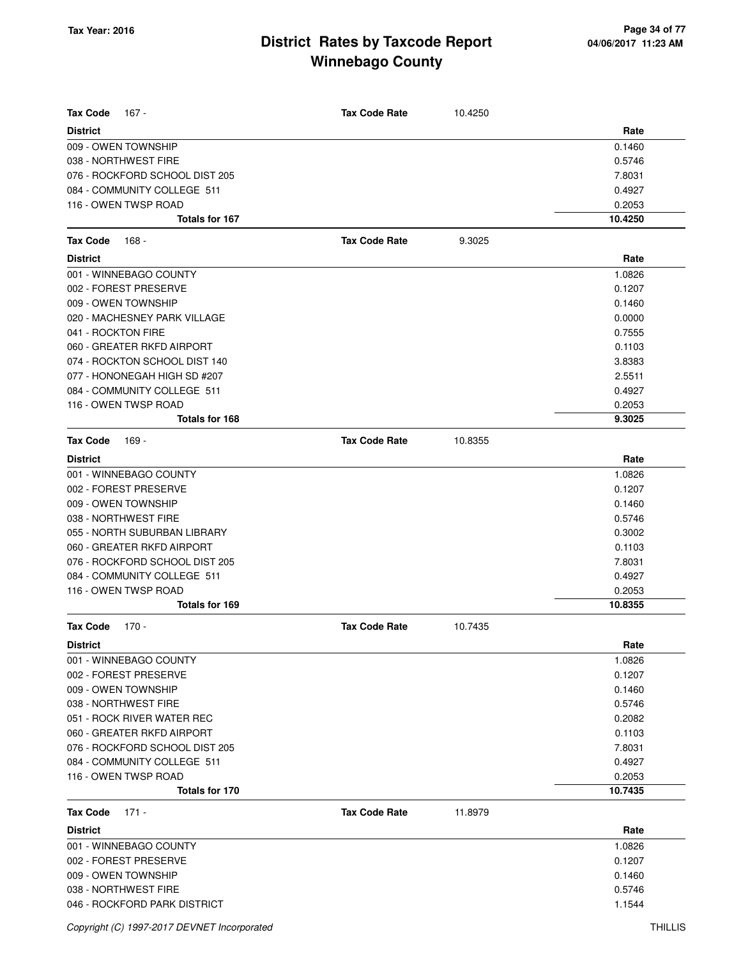| <b>Tax Code</b><br>167 -                    | <b>Tax Code Rate</b> | 10.4250 |                  |
|---------------------------------------------|----------------------|---------|------------------|
| <b>District</b>                             |                      |         | Rate             |
| 009 - OWEN TOWNSHIP<br>038 - NORTHWEST FIRE |                      |         | 0.1460<br>0.5746 |
| 076 - ROCKFORD SCHOOL DIST 205              |                      |         |                  |
| 084 - COMMUNITY COLLEGE 511                 |                      |         | 7.8031           |
| 116 - OWEN TWSP ROAD                        |                      |         | 0.4927<br>0.2053 |
| <b>Totals for 167</b>                       |                      |         | 10.4250          |
| <b>Tax Code</b><br>168 -                    | <b>Tax Code Rate</b> | 9.3025  |                  |
| <b>District</b>                             |                      |         | Rate             |
| 001 - WINNEBAGO COUNTY                      |                      |         | 1.0826           |
| 002 - FOREST PRESERVE                       |                      |         | 0.1207           |
| 009 - OWEN TOWNSHIP                         |                      |         | 0.1460           |
| 020 - MACHESNEY PARK VILLAGE                |                      |         | 0.0000           |
| 041 - ROCKTON FIRE                          |                      |         | 0.7555           |
| 060 - GREATER RKFD AIRPORT                  |                      |         | 0.1103           |
| 074 - ROCKTON SCHOOL DIST 140               |                      |         | 3.8383           |
| 077 - HONONEGAH HIGH SD #207                |                      |         | 2.5511           |
| 084 - COMMUNITY COLLEGE 511                 |                      |         | 0.4927           |
| 116 - OWEN TWSP ROAD                        |                      |         | 0.2053           |
| Totals for 168                              |                      |         | 9.3025           |
| <b>Tax Code</b><br>169 -                    | <b>Tax Code Rate</b> | 10.8355 |                  |
| <b>District</b>                             |                      |         | Rate             |
| 001 - WINNEBAGO COUNTY                      |                      |         | 1.0826           |
| 002 - FOREST PRESERVE                       |                      |         | 0.1207           |
| 009 - OWEN TOWNSHIP                         |                      |         | 0.1460           |
| 038 - NORTHWEST FIRE                        |                      |         | 0.5746           |
| 055 - NORTH SUBURBAN LIBRARY                |                      |         | 0.3002           |
| 060 - GREATER RKFD AIRPORT                  |                      |         | 0.1103           |
| 076 - ROCKFORD SCHOOL DIST 205              |                      |         | 7.8031           |
| 084 - COMMUNITY COLLEGE 511                 |                      |         | 0.4927           |
| 116 - OWEN TWSP ROAD                        |                      |         | 0.2053           |
| Totals for 169                              |                      |         | 10.8355          |
| <b>Tax Code</b><br>$170 -$                  | <b>Tax Code Rate</b> | 10.7435 |                  |
| <b>District</b>                             |                      |         | Rate             |
| 001 - WINNEBAGO COUNTY                      |                      |         | 1.0826           |
| 002 - FOREST PRESERVE                       |                      |         | 0.1207           |
| 009 - OWEN TOWNSHIP                         |                      |         | 0.1460           |
| 038 - NORTHWEST FIRE                        |                      |         | 0.5746           |
| 051 - ROCK RIVER WATER REC                  |                      |         | 0.2082           |
| 060 - GREATER RKFD AIRPORT                  |                      |         | 0.1103           |
| 076 - ROCKFORD SCHOOL DIST 205              |                      |         | 7.8031           |
| 084 - COMMUNITY COLLEGE 511                 |                      |         | 0.4927           |
| 116 - OWEN TWSP ROAD                        |                      |         | 0.2053           |
| <b>Totals for 170</b>                       |                      |         | 10.7435          |
| <b>Tax Code</b><br>$171 -$                  | <b>Tax Code Rate</b> | 11.8979 |                  |
| <b>District</b>                             |                      |         | Rate             |
| 001 - WINNEBAGO COUNTY                      |                      |         | 1.0826           |
| 002 - FOREST PRESERVE                       |                      |         | 0.1207           |
| 009 - OWEN TOWNSHIP                         |                      |         | 0.1460           |
| 038 - NORTHWEST FIRE                        |                      |         | 0.5746           |
| 046 - ROCKFORD PARK DISTRICT                |                      |         | 1.1544           |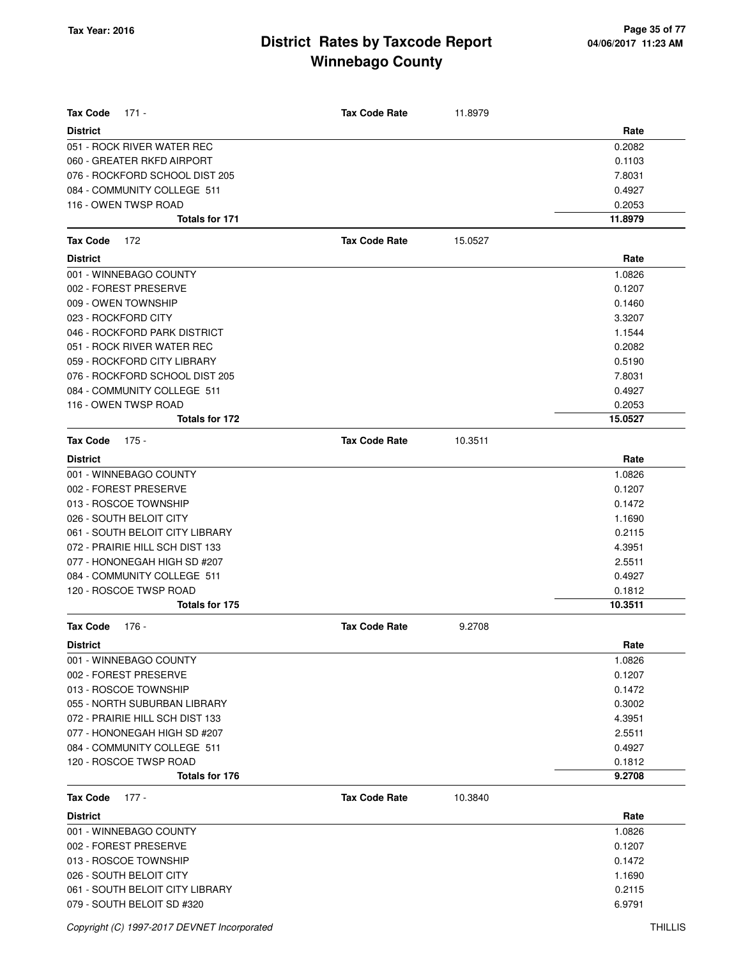| <b>Tax Code</b><br>$171 -$      | <b>Tax Code Rate</b> | 11.8979 |         |
|---------------------------------|----------------------|---------|---------|
| <b>District</b>                 |                      |         | Rate    |
| 051 - ROCK RIVER WATER REC      |                      |         | 0.2082  |
| 060 - GREATER RKFD AIRPORT      |                      |         | 0.1103  |
| 076 - ROCKFORD SCHOOL DIST 205  |                      |         | 7.8031  |
| 084 - COMMUNITY COLLEGE 511     |                      |         | 0.4927  |
| 116 - OWEN TWSP ROAD            |                      |         | 0.2053  |
| <b>Totals for 171</b>           |                      |         | 11.8979 |
| <b>Tax Code</b><br>172          | <b>Tax Code Rate</b> | 15.0527 |         |
| <b>District</b>                 |                      |         | Rate    |
| 001 - WINNEBAGO COUNTY          |                      |         | 1.0826  |
| 002 - FOREST PRESERVE           |                      |         | 0.1207  |
| 009 - OWEN TOWNSHIP             |                      |         | 0.1460  |
| 023 - ROCKFORD CITY             |                      |         | 3.3207  |
| 046 - ROCKFORD PARK DISTRICT    |                      |         | 1.1544  |
| 051 - ROCK RIVER WATER REC      |                      |         | 0.2082  |
| 059 - ROCKFORD CITY LIBRARY     |                      |         | 0.5190  |
| 076 - ROCKFORD SCHOOL DIST 205  |                      |         | 7.8031  |
| 084 - COMMUNITY COLLEGE 511     |                      |         | 0.4927  |
| 116 - OWEN TWSP ROAD            |                      |         | 0.2053  |
| Totals for 172                  |                      |         | 15.0527 |
| <b>Tax Code</b><br>$175 -$      | <b>Tax Code Rate</b> | 10.3511 |         |
| <b>District</b>                 |                      |         | Rate    |
| 001 - WINNEBAGO COUNTY          |                      |         | 1.0826  |
| 002 - FOREST PRESERVE           |                      |         | 0.1207  |
| 013 - ROSCOE TOWNSHIP           |                      |         | 0.1472  |
| 026 - SOUTH BELOIT CITY         |                      |         | 1.1690  |
| 061 - SOUTH BELOIT CITY LIBRARY |                      |         | 0.2115  |
| 072 - PRAIRIE HILL SCH DIST 133 |                      |         | 4.3951  |
| 077 - HONONEGAH HIGH SD #207    |                      |         | 2.5511  |
| 084 - COMMUNITY COLLEGE 511     |                      |         | 0.4927  |
| 120 - ROSCOE TWSP ROAD          |                      |         | 0.1812  |
| Totals for 175                  |                      |         | 10.3511 |
| <b>Tax Code</b><br>176 -        | <b>Tax Code Rate</b> | 9.2708  |         |
| <b>District</b>                 |                      |         | Rate    |
| 001 - WINNEBAGO COUNTY          |                      |         | 1.0826  |
| 002 - FOREST PRESERVE           |                      |         | 0.1207  |
| 013 - ROSCOE TOWNSHIP           |                      |         | 0.1472  |
| 055 - NORTH SUBURBAN LIBRARY    |                      |         | 0.3002  |
| 072 - PRAIRIE HILL SCH DIST 133 |                      |         | 4.3951  |
| 077 - HONONEGAH HIGH SD #207    |                      |         | 2.5511  |
| 084 - COMMUNITY COLLEGE 511     |                      |         | 0.4927  |
| 120 - ROSCOE TWSP ROAD          |                      |         | 0.1812  |
| Totals for 176                  |                      |         | 9.2708  |
| <b>Tax Code</b><br>$177 -$      | <b>Tax Code Rate</b> | 10.3840 |         |
| <b>District</b>                 |                      |         | Rate    |
| 001 - WINNEBAGO COUNTY          |                      |         | 1.0826  |
| 002 - FOREST PRESERVE           |                      |         | 0.1207  |
| 013 - ROSCOE TOWNSHIP           |                      |         | 0.1472  |
| 026 - SOUTH BELOIT CITY         |                      |         | 1.1690  |
| 061 - SOUTH BELOIT CITY LIBRARY |                      |         | 0.2115  |
| 079 - SOUTH BELOIT SD #320      |                      |         | 6.9791  |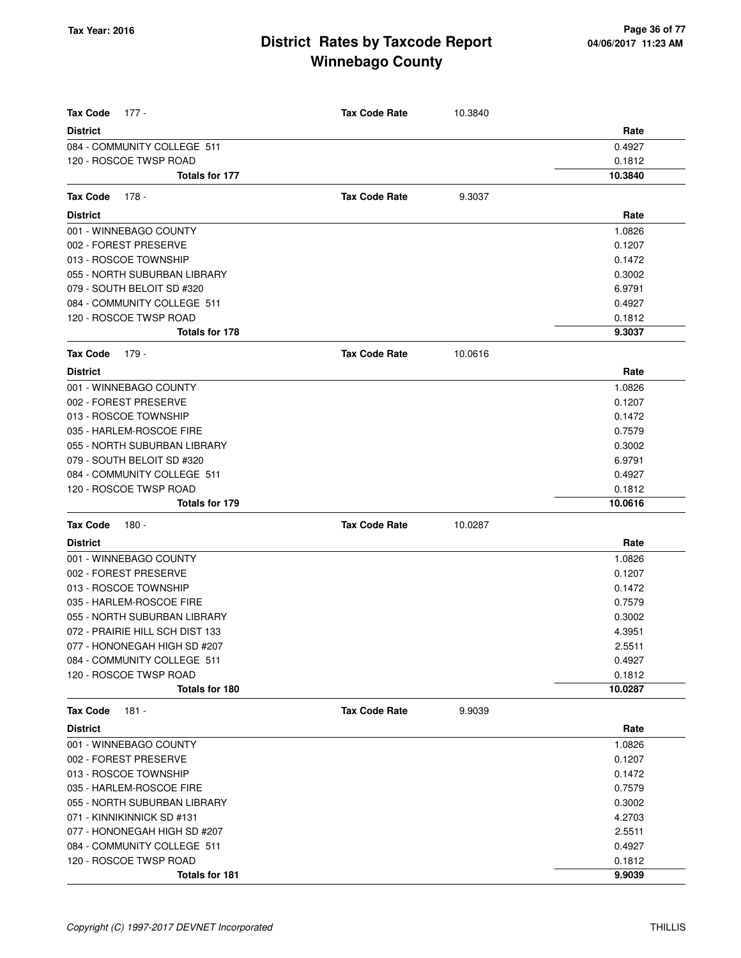| <b>Tax Code</b><br>177 -                 | <b>Tax Code Rate</b> | 10.3840 |                  |
|------------------------------------------|----------------------|---------|------------------|
| <b>District</b>                          |                      |         | Rate             |
| 084 - COMMUNITY COLLEGE 511              |                      |         | 0.4927           |
| 120 - ROSCOE TWSP ROAD                   |                      |         | 0.1812           |
| Totals for 177                           |                      |         | 10.3840          |
| Tax Code<br>178 -                        | <b>Tax Code Rate</b> | 9.3037  |                  |
| <b>District</b>                          |                      |         | Rate             |
| 001 - WINNEBAGO COUNTY                   |                      |         | 1.0826           |
| 002 - FOREST PRESERVE                    |                      |         | 0.1207           |
| 013 - ROSCOE TOWNSHIP                    |                      |         | 0.1472           |
| 055 - NORTH SUBURBAN LIBRARY             |                      |         | 0.3002           |
| 079 - SOUTH BELOIT SD #320               |                      |         | 6.9791           |
| 084 - COMMUNITY COLLEGE 511              |                      |         | 0.4927           |
| 120 - ROSCOE TWSP ROAD                   |                      |         | 0.1812           |
| <b>Totals for 178</b>                    |                      |         | 9.3037           |
| 179 -<br><b>Tax Code</b>                 | <b>Tax Code Rate</b> | 10.0616 |                  |
| <b>District</b>                          |                      |         | Rate             |
| 001 - WINNEBAGO COUNTY                   |                      |         | 1.0826           |
| 002 - FOREST PRESERVE                    |                      |         | 0.1207           |
| 013 - ROSCOE TOWNSHIP                    |                      |         | 0.1472           |
| 035 - HARLEM-ROSCOE FIRE                 |                      |         | 0.7579           |
| 055 - NORTH SUBURBAN LIBRARY             |                      |         | 0.3002           |
| 079 - SOUTH BELOIT SD #320               |                      |         | 6.9791           |
| 084 - COMMUNITY COLLEGE 511              |                      |         | 0.4927           |
| 120 - ROSCOE TWSP ROAD                   |                      |         | 0.1812           |
| Totals for 179                           |                      |         | 10.0616          |
| <b>Tax Code</b><br>180 -                 | <b>Tax Code Rate</b> | 10.0287 |                  |
| <b>District</b>                          |                      |         | Rate             |
| 001 - WINNEBAGO COUNTY                   |                      |         | 1.0826           |
| 002 - FOREST PRESERVE                    |                      |         | 0.1207           |
| 013 - ROSCOE TOWNSHIP                    |                      |         | 0.1472           |
| 035 - HARLEM-ROSCOE FIRE                 |                      |         | 0.7579           |
| 055 - NORTH SUBURBAN LIBRARY             |                      |         | 0.3002           |
| 072 - PRAIRIE HILL SCH DIST 133          |                      |         | 4.3951           |
| 077 - HONONEGAH HIGH SD #207             |                      |         | 2.5511           |
| 084 - COMMUNITY COLLEGE 511              |                      |         | 0.4927           |
| 120 - ROSCOE TWSP ROAD                   |                      |         | 0.1812           |
| Totals for 180                           |                      |         | 10.0287          |
| 181 -<br>Tax Code                        | <b>Tax Code Rate</b> | 9.9039  |                  |
| <b>District</b>                          |                      |         | Rate             |
| 001 - WINNEBAGO COUNTY                   |                      |         | 1.0826           |
| 002 - FOREST PRESERVE                    |                      |         | 0.1207           |
| 013 - ROSCOE TOWNSHIP                    |                      |         | 0.1472           |
| 035 - HARLEM-ROSCOE FIRE                 |                      |         | 0.7579           |
| 055 - NORTH SUBURBAN LIBRARY             |                      |         | 0.3002           |
| 071 - KINNIKINNICK SD #131               |                      |         | 4.2703           |
| 077 - HONONEGAH HIGH SD #207             |                      |         | 2.5511           |
| 084 - COMMUNITY COLLEGE 511              |                      |         | 0.4927           |
| 120 - ROSCOE TWSP ROAD<br>Totals for 181 |                      |         | 0.1812<br>9.9039 |
|                                          |                      |         |                  |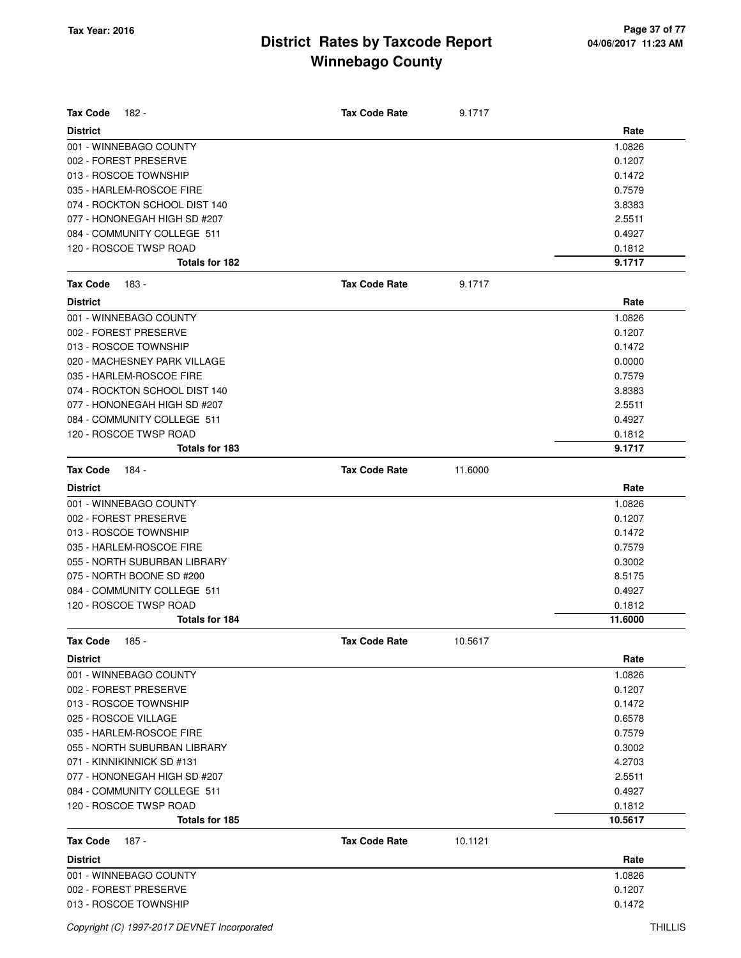| <b>Tax Code</b><br>182 -      | <b>Tax Code Rate</b> | 9.1717  |         |
|-------------------------------|----------------------|---------|---------|
| <b>District</b>               |                      |         | Rate    |
| 001 - WINNEBAGO COUNTY        |                      |         | 1.0826  |
| 002 - FOREST PRESERVE         |                      |         | 0.1207  |
| 013 - ROSCOE TOWNSHIP         |                      |         | 0.1472  |
| 035 - HARLEM-ROSCOE FIRE      |                      |         | 0.7579  |
| 074 - ROCKTON SCHOOL DIST 140 |                      |         | 3.8383  |
| 077 - HONONEGAH HIGH SD #207  |                      |         | 2.5511  |
| 084 - COMMUNITY COLLEGE 511   |                      |         | 0.4927  |
| 120 - ROSCOE TWSP ROAD        |                      |         | 0.1812  |
| <b>Totals for 182</b>         |                      |         | 9.1717  |
| <b>Tax Code</b><br>183 -      | <b>Tax Code Rate</b> | 9.1717  |         |
| <b>District</b>               |                      |         | Rate    |
| 001 - WINNEBAGO COUNTY        |                      |         | 1.0826  |
| 002 - FOREST PRESERVE         |                      |         | 0.1207  |
| 013 - ROSCOE TOWNSHIP         |                      |         | 0.1472  |
| 020 - MACHESNEY PARK VILLAGE  |                      |         | 0.0000  |
| 035 - HARLEM-ROSCOE FIRE      |                      |         | 0.7579  |
| 074 - ROCKTON SCHOOL DIST 140 |                      |         | 3.8383  |
| 077 - HONONEGAH HIGH SD #207  |                      |         | 2.5511  |
| 084 - COMMUNITY COLLEGE 511   |                      |         | 0.4927  |
| 120 - ROSCOE TWSP ROAD        |                      |         | 0.1812  |
| Totals for 183                |                      |         | 9.1717  |
| <b>Tax Code</b><br>184 -      | <b>Tax Code Rate</b> | 11.6000 |         |
| <b>District</b>               |                      |         | Rate    |
| 001 - WINNEBAGO COUNTY        |                      |         | 1.0826  |
| 002 - FOREST PRESERVE         |                      |         | 0.1207  |
| 013 - ROSCOE TOWNSHIP         |                      |         | 0.1472  |
| 035 - HARLEM-ROSCOE FIRE      |                      |         | 0.7579  |
| 055 - NORTH SUBURBAN LIBRARY  |                      |         | 0.3002  |
| 075 - NORTH BOONE SD #200     |                      |         | 8.5175  |
| 084 - COMMUNITY COLLEGE 511   |                      |         | 0.4927  |
| 120 - ROSCOE TWSP ROAD        |                      |         | 0.1812  |
| <b>Totals for 184</b>         |                      |         | 11.6000 |
| Tax Code 185 -                | <b>Tax Code Rate</b> | 10.5617 |         |
| <b>District</b>               |                      |         | Rate    |
| 001 - WINNEBAGO COUNTY        |                      |         | 1.0826  |
| 002 - FOREST PRESERVE         |                      |         | 0.1207  |
| 013 - ROSCOE TOWNSHIP         |                      |         | 0.1472  |
| 025 - ROSCOE VILLAGE          |                      |         | 0.6578  |
| 035 - HARLEM-ROSCOE FIRE      |                      |         | 0.7579  |
| 055 - NORTH SUBURBAN LIBRARY  |                      |         | 0.3002  |
| 071 - KINNIKINNICK SD #131    |                      |         | 4.2703  |
| 077 - HONONEGAH HIGH SD #207  |                      |         | 2.5511  |
| 084 - COMMUNITY COLLEGE 511   |                      |         | 0.4927  |
| 120 - ROSCOE TWSP ROAD        |                      |         | 0.1812  |
| Totals for 185                |                      |         | 10.5617 |
| <b>Tax Code</b><br>187 -      | <b>Tax Code Rate</b> | 10.1121 |         |
| <b>District</b>               |                      |         | Rate    |
| 001 - WINNEBAGO COUNTY        |                      |         | 1.0826  |
| 002 - FOREST PRESERVE         |                      |         | 0.1207  |
| 013 - ROSCOE TOWNSHIP         |                      |         | 0.1472  |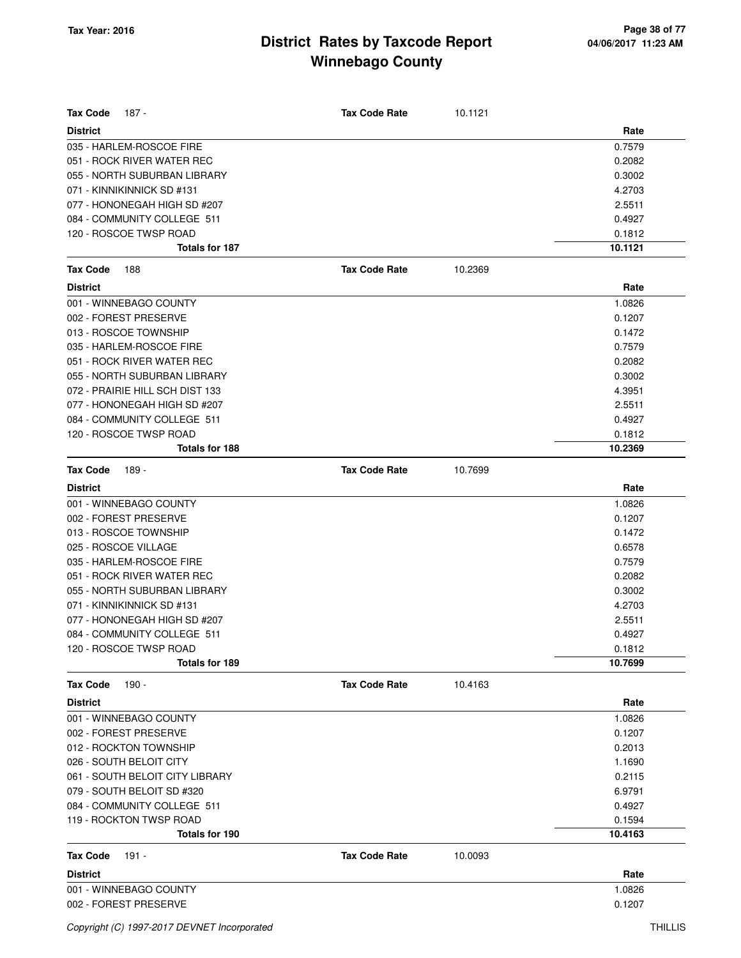| Tax Code<br>187 -               | <b>Tax Code Rate</b> | 10.1121 |         |
|---------------------------------|----------------------|---------|---------|
| <b>District</b>                 |                      |         | Rate    |
| 035 - HARLEM-ROSCOE FIRE        |                      |         | 0.7579  |
| 051 - ROCK RIVER WATER REC      |                      |         | 0.2082  |
| 055 - NORTH SUBURBAN LIBRARY    |                      |         | 0.3002  |
| 071 - KINNIKINNICK SD #131      |                      |         | 4.2703  |
| 077 - HONONEGAH HIGH SD #207    |                      |         | 2.5511  |
| 084 - COMMUNITY COLLEGE 511     |                      |         | 0.4927  |
| 120 - ROSCOE TWSP ROAD          |                      |         | 0.1812  |
| Totals for 187                  |                      |         | 10.1121 |
| <b>Tax Code</b><br>188          | <b>Tax Code Rate</b> | 10.2369 |         |
| <b>District</b>                 |                      |         | Rate    |
| 001 - WINNEBAGO COUNTY          |                      |         | 1.0826  |
| 002 - FOREST PRESERVE           |                      |         | 0.1207  |
| 013 - ROSCOE TOWNSHIP           |                      |         | 0.1472  |
| 035 - HARLEM-ROSCOE FIRE        |                      |         | 0.7579  |
| 051 - ROCK RIVER WATER REC      |                      |         | 0.2082  |
| 055 - NORTH SUBURBAN LIBRARY    |                      |         | 0.3002  |
| 072 - PRAIRIE HILL SCH DIST 133 |                      |         | 4.3951  |
| 077 - HONONEGAH HIGH SD #207    |                      |         | 2.5511  |
| 084 - COMMUNITY COLLEGE 511     |                      |         | 0.4927  |
| 120 - ROSCOE TWSP ROAD          |                      |         | 0.1812  |
| <b>Totals for 188</b>           |                      |         | 10.2369 |
| <b>Tax Code</b><br>189 -        | <b>Tax Code Rate</b> | 10.7699 |         |
| <b>District</b>                 |                      |         | Rate    |
| 001 - WINNEBAGO COUNTY          |                      |         | 1.0826  |
| 002 - FOREST PRESERVE           |                      |         | 0.1207  |
| 013 - ROSCOE TOWNSHIP           |                      |         | 0.1472  |
| 025 - ROSCOE VILLAGE            |                      |         | 0.6578  |
| 035 - HARLEM-ROSCOE FIRE        |                      |         | 0.7579  |
| 051 - ROCK RIVER WATER REC      |                      |         | 0.2082  |
| 055 - NORTH SUBURBAN LIBRARY    |                      |         | 0.3002  |
| 071 - KINNIKINNICK SD #131      |                      |         | 4.2703  |
| 077 - HONONEGAH HIGH SD #207    |                      |         | 2.5511  |
| 084 - COMMUNITY COLLEGE 511     |                      |         | 0.4927  |
| 120 - ROSCOE TWSP ROAD          |                      |         | 0.1812  |
| Totals for 189                  |                      |         | 10.7699 |
| <b>Tax Code</b><br>190 -        | <b>Tax Code Rate</b> | 10.4163 |         |
| <b>District</b>                 |                      |         | Rate    |
| 001 - WINNEBAGO COUNTY          |                      |         | 1.0826  |
| 002 - FOREST PRESERVE           |                      |         | 0.1207  |
| 012 - ROCKTON TOWNSHIP          |                      |         | 0.2013  |
| 026 - SOUTH BELOIT CITY         |                      |         | 1.1690  |
| 061 - SOUTH BELOIT CITY LIBRARY |                      |         | 0.2115  |
| 079 - SOUTH BELOIT SD #320      |                      |         | 6.9791  |
| 084 - COMMUNITY COLLEGE 511     |                      |         | 0.4927  |
| 119 - ROCKTON TWSP ROAD         |                      |         | 0.1594  |
| Totals for 190                  |                      |         | 10.4163 |
| <b>Tax Code</b><br>191 -        | <b>Tax Code Rate</b> | 10.0093 |         |
| <b>District</b>                 |                      |         | Rate    |
| 001 - WINNEBAGO COUNTY          |                      |         | 1.0826  |
| 002 - FOREST PRESERVE           |                      |         | 0.1207  |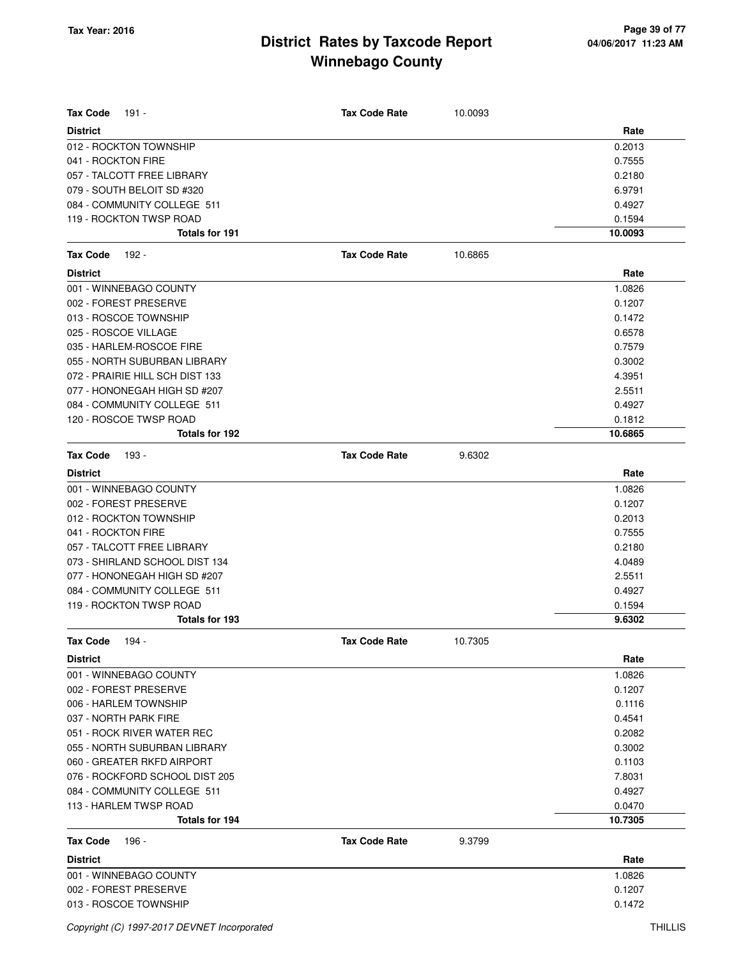| <b>Tax Code</b><br>191 -                 | <b>Tax Code Rate</b> | 10.0093 |         |
|------------------------------------------|----------------------|---------|---------|
| <b>District</b>                          |                      |         | Rate    |
| 012 - ROCKTON TOWNSHIP                   |                      |         | 0.2013  |
| 041 - ROCKTON FIRE                       |                      |         | 0.7555  |
| 057 - TALCOTT FREE LIBRARY               |                      |         | 0.2180  |
| 079 - SOUTH BELOIT SD #320               |                      |         | 6.9791  |
| 084 - COMMUNITY COLLEGE 511              |                      |         | 0.4927  |
| 119 - ROCKTON TWSP ROAD                  |                      |         | 0.1594  |
| <b>Totals for 191</b>                    |                      |         | 10.0093 |
| <b>Tax Code</b><br>192 -                 | <b>Tax Code Rate</b> | 10.6865 |         |
| <b>District</b>                          |                      |         | Rate    |
| 001 - WINNEBAGO COUNTY                   |                      |         | 1.0826  |
| 002 - FOREST PRESERVE                    |                      |         | 0.1207  |
| 013 - ROSCOE TOWNSHIP                    |                      |         | 0.1472  |
| 025 - ROSCOE VILLAGE                     |                      |         | 0.6578  |
| 035 - HARLEM-ROSCOE FIRE                 |                      |         | 0.7579  |
| 055 - NORTH SUBURBAN LIBRARY             |                      |         | 0.3002  |
| 072 - PRAIRIE HILL SCH DIST 133          |                      |         | 4.3951  |
| 077 - HONONEGAH HIGH SD #207             |                      |         | 2.5511  |
| 084 - COMMUNITY COLLEGE 511              |                      |         | 0.4927  |
| 120 - ROSCOE TWSP ROAD                   |                      |         | 0.1812  |
| Totals for 192                           |                      |         | 10.6865 |
| <b>Tax Code</b><br>193 -                 | <b>Tax Code Rate</b> | 9.6302  |         |
| <b>District</b>                          |                      |         | Rate    |
| 001 - WINNEBAGO COUNTY                   |                      |         | 1.0826  |
| 002 - FOREST PRESERVE                    |                      |         | 0.1207  |
| 012 - ROCKTON TOWNSHIP                   |                      |         | 0.2013  |
| 041 - ROCKTON FIRE                       |                      |         | 0.7555  |
| 057 - TALCOTT FREE LIBRARY               |                      |         | 0.2180  |
| 073 - SHIRLAND SCHOOL DIST 134           |                      |         | 4.0489  |
| 077 - HONONEGAH HIGH SD #207             |                      |         | 2.5511  |
| 084 - COMMUNITY COLLEGE 511              |                      |         | 0.4927  |
| 119 - ROCKTON TWSP ROAD                  |                      |         | 0.1594  |
| Totals for 193                           |                      |         | 9.6302  |
| Tax Code $194 -$                         | <b>Tax Code Rate</b> | 10.7305 |         |
| <b>District</b>                          |                      |         | Rate    |
| 001 - WINNEBAGO COUNTY                   |                      |         | 1.0826  |
| 002 - FOREST PRESERVE                    |                      |         | 0.1207  |
| 006 - HARLEM TOWNSHIP                    |                      |         | 0.1116  |
| 037 - NORTH PARK FIRE                    |                      |         | 0.4541  |
| 051 - ROCK RIVER WATER REC               |                      |         | 0.2082  |
| 055 - NORTH SUBURBAN LIBRARY             |                      |         | 0.3002  |
| 060 - GREATER RKFD AIRPORT               |                      |         | 0.1103  |
| 076 - ROCKFORD SCHOOL DIST 205           |                      |         | 7.8031  |
| 084 - COMMUNITY COLLEGE 511              |                      |         | 0.4927  |
| 113 - HARLEM TWSP ROAD<br>Totals for 194 |                      |         | 0.0470  |
|                                          |                      |         | 10.7305 |
| <b>Tax Code</b><br>196 -                 | <b>Tax Code Rate</b> | 9.3799  |         |
| <b>District</b>                          |                      |         | Rate    |
| 001 - WINNEBAGO COUNTY                   |                      |         | 1.0826  |
| 002 - FOREST PRESERVE                    |                      |         | 0.1207  |
| 013 - ROSCOE TOWNSHIP                    |                      |         | 0.1472  |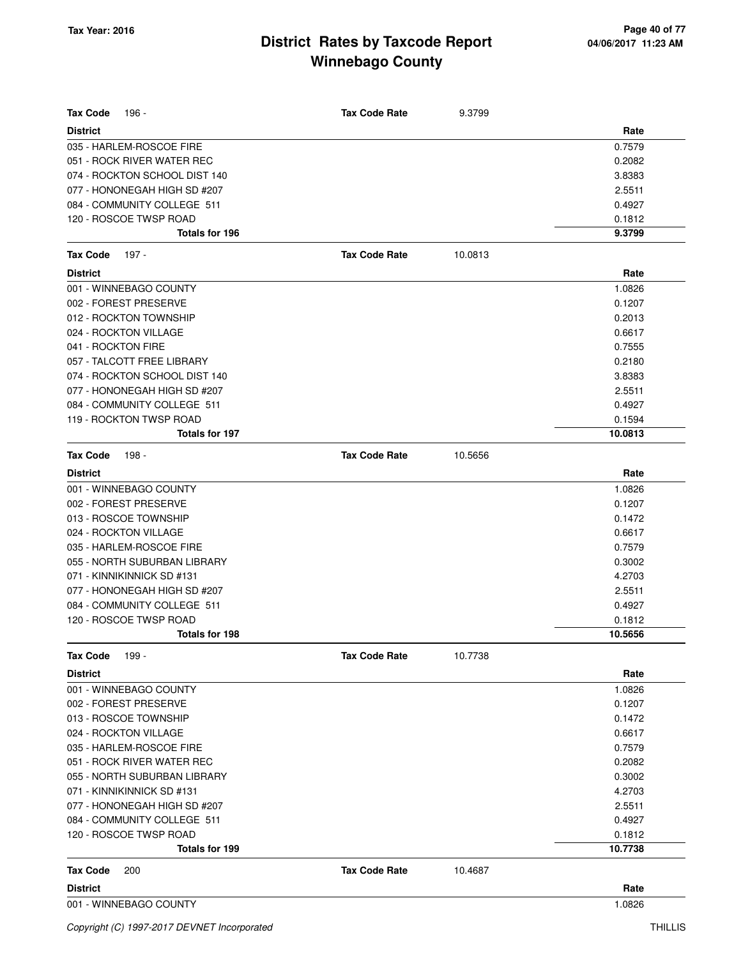| <b>Tax Code</b><br>196 -      | <b>Tax Code Rate</b> | 9.3799  |         |
|-------------------------------|----------------------|---------|---------|
| <b>District</b>               |                      |         | Rate    |
| 035 - HARLEM-ROSCOE FIRE      |                      |         | 0.7579  |
| 051 - ROCK RIVER WATER REC    |                      |         | 0.2082  |
| 074 - ROCKTON SCHOOL DIST 140 |                      |         | 3.8383  |
| 077 - HONONEGAH HIGH SD #207  |                      |         | 2.5511  |
| 084 - COMMUNITY COLLEGE 511   |                      |         | 0.4927  |
| 120 - ROSCOE TWSP ROAD        |                      |         | 0.1812  |
| Totals for 196                |                      |         | 9.3799  |
| <b>Tax Code</b><br>197 -      | <b>Tax Code Rate</b> | 10.0813 |         |
| <b>District</b>               |                      |         | Rate    |
| 001 - WINNEBAGO COUNTY        |                      |         | 1.0826  |
| 002 - FOREST PRESERVE         |                      |         | 0.1207  |
| 012 - ROCKTON TOWNSHIP        |                      |         | 0.2013  |
| 024 - ROCKTON VILLAGE         |                      |         | 0.6617  |
| 041 - ROCKTON FIRE            |                      |         | 0.7555  |
| 057 - TALCOTT FREE LIBRARY    |                      |         | 0.2180  |
| 074 - ROCKTON SCHOOL DIST 140 |                      |         | 3.8383  |
| 077 - HONONEGAH HIGH SD #207  |                      |         | 2.5511  |
| 084 - COMMUNITY COLLEGE 511   |                      |         | 0.4927  |
| 119 - ROCKTON TWSP ROAD       |                      |         | 0.1594  |
| <b>Totals for 197</b>         |                      |         | 10.0813 |
| <b>Tax Code</b><br>198 -      | <b>Tax Code Rate</b> | 10.5656 |         |
| <b>District</b>               |                      |         | Rate    |
| 001 - WINNEBAGO COUNTY        |                      |         | 1.0826  |
| 002 - FOREST PRESERVE         |                      |         | 0.1207  |
| 013 - ROSCOE TOWNSHIP         |                      |         | 0.1472  |
| 024 - ROCKTON VILLAGE         |                      |         | 0.6617  |
| 035 - HARLEM-ROSCOE FIRE      |                      |         | 0.7579  |
| 055 - NORTH SUBURBAN LIBRARY  |                      |         | 0.3002  |
| 071 - KINNIKINNICK SD #131    |                      |         | 4.2703  |
| 077 - HONONEGAH HIGH SD #207  |                      |         | 2.5511  |
| 084 - COMMUNITY COLLEGE 511   |                      |         | 0.4927  |
| 120 - ROSCOE TWSP ROAD        |                      |         | 0.1812  |
| Totals for 198                |                      |         | 10.5656 |
| <b>Tax Code</b><br>199 -      | <b>Tax Code Rate</b> | 10.7738 |         |
| <b>District</b>               |                      |         | Rate    |
| 001 - WINNEBAGO COUNTY        |                      |         | 1.0826  |
| 002 - FOREST PRESERVE         |                      |         | 0.1207  |
| 013 - ROSCOE TOWNSHIP         |                      |         | 0.1472  |
| 024 - ROCKTON VILLAGE         |                      |         | 0.6617  |
| 035 - HARLEM-ROSCOE FIRE      |                      |         | 0.7579  |
| 051 - ROCK RIVER WATER REC    |                      |         | 0.2082  |
| 055 - NORTH SUBURBAN LIBRARY  |                      |         | 0.3002  |
| 071 - KINNIKINNICK SD #131    |                      |         | 4.2703  |
| 077 - HONONEGAH HIGH SD #207  |                      |         | 2.5511  |
| 084 - COMMUNITY COLLEGE 511   |                      |         | 0.4927  |
| 120 - ROSCOE TWSP ROAD        |                      |         | 0.1812  |
| <b>Totals for 199</b>         |                      |         | 10.7738 |
| <b>Tax Code</b><br>200        | <b>Tax Code Rate</b> | 10.4687 |         |
| <b>District</b>               |                      |         | Rate    |
| 001 - WINNEBAGO COUNTY        |                      |         | 1.0826  |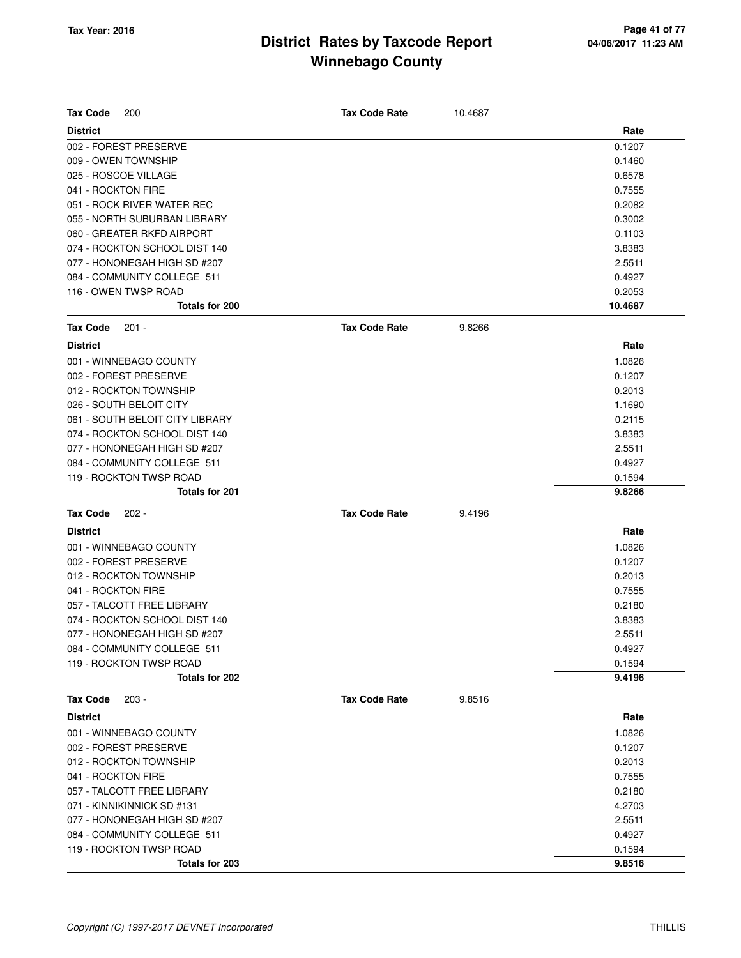| <b>Tax Code</b><br><b>Tax Code Rate</b><br>200<br>10.4687<br><b>District</b><br>Rate<br>002 - FOREST PRESERVE<br>0.1207<br>009 - OWEN TOWNSHIP<br>0.1460<br>025 - ROSCOE VILLAGE<br>0.6578<br>041 - ROCKTON FIRE<br>0.7555<br>051 - ROCK RIVER WATER REC<br>0.2082<br>0.3002<br>055 - NORTH SUBURBAN LIBRARY<br>060 - GREATER RKFD AIRPORT<br>0.1103<br>074 - ROCKTON SCHOOL DIST 140<br>3.8383<br>077 - HONONEGAH HIGH SD #207<br>2.5511<br>084 - COMMUNITY COLLEGE 511<br>0.4927<br>116 - OWEN TWSP ROAD<br>0.2053<br>10.4687<br>Totals for 200<br><b>Tax Code</b><br><b>Tax Code Rate</b><br>$201 -$<br>9.8266<br><b>District</b><br>Rate<br>001 - WINNEBAGO COUNTY<br>1.0826<br>002 - FOREST PRESERVE<br>0.1207<br>012 - ROCKTON TOWNSHIP<br>0.2013<br>026 - SOUTH BELOIT CITY<br>1.1690<br>061 - SOUTH BELOIT CITY LIBRARY<br>0.2115<br>074 - ROCKTON SCHOOL DIST 140<br>3.8383<br>077 - HONONEGAH HIGH SD #207<br>2.5511<br>084 - COMMUNITY COLLEGE 511<br>0.4927<br>119 - ROCKTON TWSP ROAD<br>0.1594<br>Totals for 201<br>9.8266<br><b>Tax Code</b><br><b>Tax Code Rate</b><br>$202 -$<br>9.4196<br>Rate<br><b>District</b><br>001 - WINNEBAGO COUNTY<br>1.0826<br>002 - FOREST PRESERVE<br>0.1207<br>012 - ROCKTON TOWNSHIP<br>0.2013<br>041 - ROCKTON FIRE<br>0.7555<br>057 - TALCOTT FREE LIBRARY<br>0.2180<br>074 - ROCKTON SCHOOL DIST 140<br>3.8383<br>2.5511<br>077 - HONONEGAH HIGH SD #207<br>084 - COMMUNITY COLLEGE 511<br>0.4927 |  |
|------------------------------------------------------------------------------------------------------------------------------------------------------------------------------------------------------------------------------------------------------------------------------------------------------------------------------------------------------------------------------------------------------------------------------------------------------------------------------------------------------------------------------------------------------------------------------------------------------------------------------------------------------------------------------------------------------------------------------------------------------------------------------------------------------------------------------------------------------------------------------------------------------------------------------------------------------------------------------------------------------------------------------------------------------------------------------------------------------------------------------------------------------------------------------------------------------------------------------------------------------------------------------------------------------------------------------------------------------------------------------------------------------------------------------------------------------|--|
|                                                                                                                                                                                                                                                                                                                                                                                                                                                                                                                                                                                                                                                                                                                                                                                                                                                                                                                                                                                                                                                                                                                                                                                                                                                                                                                                                                                                                                                      |  |
|                                                                                                                                                                                                                                                                                                                                                                                                                                                                                                                                                                                                                                                                                                                                                                                                                                                                                                                                                                                                                                                                                                                                                                                                                                                                                                                                                                                                                                                      |  |
|                                                                                                                                                                                                                                                                                                                                                                                                                                                                                                                                                                                                                                                                                                                                                                                                                                                                                                                                                                                                                                                                                                                                                                                                                                                                                                                                                                                                                                                      |  |
|                                                                                                                                                                                                                                                                                                                                                                                                                                                                                                                                                                                                                                                                                                                                                                                                                                                                                                                                                                                                                                                                                                                                                                                                                                                                                                                                                                                                                                                      |  |
|                                                                                                                                                                                                                                                                                                                                                                                                                                                                                                                                                                                                                                                                                                                                                                                                                                                                                                                                                                                                                                                                                                                                                                                                                                                                                                                                                                                                                                                      |  |
|                                                                                                                                                                                                                                                                                                                                                                                                                                                                                                                                                                                                                                                                                                                                                                                                                                                                                                                                                                                                                                                                                                                                                                                                                                                                                                                                                                                                                                                      |  |
|                                                                                                                                                                                                                                                                                                                                                                                                                                                                                                                                                                                                                                                                                                                                                                                                                                                                                                                                                                                                                                                                                                                                                                                                                                                                                                                                                                                                                                                      |  |
|                                                                                                                                                                                                                                                                                                                                                                                                                                                                                                                                                                                                                                                                                                                                                                                                                                                                                                                                                                                                                                                                                                                                                                                                                                                                                                                                                                                                                                                      |  |
|                                                                                                                                                                                                                                                                                                                                                                                                                                                                                                                                                                                                                                                                                                                                                                                                                                                                                                                                                                                                                                                                                                                                                                                                                                                                                                                                                                                                                                                      |  |
|                                                                                                                                                                                                                                                                                                                                                                                                                                                                                                                                                                                                                                                                                                                                                                                                                                                                                                                                                                                                                                                                                                                                                                                                                                                                                                                                                                                                                                                      |  |
|                                                                                                                                                                                                                                                                                                                                                                                                                                                                                                                                                                                                                                                                                                                                                                                                                                                                                                                                                                                                                                                                                                                                                                                                                                                                                                                                                                                                                                                      |  |
|                                                                                                                                                                                                                                                                                                                                                                                                                                                                                                                                                                                                                                                                                                                                                                                                                                                                                                                                                                                                                                                                                                                                                                                                                                                                                                                                                                                                                                                      |  |
|                                                                                                                                                                                                                                                                                                                                                                                                                                                                                                                                                                                                                                                                                                                                                                                                                                                                                                                                                                                                                                                                                                                                                                                                                                                                                                                                                                                                                                                      |  |
|                                                                                                                                                                                                                                                                                                                                                                                                                                                                                                                                                                                                                                                                                                                                                                                                                                                                                                                                                                                                                                                                                                                                                                                                                                                                                                                                                                                                                                                      |  |
|                                                                                                                                                                                                                                                                                                                                                                                                                                                                                                                                                                                                                                                                                                                                                                                                                                                                                                                                                                                                                                                                                                                                                                                                                                                                                                                                                                                                                                                      |  |
|                                                                                                                                                                                                                                                                                                                                                                                                                                                                                                                                                                                                                                                                                                                                                                                                                                                                                                                                                                                                                                                                                                                                                                                                                                                                                                                                                                                                                                                      |  |
|                                                                                                                                                                                                                                                                                                                                                                                                                                                                                                                                                                                                                                                                                                                                                                                                                                                                                                                                                                                                                                                                                                                                                                                                                                                                                                                                                                                                                                                      |  |
|                                                                                                                                                                                                                                                                                                                                                                                                                                                                                                                                                                                                                                                                                                                                                                                                                                                                                                                                                                                                                                                                                                                                                                                                                                                                                                                                                                                                                                                      |  |
|                                                                                                                                                                                                                                                                                                                                                                                                                                                                                                                                                                                                                                                                                                                                                                                                                                                                                                                                                                                                                                                                                                                                                                                                                                                                                                                                                                                                                                                      |  |
|                                                                                                                                                                                                                                                                                                                                                                                                                                                                                                                                                                                                                                                                                                                                                                                                                                                                                                                                                                                                                                                                                                                                                                                                                                                                                                                                                                                                                                                      |  |
|                                                                                                                                                                                                                                                                                                                                                                                                                                                                                                                                                                                                                                                                                                                                                                                                                                                                                                                                                                                                                                                                                                                                                                                                                                                                                                                                                                                                                                                      |  |
|                                                                                                                                                                                                                                                                                                                                                                                                                                                                                                                                                                                                                                                                                                                                                                                                                                                                                                                                                                                                                                                                                                                                                                                                                                                                                                                                                                                                                                                      |  |
|                                                                                                                                                                                                                                                                                                                                                                                                                                                                                                                                                                                                                                                                                                                                                                                                                                                                                                                                                                                                                                                                                                                                                                                                                                                                                                                                                                                                                                                      |  |
|                                                                                                                                                                                                                                                                                                                                                                                                                                                                                                                                                                                                                                                                                                                                                                                                                                                                                                                                                                                                                                                                                                                                                                                                                                                                                                                                                                                                                                                      |  |
|                                                                                                                                                                                                                                                                                                                                                                                                                                                                                                                                                                                                                                                                                                                                                                                                                                                                                                                                                                                                                                                                                                                                                                                                                                                                                                                                                                                                                                                      |  |
|                                                                                                                                                                                                                                                                                                                                                                                                                                                                                                                                                                                                                                                                                                                                                                                                                                                                                                                                                                                                                                                                                                                                                                                                                                                                                                                                                                                                                                                      |  |
|                                                                                                                                                                                                                                                                                                                                                                                                                                                                                                                                                                                                                                                                                                                                                                                                                                                                                                                                                                                                                                                                                                                                                                                                                                                                                                                                                                                                                                                      |  |
|                                                                                                                                                                                                                                                                                                                                                                                                                                                                                                                                                                                                                                                                                                                                                                                                                                                                                                                                                                                                                                                                                                                                                                                                                                                                                                                                                                                                                                                      |  |
|                                                                                                                                                                                                                                                                                                                                                                                                                                                                                                                                                                                                                                                                                                                                                                                                                                                                                                                                                                                                                                                                                                                                                                                                                                                                                                                                                                                                                                                      |  |
|                                                                                                                                                                                                                                                                                                                                                                                                                                                                                                                                                                                                                                                                                                                                                                                                                                                                                                                                                                                                                                                                                                                                                                                                                                                                                                                                                                                                                                                      |  |
|                                                                                                                                                                                                                                                                                                                                                                                                                                                                                                                                                                                                                                                                                                                                                                                                                                                                                                                                                                                                                                                                                                                                                                                                                                                                                                                                                                                                                                                      |  |
|                                                                                                                                                                                                                                                                                                                                                                                                                                                                                                                                                                                                                                                                                                                                                                                                                                                                                                                                                                                                                                                                                                                                                                                                                                                                                                                                                                                                                                                      |  |
|                                                                                                                                                                                                                                                                                                                                                                                                                                                                                                                                                                                                                                                                                                                                                                                                                                                                                                                                                                                                                                                                                                                                                                                                                                                                                                                                                                                                                                                      |  |
|                                                                                                                                                                                                                                                                                                                                                                                                                                                                                                                                                                                                                                                                                                                                                                                                                                                                                                                                                                                                                                                                                                                                                                                                                                                                                                                                                                                                                                                      |  |
|                                                                                                                                                                                                                                                                                                                                                                                                                                                                                                                                                                                                                                                                                                                                                                                                                                                                                                                                                                                                                                                                                                                                                                                                                                                                                                                                                                                                                                                      |  |
|                                                                                                                                                                                                                                                                                                                                                                                                                                                                                                                                                                                                                                                                                                                                                                                                                                                                                                                                                                                                                                                                                                                                                                                                                                                                                                                                                                                                                                                      |  |
| 119 - ROCKTON TWSP ROAD<br>0.1594                                                                                                                                                                                                                                                                                                                                                                                                                                                                                                                                                                                                                                                                                                                                                                                                                                                                                                                                                                                                                                                                                                                                                                                                                                                                                                                                                                                                                    |  |
| Totals for 202<br>9.4196                                                                                                                                                                                                                                                                                                                                                                                                                                                                                                                                                                                                                                                                                                                                                                                                                                                                                                                                                                                                                                                                                                                                                                                                                                                                                                                                                                                                                             |  |
| $203 -$<br><b>Tax Code Rate</b><br>9.8516<br><b>Tax Code</b>                                                                                                                                                                                                                                                                                                                                                                                                                                                                                                                                                                                                                                                                                                                                                                                                                                                                                                                                                                                                                                                                                                                                                                                                                                                                                                                                                                                         |  |
| <b>District</b><br>Rate                                                                                                                                                                                                                                                                                                                                                                                                                                                                                                                                                                                                                                                                                                                                                                                                                                                                                                                                                                                                                                                                                                                                                                                                                                                                                                                                                                                                                              |  |
| 001 - WINNEBAGO COUNTY<br>1.0826                                                                                                                                                                                                                                                                                                                                                                                                                                                                                                                                                                                                                                                                                                                                                                                                                                                                                                                                                                                                                                                                                                                                                                                                                                                                                                                                                                                                                     |  |
| 002 - FOREST PRESERVE<br>0.1207                                                                                                                                                                                                                                                                                                                                                                                                                                                                                                                                                                                                                                                                                                                                                                                                                                                                                                                                                                                                                                                                                                                                                                                                                                                                                                                                                                                                                      |  |
| 012 - ROCKTON TOWNSHIP<br>0.2013                                                                                                                                                                                                                                                                                                                                                                                                                                                                                                                                                                                                                                                                                                                                                                                                                                                                                                                                                                                                                                                                                                                                                                                                                                                                                                                                                                                                                     |  |
| 041 - ROCKTON FIRE<br>0.7555                                                                                                                                                                                                                                                                                                                                                                                                                                                                                                                                                                                                                                                                                                                                                                                                                                                                                                                                                                                                                                                                                                                                                                                                                                                                                                                                                                                                                         |  |
| 057 - TALCOTT FREE LIBRARY<br>0.2180                                                                                                                                                                                                                                                                                                                                                                                                                                                                                                                                                                                                                                                                                                                                                                                                                                                                                                                                                                                                                                                                                                                                                                                                                                                                                                                                                                                                                 |  |
| 071 - KINNIKINNICK SD #131<br>4.2703                                                                                                                                                                                                                                                                                                                                                                                                                                                                                                                                                                                                                                                                                                                                                                                                                                                                                                                                                                                                                                                                                                                                                                                                                                                                                                                                                                                                                 |  |
| 077 - HONONEGAH HIGH SD #207<br>2.5511                                                                                                                                                                                                                                                                                                                                                                                                                                                                                                                                                                                                                                                                                                                                                                                                                                                                                                                                                                                                                                                                                                                                                                                                                                                                                                                                                                                                               |  |
| 084 - COMMUNITY COLLEGE 511<br>0.4927                                                                                                                                                                                                                                                                                                                                                                                                                                                                                                                                                                                                                                                                                                                                                                                                                                                                                                                                                                                                                                                                                                                                                                                                                                                                                                                                                                                                                |  |
| 119 - ROCKTON TWSP ROAD<br>0.1594                                                                                                                                                                                                                                                                                                                                                                                                                                                                                                                                                                                                                                                                                                                                                                                                                                                                                                                                                                                                                                                                                                                                                                                                                                                                                                                                                                                                                    |  |
| Totals for 203<br>9.8516                                                                                                                                                                                                                                                                                                                                                                                                                                                                                                                                                                                                                                                                                                                                                                                                                                                                                                                                                                                                                                                                                                                                                                                                                                                                                                                                                                                                                             |  |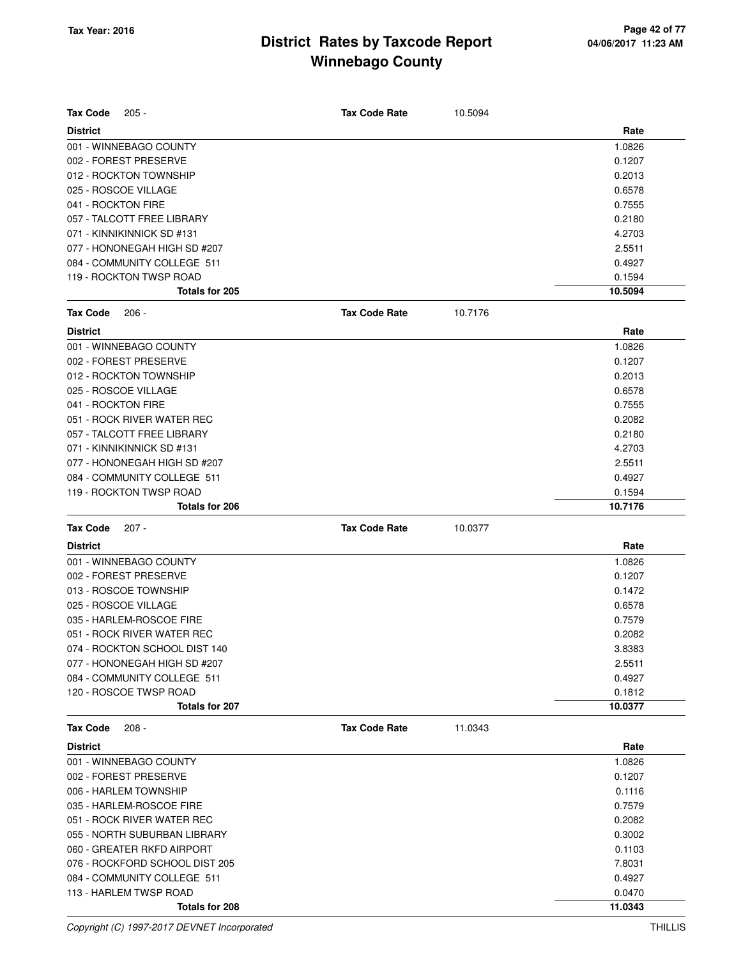| <b>Tax Code</b>    | $205 -$                                                       | <b>Tax Code Rate</b> | 10.5094 |                   |
|--------------------|---------------------------------------------------------------|----------------------|---------|-------------------|
| <b>District</b>    |                                                               |                      |         | Rate              |
|                    | 001 - WINNEBAGO COUNTY                                        |                      |         | 1.0826            |
|                    | 002 - FOREST PRESERVE                                         |                      |         | 0.1207            |
|                    | 012 - ROCKTON TOWNSHIP                                        |                      |         | 0.2013            |
|                    | 025 - ROSCOE VILLAGE                                          |                      |         | 0.6578            |
| 041 - ROCKTON FIRE |                                                               |                      |         | 0.7555            |
|                    | 057 - TALCOTT FREE LIBRARY                                    |                      |         | 0.2180            |
|                    | 071 - KINNIKINNICK SD #131                                    |                      |         | 4.2703            |
|                    | 077 - HONONEGAH HIGH SD #207                                  |                      |         | 2.5511            |
|                    | 084 - COMMUNITY COLLEGE 511                                   |                      |         | 0.4927            |
|                    | 119 - ROCKTON TWSP ROAD                                       |                      |         | 0.1594            |
|                    | Totals for 205                                                |                      |         | 10.5094           |
| <b>Tax Code</b>    | $206 -$                                                       | <b>Tax Code Rate</b> | 10.7176 |                   |
| <b>District</b>    |                                                               |                      |         | Rate              |
|                    | 001 - WINNEBAGO COUNTY                                        |                      |         | 1.0826            |
|                    | 002 - FOREST PRESERVE                                         |                      |         | 0.1207            |
|                    | 012 - ROCKTON TOWNSHIP                                        |                      |         | 0.2013            |
|                    | 025 - ROSCOE VILLAGE                                          |                      |         | 0.6578            |
| 041 - ROCKTON FIRE |                                                               |                      |         | 0.7555            |
|                    | 051 - ROCK RIVER WATER REC                                    |                      |         | 0.2082            |
|                    | 057 - TALCOTT FREE LIBRARY                                    |                      |         | 0.2180            |
|                    | 071 - KINNIKINNICK SD #131                                    |                      |         | 4.2703            |
|                    | 077 - HONONEGAH HIGH SD #207                                  |                      |         | 2.5511            |
|                    | 084 - COMMUNITY COLLEGE 511                                   |                      |         | 0.4927            |
|                    | 119 - ROCKTON TWSP ROAD                                       |                      |         | 0.1594            |
|                    | Totals for 206                                                |                      |         | 10.7176           |
| <b>Tax Code</b>    | $207 -$                                                       | <b>Tax Code Rate</b> | 10.0377 |                   |
|                    |                                                               |                      |         |                   |
|                    |                                                               |                      |         |                   |
| <b>District</b>    |                                                               |                      |         | Rate              |
|                    | 001 - WINNEBAGO COUNTY                                        |                      |         | 1.0826            |
|                    | 002 - FOREST PRESERVE                                         |                      |         | 0.1207            |
|                    | 013 - ROSCOE TOWNSHIP                                         |                      |         | 0.1472            |
|                    | 025 - ROSCOE VILLAGE                                          |                      |         | 0.6578            |
|                    | 035 - HARLEM-ROSCOE FIRE                                      |                      |         | 0.7579            |
|                    | 051 - ROCK RIVER WATER REC                                    |                      |         | 0.2082            |
|                    | 074 - ROCKTON SCHOOL DIST 140<br>077 - HONONEGAH HIGH SD #207 |                      |         | 3.8383            |
|                    | 084 - COMMUNITY COLLEGE 511                                   |                      |         | 2.5511<br>0.4927  |
|                    | 120 - ROSCOE TWSP ROAD                                        |                      |         |                   |
|                    | Totals for 207                                                |                      |         | 0.1812<br>10.0377 |
| <b>Tax Code</b>    | $208 -$                                                       | <b>Tax Code Rate</b> | 11.0343 |                   |
| <b>District</b>    |                                                               |                      |         | Rate              |
|                    | 001 - WINNEBAGO COUNTY                                        |                      |         | 1.0826            |
|                    | 002 - FOREST PRESERVE                                         |                      |         | 0.1207            |
|                    | 006 - HARLEM TOWNSHIP                                         |                      |         | 0.1116            |
|                    | 035 - HARLEM-ROSCOE FIRE                                      |                      |         | 0.7579            |
|                    | 051 - ROCK RIVER WATER REC                                    |                      |         | 0.2082            |
|                    | 055 - NORTH SUBURBAN LIBRARY                                  |                      |         | 0.3002            |
|                    | 060 - GREATER RKFD AIRPORT                                    |                      |         | 0.1103            |
|                    | 076 - ROCKFORD SCHOOL DIST 205                                |                      |         | 7.8031            |
|                    | 084 - COMMUNITY COLLEGE 511                                   |                      |         | 0.4927            |
|                    | 113 - HARLEM TWSP ROAD                                        |                      |         | 0.0470            |

Copyright (C) 1997-2017 DEVNET Incorporated THILLIS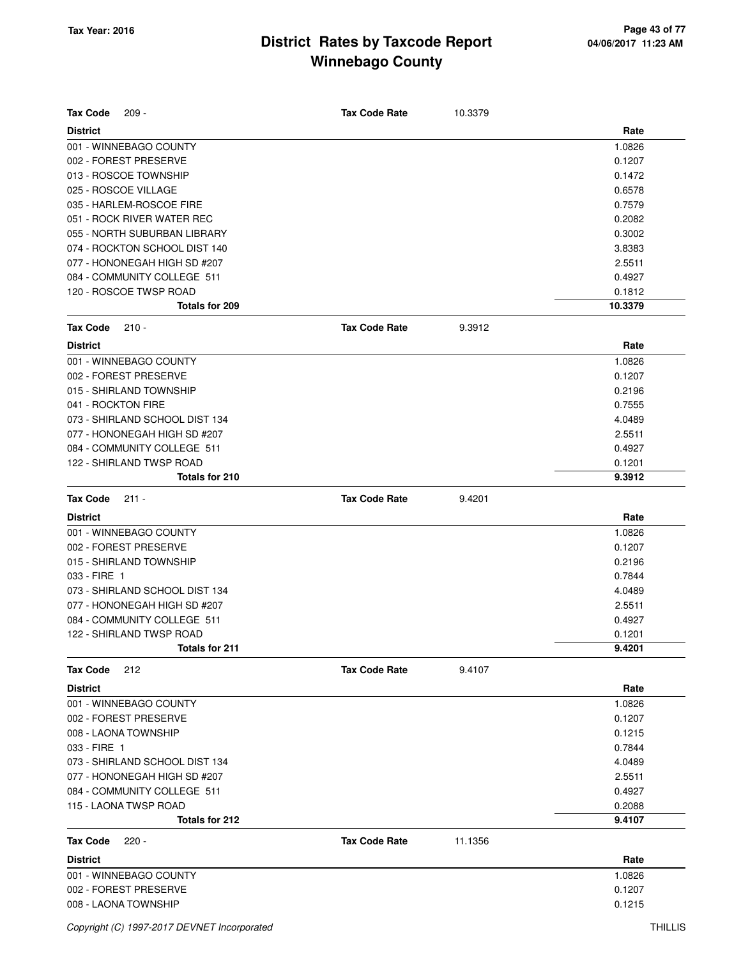| <b>Tax Code</b><br>$209 -$     | <b>Tax Code Rate</b> | 10.3379 |         |
|--------------------------------|----------------------|---------|---------|
| <b>District</b>                |                      |         | Rate    |
| 001 - WINNEBAGO COUNTY         |                      |         | 1.0826  |
| 002 - FOREST PRESERVE          |                      |         | 0.1207  |
| 013 - ROSCOE TOWNSHIP          |                      |         | 0.1472  |
| 025 - ROSCOE VILLAGE           |                      |         | 0.6578  |
| 035 - HARLEM-ROSCOE FIRE       |                      |         | 0.7579  |
| 051 - ROCK RIVER WATER REC     |                      |         | 0.2082  |
| 055 - NORTH SUBURBAN LIBRARY   |                      |         | 0.3002  |
| 074 - ROCKTON SCHOOL DIST 140  |                      |         | 3.8383  |
| 077 - HONONEGAH HIGH SD #207   |                      |         | 2.5511  |
| 084 - COMMUNITY COLLEGE 511    |                      |         | 0.4927  |
| 120 - ROSCOE TWSP ROAD         |                      |         | 0.1812  |
| Totals for 209                 |                      |         | 10.3379 |
| <b>Tax Code</b><br>$210 -$     | <b>Tax Code Rate</b> | 9.3912  |         |
| <b>District</b>                |                      |         | Rate    |
| 001 - WINNEBAGO COUNTY         |                      |         | 1.0826  |
| 002 - FOREST PRESERVE          |                      |         | 0.1207  |
| 015 - SHIRLAND TOWNSHIP        |                      |         | 0.2196  |
| 041 - ROCKTON FIRE             |                      |         | 0.7555  |
| 073 - SHIRLAND SCHOOL DIST 134 |                      |         | 4.0489  |
| 077 - HONONEGAH HIGH SD #207   |                      |         | 2.5511  |
| 084 - COMMUNITY COLLEGE 511    |                      |         | 0.4927  |
| 122 - SHIRLAND TWSP ROAD       |                      |         | 0.1201  |
| Totals for 210                 |                      |         | 9.3912  |
| <b>Tax Code</b><br>$211 -$     | <b>Tax Code Rate</b> | 9.4201  |         |
| <b>District</b>                |                      |         | Rate    |
| 001 - WINNEBAGO COUNTY         |                      |         | 1.0826  |
| 002 - FOREST PRESERVE          |                      |         | 0.1207  |
| 015 - SHIRLAND TOWNSHIP        |                      |         | 0.2196  |
| 033 - FIRE 1                   |                      |         | 0.7844  |
| 073 - SHIRLAND SCHOOL DIST 134 |                      |         | 4.0489  |
| 077 - HONONEGAH HIGH SD #207   |                      |         | 2.5511  |
| 084 - COMMUNITY COLLEGE 511    |                      |         | 0.4927  |
| 122 - SHIRLAND TWSP ROAD       |                      |         | 0.1201  |
| <b>Totals for 211</b>          |                      |         | 9.4201  |
| <b>Tax Code</b><br>212         | <b>Tax Code Rate</b> | 9.4107  |         |
| <b>District</b>                |                      |         | Rate    |
| 001 - WINNEBAGO COUNTY         |                      |         | 1.0826  |
| 002 - FOREST PRESERVE          |                      |         | 0.1207  |
| 008 - LAONA TOWNSHIP           |                      |         | 0.1215  |
| 033 - FIRE 1                   |                      |         | 0.7844  |
| 073 - SHIRLAND SCHOOL DIST 134 |                      |         | 4.0489  |
| 077 - HONONEGAH HIGH SD #207   |                      |         | 2.5511  |
| 084 - COMMUNITY COLLEGE 511    |                      |         | 0.4927  |
| 115 - LAONA TWSP ROAD          |                      |         | 0.2088  |
| Totals for 212                 |                      |         | 9.4107  |
| <b>Tax Code</b><br>$220 -$     | <b>Tax Code Rate</b> | 11.1356 |         |
| <b>District</b>                |                      |         | Rate    |
| 001 - WINNEBAGO COUNTY         |                      |         | 1.0826  |
| 002 - FOREST PRESERVE          |                      |         | 0.1207  |
| 008 - LAONA TOWNSHIP           |                      |         | 0.1215  |
|                                |                      |         |         |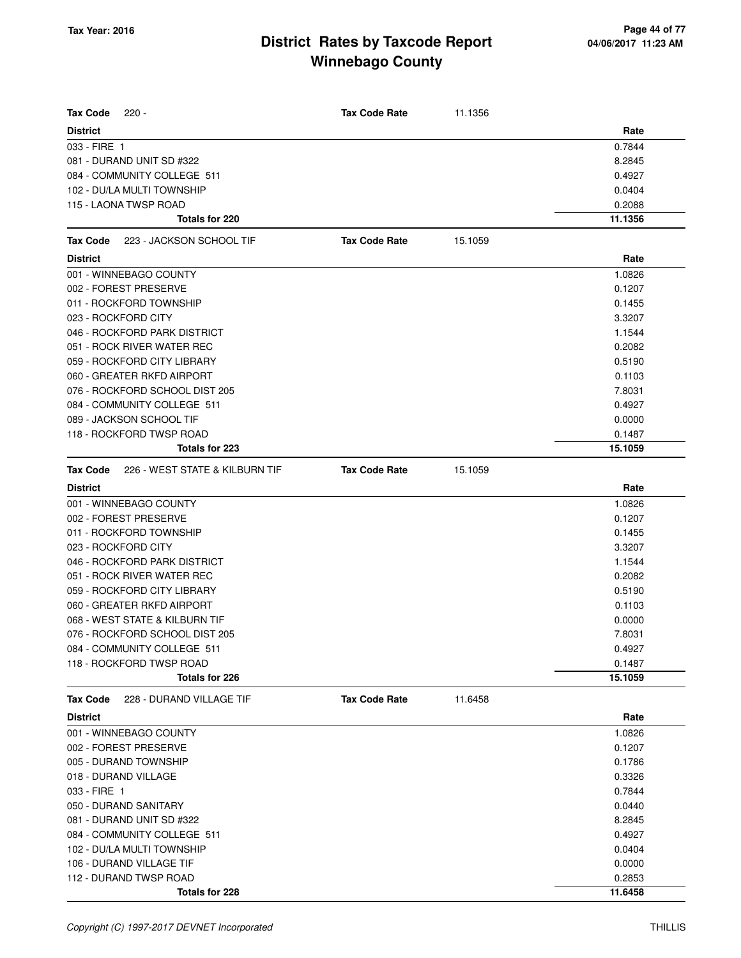| <b>Tax Code</b><br>$220 -$                        | <b>Tax Code Rate</b> | 11.1356 |         |
|---------------------------------------------------|----------------------|---------|---------|
| <b>District</b>                                   |                      |         | Rate    |
| 033 - FIRE 1                                      |                      |         | 0.7844  |
| 081 - DURAND UNIT SD #322                         |                      |         | 8.2845  |
| 084 - COMMUNITY COLLEGE 511                       |                      |         | 0.4927  |
| 102 - DU/LA MULTI TOWNSHIP                        |                      |         | 0.0404  |
| 115 - LAONA TWSP ROAD                             |                      |         | 0.2088  |
| Totals for 220                                    |                      |         | 11.1356 |
| 223 - JACKSON SCHOOL TIF<br><b>Tax Code</b>       | <b>Tax Code Rate</b> | 15.1059 |         |
| <b>District</b>                                   |                      |         | Rate    |
| 001 - WINNEBAGO COUNTY                            |                      |         | 1.0826  |
| 002 - FOREST PRESERVE                             |                      |         | 0.1207  |
| 011 - ROCKFORD TOWNSHIP                           |                      |         | 0.1455  |
| 023 - ROCKFORD CITY                               |                      |         | 3.3207  |
| 046 - ROCKFORD PARK DISTRICT                      |                      |         | 1.1544  |
| 051 - ROCK RIVER WATER REC                        |                      |         | 0.2082  |
| 059 - ROCKFORD CITY LIBRARY                       |                      |         | 0.5190  |
| 060 - GREATER RKFD AIRPORT                        |                      |         | 0.1103  |
| 076 - ROCKFORD SCHOOL DIST 205                    |                      |         | 7.8031  |
| 084 - COMMUNITY COLLEGE 511                       |                      |         | 0.4927  |
| 089 - JACKSON SCHOOL TIF                          |                      |         | 0.0000  |
| 118 - ROCKFORD TWSP ROAD                          |                      |         | 0.1487  |
| <b>Totals for 223</b>                             |                      |         | 15.1059 |
| 226 - WEST STATE & KILBURN TIF<br><b>Tax Code</b> | <b>Tax Code Rate</b> | 15.1059 |         |
| <b>District</b>                                   |                      |         | Rate    |
| 001 - WINNEBAGO COUNTY                            |                      |         | 1.0826  |
| 002 - FOREST PRESERVE                             |                      |         | 0.1207  |
| 011 - ROCKFORD TOWNSHIP                           |                      |         | 0.1455  |
| 023 - ROCKFORD CITY                               |                      |         | 3.3207  |
| 046 - ROCKFORD PARK DISTRICT                      |                      |         | 1.1544  |
| 051 - ROCK RIVER WATER REC                        |                      |         | 0.2082  |
| 059 - ROCKFORD CITY LIBRARY                       |                      |         | 0.5190  |
| 060 - GREATER RKFD AIRPORT                        |                      |         | 0.1103  |
| 068 - WEST STATE & KILBURN TIF                    |                      |         | 0.0000  |
| 076 - ROCKFORD SCHOOL DIST 205                    |                      |         | 7.8031  |
| 084 - COMMUNITY COLLEGE 511                       |                      |         | 0.4927  |
| 118 - ROCKFORD TWSP ROAD                          |                      |         | 0.1487  |
| Totals for 226                                    |                      |         | 15.1059 |
| 228 - DURAND VILLAGE TIF<br>Tax Code              | <b>Tax Code Rate</b> | 11.6458 |         |
| <b>District</b>                                   |                      |         | Rate    |
| 001 - WINNEBAGO COUNTY                            |                      |         | 1.0826  |
| 002 - FOREST PRESERVE                             |                      |         | 0.1207  |
| 005 - DURAND TOWNSHIP                             |                      |         | 0.1786  |
| 018 - DURAND VILLAGE                              |                      |         | 0.3326  |
| 033 - FIRE 1                                      |                      |         | 0.7844  |
| 050 - DURAND SANITARY                             |                      |         | 0.0440  |
| 081 - DURAND UNIT SD #322                         |                      |         | 8.2845  |
| 084 - COMMUNITY COLLEGE 511                       |                      |         | 0.4927  |
| 102 - DU/LA MULTI TOWNSHIP                        |                      |         | 0.0404  |
| 106 - DURAND VILLAGE TIF                          |                      |         | 0.0000  |
| 112 - DURAND TWSP ROAD                            |                      |         | 0.2853  |
| Totals for 228                                    |                      |         | 11.6458 |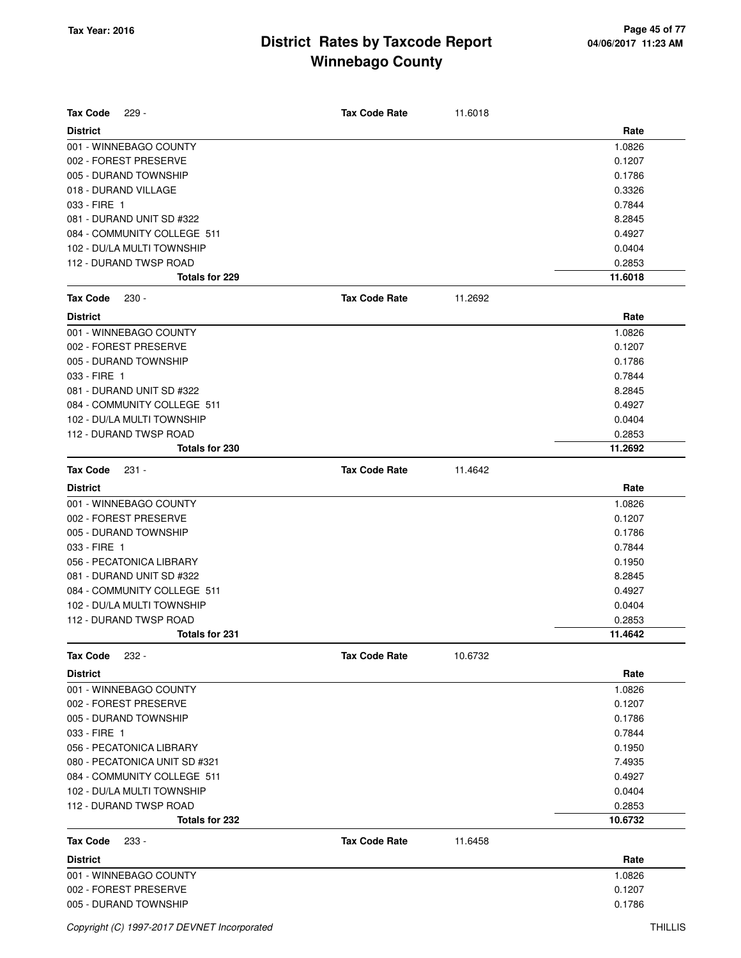| <b>Tax Code</b><br>$229 -$    | <b>Tax Code Rate</b> | 11.6018 |         |
|-------------------------------|----------------------|---------|---------|
| <b>District</b>               |                      |         | Rate    |
| 001 - WINNEBAGO COUNTY        |                      |         | 1.0826  |
| 002 - FOREST PRESERVE         |                      |         | 0.1207  |
| 005 - DURAND TOWNSHIP         |                      |         | 0.1786  |
| 018 - DURAND VILLAGE          |                      |         | 0.3326  |
| 033 - FIRE 1                  |                      |         | 0.7844  |
| 081 - DURAND UNIT SD #322     |                      |         | 8.2845  |
| 084 - COMMUNITY COLLEGE 511   |                      |         | 0.4927  |
| 102 - DU/LA MULTI TOWNSHIP    |                      |         | 0.0404  |
| 112 - DURAND TWSP ROAD        |                      |         | 0.2853  |
| <b>Totals for 229</b>         |                      |         | 11.6018 |
| <b>Tax Code</b><br>$230 -$    | <b>Tax Code Rate</b> | 11.2692 |         |
| <b>District</b>               |                      |         | Rate    |
| 001 - WINNEBAGO COUNTY        |                      |         | 1.0826  |
| 002 - FOREST PRESERVE         |                      |         | 0.1207  |
| 005 - DURAND TOWNSHIP         |                      |         | 0.1786  |
| 033 - FIRE 1                  |                      |         | 0.7844  |
| 081 - DURAND UNIT SD #322     |                      |         | 8.2845  |
| 084 - COMMUNITY COLLEGE 511   |                      |         | 0.4927  |
| 102 - DU/LA MULTI TOWNSHIP    |                      |         | 0.0404  |
| 112 - DURAND TWSP ROAD        |                      |         | 0.2853  |
| Totals for 230                |                      |         | 11.2692 |
| <b>Tax Code</b><br>$231 -$    | <b>Tax Code Rate</b> | 11.4642 |         |
| <b>District</b>               |                      |         | Rate    |
| 001 - WINNEBAGO COUNTY        |                      |         | 1.0826  |
| 002 - FOREST PRESERVE         |                      |         | 0.1207  |
| 005 - DURAND TOWNSHIP         |                      |         | 0.1786  |
| 033 - FIRE 1                  |                      |         | 0.7844  |
| 056 - PECATONICA LIBRARY      |                      |         | 0.1950  |
| 081 - DURAND UNIT SD #322     |                      |         | 8.2845  |
| 084 - COMMUNITY COLLEGE 511   |                      |         | 0.4927  |
| 102 - DU/LA MULTI TOWNSHIP    |                      |         | 0.0404  |
| 112 - DURAND TWSP ROAD        |                      |         | 0.2853  |
| Totals for 231                |                      |         | 11.4642 |
| Tax Code<br>$232 -$           | <b>Tax Code Rate</b> | 10.6732 |         |
| <b>District</b>               |                      |         | Rate    |
| 001 - WINNEBAGO COUNTY        |                      |         | 1.0826  |
| 002 - FOREST PRESERVE         |                      |         | 0.1207  |
| 005 - DURAND TOWNSHIP         |                      |         | 0.1786  |
| 033 - FIRE 1                  |                      |         | 0.7844  |
| 056 - PECATONICA LIBRARY      |                      |         | 0.1950  |
| 080 - PECATONICA UNIT SD #321 |                      |         | 7.4935  |
| 084 - COMMUNITY COLLEGE 511   |                      |         | 0.4927  |
| 102 - DU/LA MULTI TOWNSHIP    |                      |         | 0.0404  |
| 112 - DURAND TWSP ROAD        |                      |         | 0.2853  |
| Totals for 232                |                      |         | 10.6732 |
| <b>Tax Code</b><br>233 -      | <b>Tax Code Rate</b> | 11.6458 |         |
| <b>District</b>               |                      |         | Rate    |
| 001 - WINNEBAGO COUNTY        |                      |         | 1.0826  |
| 002 - FOREST PRESERVE         |                      |         | 0.1207  |
| 005 - DURAND TOWNSHIP         |                      |         | 0.1786  |
|                               |                      |         |         |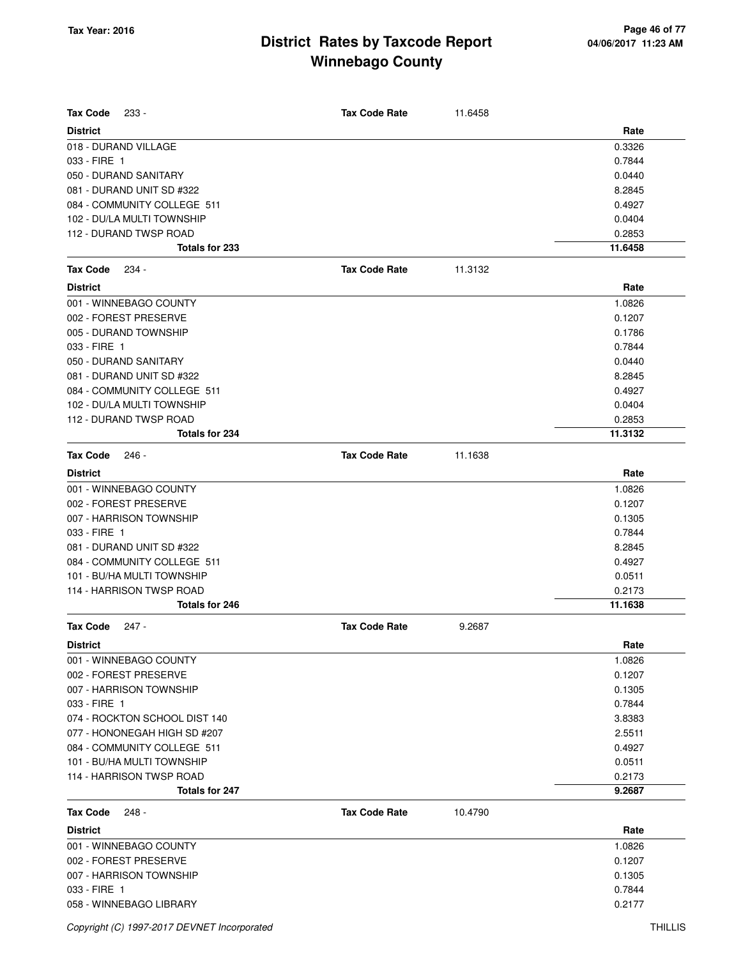| <b>Tax Code</b><br>$233 -$              | <b>Tax Code Rate</b> | 11.6458 |                |
|-----------------------------------------|----------------------|---------|----------------|
|                                         |                      |         |                |
| <b>District</b><br>018 - DURAND VILLAGE |                      |         | Rate<br>0.3326 |
| 033 - FIRE 1                            |                      |         | 0.7844         |
| 050 - DURAND SANITARY                   |                      |         | 0.0440         |
| 081 - DURAND UNIT SD #322               |                      |         | 8.2845         |
| 084 - COMMUNITY COLLEGE 511             |                      |         | 0.4927         |
| 102 - DU/LA MULTI TOWNSHIP              |                      |         | 0.0404         |
| 112 - DURAND TWSP ROAD                  |                      |         | 0.2853         |
| <b>Totals for 233</b>                   |                      |         | 11.6458        |
| <b>Tax Code</b><br>234 -                | <b>Tax Code Rate</b> | 11.3132 |                |
| <b>District</b>                         |                      |         | Rate           |
| 001 - WINNEBAGO COUNTY                  |                      |         | 1.0826         |
| 002 - FOREST PRESERVE                   |                      |         | 0.1207         |
| 005 - DURAND TOWNSHIP                   |                      |         | 0.1786         |
| 033 - FIRE 1                            |                      |         | 0.7844         |
| 050 - DURAND SANITARY                   |                      |         | 0.0440         |
| 081 - DURAND UNIT SD #322               |                      |         | 8.2845         |
| 084 - COMMUNITY COLLEGE 511             |                      |         | 0.4927         |
| 102 - DU/LA MULTI TOWNSHIP              |                      |         | 0.0404         |
| 112 - DURAND TWSP ROAD                  |                      |         | 0.2853         |
| <b>Totals for 234</b>                   |                      |         | 11.3132        |
| <b>Tax Code</b><br>$246 -$              | <b>Tax Code Rate</b> | 11.1638 |                |
| <b>District</b>                         |                      |         | Rate           |
| 001 - WINNEBAGO COUNTY                  |                      |         | 1.0826         |
| 002 - FOREST PRESERVE                   |                      |         | 0.1207         |
| 007 - HARRISON TOWNSHIP                 |                      |         | 0.1305         |
| 033 - FIRE 1                            |                      |         | 0.7844         |
| 081 - DURAND UNIT SD #322               |                      |         | 8.2845         |
| 084 - COMMUNITY COLLEGE 511             |                      |         | 0.4927         |
| 101 - BU/HA MULTI TOWNSHIP              |                      |         | 0.0511         |
| 114 - HARRISON TWSP ROAD                |                      |         | 0.2173         |
| <b>Totals for 246</b>                   |                      |         | 11.1638        |
| Tax Code<br>247 -                       | <b>Tax Code Rate</b> | 9.2687  |                |
| <b>District</b>                         |                      |         | Rate           |
| 001 - WINNEBAGO COUNTY                  |                      |         | 1.0826         |
| 002 - FOREST PRESERVE                   |                      |         | 0.1207         |
| 007 - HARRISON TOWNSHIP                 |                      |         | 0.1305         |
| 033 - FIRE 1                            |                      |         | 0.7844         |
| 074 - ROCKTON SCHOOL DIST 140           |                      |         | 3.8383         |
| 077 - HONONEGAH HIGH SD #207            |                      |         | 2.5511         |
| 084 - COMMUNITY COLLEGE 511             |                      |         | 0.4927         |
| 101 - BU/HA MULTI TOWNSHIP              |                      |         | 0.0511         |
| 114 - HARRISON TWSP ROAD                |                      |         | 0.2173         |
| Totals for 247                          |                      |         | 9.2687         |
| <b>Tax Code</b><br>$248 -$              | <b>Tax Code Rate</b> | 10.4790 |                |
| <b>District</b>                         |                      |         | Rate           |
| 001 - WINNEBAGO COUNTY                  |                      |         | 1.0826         |
| 002 - FOREST PRESERVE                   |                      |         | 0.1207         |
| 007 - HARRISON TOWNSHIP                 |                      |         | 0.1305         |
| 033 - FIRE 1                            |                      |         | 0.7844         |
| 058 - WINNEBAGO LIBRARY                 |                      |         | 0.2177         |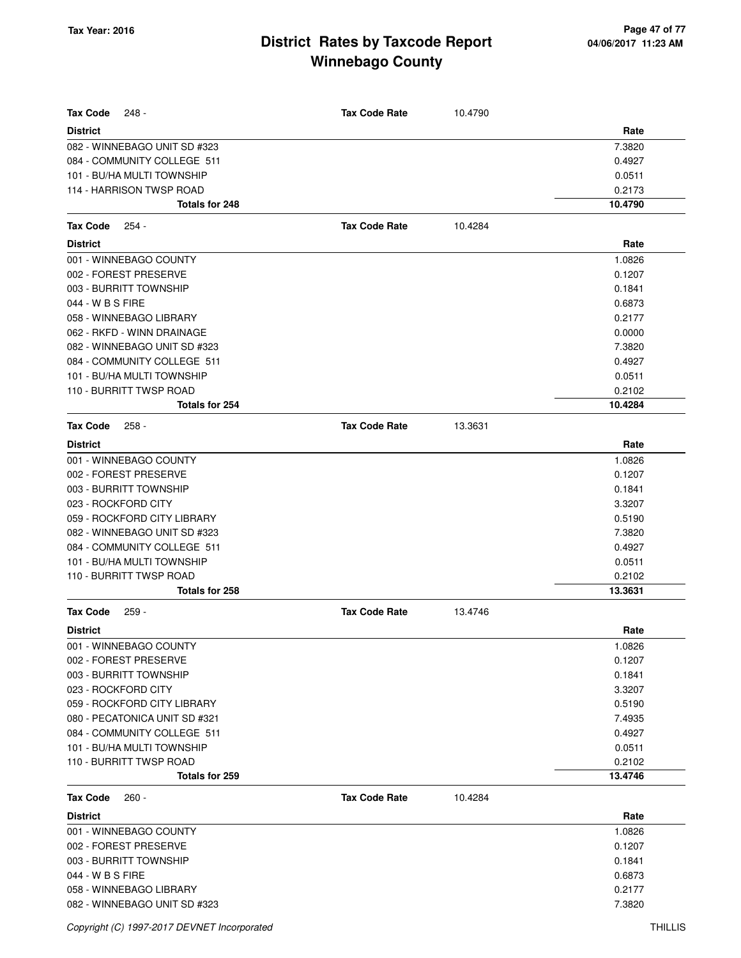| <b>Tax Code</b><br>248 -      | <b>Tax Code Rate</b> | 10.4790 |         |
|-------------------------------|----------------------|---------|---------|
| <b>District</b>               |                      |         | Rate    |
| 082 - WINNEBAGO UNIT SD #323  |                      |         | 7.3820  |
| 084 - COMMUNITY COLLEGE 511   |                      |         | 0.4927  |
| 101 - BU/HA MULTI TOWNSHIP    |                      |         | 0.0511  |
| 114 - HARRISON TWSP ROAD      |                      |         | 0.2173  |
| Totals for 248                |                      |         | 10.4790 |
| <b>Tax Code</b><br>254 -      | <b>Tax Code Rate</b> | 10.4284 |         |
| <b>District</b>               |                      |         | Rate    |
| 001 - WINNEBAGO COUNTY        |                      |         | 1.0826  |
| 002 - FOREST PRESERVE         |                      |         | 0.1207  |
| 003 - BURRITT TOWNSHIP        |                      |         | 0.1841  |
| 044 - W B S FIRE              |                      |         | 0.6873  |
| 058 - WINNEBAGO LIBRARY       |                      |         | 0.2177  |
| 062 - RKFD - WINN DRAINAGE    |                      |         | 0.0000  |
| 082 - WINNEBAGO UNIT SD #323  |                      |         | 7.3820  |
| 084 - COMMUNITY COLLEGE 511   |                      |         | 0.4927  |
| 101 - BU/HA MULTI TOWNSHIP    |                      |         | 0.0511  |
| 110 - BURRITT TWSP ROAD       |                      |         | 0.2102  |
| Totals for 254                |                      |         | 10.4284 |
| <b>Tax Code</b><br>258 -      | <b>Tax Code Rate</b> | 13.3631 |         |
| <b>District</b>               |                      |         | Rate    |
| 001 - WINNEBAGO COUNTY        |                      |         | 1.0826  |
| 002 - FOREST PRESERVE         |                      |         | 0.1207  |
| 003 - BURRITT TOWNSHIP        |                      |         | 0.1841  |
| 023 - ROCKFORD CITY           |                      |         | 3.3207  |
| 059 - ROCKFORD CITY LIBRARY   |                      |         | 0.5190  |
| 082 - WINNEBAGO UNIT SD #323  |                      |         | 7.3820  |
| 084 - COMMUNITY COLLEGE 511   |                      |         | 0.4927  |
| 101 - BU/HA MULTI TOWNSHIP    |                      |         | 0.0511  |
| 110 - BURRITT TWSP ROAD       |                      |         | 0.2102  |
| Totals for 258                |                      |         | 13.3631 |
| <b>Tax Code</b><br>259 -      | <b>Tax Code Rate</b> | 13.4746 |         |
| <b>District</b>               |                      |         | Rate    |
| 001 - WINNEBAGO COUNTY        |                      |         | 1.0826  |
| 002 - FOREST PRESERVE         |                      |         | 0.1207  |
| 003 - BURRITT TOWNSHIP        |                      |         | 0.1841  |
| 023 - ROCKFORD CITY           |                      |         | 3.3207  |
| 059 - ROCKFORD CITY LIBRARY   |                      |         | 0.5190  |
| 080 - PECATONICA UNIT SD #321 |                      |         | 7.4935  |
| 084 - COMMUNITY COLLEGE 511   |                      |         | 0.4927  |
| 101 - BU/HA MULTI TOWNSHIP    |                      |         | 0.0511  |
| 110 - BURRITT TWSP ROAD       |                      |         | 0.2102  |
| Totals for 259                |                      |         | 13.4746 |
| <b>Tax Code</b><br>$260 -$    | <b>Tax Code Rate</b> | 10.4284 |         |
| <b>District</b>               |                      |         | Rate    |
| 001 - WINNEBAGO COUNTY        |                      |         | 1.0826  |
| 002 - FOREST PRESERVE         |                      |         | 0.1207  |
| 003 - BURRITT TOWNSHIP        |                      |         | 0.1841  |
| 044 - W B S FIRE              |                      |         | 0.6873  |
| 058 - WINNEBAGO LIBRARY       |                      |         | 0.2177  |
| 082 - WINNEBAGO UNIT SD #323  |                      |         | 7.3820  |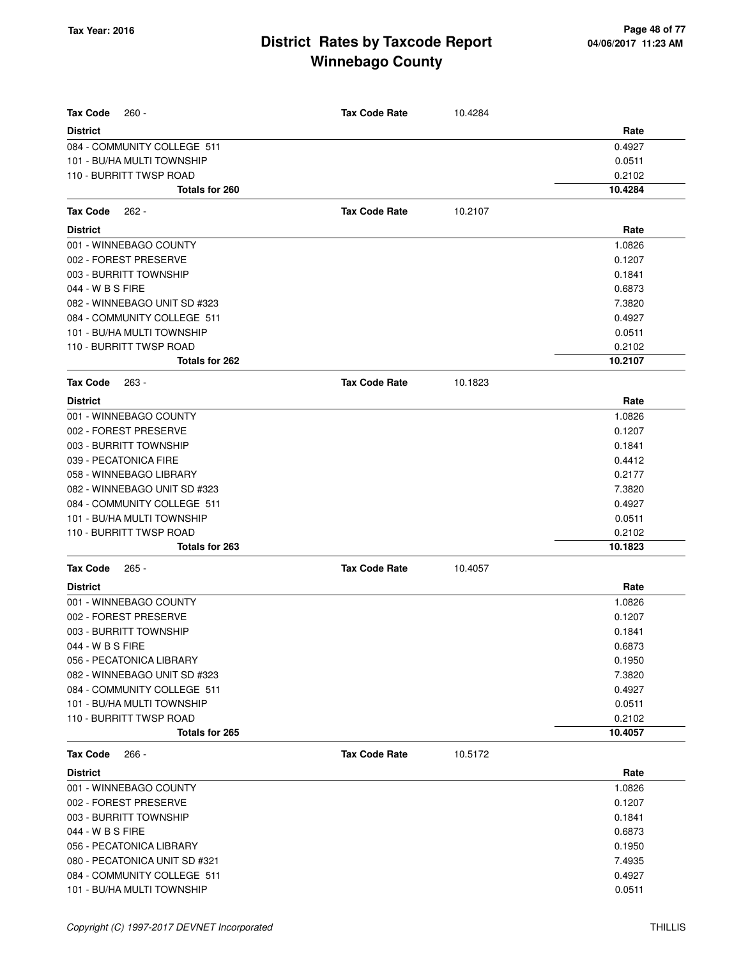| <b>Tax Code</b><br>$260 -$    | <b>Tax Code Rate</b> | 10.4284 |         |
|-------------------------------|----------------------|---------|---------|
| <b>District</b>               |                      |         | Rate    |
| 084 - COMMUNITY COLLEGE 511   |                      |         | 0.4927  |
| 101 - BU/HA MULTI TOWNSHIP    |                      |         | 0.0511  |
| 110 - BURRITT TWSP ROAD       |                      |         | 0.2102  |
| <b>Totals for 260</b>         |                      |         | 10.4284 |
| <b>Tax Code</b><br>$262 -$    | <b>Tax Code Rate</b> | 10.2107 |         |
| <b>District</b>               |                      |         | Rate    |
| 001 - WINNEBAGO COUNTY        |                      |         | 1.0826  |
| 002 - FOREST PRESERVE         |                      |         | 0.1207  |
| 003 - BURRITT TOWNSHIP        |                      |         | 0.1841  |
| 044 - W B S FIRE              |                      |         | 0.6873  |
| 082 - WINNEBAGO UNIT SD #323  |                      |         | 7.3820  |
| 084 - COMMUNITY COLLEGE 511   |                      |         | 0.4927  |
| 101 - BU/HA MULTI TOWNSHIP    |                      |         | 0.0511  |
| 110 - BURRITT TWSP ROAD       |                      |         | 0.2102  |
| <b>Totals for 262</b>         |                      |         | 10.2107 |
| <b>Tax Code</b><br>$263 -$    | <b>Tax Code Rate</b> | 10.1823 |         |
| <b>District</b>               |                      |         | Rate    |
| 001 - WINNEBAGO COUNTY        |                      |         | 1.0826  |
| 002 - FOREST PRESERVE         |                      |         | 0.1207  |
| 003 - BURRITT TOWNSHIP        |                      |         | 0.1841  |
| 039 - PECATONICA FIRE         |                      |         | 0.4412  |
| 058 - WINNEBAGO LIBRARY       |                      |         | 0.2177  |
| 082 - WINNEBAGO UNIT SD #323  |                      |         | 7.3820  |
| 084 - COMMUNITY COLLEGE 511   |                      |         | 0.4927  |
| 101 - BU/HA MULTI TOWNSHIP    |                      |         | 0.0511  |
| 110 - BURRITT TWSP ROAD       |                      |         | 0.2102  |
| <b>Totals for 263</b>         |                      |         | 10.1823 |
| Tax Code<br>$265 -$           | <b>Tax Code Rate</b> | 10.4057 |         |
| District                      |                      |         | Rate    |
| 001 - WINNEBAGO COUNTY        |                      |         | 1.0826  |
| 002 - FOREST PRESERVE         |                      |         | 0.1207  |
| 003 - BURRITT TOWNSHIP        |                      |         | 0.1841  |
| 044 - W B S FIRE              |                      |         | 0.6873  |
| 056 - PECATONICA LIBRARY      |                      |         | 0.1950  |
| 082 - WINNEBAGO UNIT SD #323  |                      |         | 7.3820  |
| 084 - COMMUNITY COLLEGE 511   |                      |         | 0.4927  |
| 101 - BU/HA MULTI TOWNSHIP    |                      |         | 0.0511  |
| 110 - BURRITT TWSP ROAD       |                      |         | 0.2102  |
| Totals for 265                |                      |         | 10.4057 |
| Tax Code<br>$266 -$           | <b>Tax Code Rate</b> | 10.5172 |         |
| <b>District</b>               |                      |         | Rate    |
| 001 - WINNEBAGO COUNTY        |                      |         | 1.0826  |
| 002 - FOREST PRESERVE         |                      |         | 0.1207  |
| 003 - BURRITT TOWNSHIP        |                      |         | 0.1841  |
| 044 - W B S FIRE              |                      |         | 0.6873  |
| 056 - PECATONICA LIBRARY      |                      |         | 0.1950  |
| 080 - PECATONICA UNIT SD #321 |                      |         | 7.4935  |
| 084 - COMMUNITY COLLEGE 511   |                      |         | 0.4927  |
| 101 - BU/HA MULTI TOWNSHIP    |                      |         | 0.0511  |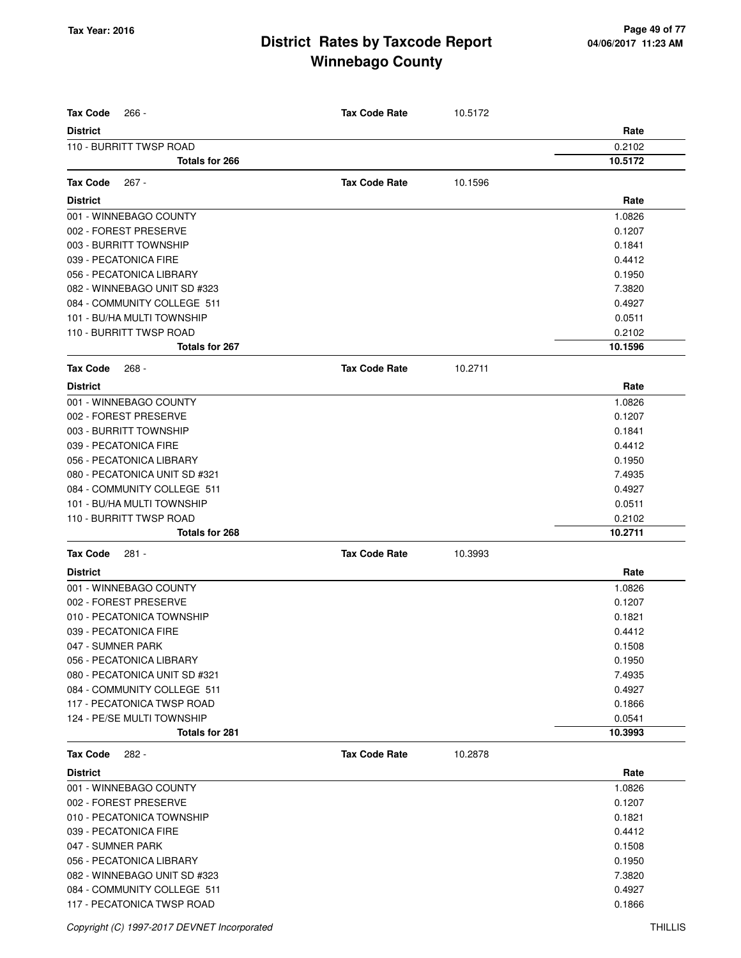| <b>Tax Code</b><br>$266 -$                 | <b>Tax Code Rate</b> | 10.5172 |                |
|--------------------------------------------|----------------------|---------|----------------|
| <b>District</b><br>110 - BURRITT TWSP ROAD |                      |         | Rate<br>0.2102 |
| Totals for 266                             |                      |         | 10.5172        |
|                                            |                      |         |                |
| <b>Tax Code</b><br>267 -                   | <b>Tax Code Rate</b> | 10.1596 |                |
| <b>District</b>                            |                      |         | Rate           |
| 001 - WINNEBAGO COUNTY                     |                      |         | 1.0826         |
| 002 - FOREST PRESERVE                      |                      |         | 0.1207         |
| 003 - BURRITT TOWNSHIP                     |                      |         | 0.1841         |
| 039 - PECATONICA FIRE                      |                      |         | 0.4412         |
| 056 - PECATONICA LIBRARY                   |                      |         | 0.1950         |
| 082 - WINNEBAGO UNIT SD #323               |                      |         | 7.3820         |
| 084 - COMMUNITY COLLEGE 511                |                      |         | 0.4927         |
| 101 - BU/HA MULTI TOWNSHIP                 |                      |         | 0.0511         |
| 110 - BURRITT TWSP ROAD                    |                      |         | 0.2102         |
| Totals for 267                             |                      |         | 10.1596        |
| <b>Tax Code</b><br>$268 -$                 | <b>Tax Code Rate</b> | 10.2711 |                |
| <b>District</b>                            |                      |         | Rate           |
| 001 - WINNEBAGO COUNTY                     |                      |         | 1.0826         |
| 002 - FOREST PRESERVE                      |                      |         | 0.1207         |
| 003 - BURRITT TOWNSHIP                     |                      |         | 0.1841         |
| 039 - PECATONICA FIRE                      |                      |         | 0.4412         |
| 056 - PECATONICA LIBRARY                   |                      |         | 0.1950         |
| 080 - PECATONICA UNIT SD #321              |                      |         | 7.4935         |
| 084 - COMMUNITY COLLEGE 511                |                      |         | 0.4927         |
| 101 - BU/HA MULTI TOWNSHIP                 |                      |         | 0.0511         |
| 110 - BURRITT TWSP ROAD                    |                      |         | 0.2102         |
| Totals for 268                             |                      |         | 10.2711        |
| <b>Tax Code</b><br>281 -                   | <b>Tax Code Rate</b> | 10.3993 |                |
| <b>District</b>                            |                      |         | Rate           |
| 001 - WINNEBAGO COUNTY                     |                      |         | 1.0826         |
| 002 - FOREST PRESERVE                      |                      |         | 0.1207         |
| 010 - PECATONICA TOWNSHIP                  |                      |         | 0.1821         |
| 039 - PECATONICA FIRE                      |                      |         | 0.4412         |
| 047 - SUMNER PARK                          |                      |         | 0.1508         |
| 056 - PECATONICA LIBRARY                   |                      |         | 0.1950         |
| 080 - PECATONICA UNIT SD #321              |                      |         | 7.4935         |
| 084 - COMMUNITY COLLEGE 511                |                      |         | 0.4927         |
| 117 - PECATONICA TWSP ROAD                 |                      |         | 0.1866         |
| 124 - PE/SE MULTI TOWNSHIP                 |                      |         | 0.0541         |
| Totals for 281                             |                      |         | 10.3993        |
| Tax Code<br>$282 -$                        | <b>Tax Code Rate</b> | 10.2878 |                |
| <b>District</b>                            |                      |         | Rate           |
| 001 - WINNEBAGO COUNTY                     |                      |         | 1.0826         |
| 002 - FOREST PRESERVE                      |                      |         | 0.1207         |
| 010 - PECATONICA TOWNSHIP                  |                      |         | 0.1821         |
| 039 - PECATONICA FIRE                      |                      |         | 0.4412         |
| 047 - SUMNER PARK                          |                      |         | 0.1508         |
| 056 - PECATONICA LIBRARY                   |                      |         | 0.1950         |
| 082 - WINNEBAGO UNIT SD #323               |                      |         | 7.3820         |
| 084 - COMMUNITY COLLEGE 511                |                      |         | 0.4927         |
| 117 - PECATONICA TWSP ROAD                 |                      |         | 0.1866         |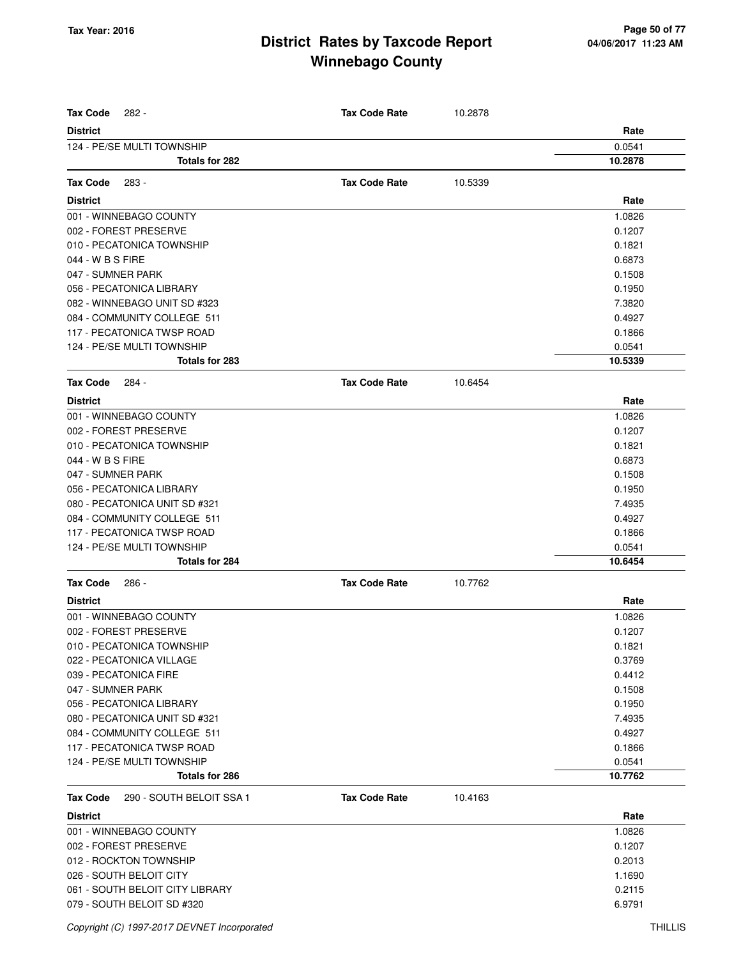| <b>Tax Code</b><br>282 -                        | <b>Tax Code Rate</b> | 10.2878 |         |
|-------------------------------------------------|----------------------|---------|---------|
| <b>District</b>                                 |                      |         | Rate    |
| 124 - PE/SE MULTI TOWNSHIP                      |                      |         | 0.0541  |
| Totals for 282                                  |                      |         | 10.2878 |
| <b>Tax Code</b><br>283 -                        | <b>Tax Code Rate</b> | 10.5339 |         |
| <b>District</b>                                 |                      |         | Rate    |
|                                                 |                      |         |         |
| 001 - WINNEBAGO COUNTY<br>002 - FOREST PRESERVE |                      |         | 1.0826  |
|                                                 |                      |         | 0.1207  |
| 010 - PECATONICA TOWNSHIP                       |                      |         | 0.1821  |
| 044 - W B S FIRE                                |                      |         | 0.6873  |
| 047 - SUMNER PARK                               |                      |         | 0.1508  |
| 056 - PECATONICA LIBRARY                        |                      |         | 0.1950  |
| 082 - WINNEBAGO UNIT SD #323                    |                      |         | 7.3820  |
| 084 - COMMUNITY COLLEGE 511                     |                      |         | 0.4927  |
| 117 - PECATONICA TWSP ROAD                      |                      |         | 0.1866  |
| 124 - PE/SE MULTI TOWNSHIP                      |                      |         | 0.0541  |
| Totals for 283                                  |                      |         | 10.5339 |
| <b>Tax Code</b><br>284 -                        | <b>Tax Code Rate</b> | 10.6454 |         |
| <b>District</b>                                 |                      |         | Rate    |
| 001 - WINNEBAGO COUNTY                          |                      |         | 1.0826  |
| 002 - FOREST PRESERVE                           |                      |         | 0.1207  |
| 010 - PECATONICA TOWNSHIP                       |                      |         | 0.1821  |
| 044 - W B S FIRE                                |                      |         | 0.6873  |
| 047 - SUMNER PARK                               |                      |         | 0.1508  |
| 056 - PECATONICA LIBRARY                        |                      |         | 0.1950  |
| 080 - PECATONICA UNIT SD #321                   |                      |         | 7.4935  |
| 084 - COMMUNITY COLLEGE 511                     |                      |         | 0.4927  |
| 117 - PECATONICA TWSP ROAD                      |                      |         | 0.1866  |
| 124 - PE/SE MULTI TOWNSHIP                      |                      |         | 0.0541  |
| Totals for 284                                  |                      |         | 10.6454 |
| <b>Tax Code</b><br>286 -                        | <b>Tax Code Rate</b> | 10.7762 |         |
| <b>District</b>                                 |                      |         | Rate    |
| 001 - WINNEBAGO COUNTY                          |                      |         | 1.0826  |
| 002 - FOREST PRESERVE                           |                      |         | 0.1207  |
| 010 - PECATONICA TOWNSHIP                       |                      |         | 0.1821  |
| 022 - PECATONICA VILLAGE                        |                      |         | 0.3769  |
| 039 - PECATONICA FIRE                           |                      |         | 0.4412  |
| 047 - SUMNER PARK                               |                      |         | 0.1508  |
| 056 - PECATONICA LIBRARY                        |                      |         | 0.1950  |
| 080 - PECATONICA UNIT SD #321                   |                      |         | 7.4935  |
| 084 - COMMUNITY COLLEGE 511                     |                      |         | 0.4927  |
| 117 - PECATONICA TWSP ROAD                      |                      |         | 0.1866  |
| 124 - PE/SE MULTI TOWNSHIP                      |                      |         | 0.0541  |
| Totals for 286                                  |                      |         | 10.7762 |
| 290 - SOUTH BELOIT SSA 1<br><b>Tax Code</b>     | <b>Tax Code Rate</b> | 10.4163 |         |
| <b>District</b>                                 |                      |         | Rate    |
| 001 - WINNEBAGO COUNTY                          |                      |         | 1.0826  |
| 002 - FOREST PRESERVE                           |                      |         | 0.1207  |
| 012 - ROCKTON TOWNSHIP                          |                      |         | 0.2013  |
| 026 - SOUTH BELOIT CITY                         |                      |         | 1.1690  |
| 061 - SOUTH BELOIT CITY LIBRARY                 |                      |         | 0.2115  |
| 079 - SOUTH BELOIT SD #320                      |                      |         | 6.9791  |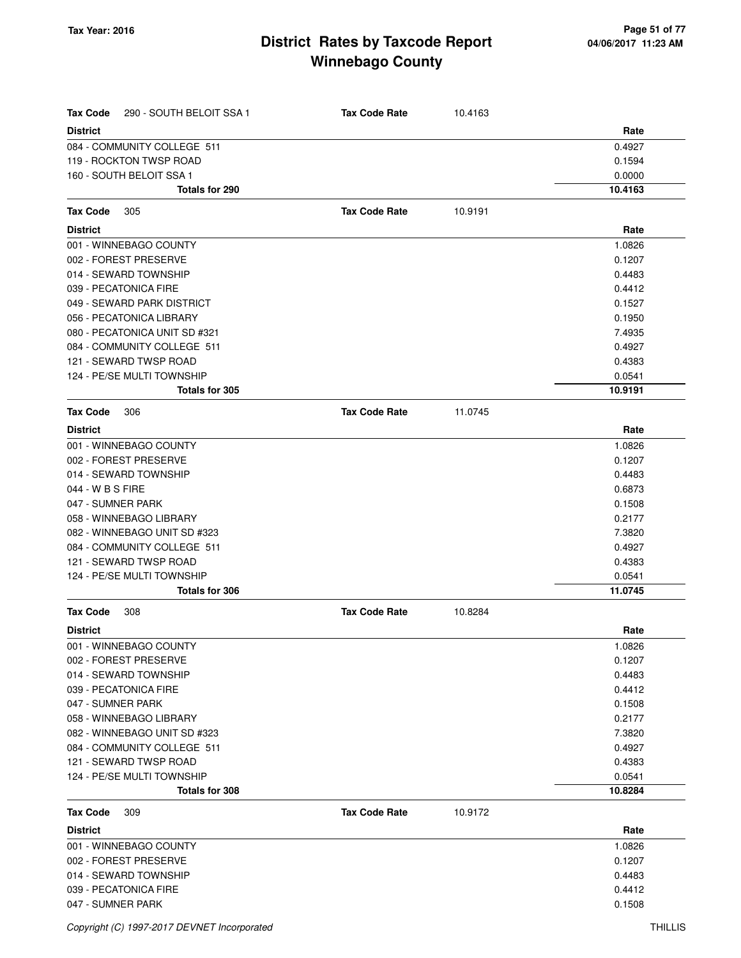| <b>Tax Code</b><br>290 - SOUTH BELOIT SSA 1            | <b>Tax Code Rate</b> | 10.4163 | Rate             |
|--------------------------------------------------------|----------------------|---------|------------------|
| <b>District</b><br>084 - COMMUNITY COLLEGE 511         |                      |         | 0.4927           |
| 119 - ROCKTON TWSP ROAD                                |                      |         | 0.1594           |
| 160 - SOUTH BELOIT SSA 1                               |                      |         | 0.0000           |
| Totals for 290                                         |                      |         | 10.4163          |
| 305                                                    | <b>Tax Code Rate</b> | 10.9191 |                  |
| Tax Code<br><b>District</b>                            |                      |         | Rate             |
|                                                        |                      |         |                  |
| 001 - WINNEBAGO COUNTY                                 |                      |         | 1.0826           |
| 002 - FOREST PRESERVE                                  |                      |         | 0.1207           |
| 014 - SEWARD TOWNSHIP                                  |                      |         | 0.4483<br>0.4412 |
| 039 - PECATONICA FIRE                                  |                      |         | 0.1527           |
| 049 - SEWARD PARK DISTRICT<br>056 - PECATONICA LIBRARY |                      |         | 0.1950           |
| 080 - PECATONICA UNIT SD #321                          |                      |         | 7.4935           |
| 084 - COMMUNITY COLLEGE 511                            |                      |         | 0.4927           |
| 121 - SEWARD TWSP ROAD                                 |                      |         | 0.4383           |
| 124 - PE/SE MULTI TOWNSHIP                             |                      |         | 0.0541           |
| Totals for 305                                         |                      |         | 10.9191          |
| <b>Tax Code</b><br>306                                 | <b>Tax Code Rate</b> | 11.0745 |                  |
| <b>District</b>                                        |                      |         | Rate             |
| 001 - WINNEBAGO COUNTY                                 |                      |         | 1.0826           |
| 002 - FOREST PRESERVE                                  |                      |         | 0.1207           |
| 014 - SEWARD TOWNSHIP                                  |                      |         | 0.4483           |
| 044 - W B S FIRE                                       |                      |         | 0.6873           |
| 047 - SUMNER PARK                                      |                      |         | 0.1508           |
| 058 - WINNEBAGO LIBRARY                                |                      |         | 0.2177           |
| 082 - WINNEBAGO UNIT SD #323                           |                      |         | 7.3820           |
| 084 - COMMUNITY COLLEGE 511                            |                      |         | 0.4927           |
| 121 - SEWARD TWSP ROAD                                 |                      |         | 0.4383           |
| 124 - PE/SE MULTI TOWNSHIP                             |                      |         | 0.0541           |
| <b>Totals for 306</b>                                  |                      |         | 11.0745          |
| <b>Tax Code</b><br>308                                 | <b>Tax Code Rate</b> | 10.8284 |                  |
| <b>District</b>                                        |                      |         | Rate             |
| 001 - WINNEBAGO COUNTY                                 |                      |         | 1.0826           |
| 002 - FOREST PRESERVE                                  |                      |         | 0.1207           |
| 014 - SEWARD TOWNSHIP                                  |                      |         | 0.4483           |
| 039 - PECATONICA FIRE                                  |                      |         | 0.4412           |
| 047 - SUMNER PARK                                      |                      |         | 0.1508           |
| 058 - WINNEBAGO LIBRARY                                |                      |         | 0.2177           |
| 082 - WINNEBAGO UNIT SD #323                           |                      |         | 7.3820           |
| 084 - COMMUNITY COLLEGE 511                            |                      |         | 0.4927           |
| 121 - SEWARD TWSP ROAD                                 |                      |         | 0.4383           |
| 124 - PE/SE MULTI TOWNSHIP                             |                      |         | 0.0541           |
| Totals for 308                                         |                      |         | 10.8284          |
| Tax Code<br>309                                        | <b>Tax Code Rate</b> | 10.9172 |                  |
| <b>District</b>                                        |                      |         | Rate             |
| 001 - WINNEBAGO COUNTY                                 |                      |         | 1.0826           |
| 002 - FOREST PRESERVE                                  |                      |         | 0.1207           |
| 014 - SEWARD TOWNSHIP                                  |                      |         | 0.4483           |
| 039 - PECATONICA FIRE                                  |                      |         | 0.4412           |
| 047 - SUMNER PARK                                      |                      |         | 0.1508           |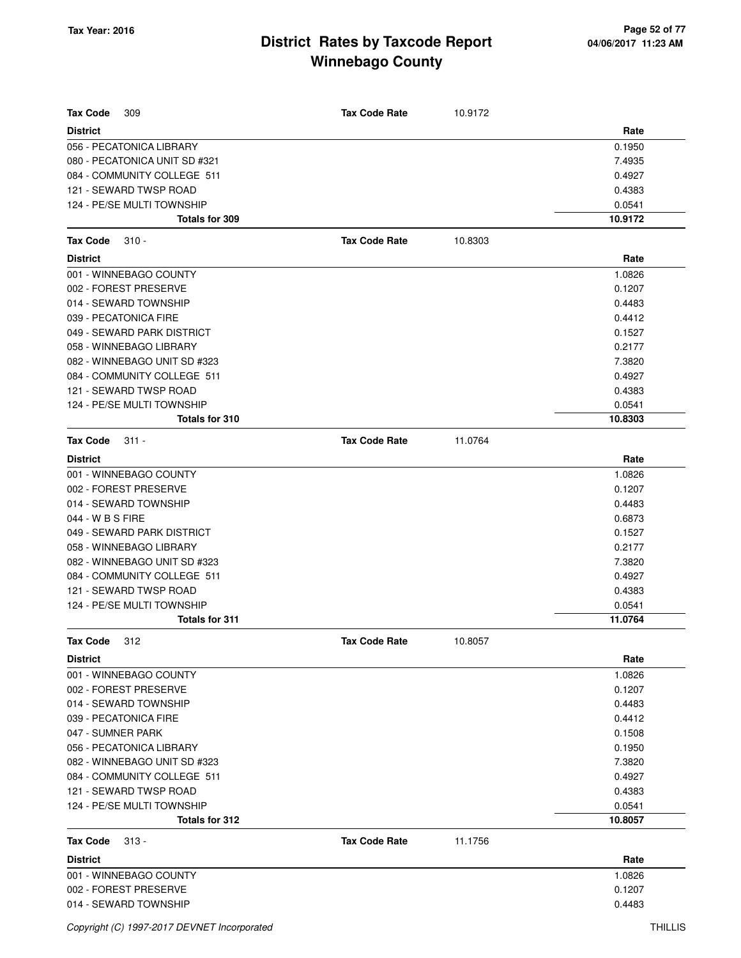| <b>Tax Code</b><br>309        | <b>Tax Code Rate</b> | 10.9172 |         |
|-------------------------------|----------------------|---------|---------|
| <b>District</b>               |                      |         | Rate    |
| 056 - PECATONICA LIBRARY      |                      |         | 0.1950  |
| 080 - PECATONICA UNIT SD #321 |                      |         | 7.4935  |
| 084 - COMMUNITY COLLEGE 511   |                      |         | 0.4927  |
| 121 - SEWARD TWSP ROAD        |                      |         | 0.4383  |
| 124 - PE/SE MULTI TOWNSHIP    |                      |         | 0.0541  |
| Totals for 309                |                      |         | 10.9172 |
| <b>Tax Code</b><br>$310 -$    | <b>Tax Code Rate</b> | 10.8303 |         |
| <b>District</b>               |                      |         | Rate    |
| 001 - WINNEBAGO COUNTY        |                      |         | 1.0826  |
| 002 - FOREST PRESERVE         |                      |         | 0.1207  |
| 014 - SEWARD TOWNSHIP         |                      |         | 0.4483  |
| 039 - PECATONICA FIRE         |                      |         | 0.4412  |
| 049 - SEWARD PARK DISTRICT    |                      |         | 0.1527  |
| 058 - WINNEBAGO LIBRARY       |                      |         | 0.2177  |
| 082 - WINNEBAGO UNIT SD #323  |                      |         | 7.3820  |
| 084 - COMMUNITY COLLEGE 511   |                      |         | 0.4927  |
| 121 - SEWARD TWSP ROAD        |                      |         | 0.4383  |
| 124 - PE/SE MULTI TOWNSHIP    |                      |         | 0.0541  |
| Totals for 310                |                      |         | 10.8303 |
| <b>Tax Code</b><br>$311 -$    | <b>Tax Code Rate</b> | 11.0764 |         |
| <b>District</b>               |                      |         | Rate    |
| 001 - WINNEBAGO COUNTY        |                      |         | 1.0826  |
| 002 - FOREST PRESERVE         |                      |         | 0.1207  |
| 014 - SEWARD TOWNSHIP         |                      |         | 0.4483  |
| 044 - W B S FIRE              |                      |         | 0.6873  |
| 049 - SEWARD PARK DISTRICT    |                      |         | 0.1527  |
| 058 - WINNEBAGO LIBRARY       |                      |         | 0.2177  |
| 082 - WINNEBAGO UNIT SD #323  |                      |         | 7.3820  |
| 084 - COMMUNITY COLLEGE 511   |                      |         | 0.4927  |
| 121 - SEWARD TWSP ROAD        |                      |         | 0.4383  |
| 124 - PE/SE MULTI TOWNSHIP    |                      |         | 0.0541  |
| <b>Totals for 311</b>         |                      |         | 11.0764 |
| 312<br>Tax Code               | <b>Tax Code Rate</b> | 10.8057 |         |
| <b>District</b>               |                      |         | Rate    |
| 001 - WINNEBAGO COUNTY        |                      |         | 1.0826  |
| 002 - FOREST PRESERVE         |                      |         | 0.1207  |
| 014 - SEWARD TOWNSHIP         |                      |         | 0.4483  |
| 039 - PECATONICA FIRE         |                      |         | 0.4412  |
| 047 - SUMNER PARK             |                      |         | 0.1508  |
| 056 - PECATONICA LIBRARY      |                      |         | 0.1950  |
| 082 - WINNEBAGO UNIT SD #323  |                      |         | 7.3820  |
| 084 - COMMUNITY COLLEGE 511   |                      |         | 0.4927  |
| 121 - SEWARD TWSP ROAD        |                      |         | 0.4383  |
| 124 - PE/SE MULTI TOWNSHIP    |                      |         | 0.0541  |
| Totals for 312                |                      |         | 10.8057 |
| Tax Code<br>$313 -$           | <b>Tax Code Rate</b> | 11.1756 |         |
| <b>District</b>               |                      |         | Rate    |
| 001 - WINNEBAGO COUNTY        |                      |         | 1.0826  |
| 002 - FOREST PRESERVE         |                      |         | 0.1207  |
| 014 - SEWARD TOWNSHIP         |                      |         | 0.4483  |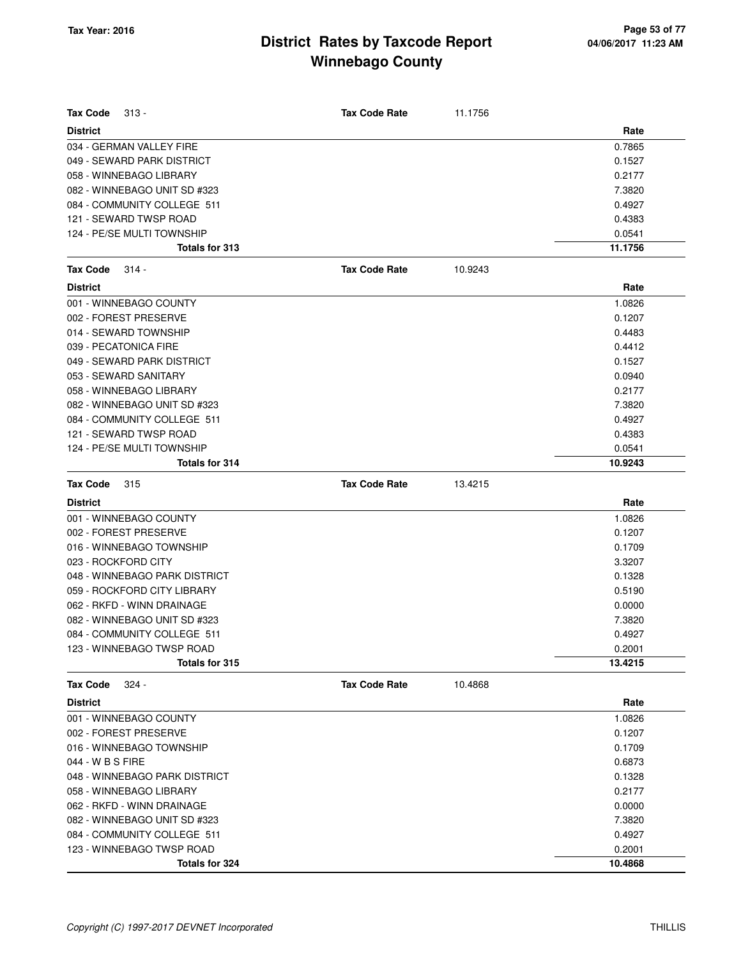| <b>Tax Code</b><br>$313 -$    | <b>Tax Code Rate</b> | 11.1756 |         |
|-------------------------------|----------------------|---------|---------|
| <b>District</b>               |                      |         | Rate    |
| 034 - GERMAN VALLEY FIRE      |                      |         | 0.7865  |
| 049 - SEWARD PARK DISTRICT    |                      |         | 0.1527  |
| 058 - WINNEBAGO LIBRARY       |                      |         | 0.2177  |
| 082 - WINNEBAGO UNIT SD #323  |                      |         | 7.3820  |
| 084 - COMMUNITY COLLEGE 511   |                      |         | 0.4927  |
| 121 - SEWARD TWSP ROAD        |                      |         | 0.4383  |
| 124 - PE/SE MULTI TOWNSHIP    |                      |         | 0.0541  |
| <b>Totals for 313</b>         |                      |         | 11.1756 |
| <b>Tax Code</b><br>$314 -$    | <b>Tax Code Rate</b> | 10.9243 |         |
| <b>District</b>               |                      |         | Rate    |
| 001 - WINNEBAGO COUNTY        |                      |         | 1.0826  |
| 002 - FOREST PRESERVE         |                      |         | 0.1207  |
| 014 - SEWARD TOWNSHIP         |                      |         | 0.4483  |
| 039 - PECATONICA FIRE         |                      |         | 0.4412  |
| 049 - SEWARD PARK DISTRICT    |                      |         | 0.1527  |
| 053 - SEWARD SANITARY         |                      |         | 0.0940  |
| 058 - WINNEBAGO LIBRARY       |                      |         | 0.2177  |
| 082 - WINNEBAGO UNIT SD #323  |                      |         | 7.3820  |
| 084 - COMMUNITY COLLEGE 511   |                      |         | 0.4927  |
| 121 - SEWARD TWSP ROAD        |                      |         | 0.4383  |
| 124 - PE/SE MULTI TOWNSHIP    |                      |         | 0.0541  |
| <b>Totals for 314</b>         |                      |         | 10.9243 |
| <b>Tax Code</b><br>315        | <b>Tax Code Rate</b> | 13.4215 |         |
| <b>District</b>               |                      |         | Rate    |
| 001 - WINNEBAGO COUNTY        |                      |         | 1.0826  |
| 002 - FOREST PRESERVE         |                      |         | 0.1207  |
| 016 - WINNEBAGO TOWNSHIP      |                      |         | 0.1709  |
| 023 - ROCKFORD CITY           |                      |         | 3.3207  |
| 048 - WINNEBAGO PARK DISTRICT |                      |         | 0.1328  |
| 059 - ROCKFORD CITY LIBRARY   |                      |         | 0.5190  |
| 062 - RKFD - WINN DRAINAGE    |                      |         | 0.0000  |
| 082 - WINNEBAGO UNIT SD #323  |                      |         | 7.3820  |
| 084 - COMMUNITY COLLEGE 511   |                      |         | 0.4927  |
| 123 - WINNEBAGO TWSP ROAD     |                      |         | 0.2001  |
| Totals for 315                |                      |         | 13.4215 |
| $324 -$<br>Tax Code           | <b>Tax Code Rate</b> | 10.4868 |         |
| <b>District</b>               |                      |         | Rate    |
| 001 - WINNEBAGO COUNTY        |                      |         | 1.0826  |
| 002 - FOREST PRESERVE         |                      |         | 0.1207  |
| 016 - WINNEBAGO TOWNSHIP      |                      |         | 0.1709  |
| 044 - W B S FIRE              |                      |         | 0.6873  |
| 048 - WINNEBAGO PARK DISTRICT |                      |         | 0.1328  |
| 058 - WINNEBAGO LIBRARY       |                      |         | 0.2177  |
| 062 - RKFD - WINN DRAINAGE    |                      |         | 0.0000  |
| 082 - WINNEBAGO UNIT SD #323  |                      |         | 7.3820  |
| 084 - COMMUNITY COLLEGE 511   |                      |         | 0.4927  |
| 123 - WINNEBAGO TWSP ROAD     |                      |         | 0.2001  |
| <b>Totals for 324</b>         |                      |         | 10.4868 |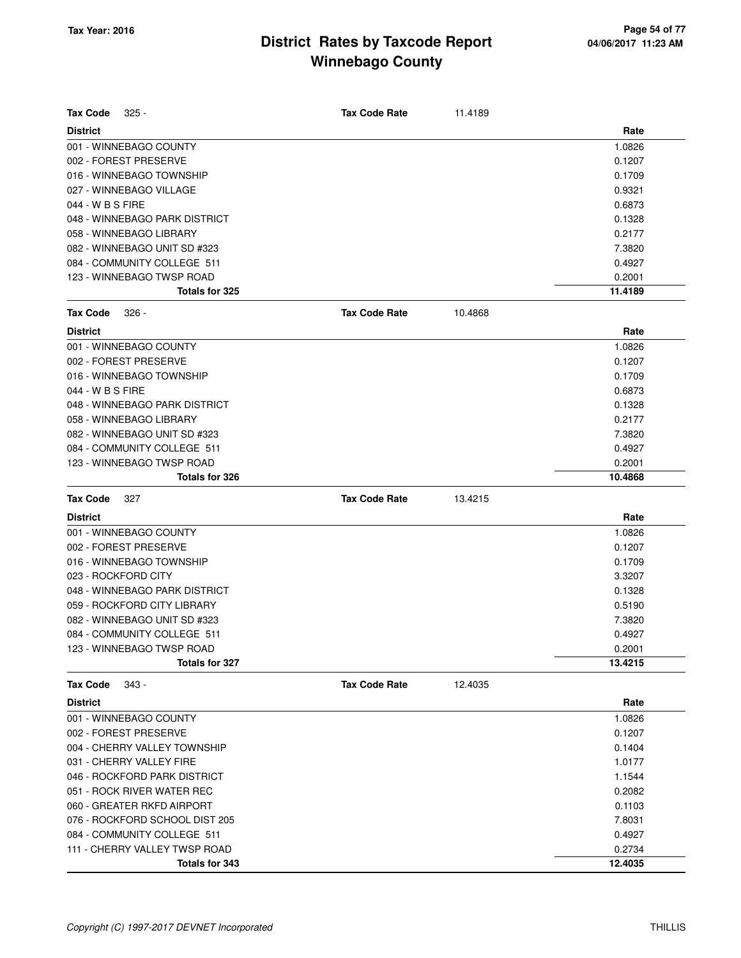| <b>Tax Code</b><br>$325 -$     | <b>Tax Code Rate</b> | 11.4189 |         |
|--------------------------------|----------------------|---------|---------|
| <b>District</b>                |                      |         | Rate    |
| 001 - WINNEBAGO COUNTY         |                      |         | 1.0826  |
| 002 - FOREST PRESERVE          |                      |         | 0.1207  |
| 016 - WINNEBAGO TOWNSHIP       |                      |         | 0.1709  |
| 027 - WINNEBAGO VILLAGE        |                      |         | 0.9321  |
| 044 - W B S FIRE               |                      |         | 0.6873  |
| 048 - WINNEBAGO PARK DISTRICT  |                      |         | 0.1328  |
| 058 - WINNEBAGO LIBRARY        |                      |         | 0.2177  |
| 082 - WINNEBAGO UNIT SD #323   |                      |         | 7.3820  |
| 084 - COMMUNITY COLLEGE 511    |                      |         | 0.4927  |
| 123 - WINNEBAGO TWSP ROAD      |                      |         | 0.2001  |
| <b>Totals for 325</b>          |                      |         | 11.4189 |
| <b>Tax Code</b><br>$326 -$     | <b>Tax Code Rate</b> | 10.4868 |         |
| <b>District</b>                |                      |         | Rate    |
| 001 - WINNEBAGO COUNTY         |                      |         | 1.0826  |
| 002 - FOREST PRESERVE          |                      |         | 0.1207  |
| 016 - WINNEBAGO TOWNSHIP       |                      |         | 0.1709  |
| 044 - W B S FIRE               |                      |         | 0.6873  |
| 048 - WINNEBAGO PARK DISTRICT  |                      |         | 0.1328  |
| 058 - WINNEBAGO LIBRARY        |                      |         | 0.2177  |
| 082 - WINNEBAGO UNIT SD #323   |                      |         | 7.3820  |
| 084 - COMMUNITY COLLEGE 511    |                      |         | 0.4927  |
| 123 - WINNEBAGO TWSP ROAD      |                      |         | 0.2001  |
| Totals for 326                 |                      |         | 10.4868 |
|                                |                      |         |         |
| <b>Tax Code</b><br>327         | <b>Tax Code Rate</b> | 13.4215 |         |
| <b>District</b>                |                      |         | Rate    |
| 001 - WINNEBAGO COUNTY         |                      |         | 1.0826  |
| 002 - FOREST PRESERVE          |                      |         | 0.1207  |
| 016 - WINNEBAGO TOWNSHIP       |                      |         | 0.1709  |
| 023 - ROCKFORD CITY            |                      |         | 3.3207  |
| 048 - WINNEBAGO PARK DISTRICT  |                      |         | 0.1328  |
| 059 - ROCKFORD CITY LIBRARY    |                      |         | 0.5190  |
| 082 - WINNEBAGO UNIT SD #323   |                      |         | 7.3820  |
| 084 - COMMUNITY COLLEGE 511    |                      |         | 0.4927  |
| 123 - WINNEBAGO TWSP ROAD      |                      |         | 0.2001  |
| <b>Totals for 327</b>          |                      |         | 13.4215 |
| <b>Tax Code</b><br>343 -       | <b>Tax Code Rate</b> | 12.4035 |         |
| <b>District</b>                |                      |         | Rate    |
| 001 - WINNEBAGO COUNTY         |                      |         | 1.0826  |
| 002 - FOREST PRESERVE          |                      |         | 0.1207  |
| 004 - CHERRY VALLEY TOWNSHIP   |                      |         | 0.1404  |
| 031 - CHERRY VALLEY FIRE       |                      |         | 1.0177  |
| 046 - ROCKFORD PARK DISTRICT   |                      |         | 1.1544  |
| 051 - ROCK RIVER WATER REC     |                      |         | 0.2082  |
| 060 - GREATER RKFD AIRPORT     |                      |         | 0.1103  |
| 076 - ROCKFORD SCHOOL DIST 205 |                      |         | 7.8031  |
| 084 - COMMUNITY COLLEGE 511    |                      |         | 0.4927  |
| 111 - CHERRY VALLEY TWSP ROAD  |                      |         | 0.2734  |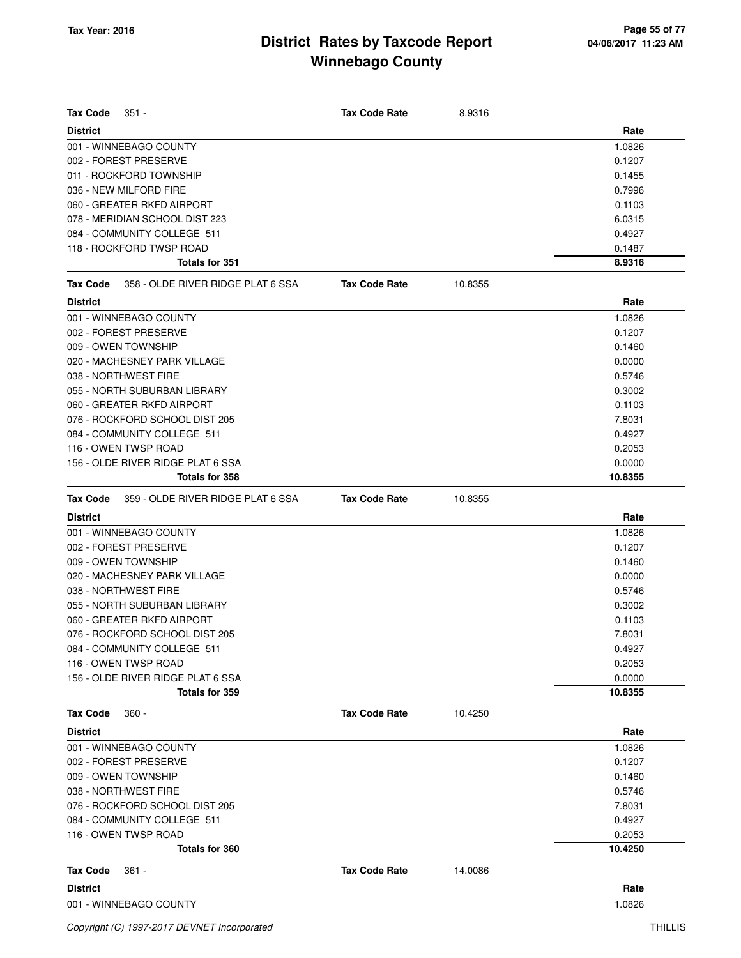| <b>Tax Code</b><br>$351 -$                    | <b>Tax Code Rate</b> | 8.9316  |         |
|-----------------------------------------------|----------------------|---------|---------|
| <b>District</b>                               |                      |         | Rate    |
| 001 - WINNEBAGO COUNTY                        |                      |         | 1.0826  |
| 002 - FOREST PRESERVE                         |                      |         | 0.1207  |
| 011 - ROCKFORD TOWNSHIP                       |                      |         | 0.1455  |
| 036 - NEW MILFORD FIRE                        |                      |         | 0.7996  |
| 060 - GREATER RKFD AIRPORT                    |                      |         | 0.1103  |
| 078 - MERIDIAN SCHOOL DIST 223                |                      |         | 6.0315  |
| 084 - COMMUNITY COLLEGE 511                   |                      |         | 0.4927  |
| 118 - ROCKFORD TWSP ROAD                      |                      |         | 0.1487  |
| Totals for 351                                |                      |         | 8.9316  |
| 358 - OLDE RIVER RIDGE PLAT 6 SSA<br>Tax Code | <b>Tax Code Rate</b> | 10.8355 |         |
| <b>District</b>                               |                      |         | Rate    |
| 001 - WINNEBAGO COUNTY                        |                      |         | 1.0826  |
| 002 - FOREST PRESERVE                         |                      |         | 0.1207  |
| 009 - OWEN TOWNSHIP                           |                      |         | 0.1460  |
| 020 - MACHESNEY PARK VILLAGE                  |                      |         | 0.0000  |
| 038 - NORTHWEST FIRE                          |                      |         | 0.5746  |
| 055 - NORTH SUBURBAN LIBRARY                  |                      |         | 0.3002  |
| 060 - GREATER RKFD AIRPORT                    |                      |         | 0.1103  |
| 076 - ROCKFORD SCHOOL DIST 205                |                      |         | 7.8031  |
| 084 - COMMUNITY COLLEGE 511                   |                      |         | 0.4927  |
| 116 - OWEN TWSP ROAD                          |                      |         | 0.2053  |
| 156 - OLDE RIVER RIDGE PLAT 6 SSA             |                      |         | 0.0000  |
| Totals for 358                                |                      |         | 10.8355 |
| 359 - OLDE RIVER RIDGE PLAT 6 SSA<br>Tax Code | <b>Tax Code Rate</b> | 10.8355 |         |
| <b>District</b>                               |                      |         | Rate    |
| 001 - WINNEBAGO COUNTY                        |                      |         | 1.0826  |
| 002 - FOREST PRESERVE                         |                      |         | 0.1207  |
| 009 - OWEN TOWNSHIP                           |                      |         | 0.1460  |
| 020 - MACHESNEY PARK VILLAGE                  |                      |         | 0.0000  |
| 038 - NORTHWEST FIRE                          |                      |         | 0.5746  |
| 055 - NORTH SUBURBAN LIBRARY                  |                      |         | 0.3002  |
| 060 - GREATER RKFD AIRPORT                    |                      |         | 0.1103  |
| 076 - ROCKFORD SCHOOL DIST 205                |                      |         | 7.8031  |
| 084 - COMMUNITY COLLEGE 511                   |                      |         | 0.4927  |
| 116 - OWEN TWSP ROAD                          |                      |         | 0.2053  |
| 156 - OLDE RIVER RIDGE PLAT 6 SSA             |                      |         | 0.0000  |
| Totals for 359                                |                      |         | 10.8355 |
| <b>Tax Code</b><br>$360 -$                    | <b>Tax Code Rate</b> | 10.4250 |         |
| <b>District</b>                               |                      |         | Rate    |
| 001 - WINNEBAGO COUNTY                        |                      |         | 1.0826  |
| 002 - FOREST PRESERVE                         |                      |         | 0.1207  |
| 009 - OWEN TOWNSHIP                           |                      |         | 0.1460  |
| 038 - NORTHWEST FIRE                          |                      |         | 0.5746  |
| 076 - ROCKFORD SCHOOL DIST 205                |                      |         | 7.8031  |
| 084 - COMMUNITY COLLEGE 511                   |                      |         | 0.4927  |
| 116 - OWEN TWSP ROAD                          |                      |         | 0.2053  |
| Totals for 360                                |                      |         | 10.4250 |
| <b>Tax Code</b><br>361 -                      | <b>Tax Code Rate</b> | 14.0086 |         |
| <b>District</b>                               |                      |         | Rate    |
| 001 - WINNEBAGO COUNTY                        |                      |         | 1.0826  |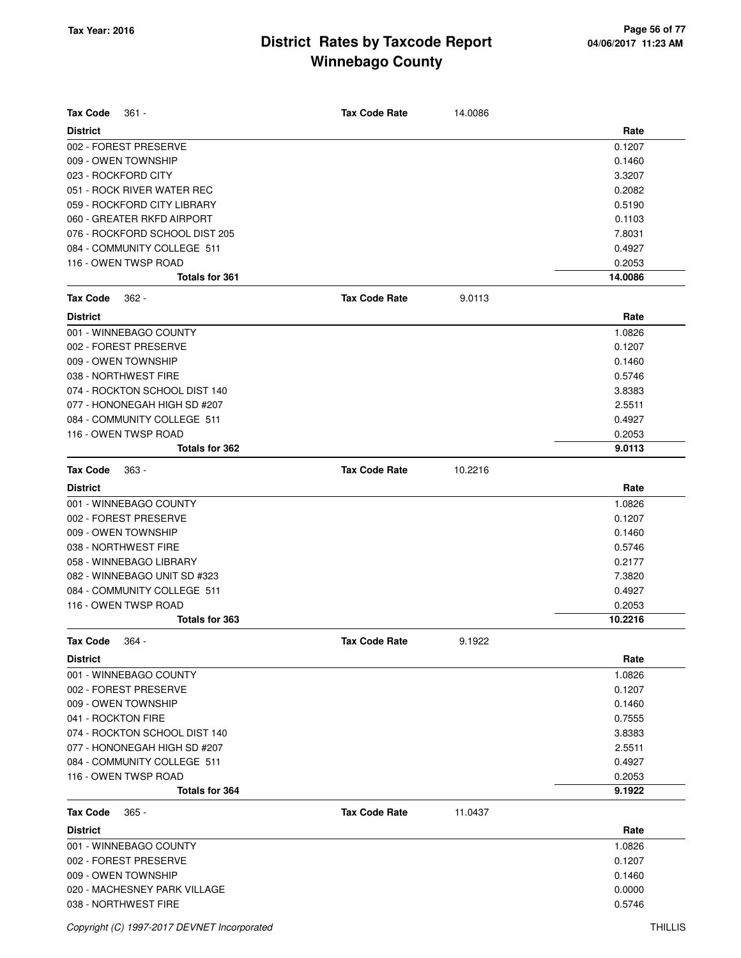| <b>Tax Code</b><br>361 -       | <b>Tax Code Rate</b> | 14.0086 |         |
|--------------------------------|----------------------|---------|---------|
| <b>District</b>                |                      |         | Rate    |
| 002 - FOREST PRESERVE          |                      |         | 0.1207  |
| 009 - OWEN TOWNSHIP            |                      |         | 0.1460  |
| 023 - ROCKFORD CITY            |                      |         | 3.3207  |
| 051 - ROCK RIVER WATER REC     |                      |         | 0.2082  |
| 059 - ROCKFORD CITY LIBRARY    |                      |         | 0.5190  |
| 060 - GREATER RKFD AIRPORT     |                      |         | 0.1103  |
| 076 - ROCKFORD SCHOOL DIST 205 |                      |         | 7.8031  |
| 084 - COMMUNITY COLLEGE 511    |                      |         | 0.4927  |
| 116 - OWEN TWSP ROAD           |                      |         | 0.2053  |
| <b>Totals for 361</b>          |                      |         | 14.0086 |
| <b>Tax Code</b><br>$362 -$     | <b>Tax Code Rate</b> | 9.0113  |         |
| <b>District</b>                |                      |         | Rate    |
| 001 - WINNEBAGO COUNTY         |                      |         | 1.0826  |
| 002 - FOREST PRESERVE          |                      |         | 0.1207  |
| 009 - OWEN TOWNSHIP            |                      |         | 0.1460  |
| 038 - NORTHWEST FIRE           |                      |         | 0.5746  |
| 074 - ROCKTON SCHOOL DIST 140  |                      |         | 3.8383  |
| 077 - HONONEGAH HIGH SD #207   |                      |         | 2.5511  |
| 084 - COMMUNITY COLLEGE 511    |                      |         | 0.4927  |
| 116 - OWEN TWSP ROAD           |                      |         | 0.2053  |
| <b>Totals for 362</b>          |                      |         | 9.0113  |
| <b>Tax Code</b><br>$363 -$     | <b>Tax Code Rate</b> | 10.2216 |         |
| <b>District</b>                |                      |         | Rate    |
| 001 - WINNEBAGO COUNTY         |                      |         | 1.0826  |
| 002 - FOREST PRESERVE          |                      |         | 0.1207  |
| 009 - OWEN TOWNSHIP            |                      |         | 0.1460  |
| 038 - NORTHWEST FIRE           |                      |         | 0.5746  |
| 058 - WINNEBAGO LIBRARY        |                      |         | 0.2177  |
| 082 - WINNEBAGO UNIT SD #323   |                      |         | 7.3820  |
| 084 - COMMUNITY COLLEGE 511    |                      |         | 0.4927  |
| 116 - OWEN TWSP ROAD           |                      |         | 0.2053  |
| Totals for 363                 |                      |         | 10.2216 |
| <b>Tax Code</b><br>$364 -$     | <b>Tax Code Rate</b> | 9.1922  |         |
| <b>District</b>                |                      |         | Rate    |
| 001 - WINNEBAGO COUNTY         |                      |         | 1.0826  |
| 002 - FOREST PRESERVE          |                      |         | 0.1207  |
| 009 - OWEN TOWNSHIP            |                      |         | 0.1460  |
| 041 - ROCKTON FIRE             |                      |         | 0.7555  |
| 074 - ROCKTON SCHOOL DIST 140  |                      |         | 3.8383  |
| 077 - HONONEGAH HIGH SD #207   |                      |         | 2.5511  |
| 084 - COMMUNITY COLLEGE 511    |                      |         | 0.4927  |
| 116 - OWEN TWSP ROAD           |                      |         | 0.2053  |
| <b>Totals for 364</b>          |                      |         | 9.1922  |
| <b>Tax Code</b><br>$365 -$     | <b>Tax Code Rate</b> | 11.0437 |         |
| <b>District</b>                |                      |         | Rate    |
| 001 - WINNEBAGO COUNTY         |                      |         | 1.0826  |
| 002 - FOREST PRESERVE          |                      |         | 0.1207  |
| 009 - OWEN TOWNSHIP            |                      |         | 0.1460  |
| 020 - MACHESNEY PARK VILLAGE   |                      |         | 0.0000  |
| 038 - NORTHWEST FIRE           |                      |         | 0.5746  |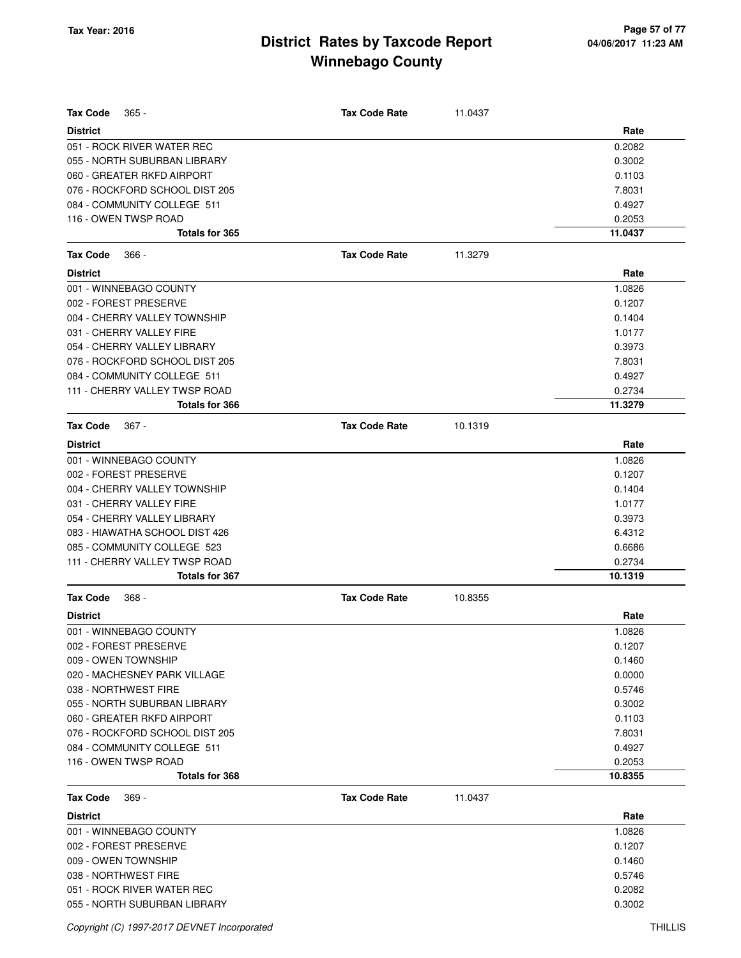| <b>Tax Code</b><br>$365 -$     | <b>Tax Code Rate</b> | 11.0437 |         |
|--------------------------------|----------------------|---------|---------|
| <b>District</b>                |                      |         | Rate    |
| 051 - ROCK RIVER WATER REC     |                      |         | 0.2082  |
| 055 - NORTH SUBURBAN LIBRARY   |                      |         | 0.3002  |
| 060 - GREATER RKFD AIRPORT     |                      |         | 0.1103  |
| 076 - ROCKFORD SCHOOL DIST 205 |                      |         | 7.8031  |
| 084 - COMMUNITY COLLEGE 511    |                      |         | 0.4927  |
| 116 - OWEN TWSP ROAD           |                      |         | 0.2053  |
| <b>Totals for 365</b>          |                      |         | 11.0437 |
| <b>Tax Code</b><br>$366 -$     | <b>Tax Code Rate</b> | 11.3279 |         |
| <b>District</b>                |                      |         | Rate    |
| 001 - WINNEBAGO COUNTY         |                      |         | 1.0826  |
| 002 - FOREST PRESERVE          |                      |         | 0.1207  |
| 004 - CHERRY VALLEY TOWNSHIP   |                      |         | 0.1404  |
| 031 - CHERRY VALLEY FIRE       |                      |         | 1.0177  |
| 054 - CHERRY VALLEY LIBRARY    |                      |         | 0.3973  |
| 076 - ROCKFORD SCHOOL DIST 205 |                      |         | 7.8031  |
| 084 - COMMUNITY COLLEGE 511    |                      |         | 0.4927  |
| 111 - CHERRY VALLEY TWSP ROAD  |                      |         | 0.2734  |
| <b>Totals for 366</b>          |                      |         | 11.3279 |
| <b>Tax Code</b><br>$367 -$     | <b>Tax Code Rate</b> | 10.1319 |         |
| <b>District</b>                |                      |         | Rate    |
| 001 - WINNEBAGO COUNTY         |                      |         | 1.0826  |
| 002 - FOREST PRESERVE          |                      |         | 0.1207  |
| 004 - CHERRY VALLEY TOWNSHIP   |                      |         | 0.1404  |
| 031 - CHERRY VALLEY FIRE       |                      |         | 1.0177  |
| 054 - CHERRY VALLEY LIBRARY    |                      |         | 0.3973  |
| 083 - HIAWATHA SCHOOL DIST 426 |                      |         | 6.4312  |
| 085 - COMMUNITY COLLEGE 523    |                      |         | 0.6686  |
| 111 - CHERRY VALLEY TWSP ROAD  |                      |         | 0.2734  |
| <b>Totals for 367</b>          |                      |         | 10.1319 |
| <b>Tax Code</b><br>$368 -$     | <b>Tax Code Rate</b> | 10.8355 |         |
| <b>District</b>                |                      |         | Rate    |
| 001 - WINNEBAGO COUNTY         |                      |         | 1.0826  |
| 002 - FOREST PRESERVE          |                      |         | 0.1207  |
| 009 - OWEN TOWNSHIP            |                      |         | 0.1460  |
| 020 - MACHESNEY PARK VILLAGE   |                      |         | 0.0000  |
| 038 - NORTHWEST FIRE           |                      |         | 0.5746  |
| 055 - NORTH SUBURBAN LIBRARY   |                      |         | 0.3002  |
| 060 - GREATER RKFD AIRPORT     |                      |         | 0.1103  |
| 076 - ROCKFORD SCHOOL DIST 205 |                      |         | 7.8031  |
| 084 - COMMUNITY COLLEGE 511    |                      |         | 0.4927  |
| 116 - OWEN TWSP ROAD           |                      |         | 0.2053  |
| <b>Totals for 368</b>          |                      |         | 10.8355 |
| <b>Tax Code</b><br>$369 -$     | <b>Tax Code Rate</b> | 11.0437 |         |
| <b>District</b>                |                      |         | Rate    |
| 001 - WINNEBAGO COUNTY         |                      |         | 1.0826  |
| 002 - FOREST PRESERVE          |                      |         | 0.1207  |
| 009 - OWEN TOWNSHIP            |                      |         | 0.1460  |
| 038 - NORTHWEST FIRE           |                      |         | 0.5746  |
| 051 - ROCK RIVER WATER REC     |                      |         | 0.2082  |
| 055 - NORTH SUBURBAN LIBRARY   |                      |         | 0.3002  |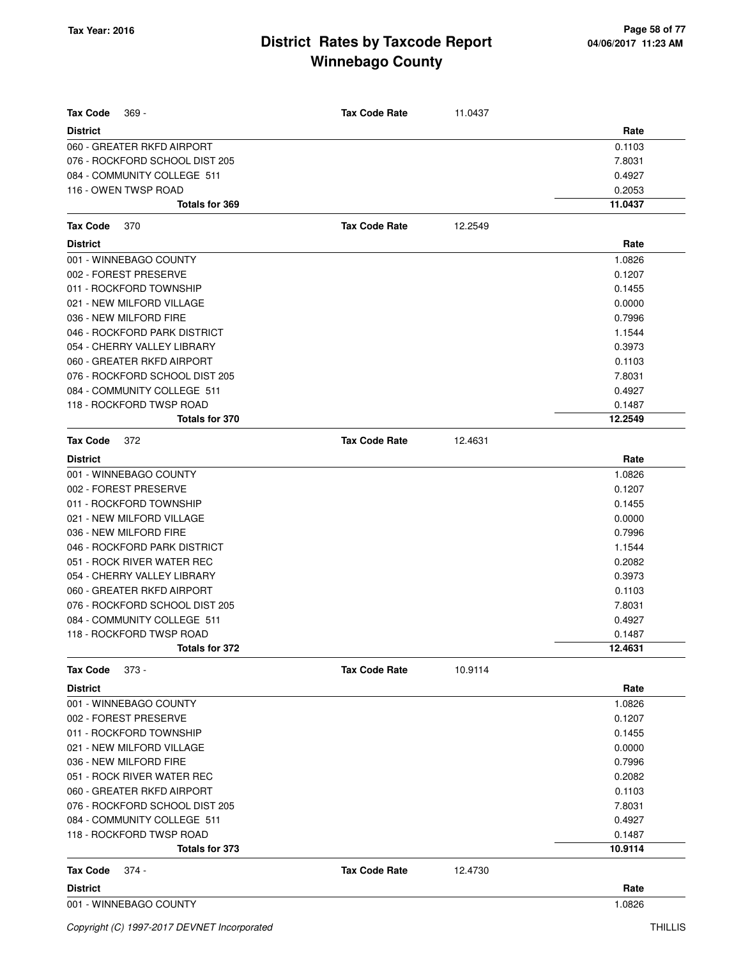| <b>Tax Code</b><br>$369 -$     | <b>Tax Code Rate</b> | 11.0437 |         |
|--------------------------------|----------------------|---------|---------|
| <b>District</b>                |                      |         | Rate    |
| 060 - GREATER RKFD AIRPORT     |                      |         | 0.1103  |
| 076 - ROCKFORD SCHOOL DIST 205 |                      |         | 7.8031  |
| 084 - COMMUNITY COLLEGE 511    |                      |         | 0.4927  |
| 116 - OWEN TWSP ROAD           |                      |         | 0.2053  |
| Totals for 369                 |                      |         | 11.0437 |
| <b>Tax Code</b><br>370         | <b>Tax Code Rate</b> | 12.2549 |         |
| <b>District</b>                |                      |         | Rate    |
| 001 - WINNEBAGO COUNTY         |                      |         | 1.0826  |
| 002 - FOREST PRESERVE          |                      |         | 0.1207  |
| 011 - ROCKFORD TOWNSHIP        |                      |         | 0.1455  |
| 021 - NEW MILFORD VILLAGE      |                      |         | 0.0000  |
| 036 - NEW MILFORD FIRE         |                      |         | 0.7996  |
| 046 - ROCKFORD PARK DISTRICT   |                      |         | 1.1544  |
| 054 - CHERRY VALLEY LIBRARY    |                      |         | 0.3973  |
| 060 - GREATER RKFD AIRPORT     |                      |         | 0.1103  |
| 076 - ROCKFORD SCHOOL DIST 205 |                      |         | 7.8031  |
| 084 - COMMUNITY COLLEGE 511    |                      |         | 0.4927  |
| 118 - ROCKFORD TWSP ROAD       |                      |         | 0.1487  |
| Totals for 370                 |                      |         | 12.2549 |
| <b>Tax Code</b><br>372         | <b>Tax Code Rate</b> | 12.4631 |         |
| <b>District</b>                |                      |         | Rate    |
| 001 - WINNEBAGO COUNTY         |                      |         | 1.0826  |
| 002 - FOREST PRESERVE          |                      |         | 0.1207  |
| 011 - ROCKFORD TOWNSHIP        |                      |         | 0.1455  |
| 021 - NEW MILFORD VILLAGE      |                      |         | 0.0000  |
| 036 - NEW MILFORD FIRE         |                      |         | 0.7996  |
| 046 - ROCKFORD PARK DISTRICT   |                      |         | 1.1544  |
| 051 - ROCK RIVER WATER REC     |                      |         | 0.2082  |
| 054 - CHERRY VALLEY LIBRARY    |                      |         | 0.3973  |
| 060 - GREATER RKFD AIRPORT     |                      |         | 0.1103  |
| 076 - ROCKFORD SCHOOL DIST 205 |                      |         | 7.8031  |
| 084 - COMMUNITY COLLEGE 511    |                      |         | 0.4927  |
| 118 - ROCKFORD TWSP ROAD       |                      |         | 0.1487  |
| Totals for 372                 |                      |         | 12.4631 |
| <b>Tax Code</b><br>373 -       | <b>Tax Code Rate</b> | 10.9114 |         |
| <b>District</b>                |                      |         | Rate    |
| 001 - WINNEBAGO COUNTY         |                      |         | 1.0826  |
| 002 - FOREST PRESERVE          |                      |         | 0.1207  |
| 011 - ROCKFORD TOWNSHIP        |                      |         | 0.1455  |
| 021 - NEW MILFORD VILLAGE      |                      |         | 0.0000  |
| 036 - NEW MILFORD FIRE         |                      |         | 0.7996  |
| 051 - ROCK RIVER WATER REC     |                      |         | 0.2082  |
| 060 - GREATER RKFD AIRPORT     |                      |         | 0.1103  |
| 076 - ROCKFORD SCHOOL DIST 205 |                      |         | 7.8031  |
| 084 - COMMUNITY COLLEGE 511    |                      |         | 0.4927  |
| 118 - ROCKFORD TWSP ROAD       |                      |         | 0.1487  |
| Totals for 373                 |                      |         | 10.9114 |
| <b>Tax Code</b><br>374 -       | <b>Tax Code Rate</b> | 12.4730 |         |
| <b>District</b>                |                      |         | Rate    |

001 - WINNEBAGO COUNTY 1.0826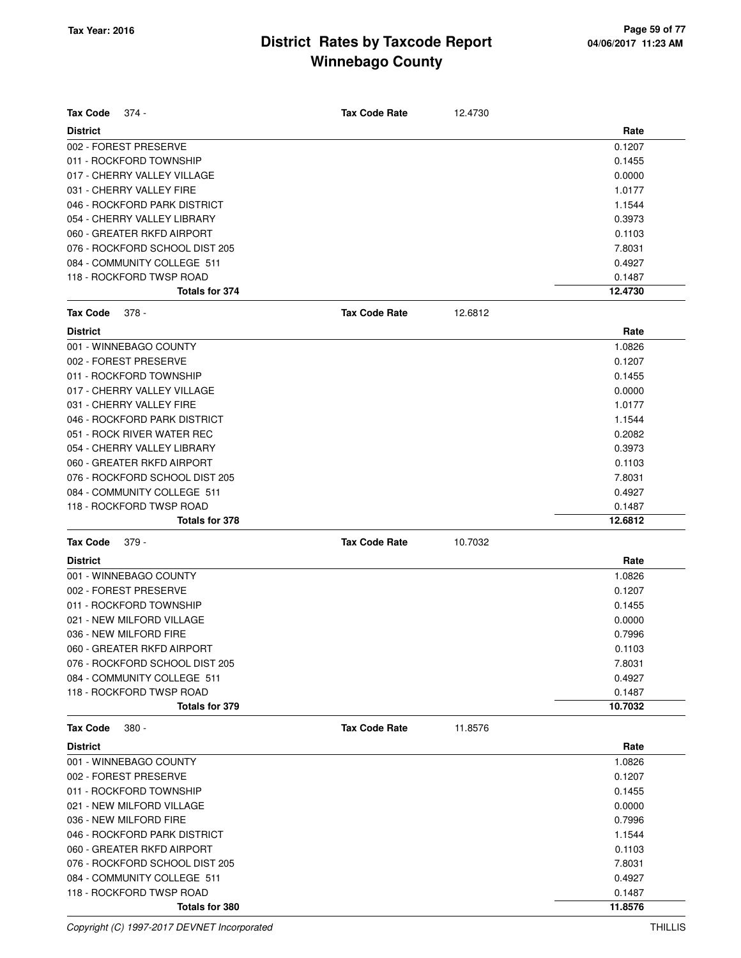| <b>Tax Code</b><br>374 -       | <b>Tax Code Rate</b> | 12.4730 |         |
|--------------------------------|----------------------|---------|---------|
|                                |                      |         |         |
| <b>District</b>                |                      |         | Rate    |
| 002 - FOREST PRESERVE          |                      |         | 0.1207  |
| 011 - ROCKFORD TOWNSHIP        |                      |         | 0.1455  |
| 017 - CHERRY VALLEY VILLAGE    |                      |         | 0.0000  |
| 031 - CHERRY VALLEY FIRE       |                      |         | 1.0177  |
| 046 - ROCKFORD PARK DISTRICT   |                      |         | 1.1544  |
| 054 - CHERRY VALLEY LIBRARY    |                      |         | 0.3973  |
| 060 - GREATER RKFD AIRPORT     |                      |         | 0.1103  |
| 076 - ROCKFORD SCHOOL DIST 205 |                      |         | 7.8031  |
| 084 - COMMUNITY COLLEGE 511    |                      |         | 0.4927  |
| 118 - ROCKFORD TWSP ROAD       |                      |         | 0.1487  |
| Totals for 374                 |                      |         | 12.4730 |
| <b>Tax Code</b><br>378 -       | <b>Tax Code Rate</b> | 12.6812 |         |
| <b>District</b>                |                      |         | Rate    |
| 001 - WINNEBAGO COUNTY         |                      |         | 1.0826  |
| 002 - FOREST PRESERVE          |                      |         | 0.1207  |
| 011 - ROCKFORD TOWNSHIP        |                      |         | 0.1455  |
| 017 - CHERRY VALLEY VILLAGE    |                      |         | 0.0000  |
| 031 - CHERRY VALLEY FIRE       |                      |         | 1.0177  |
| 046 - ROCKFORD PARK DISTRICT   |                      |         | 1.1544  |
| 051 - ROCK RIVER WATER REC     |                      |         | 0.2082  |
| 054 - CHERRY VALLEY LIBRARY    |                      |         | 0.3973  |
| 060 - GREATER RKFD AIRPORT     |                      |         | 0.1103  |
| 076 - ROCKFORD SCHOOL DIST 205 |                      |         | 7.8031  |
| 084 - COMMUNITY COLLEGE 511    |                      |         | 0.4927  |
| 118 - ROCKFORD TWSP ROAD       |                      |         | 0.1487  |
| Totals for 378                 |                      |         | 12.6812 |
| <b>Tax Code</b><br>379 -       | <b>Tax Code Rate</b> | 10.7032 |         |
| <b>District</b>                |                      |         | Rate    |
| 001 - WINNEBAGO COUNTY         |                      |         | 1.0826  |
| 002 - FOREST PRESERVE          |                      |         | 0.1207  |
| 011 - ROCKFORD TOWNSHIP        |                      |         | 0.1455  |
| 021 - NEW MILFORD VILLAGE      |                      |         | 0.0000  |
| 036 - NEW MILFORD FIRE         |                      |         | 0.7996  |
| 060 - GREATER RKFD AIRPORT     |                      |         | 0.1103  |
| 076 - ROCKFORD SCHOOL DIST 205 |                      |         | 7.8031  |
| 084 - COMMUNITY COLLEGE 511    |                      |         | 0.4927  |
| 118 - ROCKFORD TWSP ROAD       |                      |         | 0.1487  |
| Totals for 379                 |                      |         | 10.7032 |
|                                |                      |         |         |
| <b>Tax Code</b><br>$380 -$     | <b>Tax Code Rate</b> | 11.8576 |         |
| <b>District</b>                |                      |         | Rate    |
| 001 - WINNEBAGO COUNTY         |                      |         | 1.0826  |
| 002 - FOREST PRESERVE          |                      |         | 0.1207  |
| 011 - ROCKFORD TOWNSHIP        |                      |         | 0.1455  |
| 021 - NEW MILFORD VILLAGE      |                      |         | 0.0000  |
| 036 - NEW MILFORD FIRE         |                      |         | 0.7996  |
| 046 - ROCKFORD PARK DISTRICT   |                      |         | 1.1544  |
| 060 - GREATER RKFD AIRPORT     |                      |         | 0.1103  |
| 076 - ROCKFORD SCHOOL DIST 205 |                      |         | 7.8031  |
| 084 - COMMUNITY COLLEGE 511    |                      |         | 0.4927  |
| 118 - ROCKFORD TWSP ROAD       |                      |         | 0.1487  |
| Totals for 380                 |                      |         | 11.8576 |

Copyright (C) 1997-2017 DEVNET Incorporated THILLIS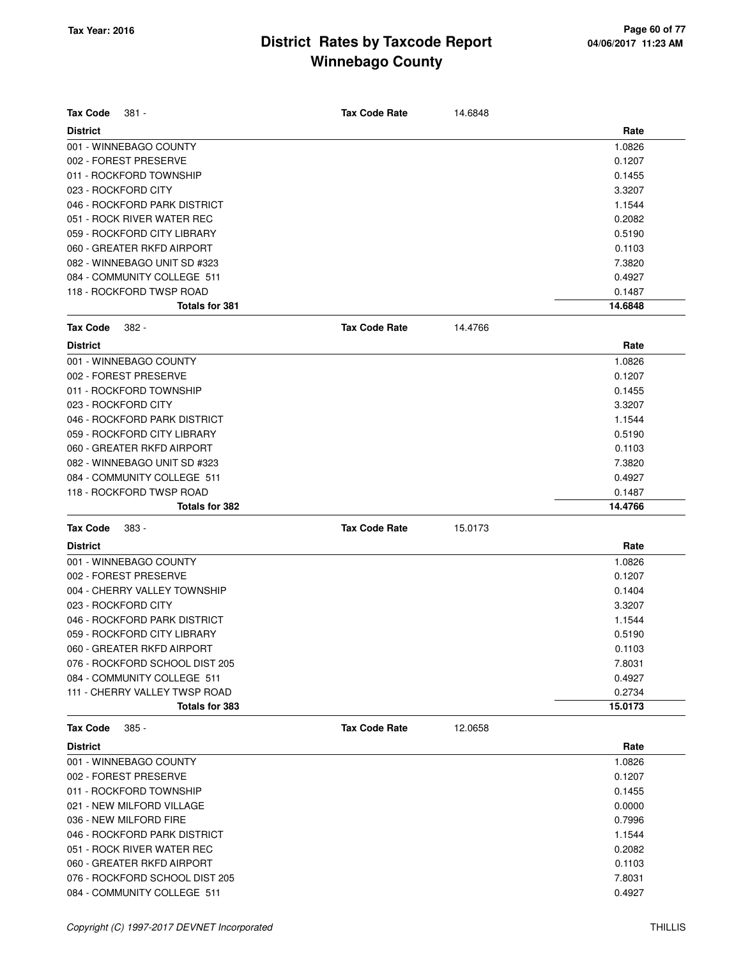| <b>Tax Code</b><br>381 -                                     | <b>Tax Code Rate</b> | 14.6848 |                  |
|--------------------------------------------------------------|----------------------|---------|------------------|
| <b>District</b>                                              |                      |         | Rate             |
| 001 - WINNEBAGO COUNTY                                       |                      |         | 1.0826           |
| 002 - FOREST PRESERVE                                        |                      |         | 0.1207           |
| 011 - ROCKFORD TOWNSHIP                                      |                      |         | 0.1455           |
| 023 - ROCKFORD CITY                                          |                      |         | 3.3207           |
| 046 - ROCKFORD PARK DISTRICT                                 |                      |         | 1.1544           |
| 051 - ROCK RIVER WATER REC                                   |                      |         | 0.2082           |
| 059 - ROCKFORD CITY LIBRARY                                  |                      |         | 0.5190           |
| 060 - GREATER RKFD AIRPORT                                   |                      |         | 0.1103           |
| 082 - WINNEBAGO UNIT SD #323                                 |                      |         | 7.3820           |
| 084 - COMMUNITY COLLEGE 511                                  |                      |         | 0.4927           |
| 118 - ROCKFORD TWSP ROAD                                     |                      |         | 0.1487           |
| <b>Totals for 381</b>                                        |                      |         | 14.6848          |
| <b>Tax Code</b><br>$382 -$                                   | <b>Tax Code Rate</b> | 14.4766 |                  |
| <b>District</b>                                              |                      |         | Rate             |
| 001 - WINNEBAGO COUNTY                                       |                      |         | 1.0826           |
| 002 - FOREST PRESERVE                                        |                      |         | 0.1207           |
| 011 - ROCKFORD TOWNSHIP                                      |                      |         | 0.1455           |
| 023 - ROCKFORD CITY                                          |                      |         | 3.3207           |
| 046 - ROCKFORD PARK DISTRICT                                 |                      |         | 1.1544           |
| 059 - ROCKFORD CITY LIBRARY                                  |                      |         | 0.5190           |
| 060 - GREATER RKFD AIRPORT                                   |                      |         | 0.1103           |
| 082 - WINNEBAGO UNIT SD #323                                 |                      |         | 7.3820           |
| 084 - COMMUNITY COLLEGE 511                                  |                      |         | 0.4927           |
| 118 - ROCKFORD TWSP ROAD                                     |                      |         | 0.1487           |
| <b>Totals for 382</b>                                        |                      |         | 14.4766          |
| <b>Tax Code</b><br>383 -                                     | <b>Tax Code Rate</b> | 15.0173 |                  |
| <b>District</b>                                              |                      |         | Rate             |
| 001 - WINNEBAGO COUNTY                                       |                      |         | 1.0826           |
| 002 - FOREST PRESERVE                                        |                      |         | 0.1207           |
| 004 - CHERRY VALLEY TOWNSHIP                                 |                      |         | 0.1404           |
| 023 - ROCKFORD CITY                                          |                      |         | 3.3207           |
|                                                              |                      |         |                  |
| 046 - ROCKFORD PARK DISTRICT                                 |                      |         | 1.1544           |
|                                                              |                      |         |                  |
| 059 - ROCKFORD CITY LIBRARY<br>060 - GREATER RKFD AIRPORT    |                      |         | 0.5190           |
| 076 - ROCKFORD SCHOOL DIST 205                               |                      |         | 0.1103           |
| 084 - COMMUNITY COLLEGE 511                                  |                      |         | 7.8031           |
| 111 - CHERRY VALLEY TWSP ROAD                                |                      |         | 0.4927<br>0.2734 |
| <b>Totals for 383</b>                                        |                      |         | 15.0173          |
| <b>Tax Code</b><br>$385 -$                                   | <b>Tax Code Rate</b> | 12.0658 |                  |
| <b>District</b>                                              |                      |         | Rate             |
| 001 - WINNEBAGO COUNTY                                       |                      |         |                  |
| 002 - FOREST PRESERVE                                        |                      |         | 1.0826<br>0.1207 |
| 011 - ROCKFORD TOWNSHIP                                      |                      |         | 0.1455           |
| 021 - NEW MILFORD VILLAGE                                    |                      |         |                  |
| 036 - NEW MILFORD FIRE                                       |                      |         | 0.0000<br>0.7996 |
| 046 - ROCKFORD PARK DISTRICT                                 |                      |         |                  |
|                                                              |                      |         | 1.1544           |
| 051 - ROCK RIVER WATER REC                                   |                      |         | 0.2082           |
| 060 - GREATER RKFD AIRPORT<br>076 - ROCKFORD SCHOOL DIST 205 |                      |         | 0.1103<br>7.8031 |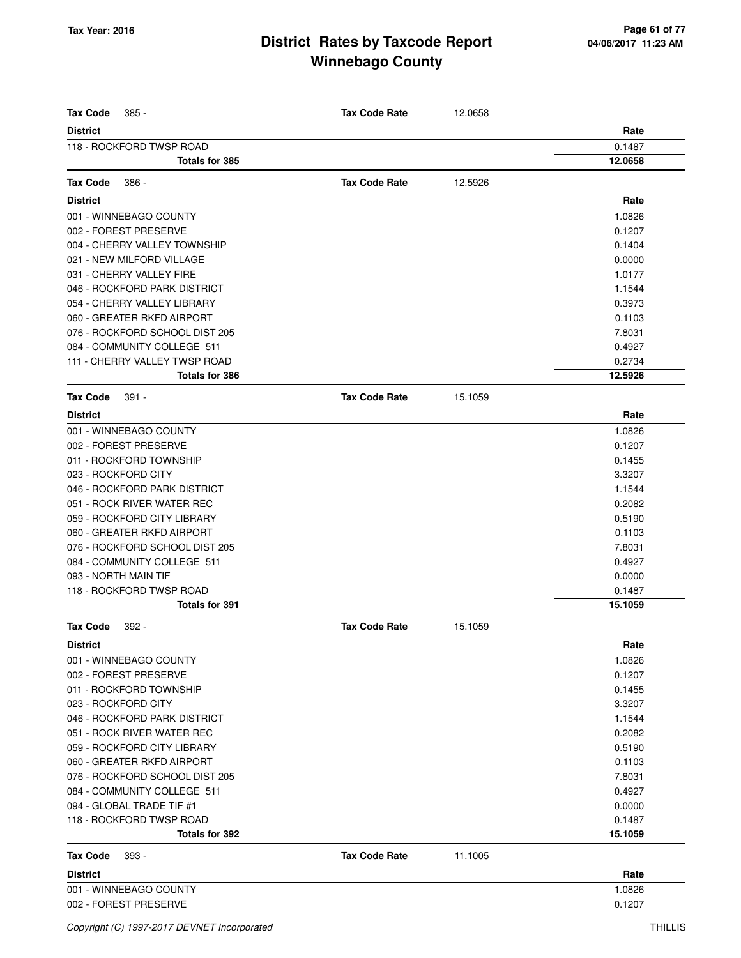| <b>Tax Code</b><br>$385 -$     | <b>Tax Code Rate</b> | 12.0658 |         |
|--------------------------------|----------------------|---------|---------|
| <b>District</b>                |                      |         | Rate    |
| 118 - ROCKFORD TWSP ROAD       |                      |         | 0.1487  |
| <b>Totals for 385</b>          |                      |         | 12.0658 |
| <b>Tax Code</b><br>386 -       | <b>Tax Code Rate</b> | 12.5926 |         |
| <b>District</b>                |                      |         | Rate    |
| 001 - WINNEBAGO COUNTY         |                      |         | 1.0826  |
| 002 - FOREST PRESERVE          |                      |         | 0.1207  |
| 004 - CHERRY VALLEY TOWNSHIP   |                      |         | 0.1404  |
| 021 - NEW MILFORD VILLAGE      |                      |         | 0.0000  |
| 031 - CHERRY VALLEY FIRE       |                      |         | 1.0177  |
| 046 - ROCKFORD PARK DISTRICT   |                      |         | 1.1544  |
| 054 - CHERRY VALLEY LIBRARY    |                      |         | 0.3973  |
| 060 - GREATER RKFD AIRPORT     |                      |         | 0.1103  |
| 076 - ROCKFORD SCHOOL DIST 205 |                      |         | 7.8031  |
| 084 - COMMUNITY COLLEGE 511    |                      |         | 0.4927  |
| 111 - CHERRY VALLEY TWSP ROAD  |                      |         | 0.2734  |
| Totals for 386                 |                      |         | 12.5926 |
| <b>Tax Code</b>                | <b>Tax Code Rate</b> |         |         |
| $391 -$                        |                      | 15.1059 |         |
| <b>District</b>                |                      |         | Rate    |
| 001 - WINNEBAGO COUNTY         |                      |         | 1.0826  |
| 002 - FOREST PRESERVE          |                      |         | 0.1207  |
| 011 - ROCKFORD TOWNSHIP        |                      |         | 0.1455  |
| 023 - ROCKFORD CITY            |                      |         | 3.3207  |
| 046 - ROCKFORD PARK DISTRICT   |                      |         | 1.1544  |
| 051 - ROCK RIVER WATER REC     |                      |         | 0.2082  |
| 059 - ROCKFORD CITY LIBRARY    |                      |         | 0.5190  |
| 060 - GREATER RKFD AIRPORT     |                      |         | 0.1103  |
| 076 - ROCKFORD SCHOOL DIST 205 |                      |         | 7.8031  |
| 084 - COMMUNITY COLLEGE 511    |                      |         | 0.4927  |
| 093 - NORTH MAIN TIF           |                      |         | 0.0000  |
| 118 - ROCKFORD TWSP ROAD       |                      |         | 0.1487  |
| <b>Totals for 391</b>          |                      |         | 15.1059 |
| <b>Tax Code</b><br>$392 -$     | <b>Tax Code Rate</b> | 15.1059 |         |
| <b>District</b>                |                      |         | Rate    |
| 001 - WINNEBAGO COUNTY         |                      |         | 1.0826  |
| 002 - FOREST PRESERVE          |                      |         | 0.1207  |
| 011 - ROCKFORD TOWNSHIP        |                      |         | 0.1455  |
| 023 - ROCKFORD CITY            |                      |         | 3.3207  |
| 046 - ROCKFORD PARK DISTRICT   |                      |         | 1.1544  |
| 051 - ROCK RIVER WATER REC     |                      |         | 0.2082  |
| 059 - ROCKFORD CITY LIBRARY    |                      |         | 0.5190  |
| 060 - GREATER RKFD AIRPORT     |                      |         | 0.1103  |
| 076 - ROCKFORD SCHOOL DIST 205 |                      |         | 7.8031  |
| 084 - COMMUNITY COLLEGE 511    |                      |         | 0.4927  |
| 094 - GLOBAL TRADE TIF #1      |                      |         | 0.0000  |
| 118 - ROCKFORD TWSP ROAD       |                      |         | 0.1487  |
| Totals for 392                 |                      |         | 15.1059 |
| <b>Tax Code</b><br>393 -       | <b>Tax Code Rate</b> | 11.1005 |         |
| <b>District</b>                |                      |         | Rate    |
| 001 - WINNEBAGO COUNTY         |                      |         | 1.0826  |
| 002 - FOREST PRESERVE          |                      |         | 0.1207  |
|                                |                      |         |         |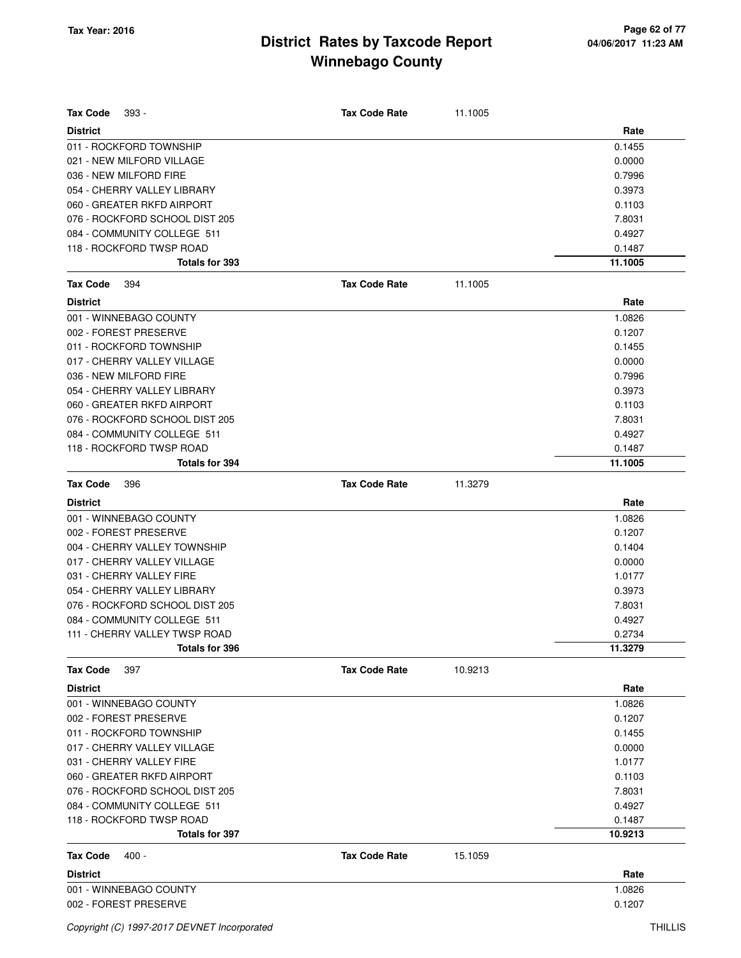| <b>Tax Code</b><br>393 -       | <b>Tax Code Rate</b> | 11.1005 |         |
|--------------------------------|----------------------|---------|---------|
| <b>District</b>                |                      |         | Rate    |
| 011 - ROCKFORD TOWNSHIP        |                      |         | 0.1455  |
| 021 - NEW MILFORD VILLAGE      |                      |         | 0.0000  |
| 036 - NEW MILFORD FIRE         |                      |         | 0.7996  |
| 054 - CHERRY VALLEY LIBRARY    |                      |         | 0.3973  |
| 060 - GREATER RKFD AIRPORT     |                      |         | 0.1103  |
| 076 - ROCKFORD SCHOOL DIST 205 |                      |         | 7.8031  |
| 084 - COMMUNITY COLLEGE 511    |                      |         | 0.4927  |
| 118 - ROCKFORD TWSP ROAD       |                      |         | 0.1487  |
| Totals for 393                 |                      |         | 11.1005 |
| <b>Tax Code</b><br>394         | <b>Tax Code Rate</b> | 11.1005 |         |
| <b>District</b>                |                      |         | Rate    |
| 001 - WINNEBAGO COUNTY         |                      |         | 1.0826  |
| 002 - FOREST PRESERVE          |                      |         | 0.1207  |
| 011 - ROCKFORD TOWNSHIP        |                      |         | 0.1455  |
| 017 - CHERRY VALLEY VILLAGE    |                      |         | 0.0000  |
| 036 - NEW MILFORD FIRE         |                      |         | 0.7996  |
| 054 - CHERRY VALLEY LIBRARY    |                      |         | 0.3973  |
| 060 - GREATER RKFD AIRPORT     |                      |         | 0.1103  |
| 076 - ROCKFORD SCHOOL DIST 205 |                      |         | 7.8031  |
| 084 - COMMUNITY COLLEGE 511    |                      |         | 0.4927  |
| 118 - ROCKFORD TWSP ROAD       |                      |         | 0.1487  |
| Totals for 394                 |                      |         | 11.1005 |
| <b>Tax Code</b><br>396         | <b>Tax Code Rate</b> | 11.3279 |         |
| <b>District</b>                |                      |         | Rate    |
| 001 - WINNEBAGO COUNTY         |                      |         | 1.0826  |
| 002 - FOREST PRESERVE          |                      |         | 0.1207  |
| 004 - CHERRY VALLEY TOWNSHIP   |                      |         | 0.1404  |
| 017 - CHERRY VALLEY VILLAGE    |                      |         | 0.0000  |
| 031 - CHERRY VALLEY FIRE       |                      |         | 1.0177  |
| 054 - CHERRY VALLEY LIBRARY    |                      |         | 0.3973  |
| 076 - ROCKFORD SCHOOL DIST 205 |                      |         | 7.8031  |
| 084 - COMMUNITY COLLEGE 511    |                      |         | 0.4927  |
| 111 - CHERRY VALLEY TWSP ROAD  |                      |         | 0.2734  |
| Totals for 396                 |                      |         | 11.3279 |
| <b>Tax Code</b><br>397         | <b>Tax Code Rate</b> | 10.9213 |         |
| <b>District</b>                |                      |         | Rate    |
| 001 - WINNEBAGO COUNTY         |                      |         | 1.0826  |
| 002 - FOREST PRESERVE          |                      |         | 0.1207  |
| 011 - ROCKFORD TOWNSHIP        |                      |         | 0.1455  |
| 017 - CHERRY VALLEY VILLAGE    |                      |         | 0.0000  |
| 031 - CHERRY VALLEY FIRE       |                      |         | 1.0177  |
| 060 - GREATER RKFD AIRPORT     |                      |         | 0.1103  |
| 076 - ROCKFORD SCHOOL DIST 205 |                      |         | 7.8031  |
| 084 - COMMUNITY COLLEGE 511    |                      |         | 0.4927  |
| 118 - ROCKFORD TWSP ROAD       |                      |         | 0.1487  |
| Totals for 397                 |                      |         | 10.9213 |
| <b>Tax Code</b><br>$400 -$     | <b>Tax Code Rate</b> | 15.1059 |         |
| <b>District</b>                |                      |         | Rate    |
| 001 - WINNEBAGO COUNTY         |                      |         | 1.0826  |
| 002 - FOREST PRESERVE          |                      |         | 0.1207  |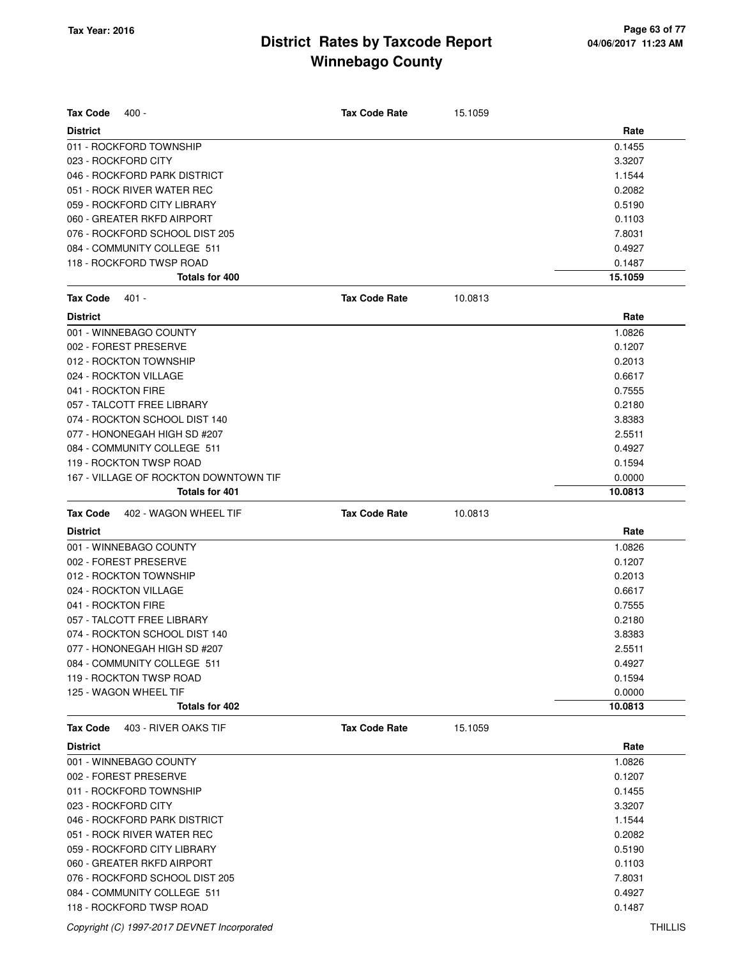| <b>Tax Code</b><br>400 -                 | <b>Tax Code Rate</b> | 15.1059 |         |
|------------------------------------------|----------------------|---------|---------|
| <b>District</b>                          |                      |         | Rate    |
| 011 - ROCKFORD TOWNSHIP                  |                      |         | 0.1455  |
| 023 - ROCKFORD CITY                      |                      |         | 3.3207  |
| 046 - ROCKFORD PARK DISTRICT             |                      |         | 1.1544  |
| 051 - ROCK RIVER WATER REC               |                      |         | 0.2082  |
| 059 - ROCKFORD CITY LIBRARY              |                      |         | 0.5190  |
| 060 - GREATER RKFD AIRPORT               |                      |         | 0.1103  |
| 076 - ROCKFORD SCHOOL DIST 205           |                      |         | 7.8031  |
| 084 - COMMUNITY COLLEGE 511              |                      |         | 0.4927  |
| 118 - ROCKFORD TWSP ROAD                 |                      |         | 0.1487  |
| Totals for 400                           |                      |         | 15.1059 |
| <b>Tax Code</b><br>401 -                 | <b>Tax Code Rate</b> | 10.0813 |         |
| <b>District</b>                          |                      |         | Rate    |
| 001 - WINNEBAGO COUNTY                   |                      |         | 1.0826  |
| 002 - FOREST PRESERVE                    |                      |         | 0.1207  |
| 012 - ROCKTON TOWNSHIP                   |                      |         | 0.2013  |
| 024 - ROCKTON VILLAGE                    |                      |         | 0.6617  |
| 041 - ROCKTON FIRE                       |                      |         | 0.7555  |
| 057 - TALCOTT FREE LIBRARY               |                      |         | 0.2180  |
| 074 - ROCKTON SCHOOL DIST 140            |                      |         | 3.8383  |
| 077 - HONONEGAH HIGH SD #207             |                      |         | 2.5511  |
| 084 - COMMUNITY COLLEGE 511              |                      |         | 0.4927  |
| 119 - ROCKTON TWSP ROAD                  |                      |         | 0.1594  |
| 167 - VILLAGE OF ROCKTON DOWNTOWN TIF    |                      |         | 0.0000  |
| Totals for 401                           |                      |         | 10.0813 |
|                                          |                      |         |         |
| <b>Tax Code</b><br>402 - WAGON WHEEL TIF | <b>Tax Code Rate</b> | 10.0813 |         |
| <b>District</b>                          |                      |         | Rate    |
| 001 - WINNEBAGO COUNTY                   |                      |         | 1.0826  |
| 002 - FOREST PRESERVE                    |                      |         | 0.1207  |
| 012 - ROCKTON TOWNSHIP                   |                      |         | 0.2013  |
| 024 - ROCKTON VILLAGE                    |                      |         | 0.6617  |
| 041 - ROCKTON FIRE                       |                      |         | 0.7555  |
| 057 - TALCOTT FREE LIBRARY               |                      |         | 0.2180  |
| 074 - ROCKTON SCHOOL DIST 140            |                      |         | 3.8383  |
| 077 - HONONEGAH HIGH SD #207             |                      |         | 2.5511  |
| 084 - COMMUNITY COLLEGE 511              |                      |         | 0.4927  |
| 119 - ROCKTON TWSP ROAD                  |                      |         | 0.1594  |
| 125 - WAGON WHEEL TIF                    |                      |         | 0.0000  |
| Totals for 402                           |                      |         | 10.0813 |
| Tax Code<br>403 - RIVER OAKS TIF         | <b>Tax Code Rate</b> | 15.1059 |         |
| <b>District</b>                          |                      |         | Rate    |
| 001 - WINNEBAGO COUNTY                   |                      |         | 1.0826  |
| 002 - FOREST PRESERVE                    |                      |         | 0.1207  |
| 011 - ROCKFORD TOWNSHIP                  |                      |         | 0.1455  |
| 023 - ROCKFORD CITY                      |                      |         | 3.3207  |
| 046 - ROCKFORD PARK DISTRICT             |                      |         | 1.1544  |
| 051 - ROCK RIVER WATER REC               |                      |         | 0.2082  |
| 059 - ROCKFORD CITY LIBRARY              |                      |         | 0.5190  |
| 060 - GREATER RKFD AIRPORT               |                      |         | 0.1103  |
| 076 - ROCKFORD SCHOOL DIST 205           |                      |         | 7.8031  |
| 084 - COMMUNITY COLLEGE 511              |                      |         | 0.4927  |
| 118 - ROCKFORD TWSP ROAD                 |                      |         | 0.1487  |

Copyright (C) 1997-2017 DEVNET Incorporated THILLIS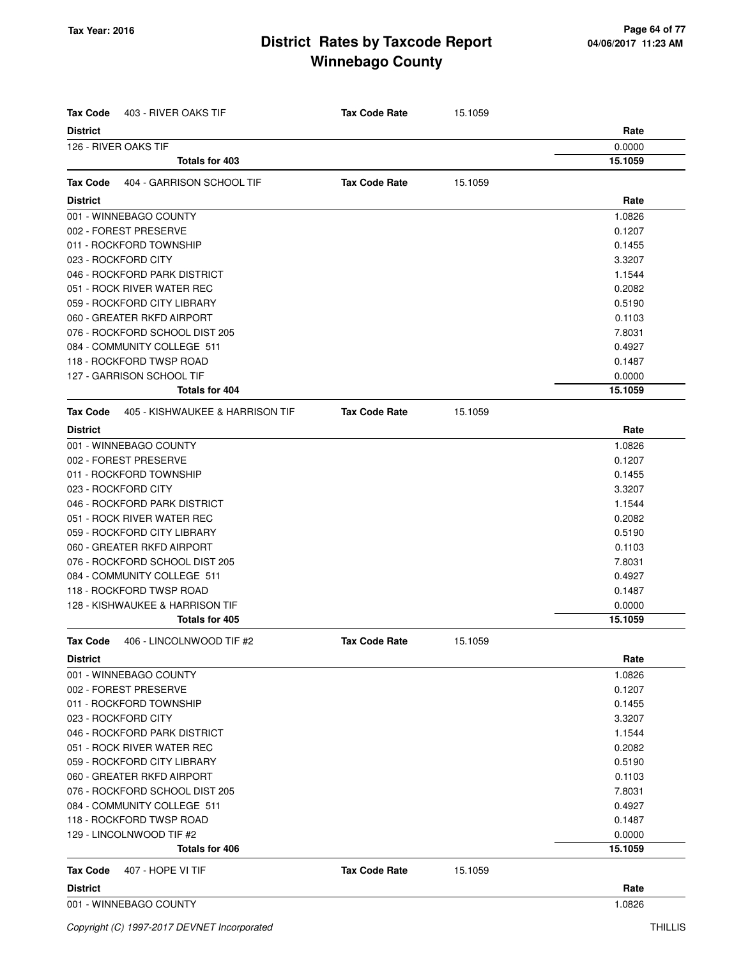| Tax Code        | 403 - RIVER OAKS TIF            | <b>Tax Code Rate</b> | 15.1059 |         |
|-----------------|---------------------------------|----------------------|---------|---------|
| <b>District</b> |                                 |                      |         | Rate    |
|                 | 126 - RIVER OAKS TIF            |                      |         | 0.0000  |
|                 | <b>Totals for 403</b>           |                      |         | 15.1059 |
| <b>Tax Code</b> | 404 - GARRISON SCHOOL TIF       | <b>Tax Code Rate</b> | 15.1059 |         |
| <b>District</b> |                                 |                      |         | Rate    |
|                 | 001 - WINNEBAGO COUNTY          |                      |         | 1.0826  |
|                 | 002 - FOREST PRESERVE           |                      |         | 0.1207  |
|                 | 011 - ROCKFORD TOWNSHIP         |                      |         | 0.1455  |
|                 | 023 - ROCKFORD CITY             |                      |         | 3.3207  |
|                 | 046 - ROCKFORD PARK DISTRICT    |                      |         | 1.1544  |
|                 | 051 - ROCK RIVER WATER REC      |                      |         | 0.2082  |
|                 | 059 - ROCKFORD CITY LIBRARY     |                      |         | 0.5190  |
|                 | 060 - GREATER RKFD AIRPORT      |                      |         | 0.1103  |
|                 | 076 - ROCKFORD SCHOOL DIST 205  |                      |         | 7.8031  |
|                 | 084 - COMMUNITY COLLEGE 511     |                      |         | 0.4927  |
|                 | 118 - ROCKFORD TWSP ROAD        |                      |         | 0.1487  |
|                 | 127 - GARRISON SCHOOL TIF       |                      |         | 0.0000  |
|                 | Totals for 404                  |                      |         | 15.1059 |
| Tax Code        | 405 - KISHWAUKEE & HARRISON TIF | <b>Tax Code Rate</b> | 15.1059 |         |
| <b>District</b> |                                 |                      |         | Rate    |
|                 | 001 - WINNEBAGO COUNTY          |                      |         | 1.0826  |
|                 | 002 - FOREST PRESERVE           |                      |         | 0.1207  |
|                 | 011 - ROCKFORD TOWNSHIP         |                      |         | 0.1455  |
|                 | 023 - ROCKFORD CITY             |                      |         | 3.3207  |
|                 | 046 - ROCKFORD PARK DISTRICT    |                      |         | 1.1544  |
|                 | 051 - ROCK RIVER WATER REC      |                      |         | 0.2082  |
|                 | 059 - ROCKFORD CITY LIBRARY     |                      |         | 0.5190  |
|                 | 060 - GREATER RKFD AIRPORT      |                      |         | 0.1103  |
|                 | 076 - ROCKFORD SCHOOL DIST 205  |                      |         | 7.8031  |
|                 | 084 - COMMUNITY COLLEGE 511     |                      |         | 0.4927  |
|                 | 118 - ROCKFORD TWSP ROAD        |                      |         | 0.1487  |
|                 | 128 - KISHWAUKEE & HARRISON TIF |                      |         | 0.0000  |
|                 | Totals for 405                  |                      |         | 15.1059 |
| Tax Code        | 406 - LINCOLNWOOD TIF #2        | <b>Tax Code Rate</b> | 15.1059 |         |
| <b>District</b> |                                 |                      |         | Rate    |
|                 | 001 - WINNEBAGO COUNTY          |                      |         | 1.0826  |
|                 | 002 - FOREST PRESERVE           |                      |         | 0.1207  |
|                 | 011 - ROCKFORD TOWNSHIP         |                      |         | 0.1455  |
|                 | 023 - ROCKFORD CITY             |                      |         | 3.3207  |
|                 | 046 - ROCKFORD PARK DISTRICT    |                      |         | 1.1544  |
|                 | 051 - ROCK RIVER WATER REC      |                      |         | 0.2082  |
|                 | 059 - ROCKFORD CITY LIBRARY     |                      |         | 0.5190  |
|                 | 060 - GREATER RKFD AIRPORT      |                      |         | 0.1103  |
|                 | 076 - ROCKFORD SCHOOL DIST 205  |                      |         | 7.8031  |
|                 | 084 - COMMUNITY COLLEGE 511     |                      |         | 0.4927  |
|                 | 118 - ROCKFORD TWSP ROAD        |                      |         | 0.1487  |
|                 | 129 - LINCOLNWOOD TIF #2        |                      |         | 0.0000  |
|                 | Totals for 406                  |                      |         | 15.1059 |
| Tax Code        | 407 - HOPE VI TIF               | <b>Tax Code Rate</b> | 15.1059 |         |
| <b>District</b> |                                 |                      |         | Rate    |
|                 | 001 - WINNEBAGO COUNTY          |                      |         | 1.0826  |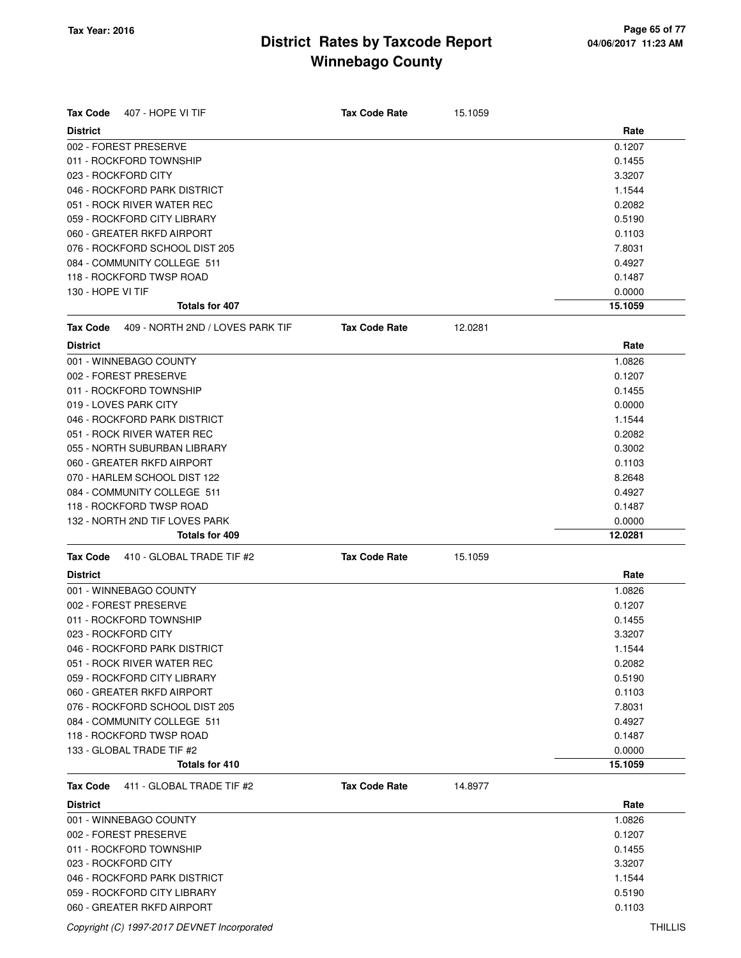| <b>District</b><br>Rate<br>0.1207<br>011 - ROCKFORD TOWNSHIP<br>0.1455<br>023 - ROCKFORD CITY<br>3.3207<br>046 - ROCKFORD PARK DISTRICT<br>1.1544<br>051 - ROCK RIVER WATER REC<br>0.2082<br>059 - ROCKFORD CITY LIBRARY<br>0.5190<br>060 - GREATER RKFD AIRPORT<br>0.1103<br>076 - ROCKFORD SCHOOL DIST 205<br>7.8031<br>084 - COMMUNITY COLLEGE 511<br>0.4927<br>118 - ROCKFORD TWSP ROAD<br>0.1487<br>130 - HOPE VI TIF<br>0.0000<br><b>Totals for 407</b><br>15.1059<br>409 - NORTH 2ND / LOVES PARK TIF<br>Tax Code<br><b>Tax Code Rate</b><br>12.0281<br>Rate<br><b>District</b><br>001 - WINNEBAGO COUNTY<br>1.0826<br>002 - FOREST PRESERVE<br>0.1207<br>011 - ROCKFORD TOWNSHIP<br>0.1455<br>019 - LOVES PARK CITY<br>0.0000<br>046 - ROCKFORD PARK DISTRICT<br>1.1544<br>0.2082<br>055 - NORTH SUBURBAN LIBRARY<br>0.3002<br>0.1103<br>070 - HARLEM SCHOOL DIST 122<br>8.2648<br>084 - COMMUNITY COLLEGE 511<br>0.4927<br>118 - ROCKFORD TWSP ROAD<br>0.1487<br>132 - NORTH 2ND TIF LOVES PARK<br>0.0000<br><b>Totals for 409</b><br>12.0281<br>410 - GLOBAL TRADE TIF #2<br><b>Tax Code Rate</b><br>15.1059<br><b>Tax Code</b><br>Rate<br><b>District</b><br>001 - WINNEBAGO COUNTY<br>1.0826<br>002 - FOREST PRESERVE<br>0.1207<br>011 - ROCKFORD TOWNSHIP<br>0.1455<br>023 - ROCKFORD CITY<br>3.3207<br>046 - ROCKFORD PARK DISTRICT<br>1.1544<br>051 - ROCK RIVER WATER REC<br>0.2082<br>059 - ROCKFORD CITY LIBRARY<br>0.5190<br>0.1103<br>060 - GREATER RKFD AIRPORT<br>076 - ROCKFORD SCHOOL DIST 205<br>7.8031<br>084 - COMMUNITY COLLEGE 511<br>0.4927<br>118 - ROCKFORD TWSP ROAD<br>0.1487<br>0.0000<br>Totals for 410<br>15.1059<br>411 - GLOBAL TRADE TIF #2<br><b>Tax Code</b><br><b>Tax Code Rate</b><br>14.8977<br>Rate<br><b>District</b><br>001 - WINNEBAGO COUNTY<br>1.0826<br>002 - FOREST PRESERVE<br>0.1207<br>011 - ROCKFORD TOWNSHIP<br>0.1455<br>023 - ROCKFORD CITY<br>3.3207<br>046 - ROCKFORD PARK DISTRICT<br>1.1544<br>059 - ROCKFORD CITY LIBRARY<br>0.5190<br>060 - GREATER RKFD AIRPORT<br>0.1103 | <b>Tax Code</b><br>407 - HOPE VI TIF | <b>Tax Code Rate</b> | 15.1059 |  |
|----------------------------------------------------------------------------------------------------------------------------------------------------------------------------------------------------------------------------------------------------------------------------------------------------------------------------------------------------------------------------------------------------------------------------------------------------------------------------------------------------------------------------------------------------------------------------------------------------------------------------------------------------------------------------------------------------------------------------------------------------------------------------------------------------------------------------------------------------------------------------------------------------------------------------------------------------------------------------------------------------------------------------------------------------------------------------------------------------------------------------------------------------------------------------------------------------------------------------------------------------------------------------------------------------------------------------------------------------------------------------------------------------------------------------------------------------------------------------------------------------------------------------------------------------------------------------------------------------------------------------------------------------------------------------------------------------------------------------------------------------------------------------------------------------------------------------------------------------------------------------------------------------------------------------------------------------------------------------------------------------------------------------------------------|--------------------------------------|----------------------|---------|--|
|                                                                                                                                                                                                                                                                                                                                                                                                                                                                                                                                                                                                                                                                                                                                                                                                                                                                                                                                                                                                                                                                                                                                                                                                                                                                                                                                                                                                                                                                                                                                                                                                                                                                                                                                                                                                                                                                                                                                                                                                                                              |                                      |                      |         |  |
|                                                                                                                                                                                                                                                                                                                                                                                                                                                                                                                                                                                                                                                                                                                                                                                                                                                                                                                                                                                                                                                                                                                                                                                                                                                                                                                                                                                                                                                                                                                                                                                                                                                                                                                                                                                                                                                                                                                                                                                                                                              | 002 - FOREST PRESERVE                |                      |         |  |
|                                                                                                                                                                                                                                                                                                                                                                                                                                                                                                                                                                                                                                                                                                                                                                                                                                                                                                                                                                                                                                                                                                                                                                                                                                                                                                                                                                                                                                                                                                                                                                                                                                                                                                                                                                                                                                                                                                                                                                                                                                              |                                      |                      |         |  |
|                                                                                                                                                                                                                                                                                                                                                                                                                                                                                                                                                                                                                                                                                                                                                                                                                                                                                                                                                                                                                                                                                                                                                                                                                                                                                                                                                                                                                                                                                                                                                                                                                                                                                                                                                                                                                                                                                                                                                                                                                                              |                                      |                      |         |  |
|                                                                                                                                                                                                                                                                                                                                                                                                                                                                                                                                                                                                                                                                                                                                                                                                                                                                                                                                                                                                                                                                                                                                                                                                                                                                                                                                                                                                                                                                                                                                                                                                                                                                                                                                                                                                                                                                                                                                                                                                                                              |                                      |                      |         |  |
|                                                                                                                                                                                                                                                                                                                                                                                                                                                                                                                                                                                                                                                                                                                                                                                                                                                                                                                                                                                                                                                                                                                                                                                                                                                                                                                                                                                                                                                                                                                                                                                                                                                                                                                                                                                                                                                                                                                                                                                                                                              |                                      |                      |         |  |
|                                                                                                                                                                                                                                                                                                                                                                                                                                                                                                                                                                                                                                                                                                                                                                                                                                                                                                                                                                                                                                                                                                                                                                                                                                                                                                                                                                                                                                                                                                                                                                                                                                                                                                                                                                                                                                                                                                                                                                                                                                              |                                      |                      |         |  |
|                                                                                                                                                                                                                                                                                                                                                                                                                                                                                                                                                                                                                                                                                                                                                                                                                                                                                                                                                                                                                                                                                                                                                                                                                                                                                                                                                                                                                                                                                                                                                                                                                                                                                                                                                                                                                                                                                                                                                                                                                                              |                                      |                      |         |  |
|                                                                                                                                                                                                                                                                                                                                                                                                                                                                                                                                                                                                                                                                                                                                                                                                                                                                                                                                                                                                                                                                                                                                                                                                                                                                                                                                                                                                                                                                                                                                                                                                                                                                                                                                                                                                                                                                                                                                                                                                                                              |                                      |                      |         |  |
|                                                                                                                                                                                                                                                                                                                                                                                                                                                                                                                                                                                                                                                                                                                                                                                                                                                                                                                                                                                                                                                                                                                                                                                                                                                                                                                                                                                                                                                                                                                                                                                                                                                                                                                                                                                                                                                                                                                                                                                                                                              |                                      |                      |         |  |
|                                                                                                                                                                                                                                                                                                                                                                                                                                                                                                                                                                                                                                                                                                                                                                                                                                                                                                                                                                                                                                                                                                                                                                                                                                                                                                                                                                                                                                                                                                                                                                                                                                                                                                                                                                                                                                                                                                                                                                                                                                              |                                      |                      |         |  |
|                                                                                                                                                                                                                                                                                                                                                                                                                                                                                                                                                                                                                                                                                                                                                                                                                                                                                                                                                                                                                                                                                                                                                                                                                                                                                                                                                                                                                                                                                                                                                                                                                                                                                                                                                                                                                                                                                                                                                                                                                                              |                                      |                      |         |  |
|                                                                                                                                                                                                                                                                                                                                                                                                                                                                                                                                                                                                                                                                                                                                                                                                                                                                                                                                                                                                                                                                                                                                                                                                                                                                                                                                                                                                                                                                                                                                                                                                                                                                                                                                                                                                                                                                                                                                                                                                                                              |                                      |                      |         |  |
|                                                                                                                                                                                                                                                                                                                                                                                                                                                                                                                                                                                                                                                                                                                                                                                                                                                                                                                                                                                                                                                                                                                                                                                                                                                                                                                                                                                                                                                                                                                                                                                                                                                                                                                                                                                                                                                                                                                                                                                                                                              |                                      |                      |         |  |
|                                                                                                                                                                                                                                                                                                                                                                                                                                                                                                                                                                                                                                                                                                                                                                                                                                                                                                                                                                                                                                                                                                                                                                                                                                                                                                                                                                                                                                                                                                                                                                                                                                                                                                                                                                                                                                                                                                                                                                                                                                              |                                      |                      |         |  |
|                                                                                                                                                                                                                                                                                                                                                                                                                                                                                                                                                                                                                                                                                                                                                                                                                                                                                                                                                                                                                                                                                                                                                                                                                                                                                                                                                                                                                                                                                                                                                                                                                                                                                                                                                                                                                                                                                                                                                                                                                                              |                                      |                      |         |  |
|                                                                                                                                                                                                                                                                                                                                                                                                                                                                                                                                                                                                                                                                                                                                                                                                                                                                                                                                                                                                                                                                                                                                                                                                                                                                                                                                                                                                                                                                                                                                                                                                                                                                                                                                                                                                                                                                                                                                                                                                                                              |                                      |                      |         |  |
|                                                                                                                                                                                                                                                                                                                                                                                                                                                                                                                                                                                                                                                                                                                                                                                                                                                                                                                                                                                                                                                                                                                                                                                                                                                                                                                                                                                                                                                                                                                                                                                                                                                                                                                                                                                                                                                                                                                                                                                                                                              |                                      |                      |         |  |
|                                                                                                                                                                                                                                                                                                                                                                                                                                                                                                                                                                                                                                                                                                                                                                                                                                                                                                                                                                                                                                                                                                                                                                                                                                                                                                                                                                                                                                                                                                                                                                                                                                                                                                                                                                                                                                                                                                                                                                                                                                              |                                      |                      |         |  |
|                                                                                                                                                                                                                                                                                                                                                                                                                                                                                                                                                                                                                                                                                                                                                                                                                                                                                                                                                                                                                                                                                                                                                                                                                                                                                                                                                                                                                                                                                                                                                                                                                                                                                                                                                                                                                                                                                                                                                                                                                                              |                                      |                      |         |  |
|                                                                                                                                                                                                                                                                                                                                                                                                                                                                                                                                                                                                                                                                                                                                                                                                                                                                                                                                                                                                                                                                                                                                                                                                                                                                                                                                                                                                                                                                                                                                                                                                                                                                                                                                                                                                                                                                                                                                                                                                                                              | 051 - ROCK RIVER WATER REC           |                      |         |  |
|                                                                                                                                                                                                                                                                                                                                                                                                                                                                                                                                                                                                                                                                                                                                                                                                                                                                                                                                                                                                                                                                                                                                                                                                                                                                                                                                                                                                                                                                                                                                                                                                                                                                                                                                                                                                                                                                                                                                                                                                                                              |                                      |                      |         |  |
|                                                                                                                                                                                                                                                                                                                                                                                                                                                                                                                                                                                                                                                                                                                                                                                                                                                                                                                                                                                                                                                                                                                                                                                                                                                                                                                                                                                                                                                                                                                                                                                                                                                                                                                                                                                                                                                                                                                                                                                                                                              | 060 - GREATER RKFD AIRPORT           |                      |         |  |
|                                                                                                                                                                                                                                                                                                                                                                                                                                                                                                                                                                                                                                                                                                                                                                                                                                                                                                                                                                                                                                                                                                                                                                                                                                                                                                                                                                                                                                                                                                                                                                                                                                                                                                                                                                                                                                                                                                                                                                                                                                              |                                      |                      |         |  |
|                                                                                                                                                                                                                                                                                                                                                                                                                                                                                                                                                                                                                                                                                                                                                                                                                                                                                                                                                                                                                                                                                                                                                                                                                                                                                                                                                                                                                                                                                                                                                                                                                                                                                                                                                                                                                                                                                                                                                                                                                                              |                                      |                      |         |  |
|                                                                                                                                                                                                                                                                                                                                                                                                                                                                                                                                                                                                                                                                                                                                                                                                                                                                                                                                                                                                                                                                                                                                                                                                                                                                                                                                                                                                                                                                                                                                                                                                                                                                                                                                                                                                                                                                                                                                                                                                                                              |                                      |                      |         |  |
|                                                                                                                                                                                                                                                                                                                                                                                                                                                                                                                                                                                                                                                                                                                                                                                                                                                                                                                                                                                                                                                                                                                                                                                                                                                                                                                                                                                                                                                                                                                                                                                                                                                                                                                                                                                                                                                                                                                                                                                                                                              |                                      |                      |         |  |
|                                                                                                                                                                                                                                                                                                                                                                                                                                                                                                                                                                                                                                                                                                                                                                                                                                                                                                                                                                                                                                                                                                                                                                                                                                                                                                                                                                                                                                                                                                                                                                                                                                                                                                                                                                                                                                                                                                                                                                                                                                              |                                      |                      |         |  |
|                                                                                                                                                                                                                                                                                                                                                                                                                                                                                                                                                                                                                                                                                                                                                                                                                                                                                                                                                                                                                                                                                                                                                                                                                                                                                                                                                                                                                                                                                                                                                                                                                                                                                                                                                                                                                                                                                                                                                                                                                                              |                                      |                      |         |  |
|                                                                                                                                                                                                                                                                                                                                                                                                                                                                                                                                                                                                                                                                                                                                                                                                                                                                                                                                                                                                                                                                                                                                                                                                                                                                                                                                                                                                                                                                                                                                                                                                                                                                                                                                                                                                                                                                                                                                                                                                                                              |                                      |                      |         |  |
|                                                                                                                                                                                                                                                                                                                                                                                                                                                                                                                                                                                                                                                                                                                                                                                                                                                                                                                                                                                                                                                                                                                                                                                                                                                                                                                                                                                                                                                                                                                                                                                                                                                                                                                                                                                                                                                                                                                                                                                                                                              |                                      |                      |         |  |
|                                                                                                                                                                                                                                                                                                                                                                                                                                                                                                                                                                                                                                                                                                                                                                                                                                                                                                                                                                                                                                                                                                                                                                                                                                                                                                                                                                                                                                                                                                                                                                                                                                                                                                                                                                                                                                                                                                                                                                                                                                              |                                      |                      |         |  |
|                                                                                                                                                                                                                                                                                                                                                                                                                                                                                                                                                                                                                                                                                                                                                                                                                                                                                                                                                                                                                                                                                                                                                                                                                                                                                                                                                                                                                                                                                                                                                                                                                                                                                                                                                                                                                                                                                                                                                                                                                                              |                                      |                      |         |  |
|                                                                                                                                                                                                                                                                                                                                                                                                                                                                                                                                                                                                                                                                                                                                                                                                                                                                                                                                                                                                                                                                                                                                                                                                                                                                                                                                                                                                                                                                                                                                                                                                                                                                                                                                                                                                                                                                                                                                                                                                                                              |                                      |                      |         |  |
|                                                                                                                                                                                                                                                                                                                                                                                                                                                                                                                                                                                                                                                                                                                                                                                                                                                                                                                                                                                                                                                                                                                                                                                                                                                                                                                                                                                                                                                                                                                                                                                                                                                                                                                                                                                                                                                                                                                                                                                                                                              |                                      |                      |         |  |
|                                                                                                                                                                                                                                                                                                                                                                                                                                                                                                                                                                                                                                                                                                                                                                                                                                                                                                                                                                                                                                                                                                                                                                                                                                                                                                                                                                                                                                                                                                                                                                                                                                                                                                                                                                                                                                                                                                                                                                                                                                              |                                      |                      |         |  |
|                                                                                                                                                                                                                                                                                                                                                                                                                                                                                                                                                                                                                                                                                                                                                                                                                                                                                                                                                                                                                                                                                                                                                                                                                                                                                                                                                                                                                                                                                                                                                                                                                                                                                                                                                                                                                                                                                                                                                                                                                                              |                                      |                      |         |  |
|                                                                                                                                                                                                                                                                                                                                                                                                                                                                                                                                                                                                                                                                                                                                                                                                                                                                                                                                                                                                                                                                                                                                                                                                                                                                                                                                                                                                                                                                                                                                                                                                                                                                                                                                                                                                                                                                                                                                                                                                                                              |                                      |                      |         |  |
|                                                                                                                                                                                                                                                                                                                                                                                                                                                                                                                                                                                                                                                                                                                                                                                                                                                                                                                                                                                                                                                                                                                                                                                                                                                                                                                                                                                                                                                                                                                                                                                                                                                                                                                                                                                                                                                                                                                                                                                                                                              |                                      |                      |         |  |
|                                                                                                                                                                                                                                                                                                                                                                                                                                                                                                                                                                                                                                                                                                                                                                                                                                                                                                                                                                                                                                                                                                                                                                                                                                                                                                                                                                                                                                                                                                                                                                                                                                                                                                                                                                                                                                                                                                                                                                                                                                              |                                      |                      |         |  |
|                                                                                                                                                                                                                                                                                                                                                                                                                                                                                                                                                                                                                                                                                                                                                                                                                                                                                                                                                                                                                                                                                                                                                                                                                                                                                                                                                                                                                                                                                                                                                                                                                                                                                                                                                                                                                                                                                                                                                                                                                                              |                                      |                      |         |  |
|                                                                                                                                                                                                                                                                                                                                                                                                                                                                                                                                                                                                                                                                                                                                                                                                                                                                                                                                                                                                                                                                                                                                                                                                                                                                                                                                                                                                                                                                                                                                                                                                                                                                                                                                                                                                                                                                                                                                                                                                                                              | 133 - GLOBAL TRADE TIF #2            |                      |         |  |
|                                                                                                                                                                                                                                                                                                                                                                                                                                                                                                                                                                                                                                                                                                                                                                                                                                                                                                                                                                                                                                                                                                                                                                                                                                                                                                                                                                                                                                                                                                                                                                                                                                                                                                                                                                                                                                                                                                                                                                                                                                              |                                      |                      |         |  |
|                                                                                                                                                                                                                                                                                                                                                                                                                                                                                                                                                                                                                                                                                                                                                                                                                                                                                                                                                                                                                                                                                                                                                                                                                                                                                                                                                                                                                                                                                                                                                                                                                                                                                                                                                                                                                                                                                                                                                                                                                                              |                                      |                      |         |  |
|                                                                                                                                                                                                                                                                                                                                                                                                                                                                                                                                                                                                                                                                                                                                                                                                                                                                                                                                                                                                                                                                                                                                                                                                                                                                                                                                                                                                                                                                                                                                                                                                                                                                                                                                                                                                                                                                                                                                                                                                                                              |                                      |                      |         |  |
|                                                                                                                                                                                                                                                                                                                                                                                                                                                                                                                                                                                                                                                                                                                                                                                                                                                                                                                                                                                                                                                                                                                                                                                                                                                                                                                                                                                                                                                                                                                                                                                                                                                                                                                                                                                                                                                                                                                                                                                                                                              |                                      |                      |         |  |
|                                                                                                                                                                                                                                                                                                                                                                                                                                                                                                                                                                                                                                                                                                                                                                                                                                                                                                                                                                                                                                                                                                                                                                                                                                                                                                                                                                                                                                                                                                                                                                                                                                                                                                                                                                                                                                                                                                                                                                                                                                              |                                      |                      |         |  |
|                                                                                                                                                                                                                                                                                                                                                                                                                                                                                                                                                                                                                                                                                                                                                                                                                                                                                                                                                                                                                                                                                                                                                                                                                                                                                                                                                                                                                                                                                                                                                                                                                                                                                                                                                                                                                                                                                                                                                                                                                                              |                                      |                      |         |  |
|                                                                                                                                                                                                                                                                                                                                                                                                                                                                                                                                                                                                                                                                                                                                                                                                                                                                                                                                                                                                                                                                                                                                                                                                                                                                                                                                                                                                                                                                                                                                                                                                                                                                                                                                                                                                                                                                                                                                                                                                                                              |                                      |                      |         |  |
|                                                                                                                                                                                                                                                                                                                                                                                                                                                                                                                                                                                                                                                                                                                                                                                                                                                                                                                                                                                                                                                                                                                                                                                                                                                                                                                                                                                                                                                                                                                                                                                                                                                                                                                                                                                                                                                                                                                                                                                                                                              |                                      |                      |         |  |
|                                                                                                                                                                                                                                                                                                                                                                                                                                                                                                                                                                                                                                                                                                                                                                                                                                                                                                                                                                                                                                                                                                                                                                                                                                                                                                                                                                                                                                                                                                                                                                                                                                                                                                                                                                                                                                                                                                                                                                                                                                              |                                      |                      |         |  |
|                                                                                                                                                                                                                                                                                                                                                                                                                                                                                                                                                                                                                                                                                                                                                                                                                                                                                                                                                                                                                                                                                                                                                                                                                                                                                                                                                                                                                                                                                                                                                                                                                                                                                                                                                                                                                                                                                                                                                                                                                                              |                                      |                      |         |  |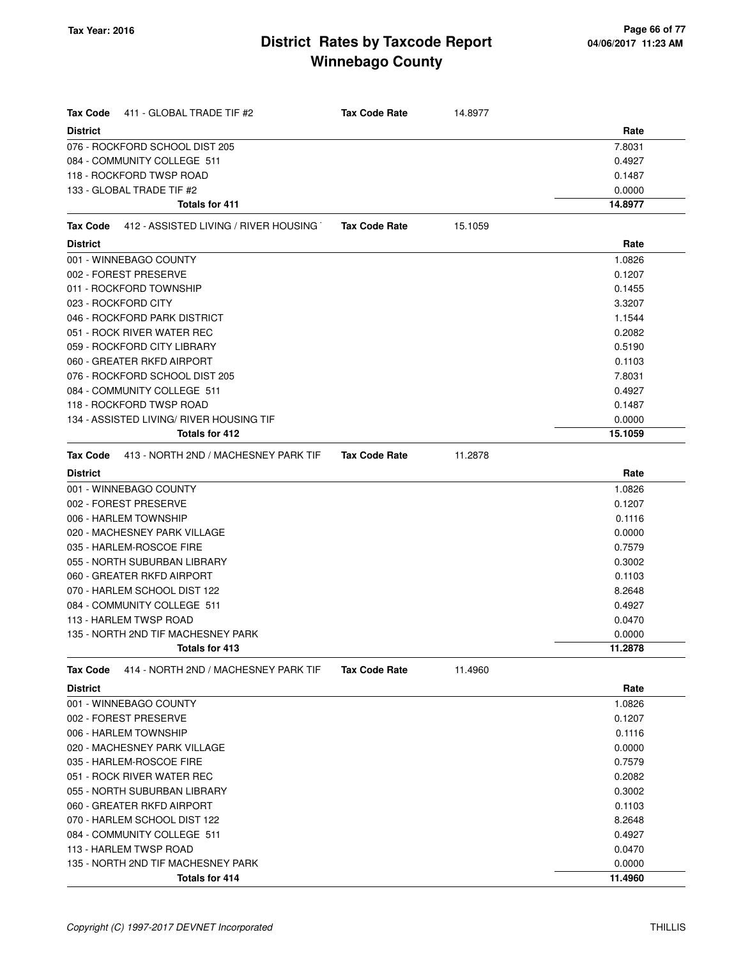| <b>Tax Code</b><br>411 - GLOBAL TRADE TIF #2             | <b>Tax Code Rate</b> | 14.8977 |         |
|----------------------------------------------------------|----------------------|---------|---------|
| <b>District</b>                                          |                      |         | Rate    |
| 076 - ROCKFORD SCHOOL DIST 205                           |                      |         | 7.8031  |
| 084 - COMMUNITY COLLEGE 511                              |                      |         | 0.4927  |
| 118 - ROCKFORD TWSP ROAD                                 |                      |         | 0.1487  |
| 133 - GLOBAL TRADE TIF #2                                |                      |         | 0.0000  |
| <b>Totals for 411</b>                                    |                      |         | 14.8977 |
| 412 - ASSISTED LIVING / RIVER HOUSING<br><b>Tax Code</b> | <b>Tax Code Rate</b> | 15.1059 |         |
| <b>District</b>                                          |                      |         | Rate    |
| 001 - WINNEBAGO COUNTY                                   |                      |         | 1.0826  |
| 002 - FOREST PRESERVE                                    |                      |         | 0.1207  |
| 011 - ROCKFORD TOWNSHIP                                  |                      |         | 0.1455  |
| 023 - ROCKFORD CITY                                      |                      |         | 3.3207  |
| 046 - ROCKFORD PARK DISTRICT                             |                      |         | 1.1544  |
| 051 - ROCK RIVER WATER REC                               |                      |         | 0.2082  |
| 059 - ROCKFORD CITY LIBRARY                              |                      |         | 0.5190  |
| 060 - GREATER RKFD AIRPORT                               |                      |         | 0.1103  |
| 076 - ROCKFORD SCHOOL DIST 205                           |                      |         | 7.8031  |
| 084 - COMMUNITY COLLEGE 511                              |                      |         | 0.4927  |
| 118 - ROCKFORD TWSP ROAD                                 |                      |         | 0.1487  |
| 134 - ASSISTED LIVING/ RIVER HOUSING TIF                 |                      |         | 0.0000  |
| Totals for 412                                           |                      |         | 15.1059 |
| 413 - NORTH 2ND / MACHESNEY PARK TIF<br><b>Tax Code</b>  | <b>Tax Code Rate</b> | 11.2878 |         |
| <b>District</b>                                          |                      |         | Rate    |
| 001 - WINNEBAGO COUNTY                                   |                      |         | 1.0826  |
| 002 - FOREST PRESERVE                                    |                      |         | 0.1207  |
| 006 - HARLEM TOWNSHIP                                    |                      |         | 0.1116  |
| 020 - MACHESNEY PARK VILLAGE                             |                      |         | 0.0000  |
| 035 - HARLEM-ROSCOE FIRE                                 |                      |         | 0.7579  |
| 055 - NORTH SUBURBAN LIBRARY                             |                      |         | 0.3002  |
| 060 - GREATER RKFD AIRPORT                               |                      |         | 0.1103  |
| 070 - HARLEM SCHOOL DIST 122                             |                      |         | 8.2648  |
| 084 - COMMUNITY COLLEGE 511                              |                      |         | 0.4927  |
| 113 - HARLEM TWSP ROAD                                   |                      |         | 0.0470  |
| 135 - NORTH 2ND TIF MACHESNEY PARK                       |                      |         | 0.0000  |
| Totals for 413                                           |                      |         | 11.2878 |
| 414 - NORTH 2ND / MACHESNEY PARK TIF<br><b>Tax Code</b>  | <b>Tax Code Rate</b> | 11.4960 |         |
| <b>District</b>                                          |                      |         | Rate    |
| 001 - WINNEBAGO COUNTY                                   |                      |         | 1.0826  |
| 002 - FOREST PRESERVE                                    |                      |         | 0.1207  |
| 006 - HARLEM TOWNSHIP                                    |                      |         | 0.1116  |
| 020 - MACHESNEY PARK VILLAGE                             |                      |         | 0.0000  |
| 035 - HARLEM-ROSCOE FIRE                                 |                      |         | 0.7579  |
| 051 - ROCK RIVER WATER REC                               |                      |         | 0.2082  |
| 055 - NORTH SUBURBAN LIBRARY                             |                      |         | 0.3002  |
| 060 - GREATER RKFD AIRPORT                               |                      |         | 0.1103  |
| 070 - HARLEM SCHOOL DIST 122                             |                      |         | 8.2648  |
| 084 - COMMUNITY COLLEGE 511                              |                      |         | 0.4927  |
| 113 - HARLEM TWSP ROAD                                   |                      |         | 0.0470  |
| 135 - NORTH 2ND TIF MACHESNEY PARK                       |                      |         | 0.0000  |

**Totals for 414 11.4960**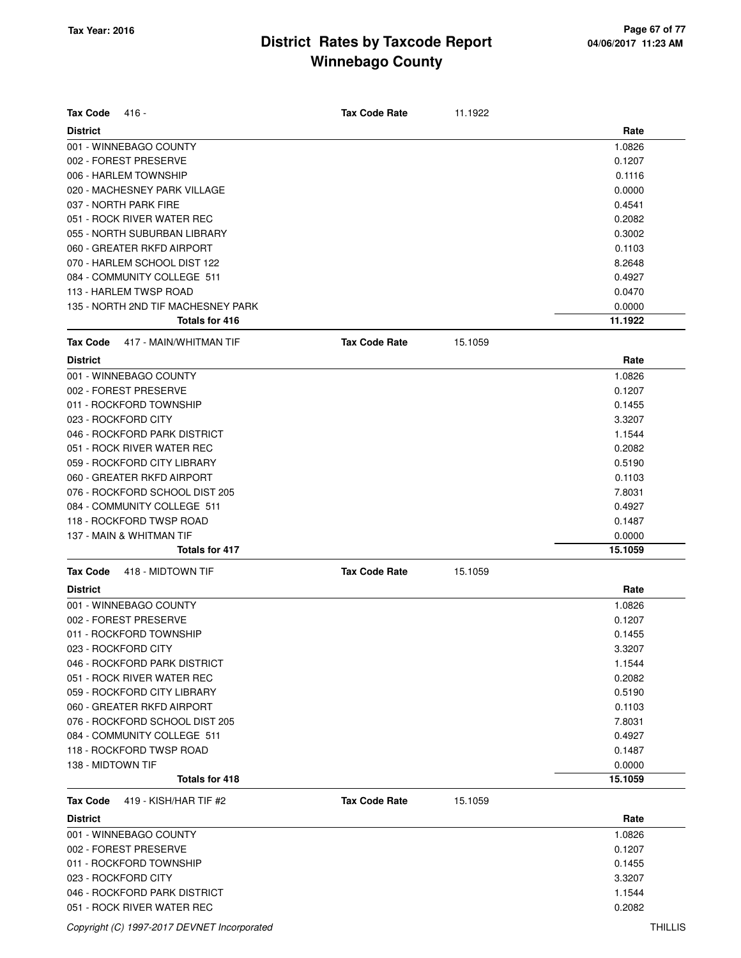| <b>Tax Code</b><br>416 -                  | <b>Tax Code Rate</b> | 11.1922 |         |
|-------------------------------------------|----------------------|---------|---------|
| <b>District</b>                           |                      |         | Rate    |
| 001 - WINNEBAGO COUNTY                    |                      |         | 1.0826  |
| 002 - FOREST PRESERVE                     |                      |         | 0.1207  |
| 006 - HARLEM TOWNSHIP                     |                      |         | 0.1116  |
| 020 - MACHESNEY PARK VILLAGE              |                      |         | 0.0000  |
| 037 - NORTH PARK FIRE                     |                      |         | 0.4541  |
| 051 - ROCK RIVER WATER REC                |                      |         | 0.2082  |
| 055 - NORTH SUBURBAN LIBRARY              |                      |         | 0.3002  |
| 060 - GREATER RKFD AIRPORT                |                      |         | 0.1103  |
| 070 - HARLEM SCHOOL DIST 122              |                      |         | 8.2648  |
| 084 - COMMUNITY COLLEGE 511               |                      |         | 0.4927  |
| 113 - HARLEM TWSP ROAD                    |                      |         | 0.0470  |
| 135 - NORTH 2ND TIF MACHESNEY PARK        |                      |         | 0.0000  |
| Totals for 416                            |                      |         | 11.1922 |
| <b>Tax Code</b><br>417 - MAIN/WHITMAN TIF | <b>Tax Code Rate</b> | 15.1059 |         |
| <b>District</b>                           |                      |         | Rate    |
| 001 - WINNEBAGO COUNTY                    |                      |         | 1.0826  |
| 002 - FOREST PRESERVE                     |                      |         | 0.1207  |
| 011 - ROCKFORD TOWNSHIP                   |                      |         | 0.1455  |
| 023 - ROCKFORD CITY                       |                      |         | 3.3207  |
| 046 - ROCKFORD PARK DISTRICT              |                      |         | 1.1544  |
| 051 - ROCK RIVER WATER REC                |                      |         | 0.2082  |
| 059 - ROCKFORD CITY LIBRARY               |                      |         | 0.5190  |
| 060 - GREATER RKFD AIRPORT                |                      |         | 0.1103  |
| 076 - ROCKFORD SCHOOL DIST 205            |                      |         | 7.8031  |
| 084 - COMMUNITY COLLEGE 511               |                      |         | 0.4927  |
| 118 - ROCKFORD TWSP ROAD                  |                      |         | 0.1487  |
| 137 - MAIN & WHITMAN TIF                  |                      |         | 0.0000  |
| <b>Totals for 417</b>                     |                      |         | 15.1059 |
| 418 - MIDTOWN TIF<br>Tax Code             | <b>Tax Code Rate</b> | 15.1059 |         |
| <b>District</b>                           |                      |         | Rate    |
| 001 - WINNEBAGO COUNTY                    |                      |         | 1.0826  |
| 002 - FOREST PRESERVE                     |                      |         | 0.1207  |
| 011 - ROCKFORD TOWNSHIP                   |                      |         | 0.1455  |
| 023 - ROCKFORD CITY                       |                      |         | 3.3207  |
| 046 - ROCKFORD PARK DISTRICT              |                      |         | 1.1544  |
| 051 - ROCK RIVER WATER REC                |                      |         | 0.2082  |
| 059 - ROCKFORD CITY LIBRARY               |                      |         | 0.5190  |
| 060 - GREATER RKFD AIRPORT                |                      |         | 0.1103  |
| 076 - ROCKFORD SCHOOL DIST 205            |                      |         | 7.8031  |
| 084 - COMMUNITY COLLEGE 511               |                      |         | 0.4927  |
| 118 - ROCKFORD TWSP ROAD                  |                      |         | 0.1487  |
| 138 - MIDTOWN TIF                         |                      |         | 0.0000  |
| Totals for 418                            |                      |         | 15.1059 |
| Tax Code<br>419 - KISH/HAR TIF #2         | <b>Tax Code Rate</b> | 15.1059 |         |
| <b>District</b>                           |                      |         | Rate    |
| 001 - WINNEBAGO COUNTY                    |                      |         | 1.0826  |
| 002 - FOREST PRESERVE                     |                      |         | 0.1207  |
| 011 - ROCKFORD TOWNSHIP                   |                      |         | 0.1455  |
| 023 - ROCKFORD CITY                       |                      |         | 3.3207  |
| 046 - ROCKFORD PARK DISTRICT              |                      |         | 1.1544  |
| 051 - ROCK RIVER WATER REC                |                      |         | 0.2082  |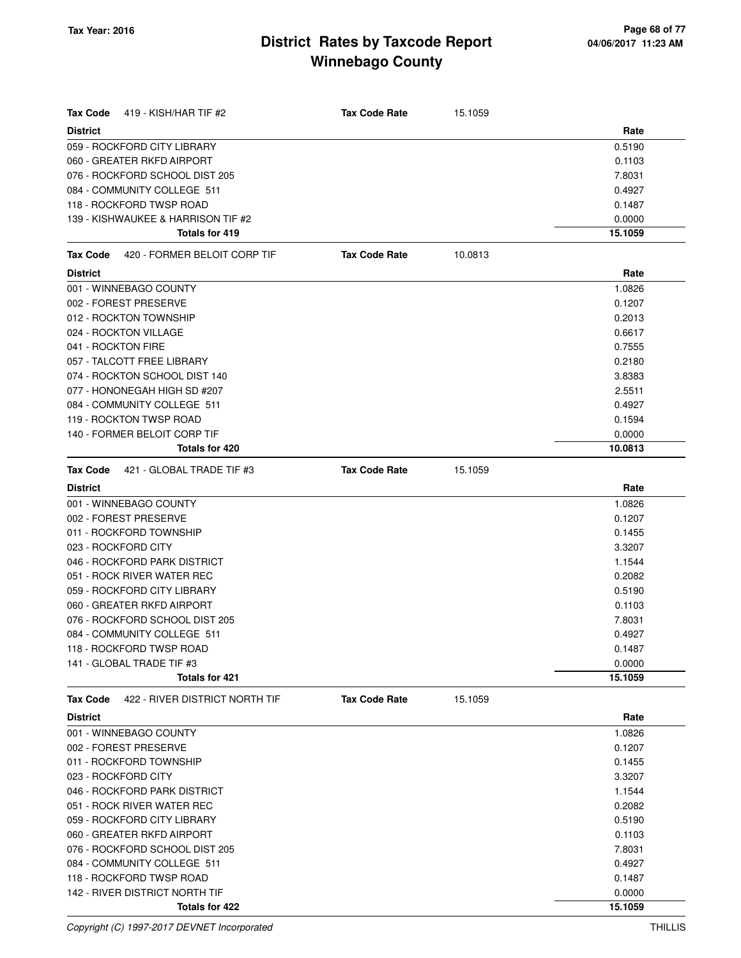| Tax Code<br>419 - KISH/HAR TIF #2                 | <b>Tax Code Rate</b> | 15.1059 |                   |
|---------------------------------------------------|----------------------|---------|-------------------|
| <b>District</b>                                   |                      |         | Rate              |
| 059 - ROCKFORD CITY LIBRARY                       |                      |         | 0.5190            |
| 060 - GREATER RKFD AIRPORT                        |                      |         | 0.1103            |
| 076 - ROCKFORD SCHOOL DIST 205                    |                      |         | 7.8031            |
| 084 - COMMUNITY COLLEGE 511                       |                      |         | 0.4927            |
| 118 - ROCKFORD TWSP ROAD                          |                      |         | 0.1487            |
| 139 - KISHWAUKEE & HARRISON TIF #2                |                      |         | 0.0000            |
| Totals for 419                                    |                      |         | 15.1059           |
| 420 - FORMER BELOIT CORP TIF<br>Tax Code          | <b>Tax Code Rate</b> | 10.0813 |                   |
| <b>District</b>                                   |                      |         | Rate              |
| 001 - WINNEBAGO COUNTY                            |                      |         | 1.0826            |
| 002 - FOREST PRESERVE                             |                      |         | 0.1207            |
| 012 - ROCKTON TOWNSHIP                            |                      |         | 0.2013            |
| 024 - ROCKTON VILLAGE                             |                      |         | 0.6617            |
| 041 - ROCKTON FIRE                                |                      |         | 0.7555            |
| 057 - TALCOTT FREE LIBRARY                        |                      |         | 0.2180            |
| 074 - ROCKTON SCHOOL DIST 140                     |                      |         | 3.8383            |
| 077 - HONONEGAH HIGH SD #207                      |                      |         | 2.5511            |
| 084 - COMMUNITY COLLEGE 511                       |                      |         | 0.4927            |
| 119 - ROCKTON TWSP ROAD                           |                      |         | 0.1594            |
| 140 - FORMER BELOIT CORP TIF                      |                      |         | 0.0000            |
| Totals for 420                                    |                      |         | 10.0813           |
| Tax Code<br>421 - GLOBAL TRADE TIF #3             | <b>Tax Code Rate</b> | 15.1059 |                   |
| <b>District</b>                                   |                      |         | Rate              |
| 001 - WINNEBAGO COUNTY                            |                      |         | 1.0826            |
| 002 - FOREST PRESERVE                             |                      |         | 0.1207            |
| 011 - ROCKFORD TOWNSHIP                           |                      |         | 0.1455            |
| 023 - ROCKFORD CITY                               |                      |         | 3.3207            |
| 046 - ROCKFORD PARK DISTRICT                      |                      |         | 1.1544            |
| 051 - ROCK RIVER WATER REC                        |                      |         | 0.2082            |
| 059 - ROCKFORD CITY LIBRARY                       |                      |         | 0.5190            |
| 060 - GREATER RKFD AIRPORT                        |                      |         | 0.1103            |
| 076 - ROCKFORD SCHOOL DIST 205                    |                      |         | 7.8031            |
| 084 - COMMUNITY COLLEGE 511                       |                      |         | 0.4927            |
| 118 - ROCKFORD TWSP ROAD                          |                      |         | 0.1487            |
| 141 - GLOBAL TRADE TIF #3                         |                      |         | 0.0000            |
| <b>Totals for 421</b>                             |                      |         | 15.1059           |
| 422 - RIVER DISTRICT NORTH TIF<br><b>Tax Code</b> | <b>Tax Code Rate</b> | 15.1059 |                   |
| <b>District</b>                                   |                      |         | Rate              |
| 001 - WINNEBAGO COUNTY                            |                      |         | 1.0826            |
| 002 - FOREST PRESERVE                             |                      |         | 0.1207            |
| 011 - ROCKFORD TOWNSHIP                           |                      |         | 0.1455            |
| 023 - ROCKFORD CITY                               |                      |         | 3.3207            |
| 046 - ROCKFORD PARK DISTRICT                      |                      |         | 1.1544            |
| 051 - ROCK RIVER WATER REC                        |                      |         | 0.2082            |
| 059 - ROCKFORD CITY LIBRARY                       |                      |         | 0.5190            |
| 060 - GREATER RKFD AIRPORT                        |                      |         | 0.1103            |
| 076 - ROCKFORD SCHOOL DIST 205                    |                      |         | 7.8031            |
| 084 - COMMUNITY COLLEGE 511                       |                      |         | 0.4927            |
| 118 - ROCKFORD TWSP ROAD                          |                      |         | 0.1487            |
| 142 - RIVER DISTRICT NORTH TIF                    |                      |         | 0.0000<br>15.1059 |
| Totals for 422                                    |                      |         |                   |

Copyright (C) 1997-2017 DEVNET Incorporated THILLIS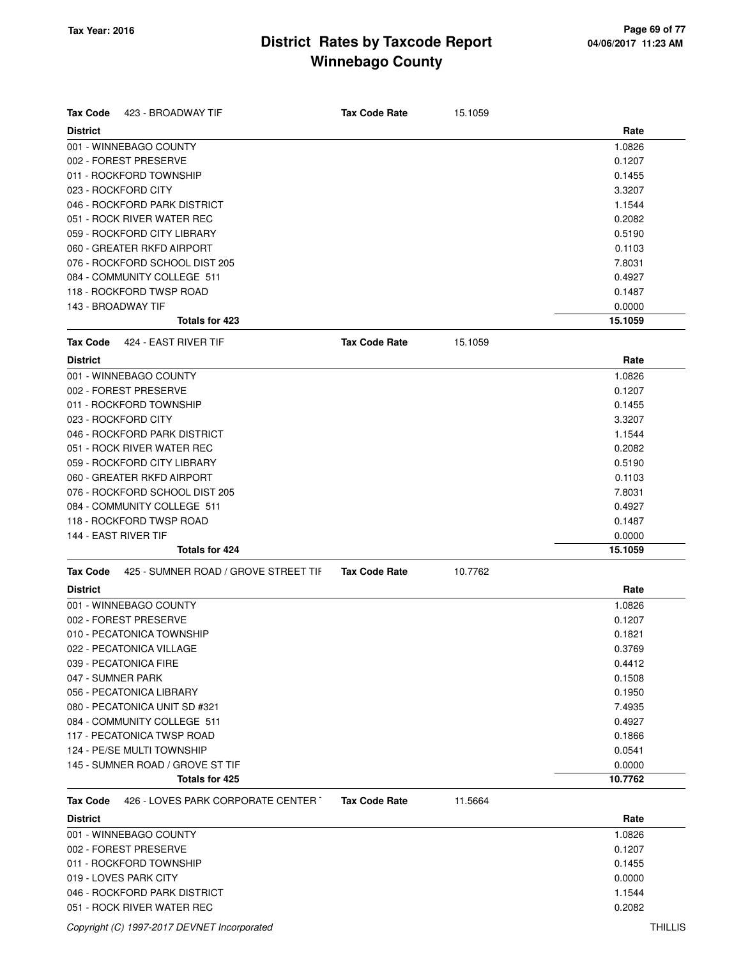| <b>Tax Code</b><br>423 - BROADWAY TIF            | <b>Tax Code Rate</b> | 15.1059 |         |
|--------------------------------------------------|----------------------|---------|---------|
| <b>District</b>                                  |                      |         | Rate    |
| 001 - WINNEBAGO COUNTY                           |                      |         | 1.0826  |
| 002 - FOREST PRESERVE                            |                      |         | 0.1207  |
| 011 - ROCKFORD TOWNSHIP                          |                      |         | 0.1455  |
| 023 - ROCKFORD CITY                              |                      |         | 3.3207  |
| 046 - ROCKFORD PARK DISTRICT                     |                      |         | 1.1544  |
| 051 - ROCK RIVER WATER REC                       |                      |         | 0.2082  |
| 059 - ROCKFORD CITY LIBRARY                      |                      |         | 0.5190  |
| 060 - GREATER RKFD AIRPORT                       |                      |         | 0.1103  |
| 076 - ROCKFORD SCHOOL DIST 205                   |                      |         | 7.8031  |
| 084 - COMMUNITY COLLEGE 511                      |                      |         | 0.4927  |
| 118 - ROCKFORD TWSP ROAD                         |                      |         | 0.1487  |
| 143 - BROADWAY TIF                               |                      |         | 0.0000  |
| <b>Totals for 423</b>                            |                      |         | 15.1059 |
| <b>Tax Code</b><br>424 - EAST RIVER TIF          | <b>Tax Code Rate</b> | 15.1059 |         |
| <b>District</b>                                  |                      |         | Rate    |
| 001 - WINNEBAGO COUNTY                           |                      |         | 1.0826  |
| 002 - FOREST PRESERVE                            |                      |         | 0.1207  |
| 011 - ROCKFORD TOWNSHIP                          |                      |         | 0.1455  |
| 023 - ROCKFORD CITY                              |                      |         | 3.3207  |
| 046 - ROCKFORD PARK DISTRICT                     |                      |         | 1.1544  |
| 051 - ROCK RIVER WATER REC                       |                      |         | 0.2082  |
| 059 - ROCKFORD CITY LIBRARY                      |                      |         | 0.5190  |
| 060 - GREATER RKFD AIRPORT                       |                      |         | 0.1103  |
| 076 - ROCKFORD SCHOOL DIST 205                   |                      |         | 7.8031  |
| 084 - COMMUNITY COLLEGE 511                      |                      |         | 0.4927  |
| 118 - ROCKFORD TWSP ROAD                         |                      |         | 0.1487  |
| 144 - EAST RIVER TIF                             |                      |         | 0.0000  |
| Totals for 424                                   |                      |         | 15.1059 |
|                                                  |                      |         |         |
| 425 - SUMNER ROAD / GROVE STREET TIF<br>Tax Code | <b>Tax Code Rate</b> | 10.7762 |         |
| <b>District</b>                                  |                      |         | Rate    |
| 001 - WINNEBAGO COUNTY                           |                      |         | 1.0826  |
| 002 - FOREST PRESERVE                            |                      |         | 0.1207  |
| 010 - PECATONICA TOWNSHIP                        |                      |         | 0.1821  |
| 022 - PECATONICA VILLAGE                         |                      |         | 0.3769  |
| 039 - PECATONICA FIRE                            |                      |         | 0.4412  |
| 047 - SUMNER PARK                                |                      |         | 0.1508  |
| 056 - PECATONICA LIBRARY                         |                      |         | 0.1950  |
| 080 - PECATONICA UNIT SD #321                    |                      |         | 7.4935  |
| 084 - COMMUNITY COLLEGE 511                      |                      |         | 0.4927  |
| 117 - PECATONICA TWSP ROAD                       |                      |         | 0.1866  |
| 124 - PE/SE MULTI TOWNSHIP                       |                      |         | 0.0541  |
| 145 - SUMNER ROAD / GROVE ST TIF                 |                      |         | 0.0000  |
| Totals for 425                                   |                      |         | 10.7762 |
| 426 - LOVES PARK CORPORATE CENTER T<br>Tax Code  | <b>Tax Code Rate</b> | 11.5664 |         |
| <b>District</b>                                  |                      |         | Rate    |
| 001 - WINNEBAGO COUNTY                           |                      |         | 1.0826  |
| 002 - FOREST PRESERVE                            |                      |         | 0.1207  |
| 011 - ROCKFORD TOWNSHIP                          |                      |         | 0.1455  |
| 019 - LOVES PARK CITY                            |                      |         | 0.0000  |
| 046 - ROCKFORD PARK DISTRICT                     |                      |         | 1.1544  |
| 051 - ROCK RIVER WATER REC                       |                      |         | 0.2082  |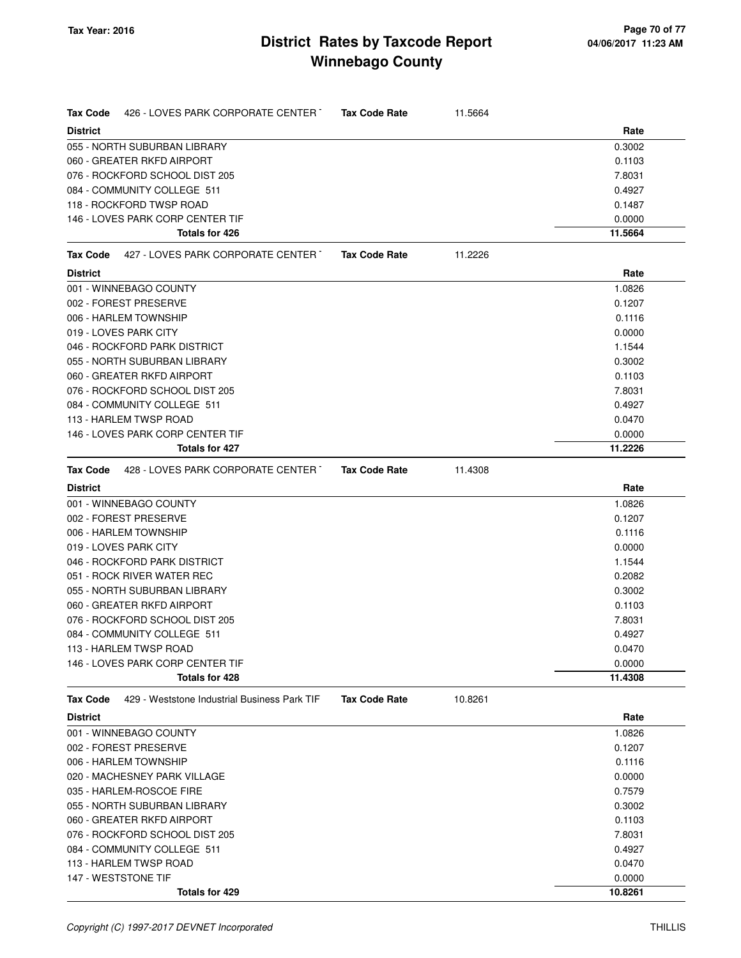| Tax Code<br>426 - LOVES PARK CORPORATE CENTER T          | <b>Tax Code Rate</b> | 11.5664 |                  |
|----------------------------------------------------------|----------------------|---------|------------------|
| <b>District</b>                                          |                      |         | Rate             |
| 055 - NORTH SUBURBAN LIBRARY                             |                      |         | 0.3002           |
| 060 - GREATER RKFD AIRPORT                               |                      |         | 0.1103           |
| 076 - ROCKFORD SCHOOL DIST 205                           |                      |         | 7.8031           |
| 084 - COMMUNITY COLLEGE 511                              |                      |         | 0.4927           |
| 118 - ROCKFORD TWSP ROAD                                 |                      |         | 0.1487           |
| 146 - LOVES PARK CORP CENTER TIF                         |                      |         | 0.0000           |
| Totals for 426                                           |                      |         | 11.5664          |
| Tax Code<br>427 - LOVES PARK CORPORATE CENTER T          | <b>Tax Code Rate</b> | 11.2226 |                  |
| <b>District</b>                                          |                      |         | Rate             |
| 001 - WINNEBAGO COUNTY                                   |                      |         | 1.0826           |
| 002 - FOREST PRESERVE                                    |                      |         | 0.1207           |
| 006 - HARLEM TOWNSHIP                                    |                      |         | 0.1116           |
| 019 - LOVES PARK CITY                                    |                      |         | 0.0000           |
| 046 - ROCKFORD PARK DISTRICT                             |                      |         | 1.1544           |
| 055 - NORTH SUBURBAN LIBRARY                             |                      |         | 0.3002           |
| 060 - GREATER RKFD AIRPORT                               |                      |         | 0.1103           |
| 076 - ROCKFORD SCHOOL DIST 205                           |                      |         | 7.8031           |
| 084 - COMMUNITY COLLEGE 511                              |                      |         | 0.4927           |
| 113 - HARLEM TWSP ROAD                                   |                      |         | 0.0470           |
| 146 - LOVES PARK CORP CENTER TIF                         |                      |         | 0.0000           |
| Totals for 427                                           |                      |         | 11.2226          |
| 428 - LOVES PARK CORPORATE CENTER T<br>Tax Code          | <b>Tax Code Rate</b> | 11.4308 |                  |
| <b>District</b>                                          |                      |         | Rate             |
| 001 - WINNEBAGO COUNTY                                   |                      |         | 1.0826           |
| 002 - FOREST PRESERVE                                    |                      |         | 0.1207           |
| 006 - HARLEM TOWNSHIP                                    |                      |         | 0.1116           |
| 019 - LOVES PARK CITY                                    |                      |         | 0.0000           |
| 046 - ROCKFORD PARK DISTRICT                             |                      |         | 1.1544           |
| 051 - ROCK RIVER WATER REC                               |                      |         | 0.2082           |
| 055 - NORTH SUBURBAN LIBRARY                             |                      |         | 0.3002           |
| 060 - GREATER RKFD AIRPORT                               |                      |         | 0.1103           |
| 076 - ROCKFORD SCHOOL DIST 205                           |                      |         | 7.8031           |
| 084 - COMMUNITY COLLEGE 511                              |                      |         | 0.4927           |
| 113 - HARLEM TWSP ROAD                                   |                      |         | 0.0470           |
| 146 - LOVES PARK CORP CENTER TIF                         |                      |         | 0.0000           |
| Totals for 428                                           |                      |         | 11.4308          |
| 429 - Weststone Industrial Business Park TIF<br>Tax Code | <b>Tax Code Rate</b> | 10.8261 |                  |
| <b>District</b>                                          |                      |         | Rate             |
| 001 - WINNEBAGO COUNTY                                   |                      |         | 1.0826           |
| 002 - FOREST PRESERVE                                    |                      |         | 0.1207           |
| 006 - HARLEM TOWNSHIP                                    |                      |         | 0.1116           |
| 020 - MACHESNEY PARK VILLAGE                             |                      |         | 0.0000           |
| 035 - HARLEM-ROSCOE FIRE                                 |                      |         | 0.7579           |
| 055 - NORTH SUBURBAN LIBRARY                             |                      |         | 0.3002           |
| 060 - GREATER RKFD AIRPORT                               |                      |         | 0.1103           |
| 076 - ROCKFORD SCHOOL DIST 205                           |                      |         | 7.8031           |
| 084 - COMMUNITY COLLEGE 511<br>113 - HARLEM TWSP ROAD    |                      |         | 0.4927<br>0.0470 |
| 147 - WESTSTONE TIF                                      |                      |         | 0.0000           |
| Totals for 429                                           |                      |         | 10.8261          |
|                                                          |                      |         |                  |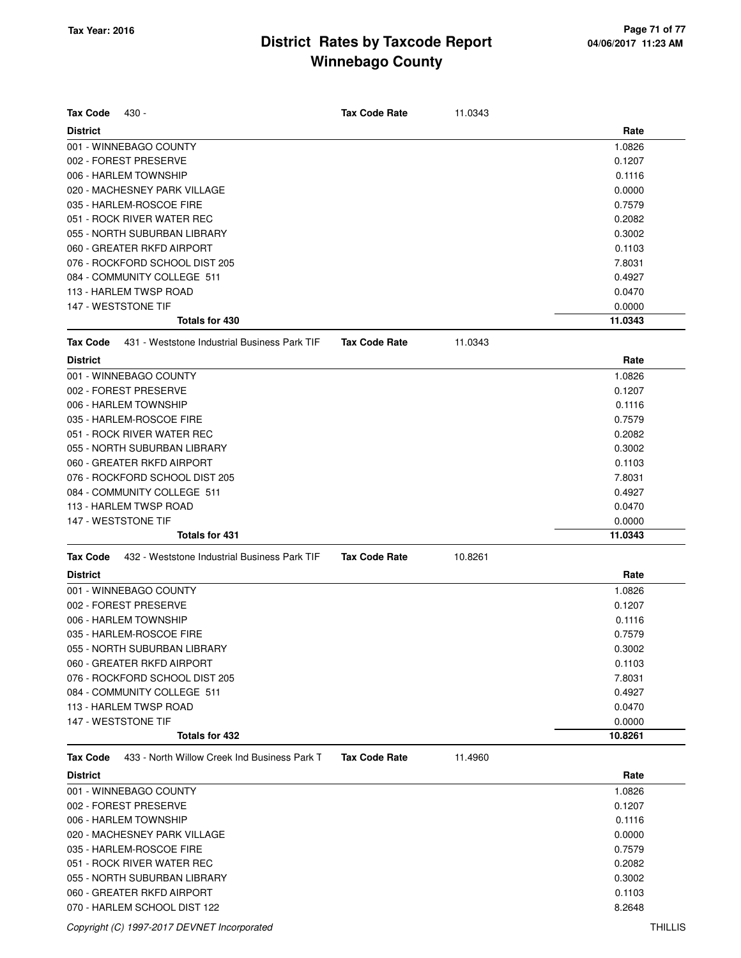| <b>Tax Code</b>                                          | <b>Tax Code Rate</b> |         |                   |
|----------------------------------------------------------|----------------------|---------|-------------------|
| 430 -<br><b>District</b>                                 |                      | 11.0343 | Rate              |
| 001 - WINNEBAGO COUNTY                                   |                      |         | 1.0826            |
| 002 - FOREST PRESERVE                                    |                      |         | 0.1207            |
| 006 - HARLEM TOWNSHIP                                    |                      |         | 0.1116            |
| 020 - MACHESNEY PARK VILLAGE                             |                      |         | 0.0000            |
| 035 - HARLEM-ROSCOE FIRE                                 |                      |         | 0.7579            |
| 051 - ROCK RIVER WATER REC                               |                      |         | 0.2082            |
| 055 - NORTH SUBURBAN LIBRARY                             |                      |         | 0.3002            |
| 060 - GREATER RKFD AIRPORT                               |                      |         | 0.1103            |
| 076 - ROCKFORD SCHOOL DIST 205                           |                      |         | 7.8031            |
| 084 - COMMUNITY COLLEGE 511                              |                      |         | 0.4927            |
| 113 - HARLEM TWSP ROAD                                   |                      |         | 0.0470            |
| 147 - WESTSTONE TIF                                      |                      |         | 0.0000            |
| <b>Totals for 430</b>                                    |                      |         | 11.0343           |
| 431 - Weststone Industrial Business Park TIF<br>Tax Code | <b>Tax Code Rate</b> | 11.0343 |                   |
|                                                          |                      |         |                   |
| <b>District</b>                                          |                      |         | Rate              |
| 001 - WINNEBAGO COUNTY                                   |                      |         | 1.0826            |
| 002 - FOREST PRESERVE                                    |                      |         | 0.1207            |
| 006 - HARLEM TOWNSHIP                                    |                      |         | 0.1116            |
| 035 - HARLEM-ROSCOE FIRE                                 |                      |         | 0.7579            |
| 051 - ROCK RIVER WATER REC                               |                      |         | 0.2082            |
| 055 - NORTH SUBURBAN LIBRARY                             |                      |         | 0.3002            |
| 060 - GREATER RKFD AIRPORT                               |                      |         | 0.1103            |
| 076 - ROCKFORD SCHOOL DIST 205                           |                      |         | 7.8031            |
| 084 - COMMUNITY COLLEGE 511                              |                      |         | 0.4927            |
| 113 - HARLEM TWSP ROAD                                   |                      |         | 0.0470            |
| 147 - WESTSTONE TIF<br><b>Totals for 431</b>             |                      |         | 0.0000<br>11.0343 |
|                                                          |                      |         |                   |
| 432 - Weststone Industrial Business Park TIF<br>Tax Code | <b>Tax Code Rate</b> | 10.8261 |                   |
| <b>District</b>                                          |                      |         | Rate              |
| 001 - WINNEBAGO COUNTY                                   |                      |         | 1.0826            |
| 002 - FOREST PRESERVE                                    |                      |         | 0.1207            |
| 006 - HARLEM TOWNSHIP                                    |                      |         | 0.1116            |
| 035 - HARLEM-ROSCOE FIRE                                 |                      |         | 0.7579            |
| 055 - NORTH SUBURBAN LIBRARY                             |                      |         | 0.3002            |
| 060 - GREATER RKFD AIRPORT                               |                      |         | 0.1103            |
| 076 - ROCKFORD SCHOOL DIST 205                           |                      |         | 7.8031            |
| 084 - COMMUNITY COLLEGE 511                              |                      |         | 0.4927            |
| 113 - HARLEM TWSP ROAD                                   |                      |         | 0.0470            |
| 147 - WESTSTONE TIF<br><b>Totals for 432</b>             |                      |         | 0.0000            |
|                                                          |                      |         | 10.8261           |
| 433 - North Willow Creek Ind Business Park T<br>Tax Code | <b>Tax Code Rate</b> | 11.4960 |                   |
| <b>District</b>                                          |                      |         | Rate              |
| 001 - WINNEBAGO COUNTY                                   |                      |         | 1.0826            |
| 002 - FOREST PRESERVE                                    |                      |         | 0.1207            |
| 006 - HARLEM TOWNSHIP                                    |                      |         | 0.1116            |
| 020 - MACHESNEY PARK VILLAGE                             |                      |         | 0.0000            |
| 035 - HARLEM-ROSCOE FIRE                                 |                      |         | 0.7579            |
| 051 - ROCK RIVER WATER REC                               |                      |         | 0.2082            |
| 055 - NORTH SUBURBAN LIBRARY                             |                      |         | 0.3002            |
| 060 - GREATER RKFD AIRPORT                               |                      |         | 0.1103            |
| 070 - HARLEM SCHOOL DIST 122                             |                      |         | 8.2648            |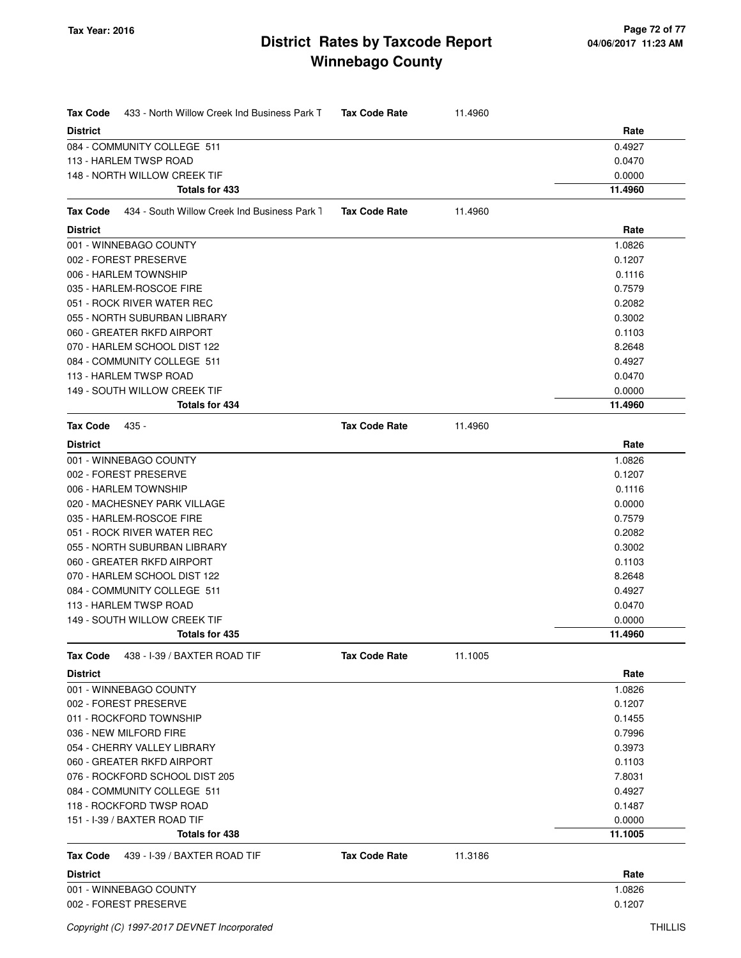| <b>Tax Code</b> | 433 - North Willow Creek Ind Business Park T | <b>Tax Code Rate</b> | 11.4960 |         |
|-----------------|----------------------------------------------|----------------------|---------|---------|
| <b>District</b> |                                              |                      |         | Rate    |
|                 | 084 - COMMUNITY COLLEGE 511                  |                      |         | 0.4927  |
|                 | 113 - HARLEM TWSP ROAD                       |                      |         | 0.0470  |
|                 | 148 - NORTH WILLOW CREEK TIF                 |                      |         | 0.0000  |
|                 | Totals for 433                               |                      |         | 11.4960 |
| <b>Tax Code</b> | 434 - South Willow Creek Ind Business Park 1 | <b>Tax Code Rate</b> | 11.4960 |         |
| <b>District</b> |                                              |                      |         | Rate    |
|                 | 001 - WINNEBAGO COUNTY                       |                      |         | 1.0826  |
|                 | 002 - FOREST PRESERVE                        |                      |         | 0.1207  |
|                 | 006 - HARLEM TOWNSHIP                        |                      |         | 0.1116  |
|                 | 035 - HARLEM-ROSCOE FIRE                     |                      |         | 0.7579  |
|                 | 051 - ROCK RIVER WATER REC                   |                      |         | 0.2082  |
|                 | 055 - NORTH SUBURBAN LIBRARY                 |                      |         | 0.3002  |
|                 | 060 - GREATER RKFD AIRPORT                   |                      |         | 0.1103  |
|                 | 070 - HARLEM SCHOOL DIST 122                 |                      |         | 8.2648  |
|                 | 084 - COMMUNITY COLLEGE 511                  |                      |         | 0.4927  |
|                 | 113 - HARLEM TWSP ROAD                       |                      |         | 0.0470  |
|                 | 149 - SOUTH WILLOW CREEK TIF                 |                      |         | 0.0000  |
|                 | <b>Totals for 434</b>                        |                      |         | 11.4960 |
| <b>Tax Code</b> | 435 -                                        | <b>Tax Code Rate</b> | 11.4960 |         |
| <b>District</b> |                                              |                      |         | Rate    |
|                 | 001 - WINNEBAGO COUNTY                       |                      |         | 1.0826  |
|                 | 002 - FOREST PRESERVE                        |                      |         | 0.1207  |
|                 | 006 - HARLEM TOWNSHIP                        |                      |         | 0.1116  |
|                 | 020 - MACHESNEY PARK VILLAGE                 |                      |         | 0.0000  |
|                 | 035 - HARLEM-ROSCOE FIRE                     |                      |         | 0.7579  |
|                 | 051 - ROCK RIVER WATER REC                   |                      |         | 0.2082  |
|                 | 055 - NORTH SUBURBAN LIBRARY                 |                      |         | 0.3002  |
|                 | 060 - GREATER RKFD AIRPORT                   |                      |         | 0.1103  |
|                 | 070 - HARLEM SCHOOL DIST 122                 |                      |         | 8.2648  |
|                 | 084 - COMMUNITY COLLEGE 511                  |                      |         | 0.4927  |
|                 | 113 - HARLEM TWSP ROAD                       |                      |         | 0.0470  |
|                 | 149 - SOUTH WILLOW CREEK TIF                 |                      |         | 0.0000  |
|                 | Totals for 435                               |                      |         | 11.4960 |
| <b>Tax Code</b> | 438 - I-39 / BAXTER ROAD TIF                 | <b>Tax Code Rate</b> | 11.1005 |         |
| <b>District</b> |                                              |                      |         | Rate    |
|                 | 001 - WINNEBAGO COUNTY                       |                      |         | 1.0826  |
|                 | 002 - FOREST PRESERVE                        |                      |         | 0.1207  |
|                 | 011 - ROCKFORD TOWNSHIP                      |                      |         | 0.1455  |
|                 | 036 - NEW MILFORD FIRE                       |                      |         | 0.7996  |
|                 | 054 - CHERRY VALLEY LIBRARY                  |                      |         | 0.3973  |
|                 | 060 - GREATER RKFD AIRPORT                   |                      |         | 0.1103  |
|                 | 076 - ROCKFORD SCHOOL DIST 205               |                      |         | 7.8031  |
|                 | 084 - COMMUNITY COLLEGE 511                  |                      |         | 0.4927  |
|                 | 118 - ROCKFORD TWSP ROAD                     |                      |         | 0.1487  |
|                 | 151 - I-39 / BAXTER ROAD TIF                 |                      |         | 0.0000  |
|                 | Totals for 438                               |                      |         | 11.1005 |
| <b>Tax Code</b> | 439 - I-39 / BAXTER ROAD TIF                 | <b>Tax Code Rate</b> | 11.3186 |         |
| <b>District</b> |                                              |                      |         | Rate    |
|                 | 001 - WINNEBAGO COUNTY                       |                      |         | 1.0826  |
|                 | 002 - FOREST PRESERVE                        |                      |         | 0.1207  |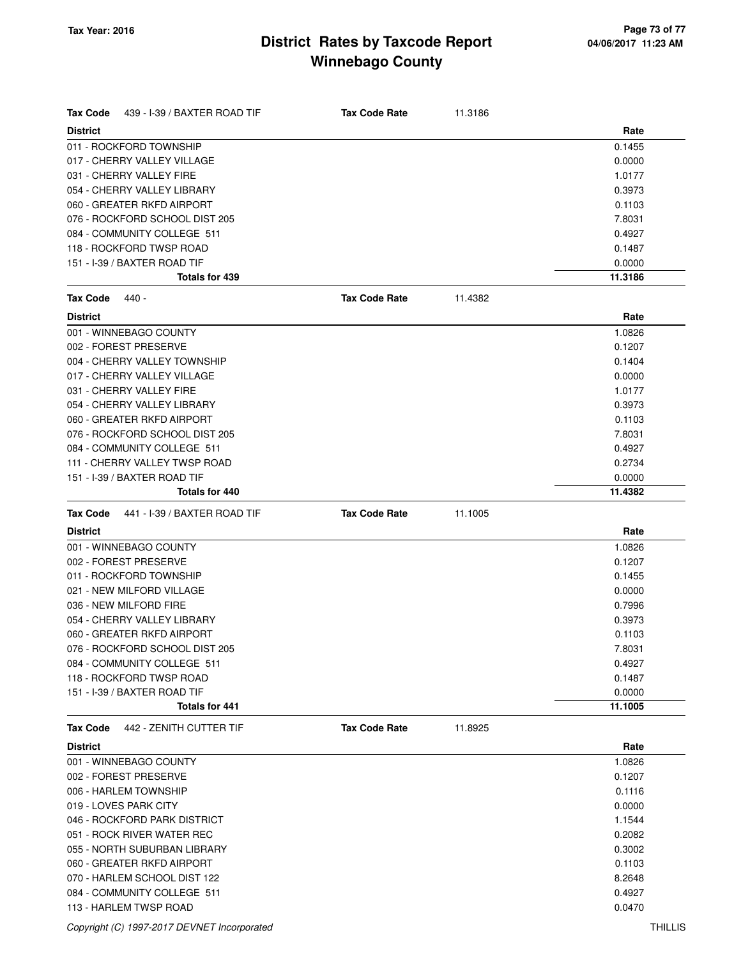| Tax Code<br>439 - I-39 / BAXTER ROAD TIF | <b>Tax Code Rate</b> | 11.3186 |         |
|------------------------------------------|----------------------|---------|---------|
| <b>District</b>                          |                      |         | Rate    |
| 011 - ROCKFORD TOWNSHIP                  |                      |         | 0.1455  |
| 017 - CHERRY VALLEY VILLAGE              |                      |         | 0.0000  |
| 031 - CHERRY VALLEY FIRE                 |                      |         | 1.0177  |
| 054 - CHERRY VALLEY LIBRARY              |                      |         | 0.3973  |
| 060 - GREATER RKFD AIRPORT               |                      |         | 0.1103  |
| 076 - ROCKFORD SCHOOL DIST 205           |                      |         | 7.8031  |
| 084 - COMMUNITY COLLEGE 511              |                      |         | 0.4927  |
| 118 - ROCKFORD TWSP ROAD                 |                      |         | 0.1487  |
| 151 - I-39 / BAXTER ROAD TIF             |                      |         | 0.0000  |
| <b>Totals for 439</b>                    |                      |         | 11.3186 |
| <b>Tax Code</b><br>440 -                 | <b>Tax Code Rate</b> | 11.4382 |         |
| <b>District</b>                          |                      |         | Rate    |
| 001 - WINNEBAGO COUNTY                   |                      |         | 1.0826  |
| 002 - FOREST PRESERVE                    |                      |         | 0.1207  |
| 004 - CHERRY VALLEY TOWNSHIP             |                      |         | 0.1404  |
| 017 - CHERRY VALLEY VILLAGE              |                      |         | 0.0000  |
| 031 - CHERRY VALLEY FIRE                 |                      |         | 1.0177  |
| 054 - CHERRY VALLEY LIBRARY              |                      |         | 0.3973  |
| 060 - GREATER RKFD AIRPORT               |                      |         | 0.1103  |
| 076 - ROCKFORD SCHOOL DIST 205           |                      |         | 7.8031  |
| 084 - COMMUNITY COLLEGE 511              |                      |         | 0.4927  |
| 111 - CHERRY VALLEY TWSP ROAD            |                      |         | 0.2734  |
| 151 - I-39 / BAXTER ROAD TIF             |                      |         | 0.0000  |
| Totals for 440                           |                      |         | 11.4382 |
| Tax Code<br>441 - I-39 / BAXTER ROAD TIF | <b>Tax Code Rate</b> | 11.1005 |         |
| <b>District</b>                          |                      |         | Rate    |
| 001 - WINNEBAGO COUNTY                   |                      |         | 1.0826  |
| 002 - FOREST PRESERVE                    |                      |         | 0.1207  |
| 011 - ROCKFORD TOWNSHIP                  |                      |         | 0.1455  |
| 021 - NEW MILFORD VILLAGE                |                      |         | 0.0000  |
| 036 - NEW MILFORD FIRE                   |                      |         | 0.7996  |
| 054 - CHERRY VALLEY LIBRARY              |                      |         | 0.3973  |
| 060 - GREATER RKFD AIRPORT               |                      |         | 0.1103  |
| 076 - ROCKFORD SCHOOL DIST 205           |                      |         | 7.8031  |
| 084 - COMMUNITY COLLEGE 511              |                      |         | 0.4927  |
| 118 - ROCKFORD TWSP ROAD                 |                      |         | 0.1487  |
| 151 - I-39 / BAXTER ROAD TIF             |                      |         | 0.0000  |
| <b>Totals for 441</b>                    |                      |         | 11.1005 |
| 442 - ZENITH CUTTER TIF<br>Tax Code      | <b>Tax Code Rate</b> | 11.8925 |         |
| <b>District</b>                          |                      |         | Rate    |
| 001 - WINNEBAGO COUNTY                   |                      |         | 1.0826  |
| 002 - FOREST PRESERVE                    |                      |         | 0.1207  |
| 006 - HARLEM TOWNSHIP                    |                      |         | 0.1116  |
| 019 - LOVES PARK CITY                    |                      |         | 0.0000  |
| 046 - ROCKFORD PARK DISTRICT             |                      |         | 1.1544  |
| 051 - ROCK RIVER WATER REC               |                      |         | 0.2082  |
| 055 - NORTH SUBURBAN LIBRARY             |                      |         | 0.3002  |
| 060 - GREATER RKFD AIRPORT               |                      |         | 0.1103  |
| 070 - HARLEM SCHOOL DIST 122             |                      |         | 8.2648  |
| 084 - COMMUNITY COLLEGE 511              |                      |         | 0.4927  |
| 113 - HARLEM TWSP ROAD                   |                      |         | 0.0470  |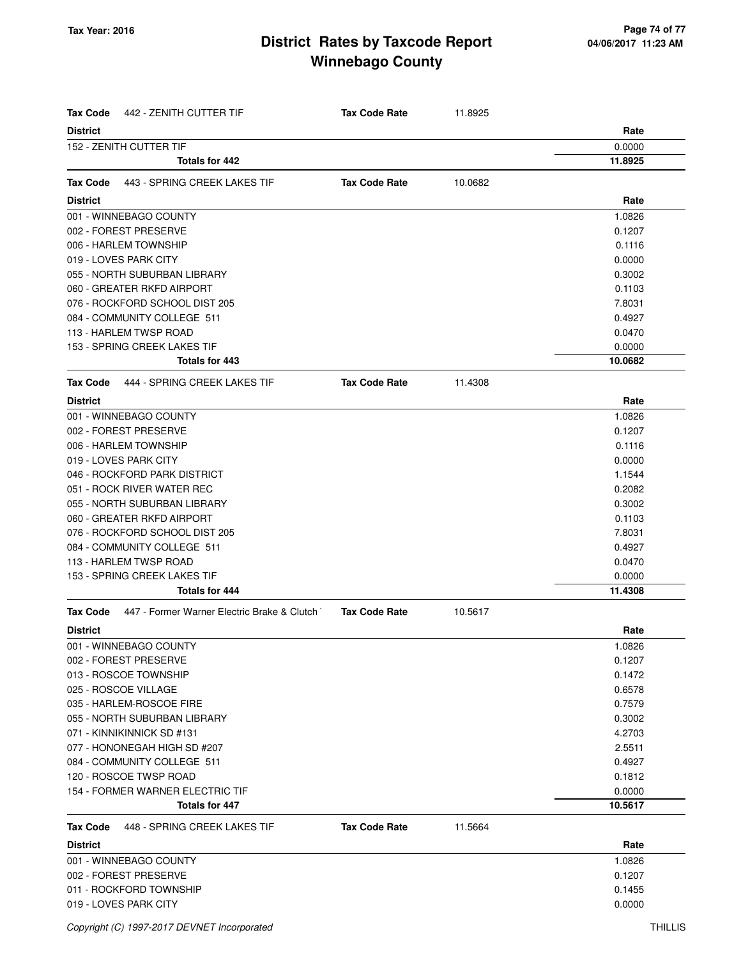| Tax Code<br>442 - ZENITH CUTTER TIF                            | <b>Tax Code Rate</b> | 11.8925 |         |
|----------------------------------------------------------------|----------------------|---------|---------|
| <b>District</b>                                                |                      |         | Rate    |
| 152 - ZENITH CUTTER TIF                                        |                      |         | 0.0000  |
| Totals for 442                                                 |                      |         | 11.8925 |
| 443 - SPRING CREEK LAKES TIF<br>Tax Code                       | <b>Tax Code Rate</b> | 10.0682 |         |
| <b>District</b>                                                |                      |         | Rate    |
| 001 - WINNEBAGO COUNTY                                         |                      |         | 1.0826  |
| 002 - FOREST PRESERVE                                          |                      |         | 0.1207  |
| 006 - HARLEM TOWNSHIP                                          |                      |         | 0.1116  |
| 019 - LOVES PARK CITY                                          |                      |         | 0.0000  |
|                                                                |                      |         |         |
| 055 - NORTH SUBURBAN LIBRARY                                   |                      |         | 0.3002  |
| 060 - GREATER RKFD AIRPORT                                     |                      |         | 0.1103  |
| 076 - ROCKFORD SCHOOL DIST 205                                 |                      |         | 7.8031  |
| 084 - COMMUNITY COLLEGE 511                                    |                      |         | 0.4927  |
| 113 - HARLEM TWSP ROAD                                         |                      |         | 0.0470  |
| 153 - SPRING CREEK LAKES TIF                                   |                      |         | 0.0000  |
| <b>Totals for 443</b>                                          |                      |         | 10.0682 |
| <b>Tax Code</b><br>444 - SPRING CREEK LAKES TIF                | <b>Tax Code Rate</b> | 11.4308 |         |
| <b>District</b>                                                |                      |         | Rate    |
| 001 - WINNEBAGO COUNTY                                         |                      |         | 1.0826  |
| 002 - FOREST PRESERVE                                          |                      |         | 0.1207  |
| 006 - HARLEM TOWNSHIP                                          |                      |         | 0.1116  |
| 019 - LOVES PARK CITY                                          |                      |         | 0.0000  |
| 046 - ROCKFORD PARK DISTRICT                                   |                      |         | 1.1544  |
| 051 - ROCK RIVER WATER REC                                     |                      |         | 0.2082  |
| 055 - NORTH SUBURBAN LIBRARY                                   |                      |         | 0.3002  |
| 060 - GREATER RKFD AIRPORT                                     |                      |         | 0.1103  |
| 076 - ROCKFORD SCHOOL DIST 205                                 |                      |         | 7.8031  |
| 084 - COMMUNITY COLLEGE 511                                    |                      |         | 0.4927  |
| 113 - HARLEM TWSP ROAD                                         |                      |         | 0.0470  |
| 153 - SPRING CREEK LAKES TIF                                   |                      |         | 0.0000  |
| <b>Totals for 444</b>                                          |                      |         | 11.4308 |
| 447 - Former Warner Electric Brake & Clutch<br><b>Tax Code</b> | <b>Tax Code Rate</b> | 10.5617 |         |
| <b>District</b>                                                |                      |         | Rate    |
| 001 - WINNEBAGO COUNTY                                         |                      |         | 1.0826  |
| 002 - FOREST PRESERVE                                          |                      |         | 0.1207  |
| 013 - ROSCOE TOWNSHIP                                          |                      |         | 0.1472  |
| 025 - ROSCOE VILLAGE                                           |                      |         | 0.6578  |
| 035 - HARLEM-ROSCOE FIRE                                       |                      |         | 0.7579  |
| 055 - NORTH SUBURBAN LIBRARY                                   |                      |         | 0.3002  |
| 071 - KINNIKINNICK SD #131                                     |                      |         | 4.2703  |
| 077 - HONONEGAH HIGH SD #207                                   |                      |         | 2.5511  |
| 084 - COMMUNITY COLLEGE 511                                    |                      |         | 0.4927  |
| 120 - ROSCOE TWSP ROAD                                         |                      |         | 0.1812  |
| 154 - FORMER WARNER ELECTRIC TIF                               |                      |         | 0.0000  |
| Totals for 447                                                 |                      |         | 10.5617 |
|                                                                |                      |         |         |
| Tax Code<br>448 - SPRING CREEK LAKES TIF                       | <b>Tax Code Rate</b> | 11.5664 |         |
| <b>District</b>                                                |                      |         | Rate    |
| 001 - WINNEBAGO COUNTY                                         |                      |         | 1.0826  |
| 002 - FOREST PRESERVE                                          |                      |         | 0.1207  |
| 011 - ROCKFORD TOWNSHIP                                        |                      |         | 0.1455  |
| 019 - LOVES PARK CITY                                          |                      |         | 0.0000  |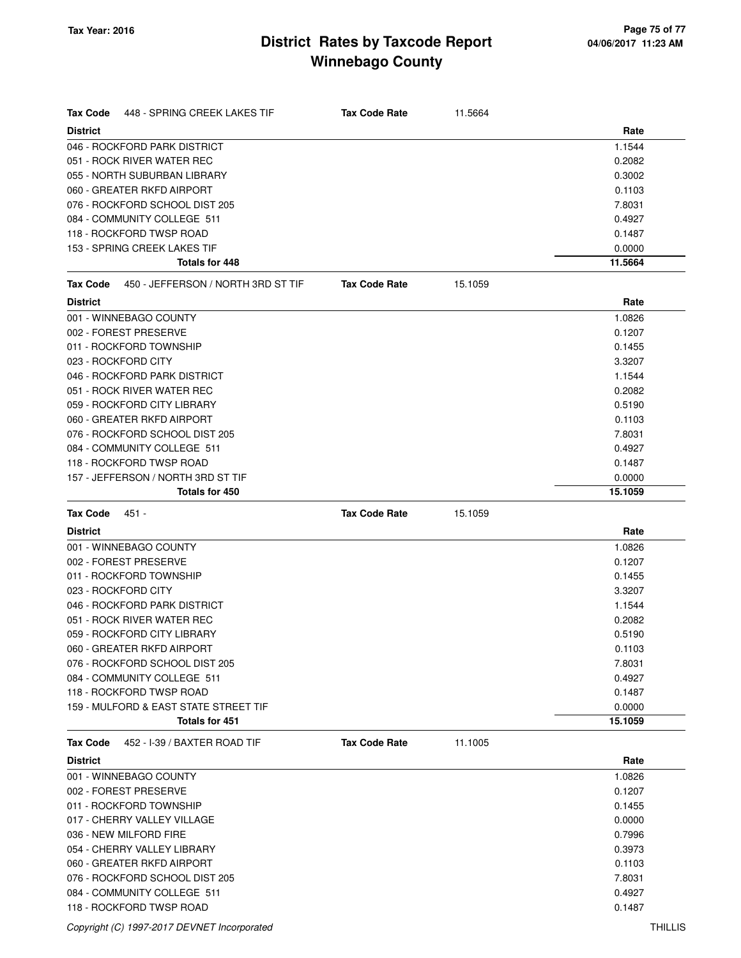| <b>Tax Code</b><br>448 - SPRING CREEK LAKES TIF | <b>Tax Code Rate</b> | 11.5664 |                  |
|-------------------------------------------------|----------------------|---------|------------------|
| <b>District</b>                                 |                      |         | Rate             |
| 046 - ROCKFORD PARK DISTRICT                    |                      |         | 1.1544           |
| 051 - ROCK RIVER WATER REC                      |                      |         | 0.2082           |
| 055 - NORTH SUBURBAN LIBRARY                    |                      |         | 0.3002           |
| 060 - GREATER RKFD AIRPORT                      |                      |         | 0.1103           |
| 076 - ROCKFORD SCHOOL DIST 205                  |                      |         | 7.8031           |
| 084 - COMMUNITY COLLEGE 511                     |                      |         | 0.4927           |
| 118 - ROCKFORD TWSP ROAD                        |                      |         | 0.1487           |
| 153 - SPRING CREEK LAKES TIF                    |                      |         | 0.0000           |
| Totals for 448                                  |                      |         | 11.5664          |
| 450 - JEFFERSON / NORTH 3RD ST TIF<br>Tax Code  | <b>Tax Code Rate</b> | 15.1059 |                  |
| <b>District</b>                                 |                      |         | Rate             |
| 001 - WINNEBAGO COUNTY                          |                      |         | 1.0826           |
| 002 - FOREST PRESERVE                           |                      |         | 0.1207           |
| 011 - ROCKFORD TOWNSHIP                         |                      |         | 0.1455           |
| 023 - ROCKFORD CITY                             |                      |         | 3.3207           |
| 046 - ROCKFORD PARK DISTRICT                    |                      |         | 1.1544           |
| 051 - ROCK RIVER WATER REC                      |                      |         | 0.2082           |
| 059 - ROCKFORD CITY LIBRARY                     |                      |         | 0.5190           |
| 060 - GREATER RKFD AIRPORT                      |                      |         | 0.1103           |
| 076 - ROCKFORD SCHOOL DIST 205                  |                      |         | 7.8031           |
| 084 - COMMUNITY COLLEGE 511                     |                      |         | 0.4927           |
| 118 - ROCKFORD TWSP ROAD                        |                      |         | 0.1487           |
| 157 - JEFFERSON / NORTH 3RD ST TIF              |                      |         | 0.0000           |
| Totals for 450                                  |                      |         | 15.1059          |
| <b>Tax Code</b><br>$451 -$                      | <b>Tax Code Rate</b> | 15.1059 |                  |
| <b>District</b>                                 |                      |         | Rate             |
| 001 - WINNEBAGO COUNTY                          |                      |         | 1.0826           |
| 002 - FOREST PRESERVE                           |                      |         | 0.1207           |
| 011 - ROCKFORD TOWNSHIP                         |                      |         | 0.1455           |
| 023 - ROCKFORD CITY                             |                      |         | 3.3207           |
| 046 - ROCKFORD PARK DISTRICT                    |                      |         | 1.1544           |
| 051 - ROCK RIVER WATER REC                      |                      |         | 0.2082           |
| 059 - ROCKFORD CITY LIBRARY                     |                      |         | 0.5190           |
| 060 - GREATER RKFD AIRPORT                      |                      |         | 0.1103           |
| 076 - ROCKFORD SCHOOL DIST 205                  |                      |         | 7.8031           |
| 084 - COMMUNITY COLLEGE 511                     |                      |         | 0.4927           |
| 118 - ROCKFORD TWSP ROAD                        |                      |         | 0.1487           |
| 159 - MULFORD & EAST STATE STREET TIF           |                      |         | 0.0000           |
| <b>Totals for 451</b>                           |                      |         | 15.1059          |
| 452 - I-39 / BAXTER ROAD TIF<br>Tax Code        | <b>Tax Code Rate</b> | 11.1005 |                  |
| <b>District</b>                                 |                      |         | Rate             |
| 001 - WINNEBAGO COUNTY                          |                      |         | 1.0826           |
| 002 - FOREST PRESERVE                           |                      |         | 0.1207           |
| 011 - ROCKFORD TOWNSHIP                         |                      |         | 0.1455           |
| 017 - CHERRY VALLEY VILLAGE                     |                      |         | 0.0000           |
| 036 - NEW MILFORD FIRE                          |                      |         |                  |
|                                                 |                      |         |                  |
| 054 - CHERRY VALLEY LIBRARY                     |                      |         | 0.7996<br>0.3973 |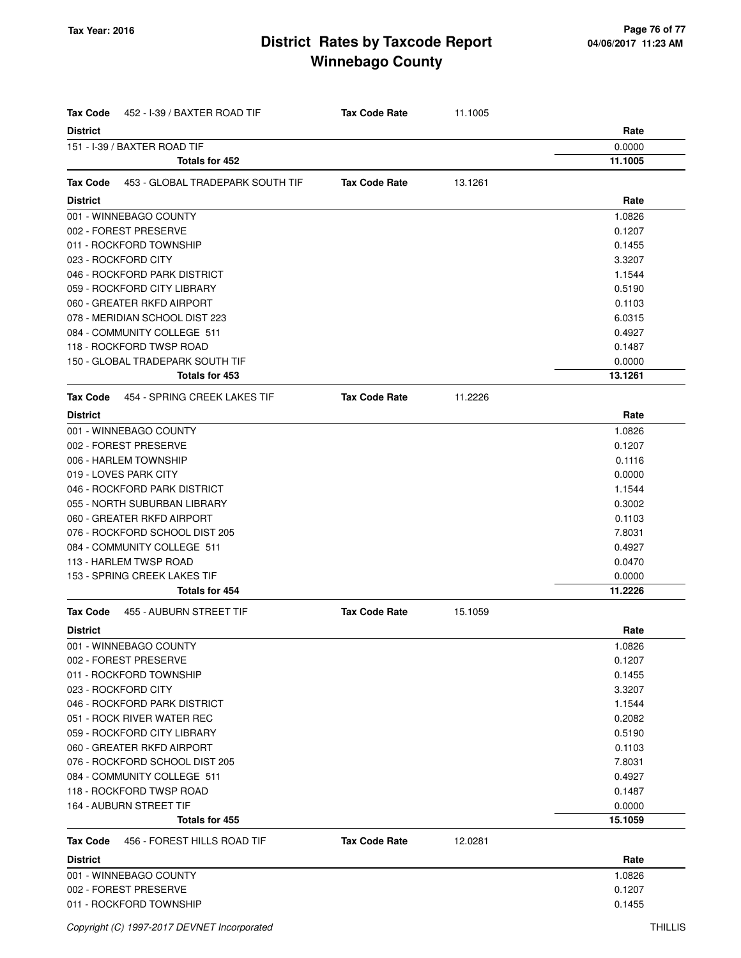| Tax Code            | 452 - I-39 / BAXTER ROAD TIF     | <b>Tax Code Rate</b> | 11.1005 |         |
|---------------------|----------------------------------|----------------------|---------|---------|
| <b>District</b>     |                                  |                      |         | Rate    |
|                     | 151 - I-39 / BAXTER ROAD TIF     |                      |         | 0.0000  |
|                     | <b>Totals for 452</b>            |                      |         | 11.1005 |
| Tax Code            | 453 - GLOBAL TRADEPARK SOUTH TIF | <b>Tax Code Rate</b> | 13.1261 |         |
| <b>District</b>     |                                  |                      |         | Rate    |
|                     | 001 - WINNEBAGO COUNTY           |                      |         | 1.0826  |
|                     | 002 - FOREST PRESERVE            |                      |         | 0.1207  |
|                     | 011 - ROCKFORD TOWNSHIP          |                      |         | 0.1455  |
| 023 - ROCKFORD CITY |                                  |                      |         | 3.3207  |
|                     | 046 - ROCKFORD PARK DISTRICT     |                      |         | 1.1544  |
|                     | 059 - ROCKFORD CITY LIBRARY      |                      |         | 0.5190  |
|                     | 060 - GREATER RKFD AIRPORT       |                      |         | 0.1103  |
|                     | 078 - MERIDIAN SCHOOL DIST 223   |                      |         | 6.0315  |
|                     | 084 - COMMUNITY COLLEGE 511      |                      |         | 0.4927  |
|                     | 118 - ROCKFORD TWSP ROAD         |                      |         | 0.1487  |
|                     | 150 - GLOBAL TRADEPARK SOUTH TIF |                      |         | 0.0000  |
|                     | <b>Totals for 453</b>            |                      |         | 13.1261 |
| Tax Code            | 454 - SPRING CREEK LAKES TIF     | <b>Tax Code Rate</b> | 11.2226 |         |
| <b>District</b>     |                                  |                      |         | Rate    |
|                     | 001 - WINNEBAGO COUNTY           |                      |         | 1.0826  |
|                     | 002 - FOREST PRESERVE            |                      |         | 0.1207  |
|                     | 006 - HARLEM TOWNSHIP            |                      |         | 0.1116  |
|                     | 019 - LOVES PARK CITY            |                      |         | 0.0000  |
|                     | 046 - ROCKFORD PARK DISTRICT     |                      |         | 1.1544  |
|                     | 055 - NORTH SUBURBAN LIBRARY     |                      |         | 0.3002  |
|                     | 060 - GREATER RKFD AIRPORT       |                      |         | 0.1103  |
|                     | 076 - ROCKFORD SCHOOL DIST 205   |                      |         | 7.8031  |
|                     | 084 - COMMUNITY COLLEGE 511      |                      |         | 0.4927  |
|                     | 113 - HARLEM TWSP ROAD           |                      |         | 0.0470  |
|                     | 153 - SPRING CREEK LAKES TIF     |                      |         | 0.0000  |
|                     | Totals for 454                   |                      |         | 11.2226 |
| Tax Code            | 455 - AUBURN STREET TIF          | <b>Tax Code Rate</b> | 15.1059 |         |
| <b>District</b>     |                                  |                      |         | Rate    |
|                     | 001 - WINNEBAGO COUNTY           |                      |         | 1.0826  |
|                     | 002 - FOREST PRESERVE            |                      |         | 0.1207  |
|                     | 011 - ROCKFORD TOWNSHIP          |                      |         | 0.1455  |
| 023 - ROCKFORD CITY |                                  |                      |         | 3.3207  |
|                     | 046 - ROCKFORD PARK DISTRICT     |                      |         | 1.1544  |
|                     | 051 - ROCK RIVER WATER REC       |                      |         | 0.2082  |
|                     | 059 - ROCKFORD CITY LIBRARY      |                      |         | 0.5190  |
|                     | 060 - GREATER RKFD AIRPORT       |                      |         | 0.1103  |
|                     | 076 - ROCKFORD SCHOOL DIST 205   |                      |         | 7.8031  |
|                     | 084 - COMMUNITY COLLEGE 511      |                      |         | 0.4927  |
|                     | 118 - ROCKFORD TWSP ROAD         |                      |         | 0.1487  |
|                     | 164 - AUBURN STREET TIF          |                      |         | 0.0000  |
|                     | Totals for 455                   |                      |         | 15.1059 |
| Tax Code            | 456 - FOREST HILLS ROAD TIF      | <b>Tax Code Rate</b> | 12.0281 |         |
| <b>District</b>     |                                  |                      |         | Rate    |
|                     | 001 - WINNEBAGO COUNTY           |                      |         | 1.0826  |
|                     | 002 - FOREST PRESERVE            |                      |         | 0.1207  |
|                     | 011 - ROCKFORD TOWNSHIP          |                      |         | 0.1455  |
|                     |                                  |                      |         |         |